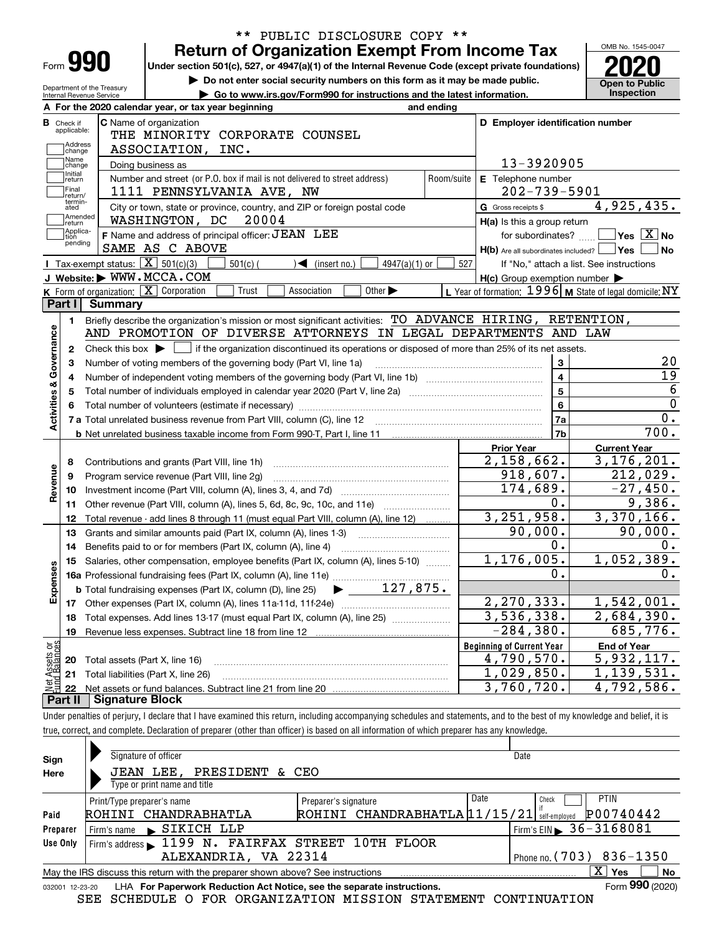| Form |  |  |
|------|--|--|

## **Return of Organization Exempt From Income Tax** \*\* PUBLIC DISCLOSURE COPY \*\*

OMB No. 1545-0047 **en to Public<br>nspection** 

|                           | Form YYU                         |                                                            | Under section 501(c), 527, or 4947(a)(1) of the Internal Revenue Code (except private foundations)                                                                  |                                                                             |                          |                                                           |                                             |
|---------------------------|----------------------------------|------------------------------------------------------------|---------------------------------------------------------------------------------------------------------------------------------------------------------------------|-----------------------------------------------------------------------------|--------------------------|-----------------------------------------------------------|---------------------------------------------|
|                           | Department of the Treasury       |                                                            |                                                                                                                                                                     | Do not enter social security numbers on this form as it may be made public. |                          |                                                           | <b>Open to Public</b>                       |
|                           | Internal Revenue Service         |                                                            |                                                                                                                                                                     | Go to www.irs.gov/Form990 for instructions and the latest information.      |                          |                                                           | Inspection                                  |
|                           |                                  |                                                            | A For the 2020 calendar year, or tax year beginning                                                                                                                 |                                                                             | and ending               |                                                           |                                             |
|                           | <b>B</b> Check if<br>applicable: | <b>C</b> Name of organization                              | THE MINORITY CORPORATE COUNSEL                                                                                                                                      |                                                                             |                          | D Employer identification number                          |                                             |
|                           | Address                          |                                                            | ASSOCIATION, INC.                                                                                                                                                   |                                                                             |                          |                                                           |                                             |
|                           | change<br>Name                   |                                                            |                                                                                                                                                                     |                                                                             |                          | 13-3920905                                                |                                             |
|                           | change<br>Initial                | Doing business as                                          |                                                                                                                                                                     |                                                                             |                          |                                                           |                                             |
|                           | return<br>Final                  |                                                            | Number and street (or P.O. box if mail is not delivered to street address)<br>1111 PENNSYLVANIA AVE, NW                                                             |                                                                             | Room/suite               | E Telephone number<br>$202 - 739 - 5901$                  |                                             |
|                           | return/<br>termin-<br>ated       |                                                            | City or town, state or province, country, and ZIP or foreign postal code                                                                                            |                                                                             |                          | G Gross receipts \$                                       | 4,925,435.                                  |
|                           | Amended<br> return               |                                                            | WASHINGTON, DC 20004                                                                                                                                                |                                                                             |                          | H(a) Is this a group return                               |                                             |
|                           | Applica-<br>tion                 |                                                            | F Name and address of principal officer: JEAN LEE                                                                                                                   |                                                                             |                          |                                                           | for subordinates? $\Box$ Yes $\boxed{X}$ No |
|                           | pending                          | SAME AS C ABOVE                                            |                                                                                                                                                                     |                                                                             |                          | $H(b)$ Are all subordinates included? $\Box$ Yes $\Box$   | No                                          |
|                           |                                  | <b>I</b> Tax-exempt status: $\boxed{\mathbf{X}}$ 501(c)(3) | 501(c) (                                                                                                                                                            | $\sqrt{\phantom{a}}$ (insert no.)<br>$4947(a)(1)$ or                        | 527                      |                                                           | If "No," attach a list. See instructions    |
|                           |                                  | J Website: WWW.MCCA.COM                                    |                                                                                                                                                                     |                                                                             |                          | $H(c)$ Group exemption number $\blacktriangleright$       |                                             |
|                           |                                  | K Form of organization: X Corporation                      | Trust                                                                                                                                                               | Other $\blacktriangleright$<br>Association                                  |                          | L Year of formation: $1996$ M State of legal domicile: NY |                                             |
|                           |                                  | Part I Summary                                             |                                                                                                                                                                     |                                                                             |                          |                                                           |                                             |
|                           | 1.                               |                                                            | Briefly describe the organization's mission or most significant activities: TO ADVANCE HIRING, RETENTION,                                                           |                                                                             |                          |                                                           |                                             |
|                           |                                  |                                                            | AND PROMOTION OF DIVERSE ATTORNEYS IN LEGAL DEPARTMENTS AND LAW                                                                                                     |                                                                             |                          |                                                           |                                             |
| Activities & Governance   | 2                                |                                                            | Check this box $\blacktriangleright$ $\blacksquare$ if the organization discontinued its operations or disposed of more than 25% of its net assets.                 |                                                                             |                          |                                                           |                                             |
|                           |                                  |                                                            | Number of voting members of the governing body (Part VI, line 1a)                                                                                                   |                                                                             |                          | $\mathbf{3}$                                              | 20                                          |
|                           |                                  |                                                            |                                                                                                                                                                     |                                                                             |                          | $\overline{4}$                                            | 19                                          |
|                           |                                  |                                                            | Total number of individuals employed in calendar year 2020 (Part V, line 2a) [11] [12] Total number of individuals employed in calendar year 2020 (Part V, line 2a) |                                                                             |                          | $\overline{5}$                                            | 6                                           |
|                           |                                  |                                                            | Total number of volunteers (estimate if necessary) manufacture content content to a manufacture content of the                                                      |                                                                             |                          | $6\phantom{a}$                                            | $\overline{0}$                              |
|                           |                                  |                                                            |                                                                                                                                                                     |                                                                             |                          | 7a                                                        | 0.                                          |
|                           |                                  |                                                            |                                                                                                                                                                     |                                                                             |                          | 7b                                                        | $\overline{700}$ .                          |
|                           |                                  |                                                            |                                                                                                                                                                     |                                                                             |                          | <b>Prior Year</b>                                         | <b>Current Year</b>                         |
|                           | 8                                |                                                            |                                                                                                                                                                     |                                                                             |                          | 2,158,662.                                                | 3, 176, 201.                                |
| Revenue                   | 9                                |                                                            | Program service revenue (Part VIII, line 2g)                                                                                                                        |                                                                             |                          | 918,607.                                                  | 212,029.                                    |
|                           | 10                               |                                                            |                                                                                                                                                                     |                                                                             |                          | 174,689.<br>0.                                            | $-27,450.$                                  |
|                           | 11                               |                                                            | Other revenue (Part VIII, column (A), lines 5, 6d, 8c, 9c, 10c, and 11e)                                                                                            |                                                                             |                          | 3, 251, 958.                                              | 9,386.                                      |
|                           | 12                               |                                                            | Total revenue - add lines 8 through 11 (must equal Part VIII, column (A), line 12)                                                                                  |                                                                             |                          | 90,000.                                                   | 3,370,166.<br>90,000.                       |
|                           | 13                               |                                                            | Grants and similar amounts paid (Part IX, column (A), lines 1-3) <i>manoronononononon</i>                                                                           |                                                                             |                          | $0$ .                                                     | 0.                                          |
|                           | 14                               |                                                            | Benefits paid to or for members (Part IX, column (A), line 4)                                                                                                       |                                                                             |                          | 1,176,005.                                                | 1,052,389.                                  |
| S<br>ğ                    |                                  |                                                            | 15 Salaries, other compensation, employee benefits (Part IX, column (A), lines 5-10)                                                                                |                                                                             |                          | 0.                                                        | 0.                                          |
| Expens                    |                                  |                                                            |                                                                                                                                                                     | $\blacktriangleright$ 127,875.                                              |                          |                                                           |                                             |
|                           |                                  |                                                            | <b>b</b> Total fundraising expenses (Part IX, column (D), line 25)                                                                                                  |                                                                             |                          | 2,270,333.                                                | 1,542,001.                                  |
|                           |                                  |                                                            | Total expenses. Add lines 13-17 (must equal Part IX, column (A), line 25)                                                                                           |                                                                             | $\overline{3,536,338}$ . | 2,684,390.                                                |                                             |
|                           | 18<br>19                         |                                                            |                                                                                                                                                                     |                                                                             | $-284,380.$              | 685,776.                                                  |                                             |
|                           |                                  |                                                            |                                                                                                                                                                     |                                                                             |                          | <b>Beginning of Current Year</b>                          | <b>End of Year</b>                          |
|                           | 20                               | Total assets (Part X, line 16)                             |                                                                                                                                                                     |                                                                             |                          | 4,790,570.                                                | 5,932,117.                                  |
| t Assets or<br>d Balances | 21                               | Total liabilities (Part X, line 26)                        |                                                                                                                                                                     |                                                                             |                          | 1,029,850.                                                | 1,139,531.                                  |
|                           |                                  |                                                            |                                                                                                                                                                     |                                                                             |                          | 3,760,720.                                                | 4,792,586.                                  |

**Part II Signature Block**

Under penalties of perjury, I declare that I have examined this return, including accompanying schedules and statements, and to the best of my knowledge and belief, it is true, correct, and complete. Declaration of preparer (other than officer) is based on all information of which preparer has any knowledge.

| Sign                                                                                                         | Signature of officer                             |                               | Date                                     |  |  |  |  |  |  |
|--------------------------------------------------------------------------------------------------------------|--------------------------------------------------|-------------------------------|------------------------------------------|--|--|--|--|--|--|
| Here                                                                                                         | JEAN LEE, PRESIDENT & CEO                        |                               |                                          |  |  |  |  |  |  |
|                                                                                                              | Type or print name and title                     |                               |                                          |  |  |  |  |  |  |
|                                                                                                              | Print/Type preparer's name                       | Preparer's signature          | <b>PTIN</b><br>Date<br>Check             |  |  |  |  |  |  |
| Paid                                                                                                         | ROHINI CHANDRABHATLA                             | ROHINI CHANDRABHATLA 11/15/21 | P00740442<br>self-emploved               |  |  |  |  |  |  |
| Preparer                                                                                                     | Firm's name SIKICH LLP                           |                               | Firm's EIN $\triangleright$ 36 - 3168081 |  |  |  |  |  |  |
| Use Only                                                                                                     | Firm's address 1199 N. FAIRFAX STREET 10TH FLOOR |                               |                                          |  |  |  |  |  |  |
| ALEXANDRIA, VA 22314<br>Phone no. $(703)$ 836-1350                                                           |                                                  |                               |                                          |  |  |  |  |  |  |
| x<br><b>No</b><br>May the IRS discuss this return with the preparer shown above? See instructions<br>Yes     |                                                  |                               |                                          |  |  |  |  |  |  |
| Form 990 (2020)<br>LHA For Paperwork Reduction Act Notice, see the separate instructions.<br>032001 12-23-20 |                                                  |                               |                                          |  |  |  |  |  |  |

SEE SCHEDULE O FOR ORGANIZATION MISSION STATEMENT CONTINUATION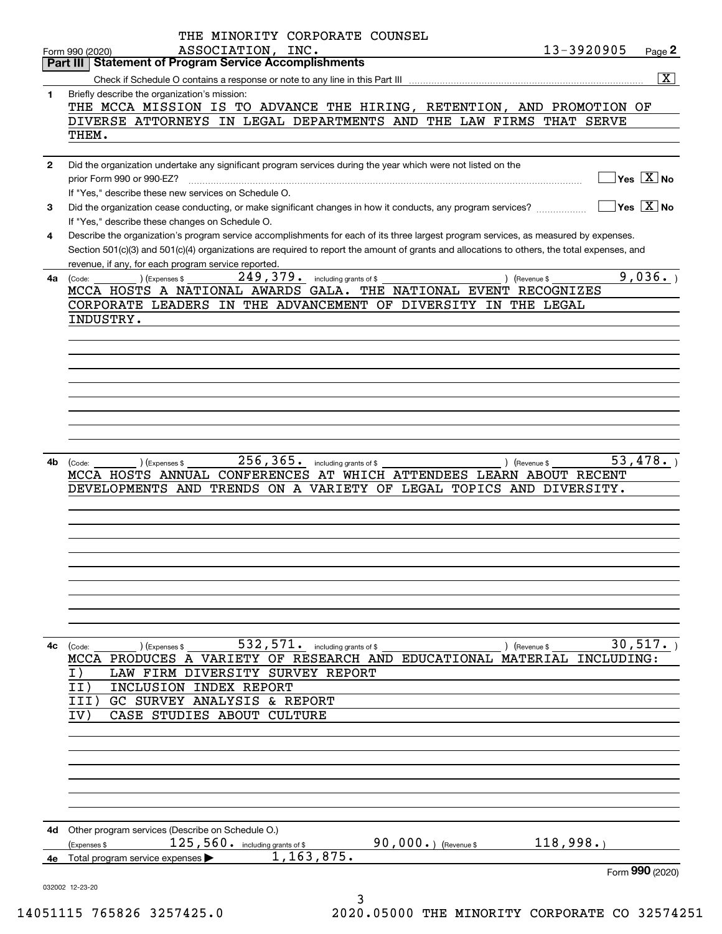|              | THE MINORITY CORPORATE COUNSEL                                                                                                               |                                                 |                                           |
|--------------|----------------------------------------------------------------------------------------------------------------------------------------------|-------------------------------------------------|-------------------------------------------|
|              | ASSOCIATION, INC.<br>13-3920905<br>Form 990 (2020)                                                                                           |                                                 | Page 2                                    |
|              | <b>Statement of Program Service Accomplishments</b><br>Part III                                                                              |                                                 |                                           |
|              |                                                                                                                                              |                                                 | $\boxed{\mathbf{X}}$                      |
| $\mathbf{1}$ | Briefly describe the organization's mission:                                                                                                 |                                                 |                                           |
|              | THE MCCA MISSION IS TO ADVANCE THE HIRING, RETENTION, AND PROMOTION OF                                                                       |                                                 |                                           |
|              | DIVERSE ATTORNEYS IN LEGAL DEPARTMENTS AND THE LAW FIRMS THAT SERVE                                                                          |                                                 |                                           |
|              | THEM.                                                                                                                                        |                                                 |                                           |
|              |                                                                                                                                              |                                                 |                                           |
| $\mathbf{2}$ | Did the organization undertake any significant program services during the year which were not listed on the                                 |                                                 |                                           |
|              |                                                                                                                                              |                                                 | $\overline{\ }$ Yes $\overline{\rm X}$ No |
|              | If "Yes," describe these new services on Schedule O.                                                                                         |                                                 |                                           |
| 3            | Did the organization cease conducting, or make significant changes in how it conducts, any program services?                                 | $\boxed{\phantom{1}}$ Yes $\boxed{\text{X}}$ No |                                           |
|              | If "Yes," describe these changes on Schedule O.                                                                                              |                                                 |                                           |
| 4            | Describe the organization's program service accomplishments for each of its three largest program services, as measured by expenses.         |                                                 |                                           |
|              | Section 501(c)(3) and 501(c)(4) organizations are required to report the amount of grants and allocations to others, the total expenses, and |                                                 |                                           |
|              | revenue, if any, for each program service reported.                                                                                          |                                                 |                                           |
| 4a           | $249$ , $379$ $\cdot$ including grants of \$<br>(Expenses \$<br>) (Revenue \$<br>(Code:                                                      |                                                 | 9,036.                                    |
|              | MCCA HOSTS A NATIONAL AWARDS GALA. THE NATIONAL EVENT RECOGNIZES                                                                             |                                                 |                                           |
|              | CORPORATE LEADERS IN THE ADVANCEMENT OF DIVERSITY IN THE LEGAL                                                                               |                                                 |                                           |
|              | INDUSTRY.                                                                                                                                    |                                                 |                                           |
|              |                                                                                                                                              |                                                 |                                           |
|              |                                                                                                                                              |                                                 |                                           |
|              |                                                                                                                                              |                                                 |                                           |
|              |                                                                                                                                              |                                                 |                                           |
|              |                                                                                                                                              |                                                 |                                           |
|              |                                                                                                                                              |                                                 |                                           |
|              |                                                                                                                                              |                                                 |                                           |
|              |                                                                                                                                              |                                                 |                                           |
|              |                                                                                                                                              |                                                 |                                           |
| 4b           | 256, 365. including grants of \$<br>) (Expenses \$<br>) (Revenue \$<br>(Code:                                                                |                                                 | 53,478.                                   |
|              | MCCA HOSTS ANNUAL CONFERENCES AT WHICH ATTENDEES LEARN ABOUT RECENT                                                                          |                                                 |                                           |
|              | DEVELOPMENTS AND TRENDS ON A VARIETY OF LEGAL TOPICS AND DIVERSITY.                                                                          |                                                 |                                           |
|              |                                                                                                                                              |                                                 |                                           |
|              |                                                                                                                                              |                                                 |                                           |
|              |                                                                                                                                              |                                                 |                                           |
|              |                                                                                                                                              |                                                 |                                           |
|              |                                                                                                                                              |                                                 |                                           |
|              |                                                                                                                                              |                                                 |                                           |
|              |                                                                                                                                              |                                                 |                                           |
|              |                                                                                                                                              |                                                 |                                           |
|              |                                                                                                                                              |                                                 |                                           |
|              |                                                                                                                                              |                                                 |                                           |
| 4с           | 532,571.<br>including grants of \$<br>(Code:<br>(Expenses \$<br>) (Revenue \$                                                                |                                                 | 30,517.                                   |
|              | MCCA PRODUCES A VARIETY OF RESEARCH AND EDUCATIONAL MATERIAL                                                                                 | INCLUDING:                                      |                                           |
|              | LAW FIRM DIVERSITY SURVEY REPORT<br>I)                                                                                                       |                                                 |                                           |
|              | II)<br>INCLUSION INDEX REPORT                                                                                                                |                                                 |                                           |
|              | GC SURVEY ANALYSIS & REPORT<br>III                                                                                                           |                                                 |                                           |
|              | CASE STUDIES ABOUT<br>IV :<br><b>CULTURE</b>                                                                                                 |                                                 |                                           |
|              |                                                                                                                                              |                                                 |                                           |
|              |                                                                                                                                              |                                                 |                                           |
|              |                                                                                                                                              |                                                 |                                           |
|              |                                                                                                                                              |                                                 |                                           |
|              |                                                                                                                                              |                                                 |                                           |
|              |                                                                                                                                              |                                                 |                                           |
|              |                                                                                                                                              |                                                 |                                           |
| 4d           | Other program services (Describe on Schedule O.)                                                                                             |                                                 |                                           |
|              | 118,998.<br>90,000 $\cdot$ ) (Revenue \$<br>125, 560. including grants of \$<br>(Expenses \$                                                 |                                                 |                                           |
| 4е           | 1, 163, 875.<br>Total program service expenses                                                                                               |                                                 |                                           |
|              |                                                                                                                                              |                                                 | Form 990 (2020)                           |
|              | 032002 12-23-20                                                                                                                              |                                                 |                                           |
|              | 3                                                                                                                                            |                                                 |                                           |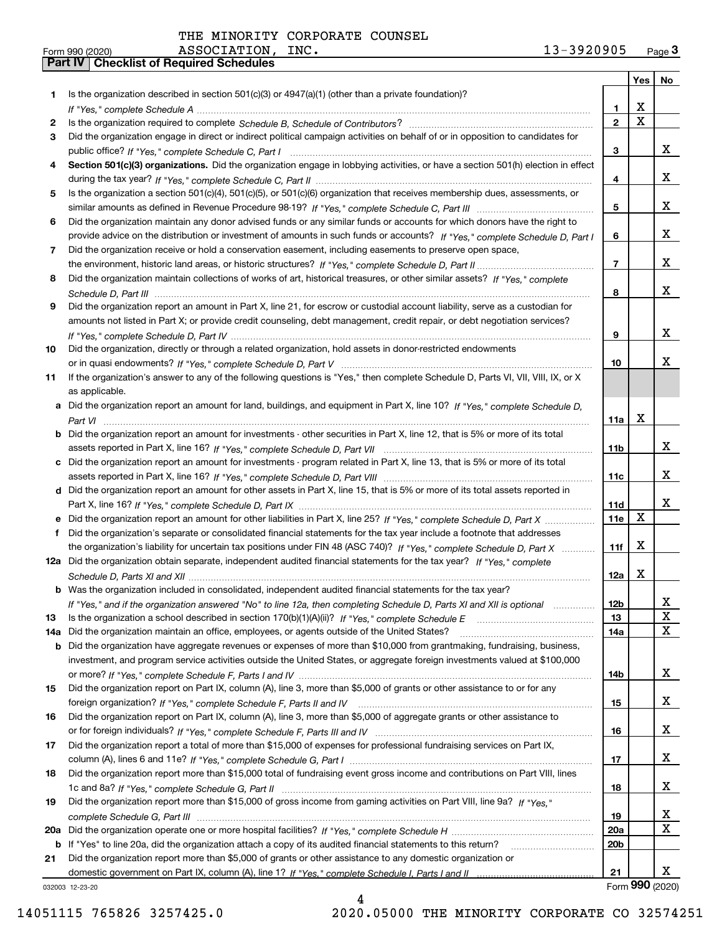|     |                                                                                                                                                                                                                                                           |                 | Yes                     | No              |
|-----|-----------------------------------------------------------------------------------------------------------------------------------------------------------------------------------------------------------------------------------------------------------|-----------------|-------------------------|-----------------|
| 1   | Is the organization described in section $501(c)(3)$ or $4947(a)(1)$ (other than a private foundation)?                                                                                                                                                   |                 |                         |                 |
|     |                                                                                                                                                                                                                                                           | 1.              | X                       |                 |
| 2   |                                                                                                                                                                                                                                                           | $\overline{2}$  | $\overline{\mathbf{x}}$ |                 |
| 3   | Did the organization engage in direct or indirect political campaign activities on behalf of or in opposition to candidates for                                                                                                                           |                 |                         |                 |
|     |                                                                                                                                                                                                                                                           | 3               |                         | x               |
| 4   | Section 501(c)(3) organizations. Did the organization engage in lobbying activities, or have a section 501(h) election in effect                                                                                                                          |                 |                         |                 |
|     |                                                                                                                                                                                                                                                           | 4               |                         | x               |
| 5   | Is the organization a section 501(c)(4), 501(c)(5), or 501(c)(6) organization that receives membership dues, assessments, or                                                                                                                              | 5               |                         | x               |
|     |                                                                                                                                                                                                                                                           |                 |                         |                 |
| 6   | Did the organization maintain any donor advised funds or any similar funds or accounts for which donors have the right to<br>provide advice on the distribution or investment of amounts in such funds or accounts? If "Yes," complete Schedule D, Part I | 6               |                         | x               |
| 7   | Did the organization receive or hold a conservation easement, including easements to preserve open space,                                                                                                                                                 |                 |                         |                 |
|     |                                                                                                                                                                                                                                                           | $\overline{7}$  |                         | x               |
| 8   | Did the organization maintain collections of works of art, historical treasures, or other similar assets? If "Yes," complete                                                                                                                              |                 |                         |                 |
|     |                                                                                                                                                                                                                                                           | 8               |                         | x               |
| 9   | Did the organization report an amount in Part X, line 21, for escrow or custodial account liability, serve as a custodian for                                                                                                                             |                 |                         |                 |
|     | amounts not listed in Part X; or provide credit counseling, debt management, credit repair, or debt negotiation services?                                                                                                                                 |                 |                         |                 |
|     |                                                                                                                                                                                                                                                           | 9               |                         | x               |
| 10  | Did the organization, directly or through a related organization, hold assets in donor-restricted endowments                                                                                                                                              |                 |                         |                 |
|     |                                                                                                                                                                                                                                                           | 10              |                         | x               |
| 11  | If the organization's answer to any of the following questions is "Yes," then complete Schedule D, Parts VI, VII, VIII, IX, or X                                                                                                                          |                 |                         |                 |
|     | as applicable.                                                                                                                                                                                                                                            |                 |                         |                 |
|     | a Did the organization report an amount for land, buildings, and equipment in Part X, line 10? If "Yes," complete Schedule D,                                                                                                                             |                 |                         |                 |
|     |                                                                                                                                                                                                                                                           | 11a             | $\mathbf X$             |                 |
| b   | Did the organization report an amount for investments - other securities in Part X, line 12, that is 5% or more of its total                                                                                                                              |                 |                         |                 |
|     |                                                                                                                                                                                                                                                           | 11 <sub>b</sub> |                         | x               |
| c   | Did the organization report an amount for investments - program related in Part X, line 13, that is 5% or more of its total                                                                                                                               |                 |                         |                 |
|     |                                                                                                                                                                                                                                                           | 11c             |                         | x               |
|     | d Did the organization report an amount for other assets in Part X, line 15, that is 5% or more of its total assets reported in                                                                                                                           |                 |                         |                 |
|     |                                                                                                                                                                                                                                                           | 11d             |                         | x               |
|     | Did the organization report an amount for other liabilities in Part X, line 25? If "Yes," complete Schedule D, Part X                                                                                                                                     | 11e             | X                       |                 |
| f   | Did the organization's separate or consolidated financial statements for the tax year include a footnote that addresses                                                                                                                                   |                 |                         |                 |
|     | the organization's liability for uncertain tax positions under FIN 48 (ASC 740)? If "Yes," complete Schedule D, Part X                                                                                                                                    | 11f             | X                       |                 |
|     | 12a Did the organization obtain separate, independent audited financial statements for the tax year? If "Yes," complete                                                                                                                                   |                 |                         |                 |
|     |                                                                                                                                                                                                                                                           | 12a             | X                       |                 |
|     | <b>b</b> Was the organization included in consolidated, independent audited financial statements for the tax year?                                                                                                                                        |                 |                         |                 |
|     | If "Yes," and if the organization answered "No" to line 12a, then completing Schedule D, Parts XI and XII is optional                                                                                                                                     | 12D             |                         | ᅀ               |
| 13  |                                                                                                                                                                                                                                                           | 13              |                         | X               |
| 14a | Did the organization maintain an office, employees, or agents outside of the United States?                                                                                                                                                               | 14a             |                         | X               |
| b   | Did the organization have aggregate revenues or expenses of more than \$10,000 from grantmaking, fundraising, business,                                                                                                                                   |                 |                         |                 |
|     | investment, and program service activities outside the United States, or aggregate foreign investments valued at \$100,000                                                                                                                                |                 |                         | X               |
|     | Did the organization report on Part IX, column (A), line 3, more than \$5,000 of grants or other assistance to or for any                                                                                                                                 | 14b             |                         |                 |
| 15  |                                                                                                                                                                                                                                                           | 15              |                         | x               |
| 16  | Did the organization report on Part IX, column (A), line 3, more than \$5,000 of aggregate grants or other assistance to                                                                                                                                  |                 |                         |                 |
|     |                                                                                                                                                                                                                                                           | 16              |                         | x               |
| 17  | Did the organization report a total of more than \$15,000 of expenses for professional fundraising services on Part IX,                                                                                                                                   |                 |                         |                 |
|     |                                                                                                                                                                                                                                                           | 17              |                         | х               |
| 18  | Did the organization report more than \$15,000 total of fundraising event gross income and contributions on Part VIII, lines                                                                                                                              |                 |                         |                 |
|     |                                                                                                                                                                                                                                                           | 18              |                         | X               |
| 19  | Did the organization report more than \$15,000 of gross income from gaming activities on Part VIII, line 9a? If "Yes."                                                                                                                                    |                 |                         |                 |
|     |                                                                                                                                                                                                                                                           | 19              |                         | x               |
| 20a |                                                                                                                                                                                                                                                           | 20a             |                         | $\mathbf x$     |
| b   | If "Yes" to line 20a, did the organization attach a copy of its audited financial statements to this return?                                                                                                                                              | 20 <sub>b</sub> |                         |                 |
| 21  | Did the organization report more than \$5,000 of grants or other assistance to any domestic organization or                                                                                                                                               |                 |                         |                 |
|     |                                                                                                                                                                                                                                                           | 21              |                         | X.              |
|     | 032003 12-23-20                                                                                                                                                                                                                                           |                 |                         | Form 990 (2020) |

4

032003 12-23-20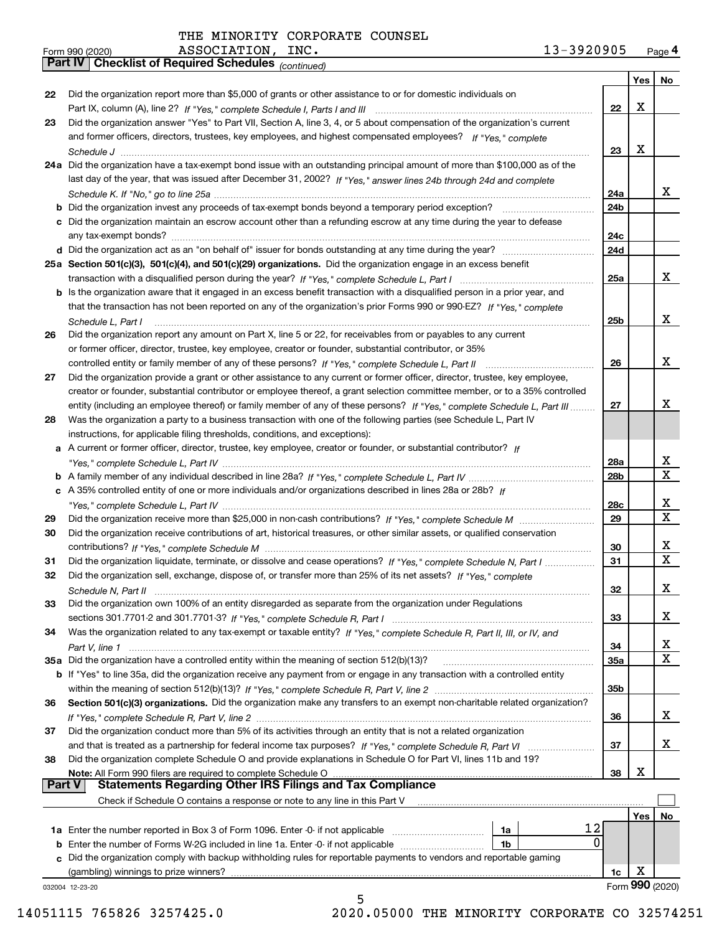*(continued)*

|               |                                                                                                                              |                 | Yes        | ∣ No            |
|---------------|------------------------------------------------------------------------------------------------------------------------------|-----------------|------------|-----------------|
| 22            | Did the organization report more than \$5,000 of grants or other assistance to or for domestic individuals on                |                 |            |                 |
|               |                                                                                                                              | 22              | х          |                 |
| 23            | Did the organization answer "Yes" to Part VII, Section A, line 3, 4, or 5 about compensation of the organization's current   |                 |            |                 |
|               | and former officers, directors, trustees, key employees, and highest compensated employees? If "Yes," complete               |                 |            |                 |
|               |                                                                                                                              | 23              | х          |                 |
|               | 24a Did the organization have a tax-exempt bond issue with an outstanding principal amount of more than \$100,000 as of the  |                 |            |                 |
|               | last day of the year, that was issued after December 31, 2002? If "Yes," answer lines 24b through 24d and complete           |                 |            |                 |
|               |                                                                                                                              | 24a             |            | x               |
|               | b Did the organization invest any proceeds of tax-exempt bonds beyond a temporary period exception?                          | 24b             |            |                 |
|               | c Did the organization maintain an escrow account other than a refunding escrow at any time during the year to defease       |                 |            |                 |
|               | any tax-exempt bonds?                                                                                                        | 24c             |            |                 |
|               | d Did the organization act as an "on behalf of" issuer for bonds outstanding at any time during the year?                    | 24d             |            |                 |
|               | 25a Section 501(c)(3), 501(c)(4), and 501(c)(29) organizations. Did the organization engage in an excess benefit             |                 |            |                 |
|               |                                                                                                                              | 25a             |            | x               |
|               | b Is the organization aware that it engaged in an excess benefit transaction with a disqualified person in a prior year, and |                 |            |                 |
|               | that the transaction has not been reported on any of the organization's prior Forms 990 or 990-EZ? If "Yes," complete        |                 |            |                 |
|               |                                                                                                                              |                 |            | x               |
|               | Schedule L, Part I                                                                                                           | 25b             |            |                 |
| 26            | Did the organization report any amount on Part X, line 5 or 22, for receivables from or payables to any current              |                 |            |                 |
|               | or former officer, director, trustee, key employee, creator or founder, substantial contributor, or 35%                      |                 |            |                 |
|               |                                                                                                                              | 26              |            | x               |
| 27            | Did the organization provide a grant or other assistance to any current or former officer, director, trustee, key employee,  |                 |            |                 |
|               | creator or founder, substantial contributor or employee thereof, a grant selection committee member, or to a 35% controlled  |                 |            |                 |
|               | entity (including an employee thereof) or family member of any of these persons? If "Yes," complete Schedule L, Part III     | 27              |            | х               |
| 28            | Was the organization a party to a business transaction with one of the following parties (see Schedule L, Part IV            |                 |            |                 |
|               | instructions, for applicable filing thresholds, conditions, and exceptions):                                                 |                 |            |                 |
|               | a A current or former officer, director, trustee, key employee, creator or founder, or substantial contributor? If           |                 |            |                 |
|               |                                                                                                                              | 28a             |            | x               |
|               |                                                                                                                              | 28 <sub>b</sub> |            | $\mathbf X$     |
|               | c A 35% controlled entity of one or more individuals and/or organizations described in lines 28a or 28b? If                  |                 |            |                 |
|               |                                                                                                                              | 28c             |            | х               |
| 29            |                                                                                                                              | 29              |            | $\mathbf X$     |
| 30            | Did the organization receive contributions of art, historical treasures, or other similar assets, or qualified conservation  |                 |            |                 |
|               |                                                                                                                              | 30              |            | x               |
| 31            | Did the organization liquidate, terminate, or dissolve and cease operations? If "Yes," complete Schedule N, Part I           | 31              |            | $\mathbf x$     |
| 32            | Did the organization sell, exchange, dispose of, or transfer more than 25% of its net assets? If "Yes," complete             |                 |            |                 |
|               |                                                                                                                              | 32              |            | х               |
| 33            | Did the organization own 100% of an entity disregarded as separate from the organization under Regulations                   |                 |            |                 |
|               |                                                                                                                              | 33              |            | х               |
| 34            | Was the organization related to any tax-exempt or taxable entity? If "Yes," complete Schedule R, Part II, III, or IV, and    |                 |            |                 |
|               |                                                                                                                              | 34              |            | X               |
|               | 35a Did the organization have a controlled entity within the meaning of section 512(b)(13)?                                  | 35a             |            | X               |
|               | b If "Yes" to line 35a, did the organization receive any payment from or engage in any transaction with a controlled entity  |                 |            |                 |
|               |                                                                                                                              | 35b             |            |                 |
| 36            | Section 501(c)(3) organizations. Did the organization make any transfers to an exempt non-charitable related organization?   |                 |            |                 |
|               |                                                                                                                              | 36              |            | x               |
| 37            | Did the organization conduct more than 5% of its activities through an entity that is not a related organization             |                 |            |                 |
|               | and that is treated as a partnership for federal income tax purposes? If "Yes," complete Schedule R, Part VI                 | 37              |            | x               |
| 38            | Did the organization complete Schedule O and provide explanations in Schedule O for Part VI, lines 11b and 19?               |                 |            |                 |
|               | Note: All Form 990 filers are required to complete Schedule O                                                                | 38              | X          |                 |
| <b>Part V</b> | <b>Statements Regarding Other IRS Filings and Tax Compliance</b>                                                             |                 |            |                 |
|               | Check if Schedule O contains a response or note to any line in this Part V                                                   |                 |            |                 |
|               |                                                                                                                              |                 | <b>Yes</b> | No              |
|               | 12<br><b>1a</b> Enter the number reported in Box 3 of Form 1096. Enter -0- if not applicable <i>manumumumum</i><br>1a        |                 |            |                 |
|               | 0<br><b>b</b> Enter the number of Forms W-2G included in line 1a. Enter -0- if not applicable <i>manumumumum</i><br>1b       |                 |            |                 |
|               | c Did the organization comply with backup withholding rules for reportable payments to vendors and reportable gaming         |                 |            |                 |
|               | (gambling) winnings to prize winners?                                                                                        | 1c              | х          |                 |
|               | 032004 12-23-20                                                                                                              |                 |            | Form 990 (2020) |
|               | 5                                                                                                                            |                 |            |                 |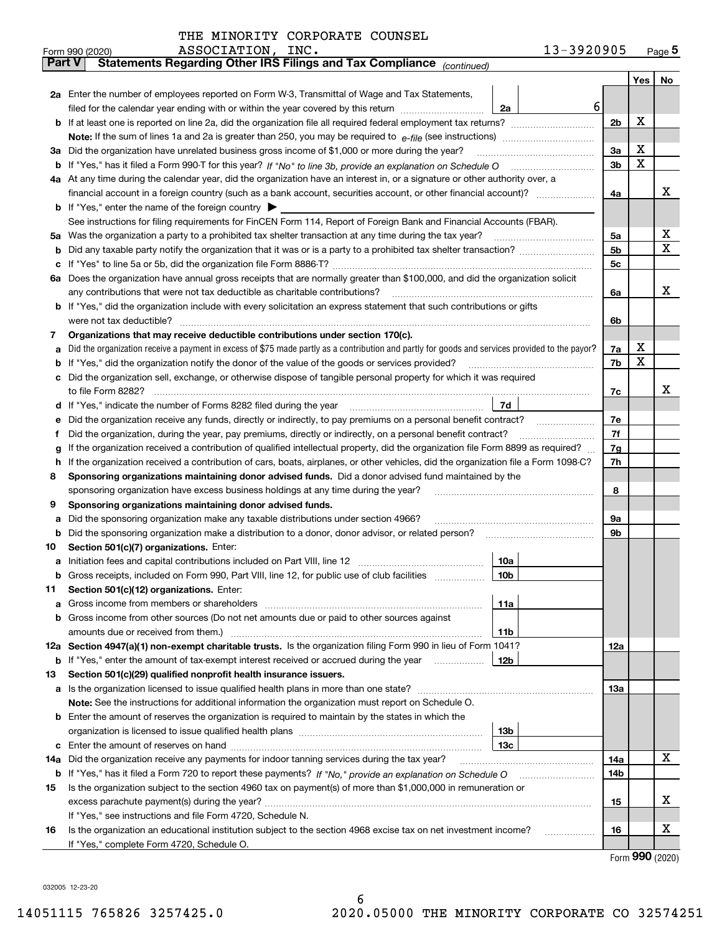| THE MINORITY CORPORATE COUNSEL |  |  |
|--------------------------------|--|--|
|--------------------------------|--|--|

|               | 13-3920905<br>ASSOCIATION, INC.<br>Form 990 (2020)                                                                                              |                |   | $Page$ <sup>5</sup> |
|---------------|-------------------------------------------------------------------------------------------------------------------------------------------------|----------------|---|---------------------|
| <b>Part V</b> | Statements Regarding Other IRS Filings and Tax Compliance (continued)                                                                           |                |   |                     |
|               |                                                                                                                                                 |                |   | Yes   No            |
|               | 2a Enter the number of employees reported on Form W-3, Transmittal of Wage and Tax Statements,                                                  |                |   |                     |
|               | 6<br>filed for the calendar year ending with or within the year covered by this return <i>manumumumum</i><br>2a                                 |                |   |                     |
|               |                                                                                                                                                 | 2 <sub>b</sub> | х |                     |
|               |                                                                                                                                                 |                |   |                     |
| За            | Did the organization have unrelated business gross income of \$1,000 or more during the year?                                                   | 3a             | х |                     |
|               |                                                                                                                                                 | 3 <sub>b</sub> | х |                     |
|               | 4a At any time during the calendar year, did the organization have an interest in, or a signature or other authority over, a                    |                |   |                     |
|               |                                                                                                                                                 | 4a             |   | х                   |
|               | <b>b</b> If "Yes," enter the name of the foreign country $\blacktriangleright$                                                                  |                |   |                     |
|               | See instructions for filing requirements for FinCEN Form 114, Report of Foreign Bank and Financial Accounts (FBAR).                             |                |   |                     |
|               |                                                                                                                                                 | 5a             |   | х                   |
| b             |                                                                                                                                                 | 5b             |   | х                   |
|               |                                                                                                                                                 | 5c             |   |                     |
|               | 6a Does the organization have annual gross receipts that are normally greater than \$100,000, and did the organization solicit                  |                |   |                     |
|               | any contributions that were not tax deductible as charitable contributions?                                                                     | 6a             |   | x                   |
|               | <b>b</b> If "Yes," did the organization include with every solicitation an express statement that such contributions or gifts                   |                |   |                     |
|               | were not tax deductible?                                                                                                                        | 6b             |   |                     |
| 7             | Organizations that may receive deductible contributions under section 170(c).                                                                   |                |   |                     |
| а             | Did the organization receive a payment in excess of \$75 made partly as a contribution and partly for goods and services provided to the payor? | 7a             | х |                     |
|               | <b>b</b> If "Yes," did the organization notify the donor of the value of the goods or services provided?                                        | 7b             | х |                     |
|               | c Did the organization sell, exchange, or otherwise dispose of tangible personal property for which it was required                             |                |   |                     |
|               |                                                                                                                                                 | 7c             |   | x                   |
|               | 7d<br>d If "Yes," indicate the number of Forms 8282 filed during the year [11,111] The Section of Holder and The Year                           |                |   |                     |
| е             | Did the organization receive any funds, directly or indirectly, to pay premiums on a personal benefit contract?                                 | 7e             |   |                     |
| Ť             | Did the organization, during the year, pay premiums, directly or indirectly, on a personal benefit contract?                                    | 7f             |   |                     |
| g             | If the organization received a contribution of qualified intellectual property, did the organization file Form 8899 as required?                | 7g             |   |                     |
| h.            | If the organization received a contribution of cars, boats, airplanes, or other vehicles, did the organization file a Form 1098-C?              | 7h             |   |                     |
| 8             | Sponsoring organizations maintaining donor advised funds. Did a donor advised fund maintained by the                                            |                |   |                     |
|               | sponsoring organization have excess business holdings at any time during the year?                                                              | 8              |   |                     |
| 9             | Sponsoring organizations maintaining donor advised funds.                                                                                       |                |   |                     |
| а             | Did the sponsoring organization make any taxable distributions under section 4966?                                                              | 9а             |   |                     |
|               | <b>b</b> Did the sponsoring organization make a distribution to a donor, donor advisor, or related person?                                      | 9b             |   |                     |
| 10            | Section 501(c)(7) organizations. Enter:                                                                                                         |                |   |                     |
|               | 10a                                                                                                                                             |                |   |                     |
|               | 10b <br>Gross receipts, included on Form 990, Part VIII, line 12, for public use of club facilities                                             |                |   |                     |
| 11            | Section 501(c)(12) organizations. Enter:                                                                                                        |                |   |                     |
|               | 11a                                                                                                                                             |                |   |                     |
|               | b Gross income from other sources (Do not net amounts due or paid to other sources against                                                      |                |   |                     |
|               | 11b                                                                                                                                             |                |   |                     |
|               | 12a Section 4947(a)(1) non-exempt charitable trusts. Is the organization filing Form 990 in lieu of Form 1041?                                  | 12a            |   |                     |
|               | 12b<br><b>b</b> If "Yes," enter the amount of tax-exempt interest received or accrued during the year <i>manument</i>                           |                |   |                     |
| 13            | Section 501(c)(29) qualified nonprofit health insurance issuers.                                                                                |                |   |                     |
|               | a Is the organization licensed to issue qualified health plans in more than one state?                                                          | 13а            |   |                     |
|               | Note: See the instructions for additional information the organization must report on Schedule O.                                               |                |   |                     |
|               | <b>b</b> Enter the amount of reserves the organization is required to maintain by the states in which the                                       |                |   |                     |
|               | 13b                                                                                                                                             |                |   |                     |
|               | 13с                                                                                                                                             |                |   |                     |
| 14a           | Did the organization receive any payments for indoor tanning services during the tax year?                                                      | 14a            |   | x                   |
|               | b If "Yes," has it filed a Form 720 to report these payments? If "No," provide an explanation on Schedule O                                     | 14b            |   |                     |
| 15            | Is the organization subject to the section 4960 tax on payment(s) of more than \$1,000,000 in remuneration or                                   |                |   |                     |
|               |                                                                                                                                                 | 15             |   | X                   |
|               | If "Yes," see instructions and file Form 4720, Schedule N.                                                                                      |                |   |                     |
| 16            | Is the organization an educational institution subject to the section 4968 excise tax on net investment income?                                 | 16             |   | X                   |
|               | If "Yes," complete Form 4720, Schedule O.                                                                                                       |                |   |                     |

6

Form (2020) **990**

032005 12-23-20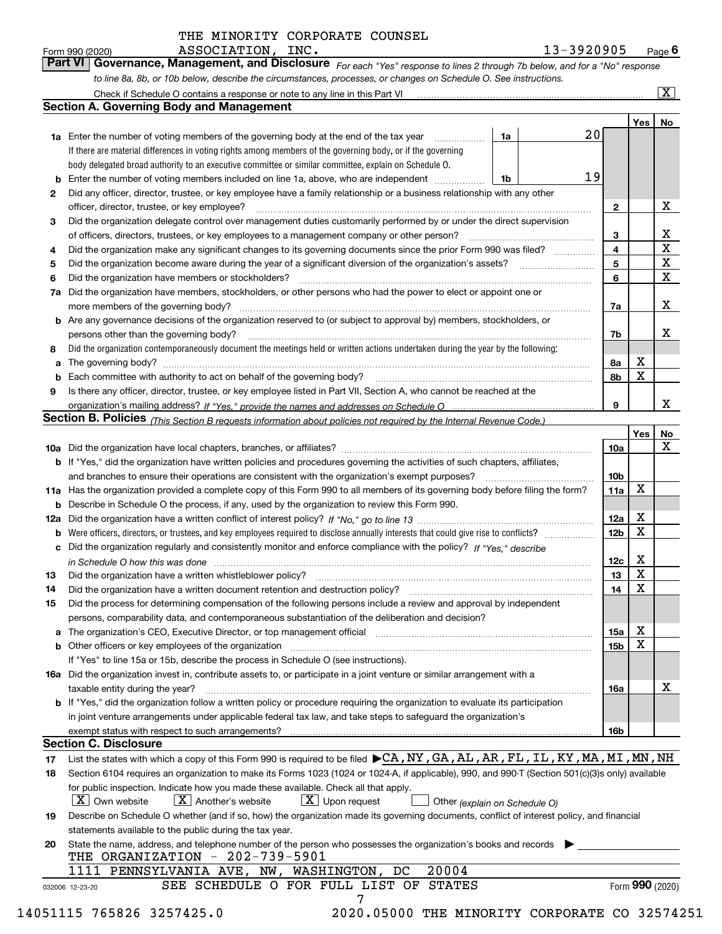*For each "Yes" response to lines 2 through 7b below, and for a "No" response to line 8a, 8b, or 10b below, describe the circumstances, processes, or changes on Schedule O. See instructions.* Form 990 (2020) **Page 6**<br>**Part VI Governance, Management, and Disclosure** For each "Yes" response to lines 2 through 7b below, and for a "No" response

|    |                                                                                                                                                                               |    |    |                 | Yes   No        |             |
|----|-------------------------------------------------------------------------------------------------------------------------------------------------------------------------------|----|----|-----------------|-----------------|-------------|
|    | <b>1a</b> Enter the number of voting members of the governing body at the end of the tax year <i>manumum</i>                                                                  | 1a | 20 |                 |                 |             |
|    | If there are material differences in voting rights among members of the governing body, or if the governing                                                                   |    |    |                 |                 |             |
|    | body delegated broad authority to an executive committee or similar committee, explain on Schedule O.                                                                         |    |    |                 |                 |             |
|    | <b>b</b> Enter the number of voting members included on line 1a, above, who are independent <i>manumum</i>                                                                    | 1b | 19 |                 |                 |             |
| 2  | Did any officer, director, trustee, or key employee have a family relationship or a business relationship with any other                                                      |    |    |                 |                 |             |
|    | officer, director, trustee, or key employee?                                                                                                                                  |    |    | $\mathbf{2}$    |                 | X           |
| 3  | Did the organization delegate control over management duties customarily performed by or under the direct supervision                                                         |    |    |                 |                 |             |
|    |                                                                                                                                                                               |    |    | 3               |                 | X           |
| 4  | Did the organization make any significant changes to its governing documents since the prior Form 990 was filed?                                                              |    |    | $\overline{4}$  |                 | $\mathbf X$ |
| 5  |                                                                                                                                                                               |    |    | 5               |                 | $\mathbf X$ |
| 6  |                                                                                                                                                                               |    |    | 6               |                 | $\mathbf X$ |
| 7a | Did the organization have members, stockholders, or other persons who had the power to elect or appoint one or                                                                |    |    |                 |                 |             |
|    |                                                                                                                                                                               |    |    | 7a              |                 | x           |
|    | <b>b</b> Are any governance decisions of the organization reserved to (or subject to approval by) members, stockholders, or                                                   |    |    |                 |                 |             |
|    | persons other than the governing body?                                                                                                                                        |    |    | 7b              |                 | х           |
| 8  | Did the organization contemporaneously document the meetings held or written actions undertaken during the year by the following:                                             |    |    |                 |                 |             |
| a  |                                                                                                                                                                               |    |    | 8a              | X               |             |
|    |                                                                                                                                                                               |    |    | 8b              | X               |             |
| 9  | Is there any officer, director, trustee, or key employee listed in Part VII, Section A, who cannot be reached at the                                                          |    |    |                 |                 |             |
|    |                                                                                                                                                                               |    |    | 9               |                 | x           |
|    | Section B. Policies (This Section B requests information about policies not required by the Internal Revenue Code.)                                                           |    |    |                 |                 |             |
|    |                                                                                                                                                                               |    |    |                 | Yes             | No          |
|    |                                                                                                                                                                               |    |    | 10a             |                 | X           |
|    | <b>b</b> If "Yes," did the organization have written policies and procedures governing the activities of such chapters, affiliates,                                           |    |    |                 |                 |             |
|    |                                                                                                                                                                               |    |    | 10 <sub>b</sub> |                 |             |
|    | 11a Has the organization provided a complete copy of this Form 990 to all members of its governing body before filing the form?                                               |    |    | 11a             | X               |             |
|    | <b>b</b> Describe in Schedule O the process, if any, used by the organization to review this Form 990.                                                                        |    |    |                 |                 |             |
|    |                                                                                                                                                                               |    |    | 12a             | X               |             |
| b  |                                                                                                                                                                               |    |    | 12 <sub>b</sub> | X               |             |
|    | c Did the organization regularly and consistently monitor and enforce compliance with the policy? If "Yes." describe                                                          |    |    |                 |                 |             |
|    |                                                                                                                                                                               |    |    | 12c             | X               |             |
|    | in Schedule O how this was done manufactured and continuum control of the Schedule O how this was done manufactured and continuum control of the Schedule O how this was done |    |    | 13              | X               |             |
| 13 |                                                                                                                                                                               |    |    | 14              | X               |             |
| 14 | Did the organization have a written document retention and destruction policy? manufactured and the organization have a written document retention and destruction policy?    |    |    |                 |                 |             |
| 15 | Did the process for determining compensation of the following persons include a review and approval by independent                                                            |    |    |                 |                 |             |
|    | persons, comparability data, and contemporaneous substantiation of the deliberation and decision?                                                                             |    |    |                 | X               |             |
|    |                                                                                                                                                                               |    |    | 15a             | X               |             |
|    |                                                                                                                                                                               |    |    | 15 <sub>b</sub> |                 |             |
|    | If "Yes" to line 15a or 15b, describe the process in Schedule O (see instructions).                                                                                           |    |    |                 |                 |             |
|    | 16a Did the organization invest in, contribute assets to, or participate in a joint venture or similar arrangement with a                                                     |    |    |                 |                 |             |
|    | taxable entity during the year?                                                                                                                                               |    |    | 16a             |                 | X           |
|    | b If "Yes," did the organization follow a written policy or procedure requiring the organization to evaluate its participation                                                |    |    |                 |                 |             |
|    | in joint venture arrangements under applicable federal tax law, and take steps to safequard the organization's                                                                |    |    |                 |                 |             |
|    | exempt status with respect to such arrangements?                                                                                                                              |    |    | <b>16b</b>      |                 |             |
|    | <b>Section C. Disclosure</b>                                                                                                                                                  |    |    |                 |                 |             |
| 17 | List the states with which a copy of this Form 990 is required to be filed $\blacktriangleright$ CA, NY, GA, AL, AR, FL, IL, KY, MA, MI, MN, NH                               |    |    |                 |                 |             |
| 18 | Section 6104 requires an organization to make its Forms 1023 (1024 or 1024-A, if applicable), 990, and 990-T (Section 501(c)(3)s only) available                              |    |    |                 |                 |             |
|    | for public inspection. Indicate how you made these available. Check all that apply.                                                                                           |    |    |                 |                 |             |
|    | $\boxed{\text{X}}$ Upon request<br>$ X $ Own website<br>$X$ Another's website<br>Other (explain on Schedule O)                                                                |    |    |                 |                 |             |
| 19 | Describe on Schedule O whether (and if so, how) the organization made its governing documents, conflict of interest policy, and financial                                     |    |    |                 |                 |             |
|    | statements available to the public during the tax year.                                                                                                                       |    |    |                 |                 |             |
| 20 | State the name, address, and telephone number of the person who possesses the organization's books and records                                                                |    |    |                 |                 |             |
|    | THE ORGANIZATION - 202-739-5901                                                                                                                                               |    |    |                 |                 |             |
|    | 20004<br>1111 PENNSYLVANIA AVE, NW, WASHINGTON, DC                                                                                                                            |    |    |                 |                 |             |
|    | SEE SCHEDULE O FOR FULL LIST OF STATES<br>032006 12-23-20                                                                                                                     |    |    |                 | Form 990 (2020) |             |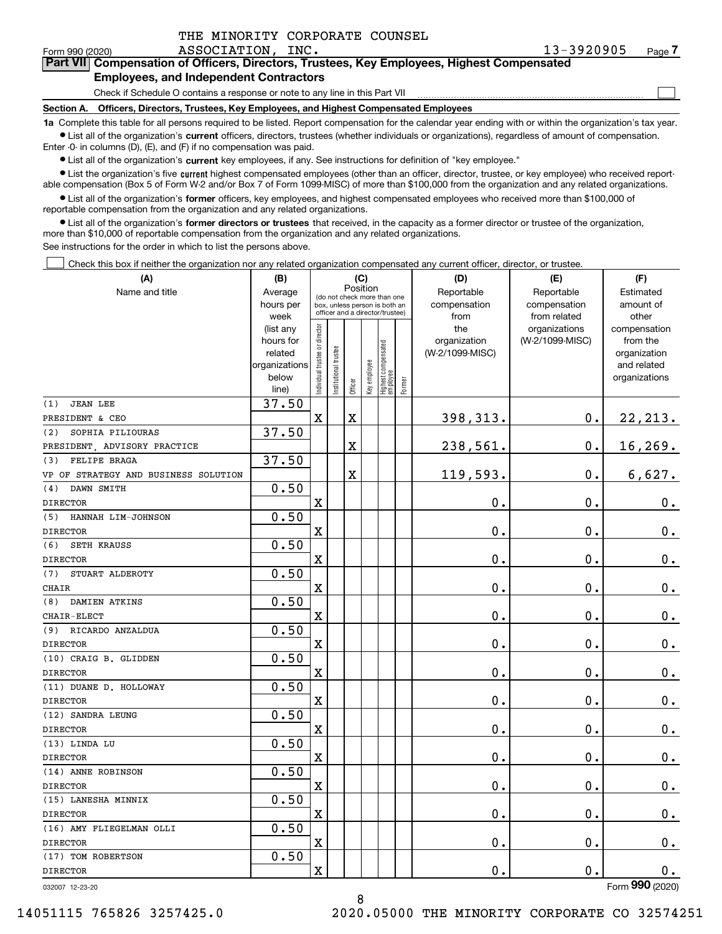$\mathcal{L}^{\text{max}}$ 

#### Form 990 (2020) ASSOCIATION, INC . 13-3920905 <sub>Page</sub> **7Part VII Compensation of Officers, Directors, Trustees, Key Employees, Highest Compensated Employees, and Independent Contractors**

Check if Schedule O contains a response or note to any line in this Part VII

**Section A. Officers, Directors, Trustees, Key Employees, and Highest Compensated Employees**

**1a**  Complete this table for all persons required to be listed. Report compensation for the calendar year ending with or within the organization's tax year. **•** List all of the organization's current officers, directors, trustees (whether individuals or organizations), regardless of amount of compensation.

Enter -0- in columns (D), (E), and (F) if no compensation was paid.

 $\bullet$  List all of the organization's  $\,$ current key employees, if any. See instructions for definition of "key employee."

**•** List the organization's five current highest compensated employees (other than an officer, director, trustee, or key employee) who received reportable compensation (Box 5 of Form W-2 and/or Box 7 of Form 1099-MISC) of more than \$100,000 from the organization and any related organizations.

**•** List all of the organization's former officers, key employees, and highest compensated employees who received more than \$100,000 of reportable compensation from the organization and any related organizations.

**former directors or trustees**  ¥ List all of the organization's that received, in the capacity as a former director or trustee of the organization, more than \$10,000 of reportable compensation from the organization and any related organizations.

See instructions for the order in which to list the persons above.

Check this box if neither the organization nor any related organization compensated any current officer, director, or trustee.  $\mathcal{L}^{\text{max}}$ 

| Position<br>Name and title<br>Reportable<br>Reportable<br>Estimated<br>Average<br>(do not check more than one<br>amount of<br>hours per<br>compensation<br>compensation<br>box, unless person is both an<br>officer and a director/trustee)<br>week<br>from<br>from related<br>other<br>Individual trustee or director<br>the<br>(list any<br>organizations<br>compensation<br>hours for<br>organization<br>(W-2/1099-MISC)<br>from the<br>  Highest compensated<br>  employee<br>Institutional trustee<br>(W-2/1099-MISC)<br>related<br>organization<br>Key employee<br>organizations<br>and related<br>below<br>organizations<br>Former<br>Officer<br>line)<br>37.50<br><b>JEAN LEE</b><br>(1)<br>$\mathbf x$<br>$\overline{\textbf{X}}$<br>398,313.<br>$\mathbf 0$ .<br>22, 213.<br>PRESIDENT & CEO<br>37.50<br>SOPHIA PILIOURAS<br>(2)<br>$\mathbf X$<br>238,561.<br>$\mathbf 0$ .<br>16, 269.<br>PRESIDENT, ADVISORY PRACTICE<br>37.50<br>FELIPE BRAGA<br>(3)<br>119,593.<br>6,627.<br>$\overline{\textbf{X}}$<br>$\mathbf 0$ .<br>VP OF STRATEGY AND BUSINESS SOLUTION<br>0.50<br>DAWN SMITH<br>(4)<br>X<br>0.<br>$\mathbf 0$ .<br>0.<br><b>DIRECTOR</b><br>0.50<br>HANNAH LIM-JOHNSON<br>(5)<br>$\rm X$<br>0.<br>$\mathbf 0$ .<br>$0_{.}$<br><b>DIRECTOR</b><br>0.50<br>(6)<br><b>SETH KRAUSS</b><br>0.<br>$\mathbf 0$ .<br>X<br>$\mathbf 0$ .<br><b>DIRECTOR</b><br>0.50<br>(7)<br>STUART ALDEROTY<br>$\mathbf 0$ .<br>$\mathbf 0$ .<br>$0_{.}$<br>X<br><b>CHAIR</b><br>0.50<br>DAMIEN ATKINS<br>(8)<br>0.<br>$\mathbf 0$ .<br>$\mathbf x$<br>0.<br>CHAIR-ELECT<br>0.50<br>RICARDO ANZALDUA<br>(9)<br>0.<br>$\rm X$<br>0.<br>$0_{.}$<br><b>DIRECTOR</b><br>0.50<br>(10) CRAIG B. GLIDDEN<br>0.<br>$\mathbf 0$ .<br>$\mathbf x$<br>0.<br><b>DIRECTOR</b><br>0.50<br>(11) DUANE D. HOLLOWAY<br>0.<br>$\mathbf X$<br>0.<br>$0_{.}$<br><b>DIRECTOR</b><br>0.50<br>(12) SANDRA LEUNG<br>$\mathbf X$<br>0.<br>$\mathbf 0$ .<br>$0_{.}$<br><b>DIRECTOR</b><br>0.50<br>(13) LINDA LU<br>$\mathbf X$<br>0.<br>0.<br>$\mathbf 0$ .<br><b>DIRECTOR</b><br>0.50<br>(14) ANNE ROBINSON<br>0.<br>$\mathbf 0$ .<br>$\mathbf 0$ .<br>$\mathbf X$<br><b>DIRECTOR</b><br>0.50<br>(15) LANESHA MINNIX<br>X<br>0.<br>$\mathbf 0$ .<br>$\mathbf 0$ .<br><b>DIRECTOR</b><br>0.50<br>(16) AMY FLIEGELMAN OLLI<br>0.<br>$\mathbf 0$ .<br>$\mathbf X$<br>$\mathbf 0$ .<br><b>DIRECTOR</b><br>0.50<br>(17) TOM ROBERTSON<br>0.<br>$\mathbf X$<br>$\mathbf 0$ .<br><b>DIRECTOR</b><br>0.<br>$\overline{2}$ | (A) | (B) | (C) |  | (D) | (E) | (F) |  |  |  |
|-----------------------------------------------------------------------------------------------------------------------------------------------------------------------------------------------------------------------------------------------------------------------------------------------------------------------------------------------------------------------------------------------------------------------------------------------------------------------------------------------------------------------------------------------------------------------------------------------------------------------------------------------------------------------------------------------------------------------------------------------------------------------------------------------------------------------------------------------------------------------------------------------------------------------------------------------------------------------------------------------------------------------------------------------------------------------------------------------------------------------------------------------------------------------------------------------------------------------------------------------------------------------------------------------------------------------------------------------------------------------------------------------------------------------------------------------------------------------------------------------------------------------------------------------------------------------------------------------------------------------------------------------------------------------------------------------------------------------------------------------------------------------------------------------------------------------------------------------------------------------------------------------------------------------------------------------------------------------------------------------------------------------------------------------------------------------------------------------------------------------------------------------------------------------------------------------------------------------------------------------------------------------------------------------------------------------------------------------------------------------------------------------------------------------------------------------------------------------------------------|-----|-----|-----|--|-----|-----|-----|--|--|--|
|                                                                                                                                                                                                                                                                                                                                                                                                                                                                                                                                                                                                                                                                                                                                                                                                                                                                                                                                                                                                                                                                                                                                                                                                                                                                                                                                                                                                                                                                                                                                                                                                                                                                                                                                                                                                                                                                                                                                                                                                                                                                                                                                                                                                                                                                                                                                                                                                                                                                                         |     |     |     |  |     |     |     |  |  |  |
|                                                                                                                                                                                                                                                                                                                                                                                                                                                                                                                                                                                                                                                                                                                                                                                                                                                                                                                                                                                                                                                                                                                                                                                                                                                                                                                                                                                                                                                                                                                                                                                                                                                                                                                                                                                                                                                                                                                                                                                                                                                                                                                                                                                                                                                                                                                                                                                                                                                                                         |     |     |     |  |     |     |     |  |  |  |
|                                                                                                                                                                                                                                                                                                                                                                                                                                                                                                                                                                                                                                                                                                                                                                                                                                                                                                                                                                                                                                                                                                                                                                                                                                                                                                                                                                                                                                                                                                                                                                                                                                                                                                                                                                                                                                                                                                                                                                                                                                                                                                                                                                                                                                                                                                                                                                                                                                                                                         |     |     |     |  |     |     |     |  |  |  |
|                                                                                                                                                                                                                                                                                                                                                                                                                                                                                                                                                                                                                                                                                                                                                                                                                                                                                                                                                                                                                                                                                                                                                                                                                                                                                                                                                                                                                                                                                                                                                                                                                                                                                                                                                                                                                                                                                                                                                                                                                                                                                                                                                                                                                                                                                                                                                                                                                                                                                         |     |     |     |  |     |     |     |  |  |  |
|                                                                                                                                                                                                                                                                                                                                                                                                                                                                                                                                                                                                                                                                                                                                                                                                                                                                                                                                                                                                                                                                                                                                                                                                                                                                                                                                                                                                                                                                                                                                                                                                                                                                                                                                                                                                                                                                                                                                                                                                                                                                                                                                                                                                                                                                                                                                                                                                                                                                                         |     |     |     |  |     |     |     |  |  |  |
|                                                                                                                                                                                                                                                                                                                                                                                                                                                                                                                                                                                                                                                                                                                                                                                                                                                                                                                                                                                                                                                                                                                                                                                                                                                                                                                                                                                                                                                                                                                                                                                                                                                                                                                                                                                                                                                                                                                                                                                                                                                                                                                                                                                                                                                                                                                                                                                                                                                                                         |     |     |     |  |     |     |     |  |  |  |
|                                                                                                                                                                                                                                                                                                                                                                                                                                                                                                                                                                                                                                                                                                                                                                                                                                                                                                                                                                                                                                                                                                                                                                                                                                                                                                                                                                                                                                                                                                                                                                                                                                                                                                                                                                                                                                                                                                                                                                                                                                                                                                                                                                                                                                                                                                                                                                                                                                                                                         |     |     |     |  |     |     |     |  |  |  |
|                                                                                                                                                                                                                                                                                                                                                                                                                                                                                                                                                                                                                                                                                                                                                                                                                                                                                                                                                                                                                                                                                                                                                                                                                                                                                                                                                                                                                                                                                                                                                                                                                                                                                                                                                                                                                                                                                                                                                                                                                                                                                                                                                                                                                                                                                                                                                                                                                                                                                         |     |     |     |  |     |     |     |  |  |  |
|                                                                                                                                                                                                                                                                                                                                                                                                                                                                                                                                                                                                                                                                                                                                                                                                                                                                                                                                                                                                                                                                                                                                                                                                                                                                                                                                                                                                                                                                                                                                                                                                                                                                                                                                                                                                                                                                                                                                                                                                                                                                                                                                                                                                                                                                                                                                                                                                                                                                                         |     |     |     |  |     |     |     |  |  |  |
|                                                                                                                                                                                                                                                                                                                                                                                                                                                                                                                                                                                                                                                                                                                                                                                                                                                                                                                                                                                                                                                                                                                                                                                                                                                                                                                                                                                                                                                                                                                                                                                                                                                                                                                                                                                                                                                                                                                                                                                                                                                                                                                                                                                                                                                                                                                                                                                                                                                                                         |     |     |     |  |     |     |     |  |  |  |
|                                                                                                                                                                                                                                                                                                                                                                                                                                                                                                                                                                                                                                                                                                                                                                                                                                                                                                                                                                                                                                                                                                                                                                                                                                                                                                                                                                                                                                                                                                                                                                                                                                                                                                                                                                                                                                                                                                                                                                                                                                                                                                                                                                                                                                                                                                                                                                                                                                                                                         |     |     |     |  |     |     |     |  |  |  |
|                                                                                                                                                                                                                                                                                                                                                                                                                                                                                                                                                                                                                                                                                                                                                                                                                                                                                                                                                                                                                                                                                                                                                                                                                                                                                                                                                                                                                                                                                                                                                                                                                                                                                                                                                                                                                                                                                                                                                                                                                                                                                                                                                                                                                                                                                                                                                                                                                                                                                         |     |     |     |  |     |     |     |  |  |  |
|                                                                                                                                                                                                                                                                                                                                                                                                                                                                                                                                                                                                                                                                                                                                                                                                                                                                                                                                                                                                                                                                                                                                                                                                                                                                                                                                                                                                                                                                                                                                                                                                                                                                                                                                                                                                                                                                                                                                                                                                                                                                                                                                                                                                                                                                                                                                                                                                                                                                                         |     |     |     |  |     |     |     |  |  |  |
|                                                                                                                                                                                                                                                                                                                                                                                                                                                                                                                                                                                                                                                                                                                                                                                                                                                                                                                                                                                                                                                                                                                                                                                                                                                                                                                                                                                                                                                                                                                                                                                                                                                                                                                                                                                                                                                                                                                                                                                                                                                                                                                                                                                                                                                                                                                                                                                                                                                                                         |     |     |     |  |     |     |     |  |  |  |
|                                                                                                                                                                                                                                                                                                                                                                                                                                                                                                                                                                                                                                                                                                                                                                                                                                                                                                                                                                                                                                                                                                                                                                                                                                                                                                                                                                                                                                                                                                                                                                                                                                                                                                                                                                                                                                                                                                                                                                                                                                                                                                                                                                                                                                                                                                                                                                                                                                                                                         |     |     |     |  |     |     |     |  |  |  |
|                                                                                                                                                                                                                                                                                                                                                                                                                                                                                                                                                                                                                                                                                                                                                                                                                                                                                                                                                                                                                                                                                                                                                                                                                                                                                                                                                                                                                                                                                                                                                                                                                                                                                                                                                                                                                                                                                                                                                                                                                                                                                                                                                                                                                                                                                                                                                                                                                                                                                         |     |     |     |  |     |     |     |  |  |  |
|                                                                                                                                                                                                                                                                                                                                                                                                                                                                                                                                                                                                                                                                                                                                                                                                                                                                                                                                                                                                                                                                                                                                                                                                                                                                                                                                                                                                                                                                                                                                                                                                                                                                                                                                                                                                                                                                                                                                                                                                                                                                                                                                                                                                                                                                                                                                                                                                                                                                                         |     |     |     |  |     |     |     |  |  |  |
|                                                                                                                                                                                                                                                                                                                                                                                                                                                                                                                                                                                                                                                                                                                                                                                                                                                                                                                                                                                                                                                                                                                                                                                                                                                                                                                                                                                                                                                                                                                                                                                                                                                                                                                                                                                                                                                                                                                                                                                                                                                                                                                                                                                                                                                                                                                                                                                                                                                                                         |     |     |     |  |     |     |     |  |  |  |
|                                                                                                                                                                                                                                                                                                                                                                                                                                                                                                                                                                                                                                                                                                                                                                                                                                                                                                                                                                                                                                                                                                                                                                                                                                                                                                                                                                                                                                                                                                                                                                                                                                                                                                                                                                                                                                                                                                                                                                                                                                                                                                                                                                                                                                                                                                                                                                                                                                                                                         |     |     |     |  |     |     |     |  |  |  |
|                                                                                                                                                                                                                                                                                                                                                                                                                                                                                                                                                                                                                                                                                                                                                                                                                                                                                                                                                                                                                                                                                                                                                                                                                                                                                                                                                                                                                                                                                                                                                                                                                                                                                                                                                                                                                                                                                                                                                                                                                                                                                                                                                                                                                                                                                                                                                                                                                                                                                         |     |     |     |  |     |     |     |  |  |  |
|                                                                                                                                                                                                                                                                                                                                                                                                                                                                                                                                                                                                                                                                                                                                                                                                                                                                                                                                                                                                                                                                                                                                                                                                                                                                                                                                                                                                                                                                                                                                                                                                                                                                                                                                                                                                                                                                                                                                                                                                                                                                                                                                                                                                                                                                                                                                                                                                                                                                                         |     |     |     |  |     |     |     |  |  |  |
|                                                                                                                                                                                                                                                                                                                                                                                                                                                                                                                                                                                                                                                                                                                                                                                                                                                                                                                                                                                                                                                                                                                                                                                                                                                                                                                                                                                                                                                                                                                                                                                                                                                                                                                                                                                                                                                                                                                                                                                                                                                                                                                                                                                                                                                                                                                                                                                                                                                                                         |     |     |     |  |     |     |     |  |  |  |
|                                                                                                                                                                                                                                                                                                                                                                                                                                                                                                                                                                                                                                                                                                                                                                                                                                                                                                                                                                                                                                                                                                                                                                                                                                                                                                                                                                                                                                                                                                                                                                                                                                                                                                                                                                                                                                                                                                                                                                                                                                                                                                                                                                                                                                                                                                                                                                                                                                                                                         |     |     |     |  |     |     |     |  |  |  |
|                                                                                                                                                                                                                                                                                                                                                                                                                                                                                                                                                                                                                                                                                                                                                                                                                                                                                                                                                                                                                                                                                                                                                                                                                                                                                                                                                                                                                                                                                                                                                                                                                                                                                                                                                                                                                                                                                                                                                                                                                                                                                                                                                                                                                                                                                                                                                                                                                                                                                         |     |     |     |  |     |     |     |  |  |  |
|                                                                                                                                                                                                                                                                                                                                                                                                                                                                                                                                                                                                                                                                                                                                                                                                                                                                                                                                                                                                                                                                                                                                                                                                                                                                                                                                                                                                                                                                                                                                                                                                                                                                                                                                                                                                                                                                                                                                                                                                                                                                                                                                                                                                                                                                                                                                                                                                                                                                                         |     |     |     |  |     |     |     |  |  |  |
|                                                                                                                                                                                                                                                                                                                                                                                                                                                                                                                                                                                                                                                                                                                                                                                                                                                                                                                                                                                                                                                                                                                                                                                                                                                                                                                                                                                                                                                                                                                                                                                                                                                                                                                                                                                                                                                                                                                                                                                                                                                                                                                                                                                                                                                                                                                                                                                                                                                                                         |     |     |     |  |     |     |     |  |  |  |
|                                                                                                                                                                                                                                                                                                                                                                                                                                                                                                                                                                                                                                                                                                                                                                                                                                                                                                                                                                                                                                                                                                                                                                                                                                                                                                                                                                                                                                                                                                                                                                                                                                                                                                                                                                                                                                                                                                                                                                                                                                                                                                                                                                                                                                                                                                                                                                                                                                                                                         |     |     |     |  |     |     |     |  |  |  |
|                                                                                                                                                                                                                                                                                                                                                                                                                                                                                                                                                                                                                                                                                                                                                                                                                                                                                                                                                                                                                                                                                                                                                                                                                                                                                                                                                                                                                                                                                                                                                                                                                                                                                                                                                                                                                                                                                                                                                                                                                                                                                                                                                                                                                                                                                                                                                                                                                                                                                         |     |     |     |  |     |     |     |  |  |  |
|                                                                                                                                                                                                                                                                                                                                                                                                                                                                                                                                                                                                                                                                                                                                                                                                                                                                                                                                                                                                                                                                                                                                                                                                                                                                                                                                                                                                                                                                                                                                                                                                                                                                                                                                                                                                                                                                                                                                                                                                                                                                                                                                                                                                                                                                                                                                                                                                                                                                                         |     |     |     |  |     |     |     |  |  |  |
|                                                                                                                                                                                                                                                                                                                                                                                                                                                                                                                                                                                                                                                                                                                                                                                                                                                                                                                                                                                                                                                                                                                                                                                                                                                                                                                                                                                                                                                                                                                                                                                                                                                                                                                                                                                                                                                                                                                                                                                                                                                                                                                                                                                                                                                                                                                                                                                                                                                                                         |     |     |     |  |     |     |     |  |  |  |
|                                                                                                                                                                                                                                                                                                                                                                                                                                                                                                                                                                                                                                                                                                                                                                                                                                                                                                                                                                                                                                                                                                                                                                                                                                                                                                                                                                                                                                                                                                                                                                                                                                                                                                                                                                                                                                                                                                                                                                                                                                                                                                                                                                                                                                                                                                                                                                                                                                                                                         |     |     |     |  |     |     |     |  |  |  |
|                                                                                                                                                                                                                                                                                                                                                                                                                                                                                                                                                                                                                                                                                                                                                                                                                                                                                                                                                                                                                                                                                                                                                                                                                                                                                                                                                                                                                                                                                                                                                                                                                                                                                                                                                                                                                                                                                                                                                                                                                                                                                                                                                                                                                                                                                                                                                                                                                                                                                         |     |     |     |  |     |     |     |  |  |  |
|                                                                                                                                                                                                                                                                                                                                                                                                                                                                                                                                                                                                                                                                                                                                                                                                                                                                                                                                                                                                                                                                                                                                                                                                                                                                                                                                                                                                                                                                                                                                                                                                                                                                                                                                                                                                                                                                                                                                                                                                                                                                                                                                                                                                                                                                                                                                                                                                                                                                                         |     |     |     |  |     |     |     |  |  |  |
|                                                                                                                                                                                                                                                                                                                                                                                                                                                                                                                                                                                                                                                                                                                                                                                                                                                                                                                                                                                                                                                                                                                                                                                                                                                                                                                                                                                                                                                                                                                                                                                                                                                                                                                                                                                                                                                                                                                                                                                                                                                                                                                                                                                                                                                                                                                                                                                                                                                                                         |     |     |     |  |     |     |     |  |  |  |
|                                                                                                                                                                                                                                                                                                                                                                                                                                                                                                                                                                                                                                                                                                                                                                                                                                                                                                                                                                                                                                                                                                                                                                                                                                                                                                                                                                                                                                                                                                                                                                                                                                                                                                                                                                                                                                                                                                                                                                                                                                                                                                                                                                                                                                                                                                                                                                                                                                                                                         |     |     |     |  |     |     |     |  |  |  |
|                                                                                                                                                                                                                                                                                                                                                                                                                                                                                                                                                                                                                                                                                                                                                                                                                                                                                                                                                                                                                                                                                                                                                                                                                                                                                                                                                                                                                                                                                                                                                                                                                                                                                                                                                                                                                                                                                                                                                                                                                                                                                                                                                                                                                                                                                                                                                                                                                                                                                         |     |     |     |  |     |     |     |  |  |  |
|                                                                                                                                                                                                                                                                                                                                                                                                                                                                                                                                                                                                                                                                                                                                                                                                                                                                                                                                                                                                                                                                                                                                                                                                                                                                                                                                                                                                                                                                                                                                                                                                                                                                                                                                                                                                                                                                                                                                                                                                                                                                                                                                                                                                                                                                                                                                                                                                                                                                                         |     |     |     |  |     |     |     |  |  |  |
|                                                                                                                                                                                                                                                                                                                                                                                                                                                                                                                                                                                                                                                                                                                                                                                                                                                                                                                                                                                                                                                                                                                                                                                                                                                                                                                                                                                                                                                                                                                                                                                                                                                                                                                                                                                                                                                                                                                                                                                                                                                                                                                                                                                                                                                                                                                                                                                                                                                                                         |     |     |     |  |     |     |     |  |  |  |
|                                                                                                                                                                                                                                                                                                                                                                                                                                                                                                                                                                                                                                                                                                                                                                                                                                                                                                                                                                                                                                                                                                                                                                                                                                                                                                                                                                                                                                                                                                                                                                                                                                                                                                                                                                                                                                                                                                                                                                                                                                                                                                                                                                                                                                                                                                                                                                                                                                                                                         |     |     |     |  |     |     |     |  |  |  |
|                                                                                                                                                                                                                                                                                                                                                                                                                                                                                                                                                                                                                                                                                                                                                                                                                                                                                                                                                                                                                                                                                                                                                                                                                                                                                                                                                                                                                                                                                                                                                                                                                                                                                                                                                                                                                                                                                                                                                                                                                                                                                                                                                                                                                                                                                                                                                                                                                                                                                         |     |     |     |  |     |     |     |  |  |  |
|                                                                                                                                                                                                                                                                                                                                                                                                                                                                                                                                                                                                                                                                                                                                                                                                                                                                                                                                                                                                                                                                                                                                                                                                                                                                                                                                                                                                                                                                                                                                                                                                                                                                                                                                                                                                                                                                                                                                                                                                                                                                                                                                                                                                                                                                                                                                                                                                                                                                                         |     |     |     |  |     |     |     |  |  |  |
|                                                                                                                                                                                                                                                                                                                                                                                                                                                                                                                                                                                                                                                                                                                                                                                                                                                                                                                                                                                                                                                                                                                                                                                                                                                                                                                                                                                                                                                                                                                                                                                                                                                                                                                                                                                                                                                                                                                                                                                                                                                                                                                                                                                                                                                                                                                                                                                                                                                                                         |     |     |     |  |     |     |     |  |  |  |

032007 12-23-20

Form (2020) **990**

14051115 765826 3257425.0 2020.05000 THE MINORITY CORPORATE CO 32574251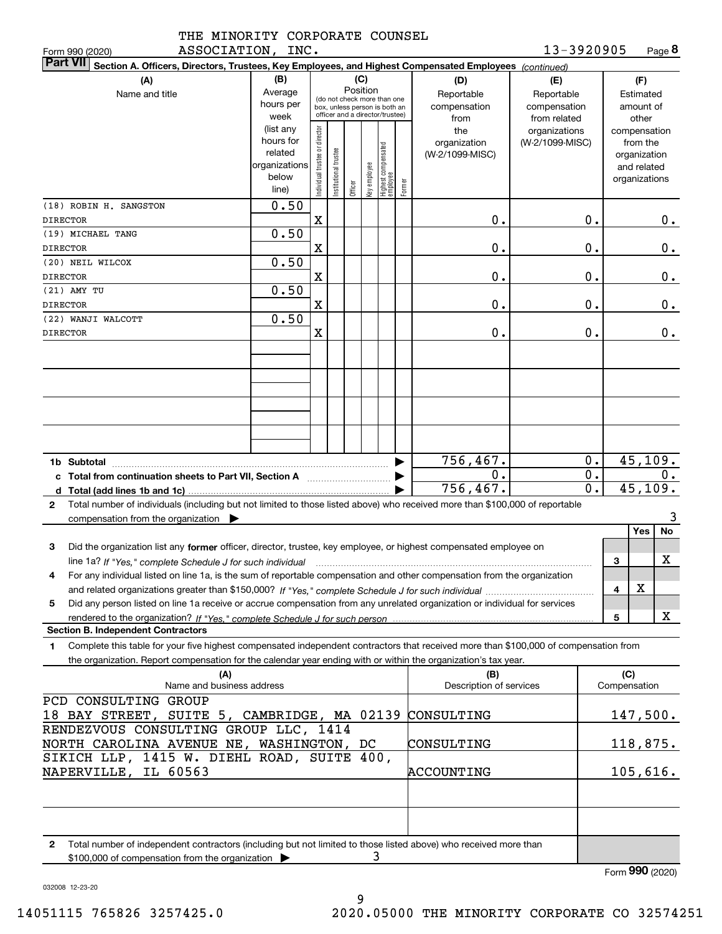|                  | THE MINORITY CORPORATE COUNSEL |  |
|------------------|--------------------------------|--|
| ASSOCIATION INC. |                                |  |

**8**13-3920905

| ASSOCIATION, INC.<br>Form 990 (2020)                                                                                                                                                                                                                                                                                                                                                                  |                                                                      |                                |                       |         |              |                                                                                                 |        |                                           | 13-3920905                                        |                                                                          | Page <b>ö</b>                          |
|-------------------------------------------------------------------------------------------------------------------------------------------------------------------------------------------------------------------------------------------------------------------------------------------------------------------------------------------------------------------------------------------------------|----------------------------------------------------------------------|--------------------------------|-----------------------|---------|--------------|-------------------------------------------------------------------------------------------------|--------|-------------------------------------------|---------------------------------------------------|--------------------------------------------------------------------------|----------------------------------------|
| <b>Part VII</b><br>Section A. Officers, Directors, Trustees, Key Employees, and Highest Compensated Employees (continued)                                                                                                                                                                                                                                                                             |                                                                      |                                |                       |         |              |                                                                                                 |        |                                           |                                                   |                                                                          |                                        |
| (A)<br>Name and title                                                                                                                                                                                                                                                                                                                                                                                 | (B)<br>Average<br>hours per<br>week                                  |                                |                       | (C)     | Position     | (do not check more than one<br>box, unless person is both an<br>officer and a director/trustee) |        | (D)<br>Reportable<br>compensation<br>from | (E)<br>Reportable<br>compensation<br>from related |                                                                          | (F)<br>Estimated<br>amount of<br>other |
|                                                                                                                                                                                                                                                                                                                                                                                                       | (list any<br>hours for<br>related<br>organizations<br>below<br>line) | Individual trustee or director | Institutional trustee | Officer | Key employee | Highest compensated<br>employee                                                                 | Former | the<br>organization<br>(W-2/1099-MISC)    | organizations<br>(W-2/1099-MISC)                  | compensation<br>from the<br>organization<br>and related<br>organizations |                                        |
| (18) ROBIN H. SANGSTON<br><b>DIRECTOR</b>                                                                                                                                                                                                                                                                                                                                                             | 0.50                                                                 | $\mathbf x$                    |                       |         |              |                                                                                                 |        | 0.                                        | $\mathbf 0$ .                                     |                                                                          | $0$ .                                  |
| (19) MICHAEL TANG<br><b>DIRECTOR</b>                                                                                                                                                                                                                                                                                                                                                                  | 0.50                                                                 | $\mathbf x$                    |                       |         |              |                                                                                                 |        | 0.                                        | $\mathbf 0$ .                                     |                                                                          | 0.                                     |
| (20) NEIL WILCOX<br><b>DIRECTOR</b>                                                                                                                                                                                                                                                                                                                                                                   | 0.50                                                                 | $\mathbf x$                    |                       |         |              |                                                                                                 |        | 0.                                        | $\mathbf 0$ .                                     |                                                                          | 0.                                     |
| (21) AMY TU<br><b>DIRECTOR</b>                                                                                                                                                                                                                                                                                                                                                                        | 0.50                                                                 | $\mathbf x$                    |                       |         |              |                                                                                                 |        | 0.                                        | 0.                                                |                                                                          | 0.                                     |
| (22) WANJI WALCOTT<br><b>DIRECTOR</b>                                                                                                                                                                                                                                                                                                                                                                 | 0.50                                                                 | $\mathbf X$                    |                       |         |              |                                                                                                 |        | 0.                                        | 0.                                                |                                                                          | $0$ .                                  |
|                                                                                                                                                                                                                                                                                                                                                                                                       |                                                                      |                                |                       |         |              |                                                                                                 |        |                                           |                                                   |                                                                          |                                        |
|                                                                                                                                                                                                                                                                                                                                                                                                       |                                                                      |                                |                       |         |              |                                                                                                 | ▶      | 756,467.                                  | 0.                                                |                                                                          | 45, 109.                               |
| c Total from continuation sheets to Part VII, Section A <b>Constant Contact Part</b>                                                                                                                                                                                                                                                                                                                  |                                                                      |                                |                       |         |              |                                                                                                 |        | 0.<br>756,467.                            | $0$ .<br>$\overline{0}$ .                         |                                                                          | 0.<br>45, 109.                         |
| Total number of individuals (including but not limited to those listed above) who received more than \$100,000 of reportable<br>$\mathbf{2}$<br>compensation from the organization $\blacktriangleright$                                                                                                                                                                                              |                                                                      |                                |                       |         |              |                                                                                                 |        |                                           |                                                   |                                                                          | 3                                      |
| 3<br>Did the organization list any former officer, director, trustee, key employee, or highest compensated employee on<br>line 1a? If "Yes," complete Schedule J for such individual manufactured contained and the 1a? If "Yes," complete Schedule J for such individual<br>For any individual listed on line 1a, is the sum of reportable compensation and other compensation from the organization |                                                                      |                                |                       |         |              |                                                                                                 |        |                                           |                                                   | 3                                                                        | Yes<br>No<br>х                         |
| Did any person listed on line 1a receive or accrue compensation from any unrelated organization or individual for services<br>5                                                                                                                                                                                                                                                                       |                                                                      |                                |                       |         |              |                                                                                                 |        |                                           |                                                   | 4<br>5                                                                   | х<br>X                                 |
| <b>Section B. Independent Contractors</b>                                                                                                                                                                                                                                                                                                                                                             |                                                                      |                                |                       |         |              |                                                                                                 |        |                                           |                                                   |                                                                          |                                        |
| Complete this table for your five highest compensated independent contractors that received more than \$100,000 of compensation from<br>1<br>the organization. Report compensation for the calendar year ending with or within the organization's tax year.                                                                                                                                           |                                                                      |                                |                       |         |              |                                                                                                 |        |                                           |                                                   |                                                                          |                                        |
| (A)<br>Name and business address                                                                                                                                                                                                                                                                                                                                                                      |                                                                      |                                |                       |         |              |                                                                                                 |        | (B)<br>Description of services            |                                                   | (C)<br>Compensation                                                      |                                        |
| PCD CONSULTING GROUP<br>18 BAY STREET, SUITE 5, CAMBRIDGE, MA 02139                                                                                                                                                                                                                                                                                                                                   |                                                                      |                                |                       |         |              |                                                                                                 |        | CONSULTING                                |                                                   |                                                                          | 147,500.                               |
| RENDEZVOUS CONSULTING GROUP LLC, 1414<br>NORTH CAROLINA AVENUE NE, WASHINGTON, DC                                                                                                                                                                                                                                                                                                                     |                                                                      |                                |                       |         |              |                                                                                                 |        | CONSULTING                                |                                                   |                                                                          | <u>118,875.</u>                        |
| SIKICH LLP, 1415 W. DIEHL ROAD, SUITE 400,<br>NAPERVILLE, IL 60563                                                                                                                                                                                                                                                                                                                                    |                                                                      |                                |                       |         |              |                                                                                                 |        | ACCOUNTING                                | 105,616.                                          |                                                                          |                                        |
|                                                                                                                                                                                                                                                                                                                                                                                                       |                                                                      |                                |                       |         |              |                                                                                                 |        |                                           |                                                   |                                                                          |                                        |
| Total number of independent contractors (including but not limited to those listed above) who received more than<br>2<br>\$100,000 of compensation from the organization                                                                                                                                                                                                                              |                                                                      |                                |                       |         | 3            |                                                                                                 |        |                                           |                                                   |                                                                          |                                        |

Form (2020) **990**

032008 12-23-20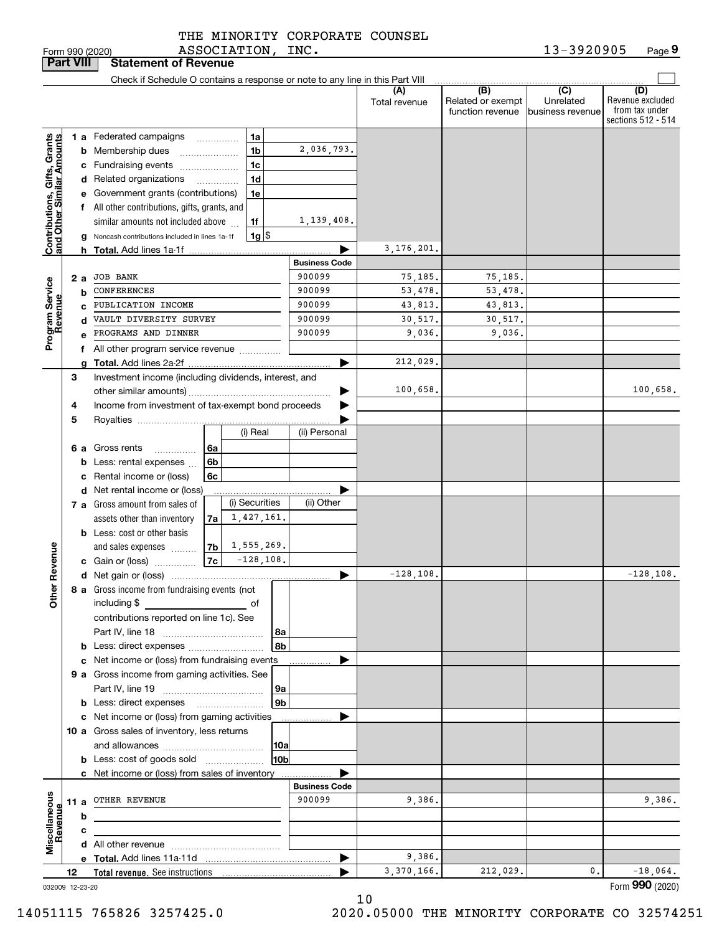| THE MINORITY CORPORATE COUNSEL |  |
|--------------------------------|--|
| ASSOCIATION, INC.              |  |

| <b>Part VIII</b>                                          |    |    | <b>Statement of Revenue</b>                                                   |                |   |                    |                      |                      |                                              |                                                 |                                                                 |
|-----------------------------------------------------------|----|----|-------------------------------------------------------------------------------|----------------|---|--------------------|----------------------|----------------------|----------------------------------------------|-------------------------------------------------|-----------------------------------------------------------------|
|                                                           |    |    | Check if Schedule O contains a response or note to any line in this Part VIII |                |   |                    |                      |                      |                                              |                                                 |                                                                 |
|                                                           |    |    |                                                                               |                |   |                    |                      | (A)<br>Total revenue | (B)<br>Related or exempt<br>function revenue | $\overline{C}$<br>Unrelated<br>business revenue | (D)<br>Revenue excluded<br>from tax under<br>sections 512 - 514 |
|                                                           |    |    | 1 a Federated campaigns                                                       |                | . | 1a                 |                      |                      |                                              |                                                 |                                                                 |
| Contributions, Gifts, Grants<br>and Other Similar Amounts |    |    | <b>b</b> Membership dues                                                      |                |   | 1 <sub>b</sub>     | 2,036,793.           |                      |                                              |                                                 |                                                                 |
|                                                           |    |    | c Fundraising events                                                          |                |   | 1c                 |                      |                      |                                              |                                                 |                                                                 |
|                                                           |    |    | d Related organizations                                                       |                |   | 1 <sub>d</sub>     |                      |                      |                                              |                                                 |                                                                 |
|                                                           |    |    | e Government grants (contributions)                                           |                |   | 1e                 |                      |                      |                                              |                                                 |                                                                 |
|                                                           |    |    | f All other contributions, gifts, grants, and                                 |                |   |                    |                      |                      |                                              |                                                 |                                                                 |
|                                                           |    |    | similar amounts not included above                                            |                |   | 1f                 | 1,139,408.           |                      |                                              |                                                 |                                                                 |
|                                                           |    |    | g Noncash contributions included in lines 1a-1f                               |                |   | $1g$ $\frac{1}{3}$ |                      |                      |                                              |                                                 |                                                                 |
|                                                           |    |    | <b>h</b> Total. Add lines 1a-1f                                               |                |   |                    |                      | 3, 176, 201.         |                                              |                                                 |                                                                 |
|                                                           |    |    |                                                                               |                |   |                    | <b>Business Code</b> |                      |                                              |                                                 |                                                                 |
|                                                           |    | 2а | <b>JOB BANK</b>                                                               |                |   |                    | 900099               | 75,185.              | 75,185.                                      |                                                 |                                                                 |
| Program Service<br>Revenue                                |    | b  | CONFERENCES                                                                   |                |   |                    | 900099               | 53,478.              | 53,478.                                      |                                                 |                                                                 |
|                                                           |    | C  | PUBLICATION INCOME                                                            |                |   |                    | 900099               | 43,813.              | 43,813.                                      |                                                 |                                                                 |
|                                                           |    | d  | VAULT DIVERSITY SURVEY                                                        |                |   |                    | 900099               | 30,517.              | 30,517.                                      |                                                 |                                                                 |
|                                                           |    | e  | PROGRAMS AND DINNER                                                           |                |   |                    | 900099               | 9,036.               | 9,036.                                       |                                                 |                                                                 |
|                                                           |    |    | f All other program service revenue                                           |                |   |                    |                      |                      |                                              |                                                 |                                                                 |
|                                                           |    | a  |                                                                               |                |   |                    |                      | 212,029.             |                                              |                                                 |                                                                 |
|                                                           | 3  |    | Investment income (including dividends, interest, and                         |                |   |                    |                      |                      |                                              |                                                 |                                                                 |
|                                                           |    |    |                                                                               |                |   |                    |                      | 100,658.             |                                              |                                                 | 100,658.                                                        |
|                                                           | 4  |    | Income from investment of tax-exempt bond proceeds                            |                |   |                    |                      |                      |                                              |                                                 |                                                                 |
|                                                           | 5  |    |                                                                               |                |   |                    |                      |                      |                                              |                                                 |                                                                 |
|                                                           |    |    |                                                                               |                |   | (i) Real           | (ii) Personal        |                      |                                              |                                                 |                                                                 |
|                                                           |    |    | 6 a Gross rents<br>.                                                          | 6а             |   |                    |                      |                      |                                              |                                                 |                                                                 |
|                                                           |    |    | <b>b</b> Less: rental expenses                                                | 6b             |   |                    |                      |                      |                                              |                                                 |                                                                 |
|                                                           |    |    | c Rental income or (loss)                                                     | 6c             |   |                    |                      |                      |                                              |                                                 |                                                                 |
|                                                           |    |    | d Net rental income or (loss)                                                 |                |   |                    |                      |                      |                                              |                                                 |                                                                 |
|                                                           |    |    | 7 a Gross amount from sales of                                                |                |   | (i) Securities     | (ii) Other           |                      |                                              |                                                 |                                                                 |
|                                                           |    |    | assets other than inventory                                                   | 7a             |   | 1,427,161.         |                      |                      |                                              |                                                 |                                                                 |
|                                                           |    |    | <b>b</b> Less: cost or other basis                                            |                |   |                    |                      |                      |                                              |                                                 |                                                                 |
|                                                           |    |    | and sales expenses                                                            | 7 <sub>b</sub> |   | 1,555,269.         |                      |                      |                                              |                                                 |                                                                 |
|                                                           |    |    | c Gain or (loss)                                                              | 7c             |   | $-128, 108.$       |                      |                      |                                              |                                                 |                                                                 |
| Revenue                                                   |    |    |                                                                               |                |   |                    | ▶                    | $-128, 108.$         |                                              |                                                 | $-128, 108.$                                                    |
|                                                           |    |    | 8 a Gross income from fundraising events (not                                 |                |   |                    |                      |                      |                                              |                                                 |                                                                 |
| <b>Othe</b>                                               |    |    | including \$                                                                  |                |   |                    |                      |                      |                                              |                                                 |                                                                 |
|                                                           |    |    | contributions reported on line 1c). See                                       |                |   |                    |                      |                      |                                              |                                                 |                                                                 |
|                                                           |    |    |                                                                               |                |   | 8a                 |                      |                      |                                              |                                                 |                                                                 |
|                                                           |    |    | <b>b</b> Less: direct expenses                                                |                |   | 8b                 |                      |                      |                                              |                                                 |                                                                 |
|                                                           |    |    | c Net income or (loss) from fundraising events                                |                |   |                    |                      |                      |                                              |                                                 |                                                                 |
|                                                           |    |    | 9 a Gross income from gaming activities. See                                  |                |   |                    |                      |                      |                                              |                                                 |                                                                 |
|                                                           |    |    |                                                                               |                |   | ∣9a                |                      |                      |                                              |                                                 |                                                                 |
|                                                           |    |    | <b>b</b> Less: direct expenses <b>manually</b>                                |                |   | 9 <sub>b</sub>     |                      |                      |                                              |                                                 |                                                                 |
|                                                           |    |    | c Net income or (loss) from gaming activities                                 |                |   |                    | .                    |                      |                                              |                                                 |                                                                 |
|                                                           |    |    | 10 a Gross sales of inventory, less returns                                   |                |   |                    |                      |                      |                                              |                                                 |                                                                 |
|                                                           |    |    |                                                                               |                |   | 10a                |                      |                      |                                              |                                                 |                                                                 |
|                                                           |    |    | <b>b</b> Less: cost of goods sold                                             |                |   | 10b                |                      |                      |                                              |                                                 |                                                                 |
|                                                           |    |    | c Net income or (loss) from sales of inventory                                |                |   |                    |                      |                      |                                              |                                                 |                                                                 |
|                                                           |    |    |                                                                               |                |   |                    | <b>Business Code</b> |                      |                                              |                                                 |                                                                 |
|                                                           |    |    | 11 a OTHER REVENUE                                                            |                |   |                    | 900099               | 9,386.               |                                              |                                                 | 9,386.                                                          |
|                                                           |    | b  |                                                                               |                |   |                    |                      |                      |                                              |                                                 |                                                                 |
|                                                           |    | c  |                                                                               |                |   |                    |                      |                      |                                              |                                                 |                                                                 |
| Miscellaneous<br>Revenue                                  |    |    |                                                                               |                |   |                    |                      |                      |                                              |                                                 |                                                                 |
|                                                           |    |    |                                                                               |                |   |                    | ▶                    | 9,386.               |                                              |                                                 |                                                                 |
|                                                           | 12 |    |                                                                               |                |   |                    |                      | 3,370,166.           | 212,029.                                     | 0.                                              | $-18,064.$                                                      |
| 032009 12-23-20                                           |    |    |                                                                               |                |   |                    |                      |                      |                                              |                                                 | Form 990 (2020)                                                 |

10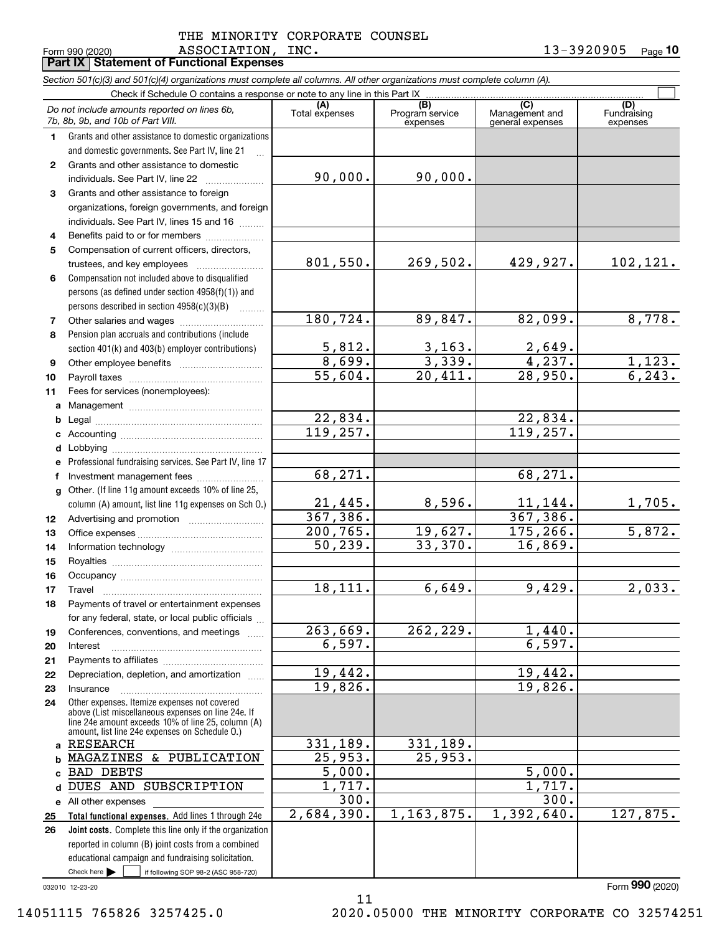Form 990 (2020) ASSOCIATION, INC. 13-3920905 <sub>Page</sub> THE MINORITY CORPORATE COUNSEL

**10 Part IX Statement of Functional Expenses**

|              | Section 501(c)(3) and 501(c)(4) organizations must complete all columns. All other organizations must complete column (A).<br>Check if Schedule O contains a response or note to any line in this Part IX  |                       |                         |                                    |                         |
|--------------|------------------------------------------------------------------------------------------------------------------------------------------------------------------------------------------------------------|-----------------------|-------------------------|------------------------------------|-------------------------|
|              | Do not include amounts reported on lines 6b,                                                                                                                                                               | (A)                   | (B)<br>Program service  | (C)                                | (D)<br>Fundraising      |
|              | 7b, 8b, 9b, and 10b of Part VIII.                                                                                                                                                                          | Total expenses        | expenses                | Management and<br>general expenses | expenses                |
| $\mathbf{1}$ | Grants and other assistance to domestic organizations                                                                                                                                                      |                       |                         |                                    |                         |
|              | and domestic governments. See Part IV, line 21                                                                                                                                                             |                       |                         |                                    |                         |
| $\mathbf{2}$ | Grants and other assistance to domestic                                                                                                                                                                    |                       |                         |                                    |                         |
|              | individuals. See Part IV, line 22                                                                                                                                                                          | 90,000.               | 90,000.                 |                                    |                         |
| 3            | Grants and other assistance to foreign                                                                                                                                                                     |                       |                         |                                    |                         |
|              | organizations, foreign governments, and foreign                                                                                                                                                            |                       |                         |                                    |                         |
|              | individuals. See Part IV, lines 15 and 16                                                                                                                                                                  |                       |                         |                                    |                         |
| 4            | Benefits paid to or for members                                                                                                                                                                            |                       |                         |                                    |                         |
| 5            | Compensation of current officers, directors,                                                                                                                                                               |                       |                         |                                    |                         |
|              | trustees, and key employees                                                                                                                                                                                | 801,550.              | 269,502.                | 429,927.                           | 102,121.                |
| 6            | Compensation not included above to disqualified                                                                                                                                                            |                       |                         |                                    |                         |
|              | persons (as defined under section 4958(f)(1)) and                                                                                                                                                          |                       |                         |                                    |                         |
|              | persons described in section $4958(c)(3)(B)$                                                                                                                                                               |                       |                         |                                    |                         |
| 7            |                                                                                                                                                                                                            | 180,724.              | 89,847.                 | 82,099.                            | 8,778.                  |
| 8            | Pension plan accruals and contributions (include                                                                                                                                                           | 5,812.                |                         | 2,649.                             |                         |
|              | section 401(k) and 403(b) employer contributions)                                                                                                                                                          | 8,699.                | <u>3,163.</u><br>3,339. | 4,237.                             |                         |
| 9            |                                                                                                                                                                                                            | $\overline{55,604}$ . | 20,411.                 | $\overline{28,950}$ .              | $\frac{1,123.}{6,243.}$ |
| 10<br>11     | Fees for services (nonemployees):                                                                                                                                                                          |                       |                         |                                    |                         |
|              |                                                                                                                                                                                                            |                       |                         |                                    |                         |
| b            |                                                                                                                                                                                                            | 22,834.               |                         | 22,834.                            |                         |
|              |                                                                                                                                                                                                            | 119,257.              |                         | 119,257.                           |                         |
| d            |                                                                                                                                                                                                            |                       |                         |                                    |                         |
| е            | Professional fundraising services. See Part IV, line 17                                                                                                                                                    |                       |                         |                                    |                         |
| f            | Investment management fees                                                                                                                                                                                 | 68,271.               |                         | 68,271.                            |                         |
|              | g Other. (If line 11g amount exceeds 10% of line 25,                                                                                                                                                       |                       |                         |                                    |                         |
|              | column (A) amount, list line 11g expenses on Sch O.)                                                                                                                                                       | 21,445.               | 8,596.                  | 11,144.                            | <u>1,705.</u>           |
| 12           |                                                                                                                                                                                                            | 367,386.              |                         | 367, 386.                          |                         |
| 13           |                                                                                                                                                                                                            | 200, 765.             | 19,627.                 | 175,266.                           | 5,872.                  |
| 14           |                                                                                                                                                                                                            | 50, 239.              | 33,370.                 | 16,869.                            |                         |
| 15           |                                                                                                                                                                                                            |                       |                         |                                    |                         |
| 16           |                                                                                                                                                                                                            |                       |                         |                                    |                         |
| 17           | Travel                                                                                                                                                                                                     | 18,111.               | 6,649.                  | 9,429.                             | 2,033.                  |
| 18           | Payments of travel or entertainment expenses                                                                                                                                                               |                       |                         |                                    |                         |
|              | for any federal, state, or local public officials                                                                                                                                                          |                       |                         |                                    |                         |
| 19           | Conferences, conventions, and meetings                                                                                                                                                                     | 263,669.              | 262, 229.               | 1,440.                             |                         |
| 20           | Interest                                                                                                                                                                                                   | 6,597.                |                         | 6,597.                             |                         |
| 21           |                                                                                                                                                                                                            |                       |                         |                                    |                         |
| 22           | Depreciation, depletion, and amortization                                                                                                                                                                  | 19,442.               |                         | 19,442.                            |                         |
| 23           | Insurance                                                                                                                                                                                                  | 19,826.               |                         | 19,826.                            |                         |
| 24           | Other expenses. Itemize expenses not covered<br>above (List miscellaneous expenses on line 24e. If<br>line 24e amount exceeds 10% of line 25, column (A)<br>amount, list line 24e expenses on Schedule 0.) |                       |                         |                                    |                         |
| a            | <b>RESEARCH</b>                                                                                                                                                                                            | 331,189.              | 331,189.                |                                    |                         |
| b            | & PUBLICATION<br>MAGAZINES                                                                                                                                                                                 | 25,953.               | 25,953.                 |                                    |                         |
|              | BAD DEBTS                                                                                                                                                                                                  | $\overline{5}$ ,000.  |                         | 5,000.                             |                         |
|              | DUES AND SUBSCRIPTION                                                                                                                                                                                      | 1,717.                |                         | 1,717.                             |                         |
|              | e All other expenses                                                                                                                                                                                       | 300.                  |                         | 300.                               |                         |
| 25           | Total functional expenses. Add lines 1 through 24e                                                                                                                                                         | 2,684,390.            | 1, 163, 875.            | 1,392,640.                         | 127,875.                |
| 26           | Joint costs. Complete this line only if the organization                                                                                                                                                   |                       |                         |                                    |                         |
|              | reported in column (B) joint costs from a combined                                                                                                                                                         |                       |                         |                                    |                         |
|              | educational campaign and fundraising solicitation.                                                                                                                                                         |                       |                         |                                    |                         |
|              | Check here $\blacktriangleright$<br>if following SOP 98-2 (ASC 958-720)                                                                                                                                    |                       |                         |                                    |                         |

11

032010 12-23-20

Form (2020) **990**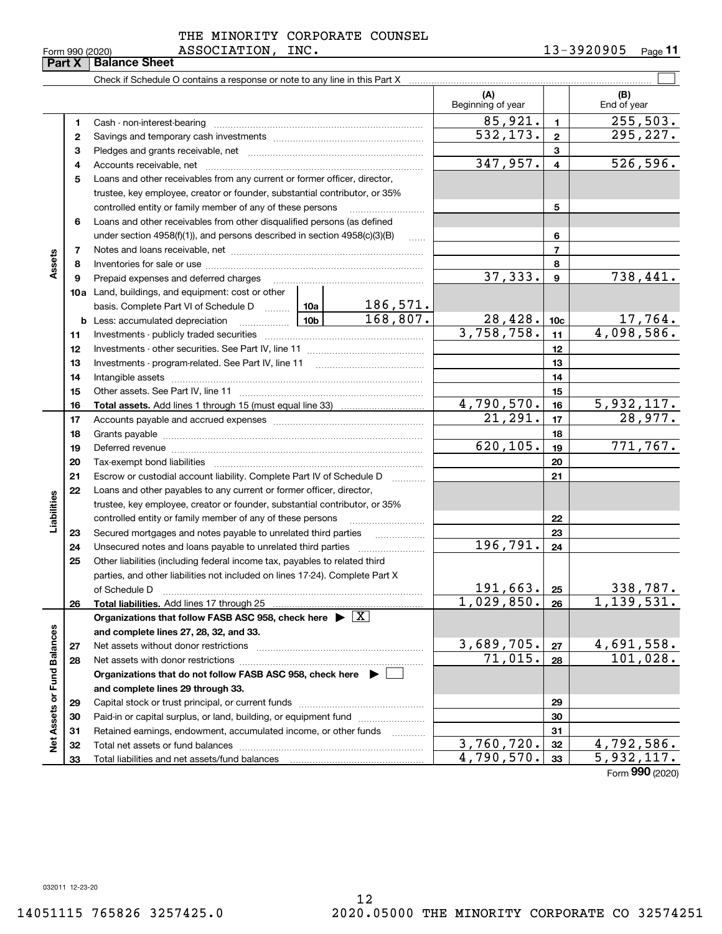| Form 990 (2020) |
|-----------------|
|-----------------|

|                             | Form 990 (2020)<br>Part X | ASSOCIATION,<br><b>Balance Sheet</b>                                                                                                                                                                                           | TMC.       |                       |                          |                | 13-3940905<br>Page II |
|-----------------------------|---------------------------|--------------------------------------------------------------------------------------------------------------------------------------------------------------------------------------------------------------------------------|------------|-----------------------|--------------------------|----------------|-----------------------|
|                             |                           |                                                                                                                                                                                                                                |            |                       |                          |                |                       |
|                             |                           |                                                                                                                                                                                                                                |            |                       | (A)<br>Beginning of year |                | (B)<br>End of year    |
|                             | 1                         |                                                                                                                                                                                                                                |            |                       | 85,921.                  | $\mathbf{1}$   | 255, 503.             |
|                             | 2                         |                                                                                                                                                                                                                                |            |                       | 532, 173.                | $\mathbf{2}$   | 295, 227.             |
|                             | 3                         |                                                                                                                                                                                                                                |            |                       |                          | 3              |                       |
|                             | 4                         |                                                                                                                                                                                                                                |            |                       | 347,957.                 | $\overline{4}$ | 526, 596.             |
|                             | 5                         | Loans and other receivables from any current or former officer, director,                                                                                                                                                      |            |                       |                          |                |                       |
|                             |                           |                                                                                                                                                                                                                                |            |                       |                          |                |                       |
|                             |                           | trustee, key employee, creator or founder, substantial contributor, or 35%                                                                                                                                                     |            |                       |                          |                |                       |
|                             |                           | controlled entity or family member of any of these persons                                                                                                                                                                     |            |                       |                          | 5              |                       |
|                             | 6                         | Loans and other receivables from other disqualified persons (as defined                                                                                                                                                        |            |                       |                          |                |                       |
|                             |                           | under section $4958(f)(1)$ , and persons described in section $4958(c)(3)(B)$                                                                                                                                                  |            | $\sim$                |                          | 6              |                       |
| Assets                      | 7                         |                                                                                                                                                                                                                                |            |                       | $\overline{7}$           |                |                       |
|                             | 8                         |                                                                                                                                                                                                                                |            |                       | 37, 333.                 | 8<br>9         | 738,441.              |
|                             | 9                         | Prepaid expenses and deferred charges [11] [11] [11] [12] [12] [12] [12] [13] [13] [13] [13] [13] [13] [13] [1                                                                                                                 |            |                       |                          |                |                       |
|                             |                           | 10a Land, buildings, and equipment: cost or other                                                                                                                                                                              |            | 186,571.              |                          |                |                       |
|                             |                           | basis. Complete Part VI of Schedule D  10a                                                                                                                                                                                     |            | 168,807.              | 28,428.                  |                | 17,764.               |
|                             |                           |                                                                                                                                                                                                                                | 3,758,758. | 10c<br>11             | 4,098,586.               |                |                       |
|                             | 11<br>12                  |                                                                                                                                                                                                                                |            |                       | 12                       |                |                       |
|                             | 13                        |                                                                                                                                                                                                                                |            |                       | 13                       |                |                       |
|                             | 14                        |                                                                                                                                                                                                                                |            |                       |                          | 14             |                       |
|                             | 15                        |                                                                                                                                                                                                                                |            |                       |                          | 15             |                       |
|                             | 16                        |                                                                                                                                                                                                                                |            |                       | 4,790,570.               | 16             | 5,932,117.            |
|                             | 17                        |                                                                                                                                                                                                                                |            | $\overline{21,291}$ . | 17                       | 28,977.        |                       |
|                             | 18                        |                                                                                                                                                                                                                                |            |                       | 18                       |                |                       |
|                             | 19                        | Deferred revenue manual contracts and contracts are all the contracts and contracts are contracted and contracts are contracted and contract are contracted and contract are contracted and contract are contracted and contra |            | 620, 105.             | 19                       | 771,767.       |                       |
|                             | 20                        |                                                                                                                                                                                                                                |            |                       | 20                       |                |                       |
|                             | 21                        | Escrow or custodial account liability. Complete Part IV of Schedule D                                                                                                                                                          |            |                       |                          | 21             |                       |
|                             | 22                        | Loans and other payables to any current or former officer, director,                                                                                                                                                           |            |                       |                          |                |                       |
| Liabilities                 |                           | trustee, key employee, creator or founder, substantial contributor, or 35%                                                                                                                                                     |            |                       |                          |                |                       |
|                             |                           | controlled entity or family member of any of these persons                                                                                                                                                                     |            |                       |                          | 22             |                       |
|                             | 23                        |                                                                                                                                                                                                                                |            |                       |                          | 23             |                       |
|                             | 24                        |                                                                                                                                                                                                                                |            |                       | 196,791.                 | 24             |                       |
|                             | 25                        | Other liabilities (including federal income tax, payables to related third                                                                                                                                                     |            |                       |                          |                |                       |
|                             |                           | parties, and other liabilities not included on lines 17-24). Complete Part X                                                                                                                                                   |            |                       |                          |                |                       |
|                             |                           | of Schedule D                                                                                                                                                                                                                  |            |                       | 191,663.                 | 25             | 338,787.              |
|                             | 26                        | <b>Total liabilities.</b> Add lines 17 through 25                                                                                                                                                                              |            |                       | 1,029,850.               | 26             | 1,139,531.            |
|                             |                           | Organizations that follow FASB ASC 958, check here $\blacktriangleright \lfloor X \rfloor$                                                                                                                                     |            |                       |                          |                |                       |
|                             |                           | and complete lines 27, 28, 32, and 33.                                                                                                                                                                                         |            |                       |                          |                |                       |
|                             | 27                        | Net assets without donor restrictions                                                                                                                                                                                          |            |                       | 3,689,705.               | 27             | 4,691,558.            |
|                             | 28                        |                                                                                                                                                                                                                                |            |                       | 71,015.                  | 28             | 101,028.              |
|                             |                           | Organizations that do not follow FASB ASC 958, check here $\blacktriangleright$                                                                                                                                                |            |                       |                          |                |                       |
|                             |                           | and complete lines 29 through 33.                                                                                                                                                                                              |            |                       |                          |                |                       |
|                             | 29                        |                                                                                                                                                                                                                                |            |                       |                          | 29             |                       |
|                             | 30                        |                                                                                                                                                                                                                                |            |                       |                          | 30             |                       |
| Net Assets or Fund Balances | 31                        | Retained earnings, endowment, accumulated income, or other funds                                                                                                                                                               |            |                       |                          | 31             |                       |
|                             | 32                        |                                                                                                                                                                                                                                |            |                       | 3,760,720.               | 32             | 4,792,586.            |
|                             | 33                        | Total liabilities and net assets/fund balances                                                                                                                                                                                 |            |                       | 4,790,570.               | 33             | 5,932,117.            |

Form (2020) **990**

032011 12-23-20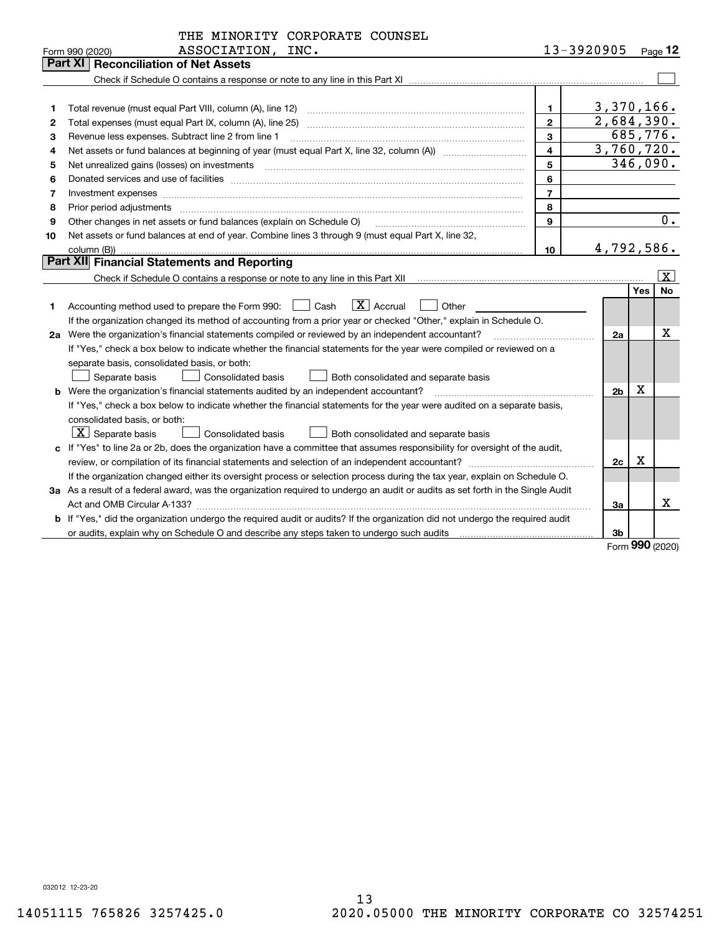|    | THE MINORITY CORPORATE COUNSEL                                                                                                                                                                                                                                                                                                                                                                                                                                          |                         |                                        |                   |                         |  |  |  |  |
|----|-------------------------------------------------------------------------------------------------------------------------------------------------------------------------------------------------------------------------------------------------------------------------------------------------------------------------------------------------------------------------------------------------------------------------------------------------------------------------|-------------------------|----------------------------------------|-------------------|-------------------------|--|--|--|--|
|    | ASSOCIATION, INC.<br>Form 990 (2020)                                                                                                                                                                                                                                                                                                                                                                                                                                    |                         | 13-3920905                             |                   | $Page$ 12               |  |  |  |  |
|    | Part XI<br><b>Reconciliation of Net Assets</b>                                                                                                                                                                                                                                                                                                                                                                                                                          |                         |                                        |                   |                         |  |  |  |  |
|    |                                                                                                                                                                                                                                                                                                                                                                                                                                                                         |                         |                                        |                   |                         |  |  |  |  |
|    |                                                                                                                                                                                                                                                                                                                                                                                                                                                                         |                         |                                        |                   |                         |  |  |  |  |
| 1  | Total revenue (must equal Part VIII, column (A), line 12)                                                                                                                                                                                                                                                                                                                                                                                                               | $\mathbf{1}$            | 3,370,166.<br>$\overline{2,684,390}$ . |                   |                         |  |  |  |  |
| 2  | $\overline{2}$                                                                                                                                                                                                                                                                                                                                                                                                                                                          |                         |                                        |                   |                         |  |  |  |  |
| 3  | 3<br>Revenue less expenses. Subtract line 2 from line 1                                                                                                                                                                                                                                                                                                                                                                                                                 |                         |                                        |                   |                         |  |  |  |  |
| 4  |                                                                                                                                                                                                                                                                                                                                                                                                                                                                         | $\overline{\mathbf{4}}$ | 3,760,720.                             |                   |                         |  |  |  |  |
| 5  |                                                                                                                                                                                                                                                                                                                                                                                                                                                                         | 5                       |                                        |                   | 346,090.                |  |  |  |  |
| 6  |                                                                                                                                                                                                                                                                                                                                                                                                                                                                         | 6                       |                                        |                   |                         |  |  |  |  |
| 7  | Investment expenses www.communication.com/www.communication.com/www.communication.com/www.com                                                                                                                                                                                                                                                                                                                                                                           | $\overline{7}$          |                                        |                   |                         |  |  |  |  |
| 8  | Prior period adjustments<br>$\begin{minipage}{0.5\textwidth} \begin{tabular}{ l l l } \hline \multicolumn{1}{ l l l } \hline \multicolumn{1}{ l l } \multicolumn{1}{ l } \multicolumn{1}{ l } \multicolumn{1}{ l } \multicolumn{1}{ l } \multicolumn{1}{ l } \multicolumn{1}{ l } \multicolumn{1}{ l } \multicolumn{1}{ l } \multicolumn{1}{ l } \multicolumn{1}{ l } \multicolumn{1}{ l } \multicolumn{1}{ l } \multicolumn{1}{ l } \multicolumn{1}{ l } \multicolumn$ | 8                       |                                        |                   |                         |  |  |  |  |
| 9  | Other changes in net assets or fund balances (explain on Schedule O)                                                                                                                                                                                                                                                                                                                                                                                                    | 9                       |                                        |                   | 0.                      |  |  |  |  |
| 10 | Net assets or fund balances at end of year. Combine lines 3 through 9 (must equal Part X, line 32,                                                                                                                                                                                                                                                                                                                                                                      |                         |                                        |                   |                         |  |  |  |  |
|    | 4,792,586.                                                                                                                                                                                                                                                                                                                                                                                                                                                              |                         |                                        |                   |                         |  |  |  |  |
|    | Part XII Financial Statements and Reporting                                                                                                                                                                                                                                                                                                                                                                                                                             |                         |                                        |                   |                         |  |  |  |  |
|    |                                                                                                                                                                                                                                                                                                                                                                                                                                                                         |                         |                                        |                   | $\overline{\mathbf{X}}$ |  |  |  |  |
|    |                                                                                                                                                                                                                                                                                                                                                                                                                                                                         |                         |                                        | <b>Yes</b>        | <b>No</b>               |  |  |  |  |
| 1  | $ X $ Accrual<br>Accounting method used to prepare the Form 990: <u>[16</u> ] Cash<br>Other                                                                                                                                                                                                                                                                                                                                                                             |                         |                                        |                   |                         |  |  |  |  |
|    | If the organization changed its method of accounting from a prior year or checked "Other," explain in Schedule O.                                                                                                                                                                                                                                                                                                                                                       |                         |                                        |                   |                         |  |  |  |  |
|    | 2a Were the organization's financial statements compiled or reviewed by an independent accountant?                                                                                                                                                                                                                                                                                                                                                                      |                         | 2a                                     |                   | х                       |  |  |  |  |
|    | If "Yes," check a box below to indicate whether the financial statements for the year were compiled or reviewed on a                                                                                                                                                                                                                                                                                                                                                    |                         |                                        |                   |                         |  |  |  |  |
|    | separate basis, consolidated basis, or both:                                                                                                                                                                                                                                                                                                                                                                                                                            |                         |                                        |                   |                         |  |  |  |  |
|    | Consolidated basis<br>Separate basis<br>Both consolidated and separate basis                                                                                                                                                                                                                                                                                                                                                                                            |                         |                                        |                   |                         |  |  |  |  |
|    | b Were the organization's financial statements audited by an independent accountant?                                                                                                                                                                                                                                                                                                                                                                                    |                         | 2 <sub>b</sub>                         | x                 |                         |  |  |  |  |
|    | If "Yes," check a box below to indicate whether the financial statements for the year were audited on a separate basis,                                                                                                                                                                                                                                                                                                                                                 |                         |                                        |                   |                         |  |  |  |  |
|    | consolidated basis, or both:                                                                                                                                                                                                                                                                                                                                                                                                                                            |                         |                                        |                   |                         |  |  |  |  |
|    | $\lfloor x \rfloor$ Separate basis<br>Consolidated basis<br>Both consolidated and separate basis                                                                                                                                                                                                                                                                                                                                                                        |                         |                                        |                   |                         |  |  |  |  |
|    | c If "Yes" to line 2a or 2b, does the organization have a committee that assumes responsibility for oversight of the audit,                                                                                                                                                                                                                                                                                                                                             |                         |                                        | x                 |                         |  |  |  |  |
|    |                                                                                                                                                                                                                                                                                                                                                                                                                                                                         |                         | 2c                                     |                   |                         |  |  |  |  |
|    | If the organization changed either its oversight process or selection process during the tax year, explain on Schedule O.                                                                                                                                                                                                                                                                                                                                               |                         |                                        |                   |                         |  |  |  |  |
|    | 3a As a result of a federal award, was the organization required to undergo an audit or audits as set forth in the Single Audit                                                                                                                                                                                                                                                                                                                                         |                         |                                        |                   | x                       |  |  |  |  |
|    |                                                                                                                                                                                                                                                                                                                                                                                                                                                                         |                         | За                                     |                   |                         |  |  |  |  |
|    | b If "Yes," did the organization undergo the required audit or audits? If the organization did not undergo the required audit                                                                                                                                                                                                                                                                                                                                           |                         |                                        |                   |                         |  |  |  |  |
|    |                                                                                                                                                                                                                                                                                                                                                                                                                                                                         |                         | 3 <sub>b</sub>                         | $\Omega$ $\Omega$ |                         |  |  |  |  |

Form (2020) **990**

032012 12-23-20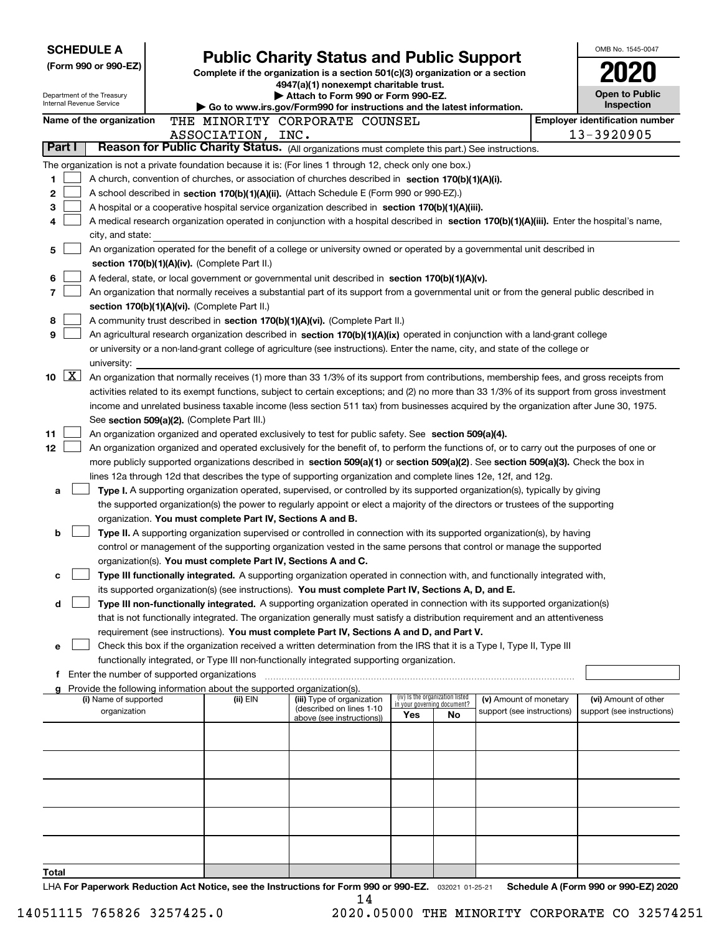| <b>SCHEDULE A</b>        |                                                                                                                                                               |                                                                                                                                              |  |                                             |                                                                                                                                                                                                                                               |     |                                                                |                            |  | OMB No. 1545-0047                                   |  |  |  |
|--------------------------|---------------------------------------------------------------------------------------------------------------------------------------------------------------|----------------------------------------------------------------------------------------------------------------------------------------------|--|---------------------------------------------|-----------------------------------------------------------------------------------------------------------------------------------------------------------------------------------------------------------------------------------------------|-----|----------------------------------------------------------------|----------------------------|--|-----------------------------------------------------|--|--|--|
|                          |                                                                                                                                                               | (Form 990 or 990-EZ)                                                                                                                         |  |                                             | <b>Public Charity Status and Public Support</b>                                                                                                                                                                                               |     |                                                                |                            |  |                                                     |  |  |  |
|                          |                                                                                                                                                               |                                                                                                                                              |  |                                             | Complete if the organization is a section 501(c)(3) organization or a section<br>4947(a)(1) nonexempt charitable trust.                                                                                                                       |     |                                                                |                            |  |                                                     |  |  |  |
|                          |                                                                                                                                                               | Department of the Treasury<br>Internal Revenue Service                                                                                       |  |                                             | Attach to Form 990 or Form 990-EZ.                                                                                                                                                                                                            |     |                                                                |                            |  | <b>Open to Public</b>                               |  |  |  |
|                          |                                                                                                                                                               |                                                                                                                                              |  |                                             | Go to www.irs.gov/Form990 for instructions and the latest information.                                                                                                                                                                        |     |                                                                |                            |  | Inspection<br><b>Employer identification number</b> |  |  |  |
| Name of the organization |                                                                                                                                                               |                                                                                                                                              |  | ASSOCIATION, INC.                           | THE MINORITY CORPORATE COUNSEL                                                                                                                                                                                                                |     |                                                                |                            |  | 13-3920905                                          |  |  |  |
|                          | Part I                                                                                                                                                        |                                                                                                                                              |  |                                             | Reason for Public Charity Status. (All organizations must complete this part.) See instructions.                                                                                                                                              |     |                                                                |                            |  |                                                     |  |  |  |
|                          |                                                                                                                                                               |                                                                                                                                              |  |                                             | The organization is not a private foundation because it is: (For lines 1 through 12, check only one box.)                                                                                                                                     |     |                                                                |                            |  |                                                     |  |  |  |
| 1                        |                                                                                                                                                               |                                                                                                                                              |  |                                             | A church, convention of churches, or association of churches described in section 170(b)(1)(A)(i).                                                                                                                                            |     |                                                                |                            |  |                                                     |  |  |  |
| 2                        |                                                                                                                                                               |                                                                                                                                              |  |                                             | A school described in section 170(b)(1)(A)(ii). (Attach Schedule E (Form 990 or 990-EZ).)                                                                                                                                                     |     |                                                                |                            |  |                                                     |  |  |  |
| 3                        |                                                                                                                                                               |                                                                                                                                              |  |                                             | A hospital or a cooperative hospital service organization described in section 170(b)(1)(A)(iii).                                                                                                                                             |     |                                                                |                            |  |                                                     |  |  |  |
| 4                        |                                                                                                                                                               |                                                                                                                                              |  |                                             | A medical research organization operated in conjunction with a hospital described in section 170(b)(1)(A)(iii). Enter the hospital's name,                                                                                                    |     |                                                                |                            |  |                                                     |  |  |  |
|                          |                                                                                                                                                               | city, and state:                                                                                                                             |  |                                             |                                                                                                                                                                                                                                               |     |                                                                |                            |  |                                                     |  |  |  |
| 5                        |                                                                                                                                                               |                                                                                                                                              |  |                                             | An organization operated for the benefit of a college or university owned or operated by a governmental unit described in                                                                                                                     |     |                                                                |                            |  |                                                     |  |  |  |
|                          | section 170(b)(1)(A)(iv). (Complete Part II.)                                                                                                                 |                                                                                                                                              |  |                                             |                                                                                                                                                                                                                                               |     |                                                                |                            |  |                                                     |  |  |  |
| 6                        | A federal, state, or local government or governmental unit described in section 170(b)(1)(A)(v).                                                              |                                                                                                                                              |  |                                             |                                                                                                                                                                                                                                               |     |                                                                |                            |  |                                                     |  |  |  |
| 7                        | An organization that normally receives a substantial part of its support from a governmental unit or from the general public described in                     |                                                                                                                                              |  |                                             |                                                                                                                                                                                                                                               |     |                                                                |                            |  |                                                     |  |  |  |
| 8                        | section 170(b)(1)(A)(vi). (Complete Part II.)<br>A community trust described in section 170(b)(1)(A)(vi). (Complete Part II.)                                 |                                                                                                                                              |  |                                             |                                                                                                                                                                                                                                               |     |                                                                |                            |  |                                                     |  |  |  |
| 9                        |                                                                                                                                                               |                                                                                                                                              |  |                                             | An agricultural research organization described in section 170(b)(1)(A)(ix) operated in conjunction with a land-grant college                                                                                                                 |     |                                                                |                            |  |                                                     |  |  |  |
|                          |                                                                                                                                                               |                                                                                                                                              |  |                                             | or university or a non-land-grant college of agriculture (see instructions). Enter the name, city, and state of the college or                                                                                                                |     |                                                                |                            |  |                                                     |  |  |  |
|                          |                                                                                                                                                               | university:                                                                                                                                  |  |                                             |                                                                                                                                                                                                                                               |     |                                                                |                            |  |                                                     |  |  |  |
| 10                       | $\vert$ X $\vert$<br>An organization that normally receives (1) more than 33 1/3% of its support from contributions, membership fees, and gross receipts from |                                                                                                                                              |  |                                             |                                                                                                                                                                                                                                               |     |                                                                |                            |  |                                                     |  |  |  |
|                          |                                                                                                                                                               | activities related to its exempt functions, subject to certain exceptions; and (2) no more than 33 1/3% of its support from gross investment |  |                                             |                                                                                                                                                                                                                                               |     |                                                                |                            |  |                                                     |  |  |  |
|                          | income and unrelated business taxable income (less section 511 tax) from businesses acquired by the organization after June 30, 1975.                         |                                                                                                                                              |  |                                             |                                                                                                                                                                                                                                               |     |                                                                |                            |  |                                                     |  |  |  |
|                          |                                                                                                                                                               |                                                                                                                                              |  | See section 509(a)(2). (Complete Part III.) |                                                                                                                                                                                                                                               |     |                                                                |                            |  |                                                     |  |  |  |
| 11                       |                                                                                                                                                               |                                                                                                                                              |  |                                             | An organization organized and operated exclusively to test for public safety. See section 509(a)(4).                                                                                                                                          |     |                                                                |                            |  |                                                     |  |  |  |
| 12                       |                                                                                                                                                               |                                                                                                                                              |  |                                             | An organization organized and operated exclusively for the benefit of, to perform the functions of, or to carry out the purposes of one or                                                                                                    |     |                                                                |                            |  |                                                     |  |  |  |
|                          |                                                                                                                                                               |                                                                                                                                              |  |                                             | more publicly supported organizations described in section 509(a)(1) or section 509(a)(2). See section 509(a)(3). Check the box in                                                                                                            |     |                                                                |                            |  |                                                     |  |  |  |
| a                        |                                                                                                                                                               |                                                                                                                                              |  |                                             | lines 12a through 12d that describes the type of supporting organization and complete lines 12e, 12f, and 12g.<br>Type I. A supporting organization operated, supervised, or controlled by its supported organization(s), typically by giving |     |                                                                |                            |  |                                                     |  |  |  |
|                          |                                                                                                                                                               |                                                                                                                                              |  |                                             | the supported organization(s) the power to regularly appoint or elect a majority of the directors or trustees of the supporting                                                                                                               |     |                                                                |                            |  |                                                     |  |  |  |
|                          |                                                                                                                                                               |                                                                                                                                              |  |                                             | organization. You must complete Part IV, Sections A and B.                                                                                                                                                                                    |     |                                                                |                            |  |                                                     |  |  |  |
| b                        |                                                                                                                                                               |                                                                                                                                              |  |                                             | Type II. A supporting organization supervised or controlled in connection with its supported organization(s), by having                                                                                                                       |     |                                                                |                            |  |                                                     |  |  |  |
|                          |                                                                                                                                                               |                                                                                                                                              |  |                                             | control or management of the supporting organization vested in the same persons that control or manage the supported                                                                                                                          |     |                                                                |                            |  |                                                     |  |  |  |
|                          |                                                                                                                                                               |                                                                                                                                              |  |                                             | organization(s). You must complete Part IV, Sections A and C.                                                                                                                                                                                 |     |                                                                |                            |  |                                                     |  |  |  |
| с                        |                                                                                                                                                               |                                                                                                                                              |  |                                             | Type III functionally integrated. A supporting organization operated in connection with, and functionally integrated with,                                                                                                                    |     |                                                                |                            |  |                                                     |  |  |  |
|                          |                                                                                                                                                               |                                                                                                                                              |  |                                             | its supported organization(s) (see instructions). You must complete Part IV, Sections A, D, and E.                                                                                                                                            |     |                                                                |                            |  |                                                     |  |  |  |
| d                        |                                                                                                                                                               |                                                                                                                                              |  |                                             | Type III non-functionally integrated. A supporting organization operated in connection with its supported organization(s)                                                                                                                     |     |                                                                |                            |  |                                                     |  |  |  |
|                          |                                                                                                                                                               |                                                                                                                                              |  |                                             | that is not functionally integrated. The organization generally must satisfy a distribution requirement and an attentiveness                                                                                                                  |     |                                                                |                            |  |                                                     |  |  |  |
| е                        |                                                                                                                                                               |                                                                                                                                              |  |                                             | requirement (see instructions). You must complete Part IV, Sections A and D, and Part V.<br>Check this box if the organization received a written determination from the IRS that it is a Type I, Type II, Type III                           |     |                                                                |                            |  |                                                     |  |  |  |
|                          |                                                                                                                                                               |                                                                                                                                              |  |                                             | functionally integrated, or Type III non-functionally integrated supporting organization.                                                                                                                                                     |     |                                                                |                            |  |                                                     |  |  |  |
|                          |                                                                                                                                                               | Enter the number of supported organizations                                                                                                  |  |                                             |                                                                                                                                                                                                                                               |     |                                                                |                            |  |                                                     |  |  |  |
|                          |                                                                                                                                                               |                                                                                                                                              |  |                                             | Provide the following information about the supported organization(s).                                                                                                                                                                        |     |                                                                |                            |  |                                                     |  |  |  |
|                          |                                                                                                                                                               | (i) Name of supported                                                                                                                        |  | (ii) EIN                                    | (iii) Type of organization<br>(described on lines 1-10                                                                                                                                                                                        |     | (iv) Is the organization listed<br>in your governing document? | (v) Amount of monetary     |  | (vi) Amount of other                                |  |  |  |
|                          |                                                                                                                                                               | organization                                                                                                                                 |  |                                             | above (see instructions))                                                                                                                                                                                                                     | Yes | No                                                             | support (see instructions) |  | support (see instructions)                          |  |  |  |
|                          |                                                                                                                                                               |                                                                                                                                              |  |                                             |                                                                                                                                                                                                                                               |     |                                                                |                            |  |                                                     |  |  |  |
|                          |                                                                                                                                                               |                                                                                                                                              |  |                                             |                                                                                                                                                                                                                                               |     |                                                                |                            |  |                                                     |  |  |  |
|                          |                                                                                                                                                               |                                                                                                                                              |  |                                             |                                                                                                                                                                                                                                               |     |                                                                |                            |  |                                                     |  |  |  |
|                          |                                                                                                                                                               |                                                                                                                                              |  |                                             |                                                                                                                                                                                                                                               |     |                                                                |                            |  |                                                     |  |  |  |
|                          |                                                                                                                                                               |                                                                                                                                              |  |                                             |                                                                                                                                                                                                                                               |     |                                                                |                            |  |                                                     |  |  |  |
|                          |                                                                                                                                                               |                                                                                                                                              |  |                                             |                                                                                                                                                                                                                                               |     |                                                                |                            |  |                                                     |  |  |  |
|                          |                                                                                                                                                               |                                                                                                                                              |  |                                             |                                                                                                                                                                                                                                               |     |                                                                |                            |  |                                                     |  |  |  |
|                          |                                                                                                                                                               |                                                                                                                                              |  |                                             |                                                                                                                                                                                                                                               |     |                                                                |                            |  |                                                     |  |  |  |
|                          |                                                                                                                                                               |                                                                                                                                              |  |                                             |                                                                                                                                                                                                                                               |     |                                                                |                            |  |                                                     |  |  |  |
| Total                    |                                                                                                                                                               |                                                                                                                                              |  |                                             | see the Instructions for Form 000 or 000 FZ                                                                                                                                                                                                   |     |                                                                |                            |  | Cabadula A (Faum 000 au 000 EZ) 0000                |  |  |  |

LHA For Paperwork Reduction Act Notice, see the Instructions for Form 990 or 990-EZ. <sub>032021</sub> o1-25-21 Schedule A (Form 990 or 990-EZ) 2020 14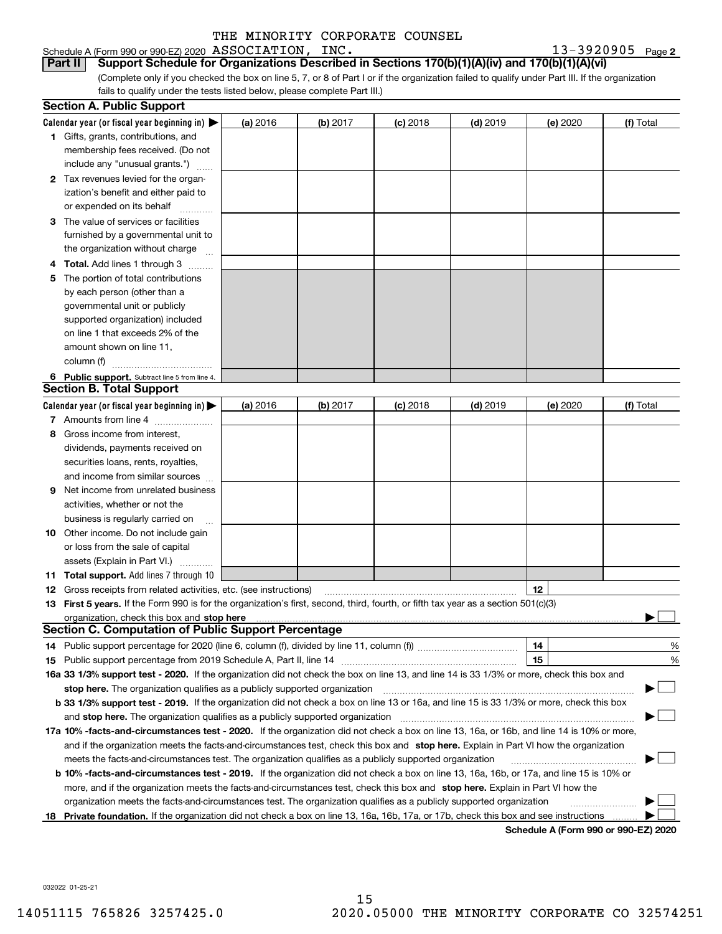### Schedule A (Form 990 or 990-EZ) 2020  $\, {\rm ASSOCIATION}$  ,  $\, {\rm INC}$  ,  $\,$

13-3920905 Page 2

(Complete only if you checked the box on line 5, 7, or 8 of Part I or if the organization failed to qualify under Part III. If the organization fails to qualify under the tests listed below, please complete Part III.) **Part II Support Schedule for Organizations Described in Sections 170(b)(1)(A)(iv) and 170(b)(1)(A)(vi)**

|   | <b>Section A. Public Support</b>                                                                                                               |          |          |                 |            |                                      |           |
|---|------------------------------------------------------------------------------------------------------------------------------------------------|----------|----------|-----------------|------------|--------------------------------------|-----------|
|   | Calendar year (or fiscal year beginning in) $\blacktriangleright$                                                                              | (a) 2016 | (b) 2017 | $(c)$ 2018      | $(d)$ 2019 | (e) 2020                             | (f) Total |
|   | 1 Gifts, grants, contributions, and                                                                                                            |          |          |                 |            |                                      |           |
|   | membership fees received. (Do not                                                                                                              |          |          |                 |            |                                      |           |
|   | include any "unusual grants.")                                                                                                                 |          |          |                 |            |                                      |           |
|   | 2 Tax revenues levied for the organ-                                                                                                           |          |          |                 |            |                                      |           |
|   | ization's benefit and either paid to                                                                                                           |          |          |                 |            |                                      |           |
|   | or expended on its behalf                                                                                                                      |          |          |                 |            |                                      |           |
|   | 3 The value of services or facilities                                                                                                          |          |          |                 |            |                                      |           |
|   | furnished by a governmental unit to                                                                                                            |          |          |                 |            |                                      |           |
|   | the organization without charge                                                                                                                |          |          |                 |            |                                      |           |
|   | <b>Total.</b> Add lines 1 through 3                                                                                                            |          |          |                 |            |                                      |           |
| 5 | The portion of total contributions                                                                                                             |          |          |                 |            |                                      |           |
|   | by each person (other than a                                                                                                                   |          |          |                 |            |                                      |           |
|   | governmental unit or publicly                                                                                                                  |          |          |                 |            |                                      |           |
|   | supported organization) included                                                                                                               |          |          |                 |            |                                      |           |
|   | on line 1 that exceeds 2% of the                                                                                                               |          |          |                 |            |                                      |           |
|   | amount shown on line 11,                                                                                                                       |          |          |                 |            |                                      |           |
|   | column (f)                                                                                                                                     |          |          |                 |            |                                      |           |
|   | 6 Public support. Subtract line 5 from line 4.                                                                                                 |          |          |                 |            |                                      |           |
|   | <b>Section B. Total Support</b>                                                                                                                |          |          |                 |            |                                      |           |
|   | Calendar year (or fiscal year beginning in) $\blacktriangleright$                                                                              | (a) 2016 | (b) 2017 | <b>(c)</b> 2018 | $(d)$ 2019 | (e) 2020                             | (f) Total |
|   | 7 Amounts from line 4                                                                                                                          |          |          |                 |            |                                      |           |
| 8 | Gross income from interest,                                                                                                                    |          |          |                 |            |                                      |           |
|   | dividends, payments received on                                                                                                                |          |          |                 |            |                                      |           |
|   | securities loans, rents, royalties,                                                                                                            |          |          |                 |            |                                      |           |
|   | and income from similar sources                                                                                                                |          |          |                 |            |                                      |           |
| 9 | Net income from unrelated business                                                                                                             |          |          |                 |            |                                      |           |
|   | activities, whether or not the                                                                                                                 |          |          |                 |            |                                      |           |
|   | business is regularly carried on                                                                                                               |          |          |                 |            |                                      |           |
|   | <b>10</b> Other income. Do not include gain                                                                                                    |          |          |                 |            |                                      |           |
|   | or loss from the sale of capital                                                                                                               |          |          |                 |            |                                      |           |
|   | assets (Explain in Part VI.)                                                                                                                   |          |          |                 |            |                                      |           |
|   | <b>11 Total support.</b> Add lines 7 through 10                                                                                                |          |          |                 |            |                                      |           |
|   | <b>12</b> Gross receipts from related activities, etc. (see instructions)                                                                      |          |          |                 |            | 12                                   |           |
|   | 13 First 5 years. If the Form 990 is for the organization's first, second, third, fourth, or fifth tax year as a section 501(c)(3)             |          |          |                 |            |                                      |           |
|   |                                                                                                                                                |          |          |                 |            |                                      |           |
|   | <b>Section C. Computation of Public Support Percentage</b>                                                                                     |          |          |                 |            |                                      |           |
|   | 14 Public support percentage for 2020 (line 6, column (f), divided by line 11, column (f) <i>mummumumum</i>                                    |          |          |                 |            | 14                                   | %         |
|   |                                                                                                                                                |          |          |                 |            | 15                                   | %         |
|   | 16a 33 1/3% support test - 2020. If the organization did not check the box on line 13, and line 14 is 33 1/3% or more, check this box and      |          |          |                 |            |                                      |           |
|   | stop here. The organization qualifies as a publicly supported organization                                                                     |          |          |                 |            |                                      |           |
|   | b 33 1/3% support test - 2019. If the organization did not check a box on line 13 or 16a, and line 15 is 33 1/3% or more, check this box       |          |          |                 |            |                                      |           |
|   | and stop here. The organization qualifies as a publicly supported organization                                                                 |          |          |                 |            |                                      |           |
|   | 17a 10% -facts-and-circumstances test - 2020. If the organization did not check a box on line 13, 16a, or 16b, and line 14 is 10% or more,     |          |          |                 |            |                                      |           |
|   | and if the organization meets the facts-and-circumstances test, check this box and stop here. Explain in Part VI how the organization          |          |          |                 |            |                                      |           |
|   | meets the facts-and-circumstances test. The organization qualifies as a publicly supported organization                                        |          |          |                 |            |                                      |           |
|   | <b>b 10% -facts-and-circumstances test - 2019.</b> If the organization did not check a box on line 13, 16a, 16b, or 17a, and line 15 is 10% or |          |          |                 |            |                                      |           |
|   | more, and if the organization meets the facts-and-circumstances test, check this box and stop here. Explain in Part VI how the                 |          |          |                 |            |                                      |           |
|   | organization meets the facts-and-circumstances test. The organization qualifies as a publicly supported organization                           |          |          |                 |            |                                      |           |
|   | 18 Private foundation. If the organization did not check a box on line 13, 16a, 16b, 17a, or 17b, check this box and see instructions          |          |          |                 |            |                                      |           |
|   |                                                                                                                                                |          |          |                 |            | Schodule A (Form 000 or 000 F7) 2020 |           |

**Schedule A (Form 990 or 990-EZ) 2020**

032022 01-25-21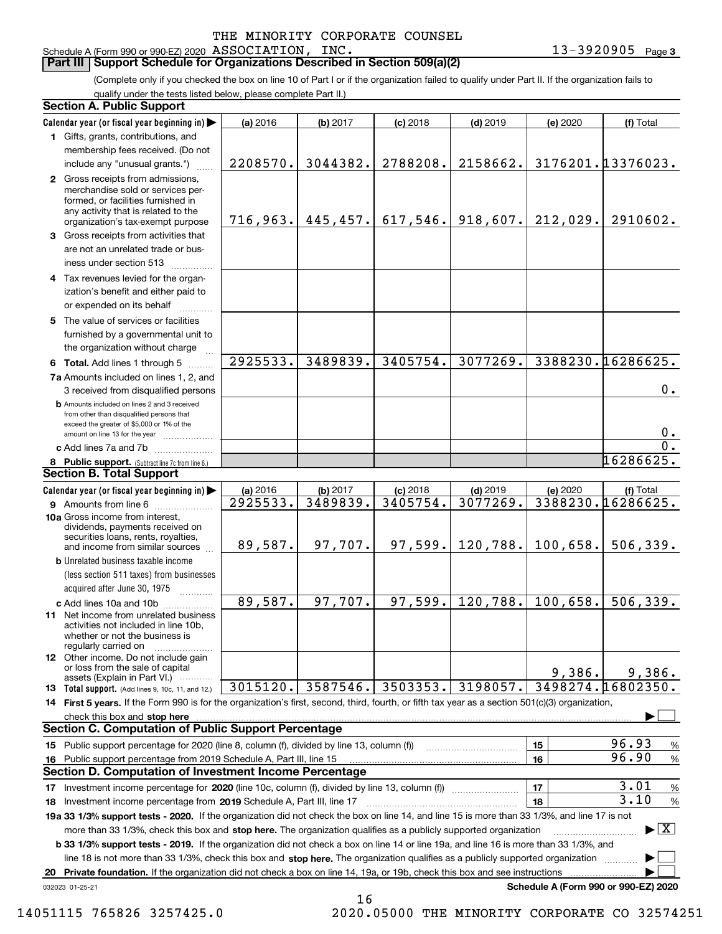Schedule A (Form 990 or 990-EZ) 2020  $\, {\rm ASSOCIATION}$  ,  $\, {\rm INC}$  ,  $\,$ 

### **Part III Support Schedule for Organizations Described in Section 509(a)(2)**

(Complete only if you checked the box on line 10 of Part I or if the organization failed to qualify under Part II. If the organization fails to qualify under the tests listed below, please complete Part II.)

| <b>Section A. Public Support</b>                                                                                                                                                                                                                                                |          |                       |            |            |                                      |                                          |
|---------------------------------------------------------------------------------------------------------------------------------------------------------------------------------------------------------------------------------------------------------------------------------|----------|-----------------------|------------|------------|--------------------------------------|------------------------------------------|
| Calendar year (or fiscal year beginning in)                                                                                                                                                                                                                                     | (a) 2016 | (b) 2017              | $(c)$ 2018 | $(d)$ 2019 | (e) 2020                             | (f) Total                                |
| 1 Gifts, grants, contributions, and                                                                                                                                                                                                                                             |          |                       |            |            |                                      |                                          |
| membership fees received. (Do not                                                                                                                                                                                                                                               |          |                       |            |            |                                      |                                          |
| include any "unusual grants.")                                                                                                                                                                                                                                                  | 2208570. | 3044382.              | 2788208.   | 2158662.   |                                      | 3176201.13376023.                        |
| 2 Gross receipts from admissions,<br>merchandise sold or services per-<br>formed, or facilities furnished in<br>any activity that is related to the<br>organization's tax-exempt purpose                                                                                        |          | 716, 963.   445, 457. | 617,546.   | 918,607.   | 212,029.                             | 2910602.                                 |
| 3 Gross receipts from activities that<br>are not an unrelated trade or bus-                                                                                                                                                                                                     |          |                       |            |            |                                      |                                          |
| iness under section 513                                                                                                                                                                                                                                                         |          |                       |            |            |                                      |                                          |
| 4 Tax revenues levied for the organ-<br>ization's benefit and either paid to<br>or expended on its behalf                                                                                                                                                                       |          |                       |            |            |                                      |                                          |
| 5 The value of services or facilities<br>furnished by a governmental unit to                                                                                                                                                                                                    |          |                       |            |            |                                      |                                          |
| the organization without charge                                                                                                                                                                                                                                                 |          |                       |            |            |                                      |                                          |
| 6 Total. Add lines 1 through 5                                                                                                                                                                                                                                                  | 2925533. | 3489839.              | 3405754.   | 3077269.   |                                      | 3388230.16286625.                        |
| 7a Amounts included on lines 1, 2, and                                                                                                                                                                                                                                          |          |                       |            |            |                                      |                                          |
| 3 received from disqualified persons                                                                                                                                                                                                                                            |          |                       |            |            |                                      | 0.                                       |
| <b>b</b> Amounts included on lines 2 and 3 received<br>from other than disqualified persons that<br>exceed the greater of \$5,000 or 1% of the<br>amount on line 13 for the year                                                                                                |          |                       |            |            |                                      | 0.                                       |
| c Add lines 7a and 7b                                                                                                                                                                                                                                                           |          |                       |            |            |                                      | $\overline{0}$ .                         |
| 8 Public support. (Subtract line 7c from line 6.)                                                                                                                                                                                                                               |          |                       |            |            |                                      | 16286625.                                |
| <b>Section B. Total Support</b>                                                                                                                                                                                                                                                 |          |                       |            |            |                                      |                                          |
| Calendar year (or fiscal year beginning in)                                                                                                                                                                                                                                     | (a) 2016 | (b) 2017              | $(c)$ 2018 | $(d)$ 2019 | (e) 2020                             | (f) Total                                |
| <b>9</b> Amounts from line 6                                                                                                                                                                                                                                                    | 2925533. | 3489839.              | 3405754.   | 3077269.   |                                      | 3388230.16286625.                        |
| 10a Gross income from interest,<br>dividends, payments received on<br>securities loans, rents, royalties,<br>and income from similar sources                                                                                                                                    | 89,587.  | 97,707.               | 97,599.    | 120,788.   | 100,658.                             | 506, 339.                                |
| <b>b</b> Unrelated business taxable income                                                                                                                                                                                                                                      |          |                       |            |            |                                      |                                          |
| (less section 511 taxes) from businesses                                                                                                                                                                                                                                        |          |                       |            |            |                                      |                                          |
| acquired after June 30, 1975                                                                                                                                                                                                                                                    |          |                       |            |            |                                      |                                          |
| c Add lines 10a and 10b                                                                                                                                                                                                                                                         | 89,587.  | 97,707.               | 97,599.    | 120,788.   | 100,658.                             | 506, 339.                                |
| 11 Net income from unrelated business<br>activities not included in line 10b,<br>whether or not the business is<br>regularly carried on                                                                                                                                         |          |                       |            |            |                                      |                                          |
| <b>12</b> Other income. Do not include gain<br>or loss from the sale of capital<br>assets (Explain in Part VI.)                                                                                                                                                                 |          |                       |            |            | 9,386.                               | 9,386.                                   |
| 13 Total support. (Add lines 9, 10c, 11, and 12.)                                                                                                                                                                                                                               | 3015120. | 3587546.              | 3503353.   | 3198057.   |                                      | 3498274.16802350.                        |
| 14 First 5 years. If the Form 990 is for the organization's first, second, third, fourth, or fifth tax year as a section 501(c)(3) organization,                                                                                                                                |          |                       |            |            |                                      |                                          |
| check this box and <b>stop here</b> with the continuum continuum continuum continuum continuum continuum continuum continuum continuum continuum continuum continuum continuum continuum continuum continuum continuum continuum co                                             |          |                       |            |            |                                      |                                          |
| <b>Section C. Computation of Public Support Percentage</b>                                                                                                                                                                                                                      |          |                       |            |            |                                      |                                          |
| 15 Public support percentage for 2020 (line 8, column (f), divided by line 13, column (f))                                                                                                                                                                                      |          |                       |            |            | 15                                   | 96.93<br>%                               |
| 16 Public support percentage from 2019 Schedule A, Part III, line 15                                                                                                                                                                                                            |          |                       |            |            | 16                                   | 96.90<br>$\%$                            |
| Section D. Computation of Investment Income Percentage                                                                                                                                                                                                                          |          |                       |            |            |                                      |                                          |
| 17 Investment income percentage for 2020 (line 10c, column (f), divided by line 13, column (f))                                                                                                                                                                                 |          |                       |            |            | 17                                   | 3.01<br>$\%$<br>3.10                     |
| 18 Investment income percentage from 2019 Schedule A, Part III, line 17                                                                                                                                                                                                         |          |                       |            |            | 18                                   | %                                        |
| 19a 33 1/3% support tests - 2020. If the organization did not check the box on line 14, and line 15 is more than 33 1/3%, and line 17 is not                                                                                                                                    |          |                       |            |            |                                      | $\blacktriangleright$ $\boxed{\text{X}}$ |
| more than 33 1/3%, check this box and stop here. The organization qualifies as a publicly supported organization                                                                                                                                                                |          |                       |            |            |                                      |                                          |
| <b>b 33 1/3% support tests - 2019.</b> If the organization did not check a box on line 14 or line 19a, and line 16 is more than 33 1/3%, and<br>line 18 is not more than 33 1/3%, check this box and stop here. The organization qualifies as a publicly supported organization |          |                       |            |            |                                      |                                          |
| 20 Private foundation. If the organization did not check a box on line 14, 19a, or 19b, check this box and see instructions                                                                                                                                                     |          |                       |            |            |                                      |                                          |
| 032023 01-25-21                                                                                                                                                                                                                                                                 |          |                       |            |            | Schedule A (Form 990 or 990-EZ) 2020 |                                          |

16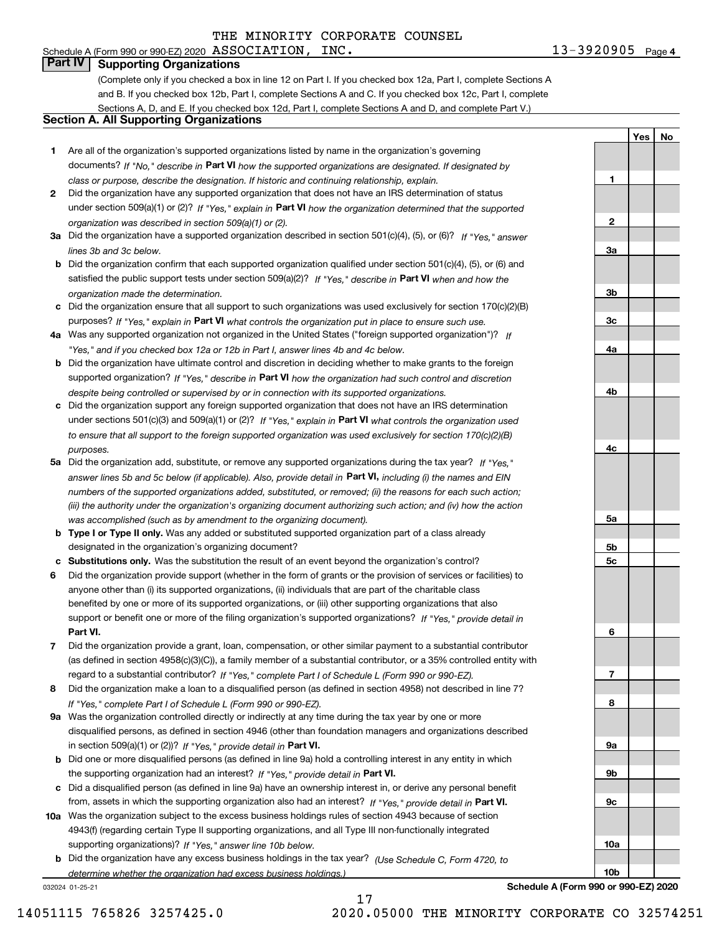#### 13-3920905 Page 4 Schedule A (Form 990 or 990-EZ) 2020  $\, {\rm ASSOCIATION}$  ,  $\, {\rm INC}$  ,  $\,$

**1**

**2**

**3a**

**3b**

**3c**

**4a**

**4b**

**4c**

**5a**

**5b5c**

**6**

**7**

**8**

**9a**

**9b**

**9c**

**10a**

**10b**

**YesNo**

# **Part IV Supporting Organizations**

(Complete only if you checked a box in line 12 on Part I. If you checked box 12a, Part I, complete Sections A and B. If you checked box 12b, Part I, complete Sections A and C. If you checked box 12c, Part I, complete Sections A, D, and E. If you checked box 12d, Part I, complete Sections A and D, and complete Part V.)

### **Section A. All Supporting Organizations**

- **1** Are all of the organization's supported organizations listed by name in the organization's governing documents? If "No," describe in **Part VI** how the supported organizations are designated. If designated by *class or purpose, describe the designation. If historic and continuing relationship, explain.*
- **2** Did the organization have any supported organization that does not have an IRS determination of status under section 509(a)(1) or (2)? If "Yes," explain in Part VI how the organization determined that the supported *organization was described in section 509(a)(1) or (2).*
- **3a** Did the organization have a supported organization described in section 501(c)(4), (5), or (6)? If "Yes," answer *lines 3b and 3c below.*
- **b** Did the organization confirm that each supported organization qualified under section 501(c)(4), (5), or (6) and satisfied the public support tests under section 509(a)(2)? If "Yes," describe in **Part VI** when and how the *organization made the determination.*
- **c**Did the organization ensure that all support to such organizations was used exclusively for section 170(c)(2)(B) purposes? If "Yes," explain in **Part VI** what controls the organization put in place to ensure such use.
- **4a***If* Was any supported organization not organized in the United States ("foreign supported organization")? *"Yes," and if you checked box 12a or 12b in Part I, answer lines 4b and 4c below.*
- **b** Did the organization have ultimate control and discretion in deciding whether to make grants to the foreign supported organization? If "Yes," describe in **Part VI** how the organization had such control and discretion *despite being controlled or supervised by or in connection with its supported organizations.*
- **c** Did the organization support any foreign supported organization that does not have an IRS determination under sections 501(c)(3) and 509(a)(1) or (2)? If "Yes," explain in **Part VI** what controls the organization used *to ensure that all support to the foreign supported organization was used exclusively for section 170(c)(2)(B) purposes.*
- **5a** Did the organization add, substitute, or remove any supported organizations during the tax year? If "Yes," answer lines 5b and 5c below (if applicable). Also, provide detail in **Part VI,** including (i) the names and EIN *numbers of the supported organizations added, substituted, or removed; (ii) the reasons for each such action; (iii) the authority under the organization's organizing document authorizing such action; and (iv) how the action was accomplished (such as by amendment to the organizing document).*
- **b** Type I or Type II only. Was any added or substituted supported organization part of a class already designated in the organization's organizing document?
- **cSubstitutions only.**  Was the substitution the result of an event beyond the organization's control?
- **6** Did the organization provide support (whether in the form of grants or the provision of services or facilities) to **Part VI.** *If "Yes," provide detail in* support or benefit one or more of the filing organization's supported organizations? anyone other than (i) its supported organizations, (ii) individuals that are part of the charitable class benefited by one or more of its supported organizations, or (iii) other supporting organizations that also
- **7**Did the organization provide a grant, loan, compensation, or other similar payment to a substantial contributor *If "Yes," complete Part I of Schedule L (Form 990 or 990-EZ).* regard to a substantial contributor? (as defined in section 4958(c)(3)(C)), a family member of a substantial contributor, or a 35% controlled entity with
- **8** Did the organization make a loan to a disqualified person (as defined in section 4958) not described in line 7? *If "Yes," complete Part I of Schedule L (Form 990 or 990-EZ).*
- **9a** Was the organization controlled directly or indirectly at any time during the tax year by one or more in section 509(a)(1) or (2))? If "Yes," *provide detail in* <code>Part VI.</code> disqualified persons, as defined in section 4946 (other than foundation managers and organizations described
- **b** Did one or more disqualified persons (as defined in line 9a) hold a controlling interest in any entity in which the supporting organization had an interest? If "Yes," provide detail in P**art VI**.
- **c**Did a disqualified person (as defined in line 9a) have an ownership interest in, or derive any personal benefit from, assets in which the supporting organization also had an interest? If "Yes," provide detail in P**art VI.**
- **10a** Was the organization subject to the excess business holdings rules of section 4943 because of section supporting organizations)? If "Yes," answer line 10b below. 4943(f) (regarding certain Type II supporting organizations, and all Type III non-functionally integrated
- **b** Did the organization have any excess business holdings in the tax year? (Use Schedule C, Form 4720, to *determine whether the organization had excess business holdings.)*

17

032024 01-25-21

**Schedule A (Form 990 or 990-EZ) 2020**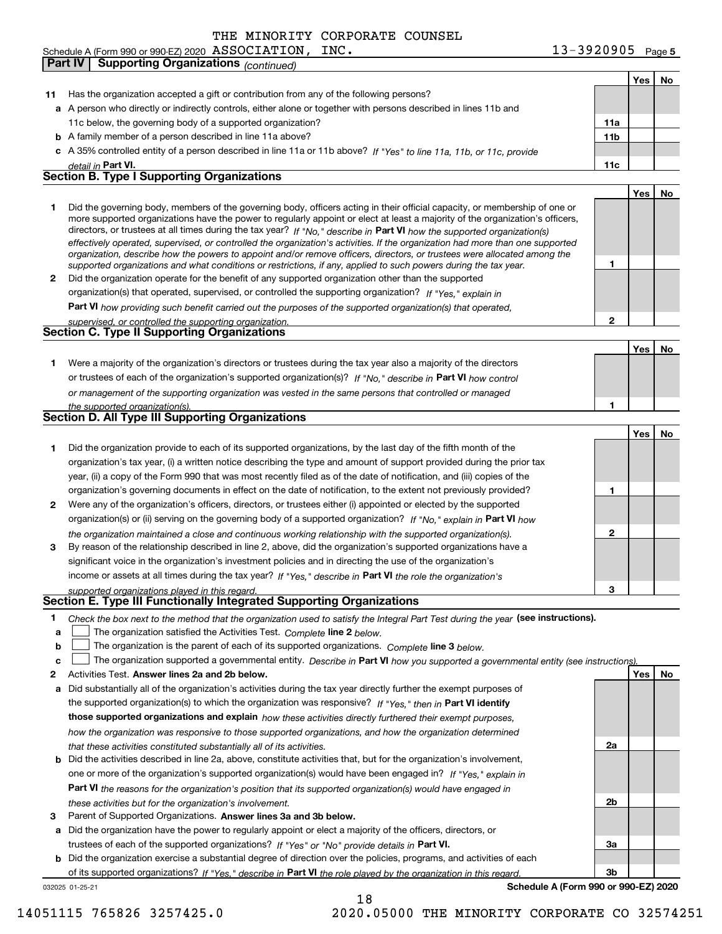**Part IV Supporting Organizations** *(continued)*

| Schedule A (Form 990 or 990-EZ) 2020 $\rm\;ASSCIATION$ , | INC. | $13 - 3920905$ $\overline{ }$ | Page 5 |
|----------------------------------------------------------|------|-------------------------------|--------|
|----------------------------------------------------------|------|-------------------------------|--------|

|              |                                                                                                                                                                                                                         |                 | Yes | No |
|--------------|-------------------------------------------------------------------------------------------------------------------------------------------------------------------------------------------------------------------------|-----------------|-----|----|
| 11           | Has the organization accepted a gift or contribution from any of the following persons?                                                                                                                                 |                 |     |    |
|              | a A person who directly or indirectly controls, either alone or together with persons described in lines 11b and                                                                                                        |                 |     |    |
|              | 11c below, the governing body of a supported organization?                                                                                                                                                              | 11a             |     |    |
|              | <b>b</b> A family member of a person described in line 11a above?                                                                                                                                                       | 11 <sub>b</sub> |     |    |
|              | c A 35% controlled entity of a person described in line 11a or 11b above? If "Yes" to line 11a, 11b, or 11c, provide                                                                                                    |                 |     |    |
|              | detail in Part VI.                                                                                                                                                                                                      | 11c             |     |    |
|              | <b>Section B. Type I Supporting Organizations</b>                                                                                                                                                                       |                 |     |    |
|              |                                                                                                                                                                                                                         |                 | Yes | No |
| 1            | Did the governing body, members of the governing body, officers acting in their official capacity, or membership of one or                                                                                              |                 |     |    |
|              | more supported organizations have the power to regularly appoint or elect at least a majority of the organization's officers,                                                                                           |                 |     |    |
|              | directors, or trustees at all times during the tax year? If "No," describe in Part VI how the supported organization(s)                                                                                                 |                 |     |    |
|              | effectively operated, supervised, or controlled the organization's activities. If the organization had more than one supported                                                                                          |                 |     |    |
|              | organization, describe how the powers to appoint and/or remove officers, directors, or trustees were allocated among the                                                                                                | 1               |     |    |
| $\mathbf{2}$ | supported organizations and what conditions or restrictions, if any, applied to such powers during the tax year.<br>Did the organization operate for the benefit of any supported organization other than the supported |                 |     |    |
|              | organization(s) that operated, supervised, or controlled the supporting organization? If "Yes," explain in                                                                                                              |                 |     |    |
|              |                                                                                                                                                                                                                         |                 |     |    |
|              | Part VI how providing such benefit carried out the purposes of the supported organization(s) that operated,                                                                                                             | 2               |     |    |
|              | supervised, or controlled the supporting organization.<br><b>Section C. Type II Supporting Organizations</b>                                                                                                            |                 |     |    |
|              |                                                                                                                                                                                                                         |                 | Yes | No |
| 1.           | Were a majority of the organization's directors or trustees during the tax year also a majority of the directors                                                                                                        |                 |     |    |
|              |                                                                                                                                                                                                                         |                 |     |    |
|              | or trustees of each of the organization's supported organization(s)? If "No," describe in Part VI how control                                                                                                           |                 |     |    |
|              | or management of the supporting organization was vested in the same persons that controlled or managed<br>the supported organization(s).                                                                                | 1               |     |    |
|              | <b>Section D. All Type III Supporting Organizations</b>                                                                                                                                                                 |                 |     |    |
|              |                                                                                                                                                                                                                         |                 | Yes | No |
| 1            | Did the organization provide to each of its supported organizations, by the last day of the fifth month of the                                                                                                          |                 |     |    |
|              | organization's tax year, (i) a written notice describing the type and amount of support provided during the prior tax                                                                                                   |                 |     |    |
|              | year, (ii) a copy of the Form 990 that was most recently filed as of the date of notification, and (iii) copies of the                                                                                                  |                 |     |    |
|              | organization's governing documents in effect on the date of notification, to the extent not previously provided?                                                                                                        | 1               |     |    |
| 2            | Were any of the organization's officers, directors, or trustees either (i) appointed or elected by the supported                                                                                                        |                 |     |    |
|              | organization(s) or (ii) serving on the governing body of a supported organization? If "No," explain in Part VI how                                                                                                      |                 |     |    |
|              | the organization maintained a close and continuous working relationship with the supported organization(s).                                                                                                             | 2               |     |    |
| 3            | By reason of the relationship described in line 2, above, did the organization's supported organizations have a                                                                                                         |                 |     |    |
|              | significant voice in the organization's investment policies and in directing the use of the organization's                                                                                                              |                 |     |    |
|              | income or assets at all times during the tax year? If "Yes," describe in Part VI the role the organization's                                                                                                            |                 |     |    |
|              | supported organizations played in this regard.                                                                                                                                                                          | 3               |     |    |
|              | Section E. Type III Functionally Integrated Supporting Organizations                                                                                                                                                    |                 |     |    |
| 1            | Check the box next to the method that the organization used to satisfy the Integral Part Test during the year (see instructions).                                                                                       |                 |     |    |
| a            | The organization satisfied the Activities Test. Complete line 2 below.                                                                                                                                                  |                 |     |    |
| b            | The organization is the parent of each of its supported organizations. Complete line 3 below.                                                                                                                           |                 |     |    |
| c            | The organization supported a governmental entity. Describe in Part VI how you supported a governmental entity (see instructions).                                                                                       |                 |     |    |
| 2            | Activities Test. Answer lines 2a and 2b below.                                                                                                                                                                          |                 | Yes | No |
| а            | Did substantially all of the organization's activities during the tax year directly further the exempt purposes of                                                                                                      |                 |     |    |
|              | the supported organization(s) to which the organization was responsive? If "Yes," then in Part VI identify                                                                                                              |                 |     |    |
|              | those supported organizations and explain how these activities directly furthered their exempt purposes,                                                                                                                |                 |     |    |
|              | how the organization was responsive to those supported organizations, and how the organization determined                                                                                                               |                 |     |    |
|              | that these activities constituted substantially all of its activities.                                                                                                                                                  | 2a              |     |    |
|              | <b>b</b> Did the activities described in line 2a, above, constitute activities that, but for the organization's involvement,                                                                                            |                 |     |    |
|              | one or more of the organization's supported organization(s) would have been engaged in? If "Yes," explain in                                                                                                            |                 |     |    |
|              | <b>Part VI</b> the reasons for the organization's position that its supported organization(s) would have engaged in                                                                                                     |                 |     |    |
|              | these activities but for the organization's involvement.                                                                                                                                                                | 2b              |     |    |
| з            | Parent of Supported Organizations. Answer lines 3a and 3b below.                                                                                                                                                        |                 |     |    |
|              | a Did the organization have the power to regularly appoint or elect a majority of the officers, directors, or                                                                                                           |                 |     |    |
|              | trustees of each of the supported organizations? If "Yes" or "No" provide details in Part VI.                                                                                                                           | За              |     |    |
|              | <b>b</b> Did the organization exercise a substantial degree of direction over the policies, programs, and activities of each                                                                                            |                 |     |    |
|              | of its supported organizations? If "Yes," describe in Part VI the role played by the organization in this regard                                                                                                        | 3b              |     |    |
|              | Schedule A (Form 990 or 990-EZ) 2020<br>032025 01-25-21                                                                                                                                                                 |                 |     |    |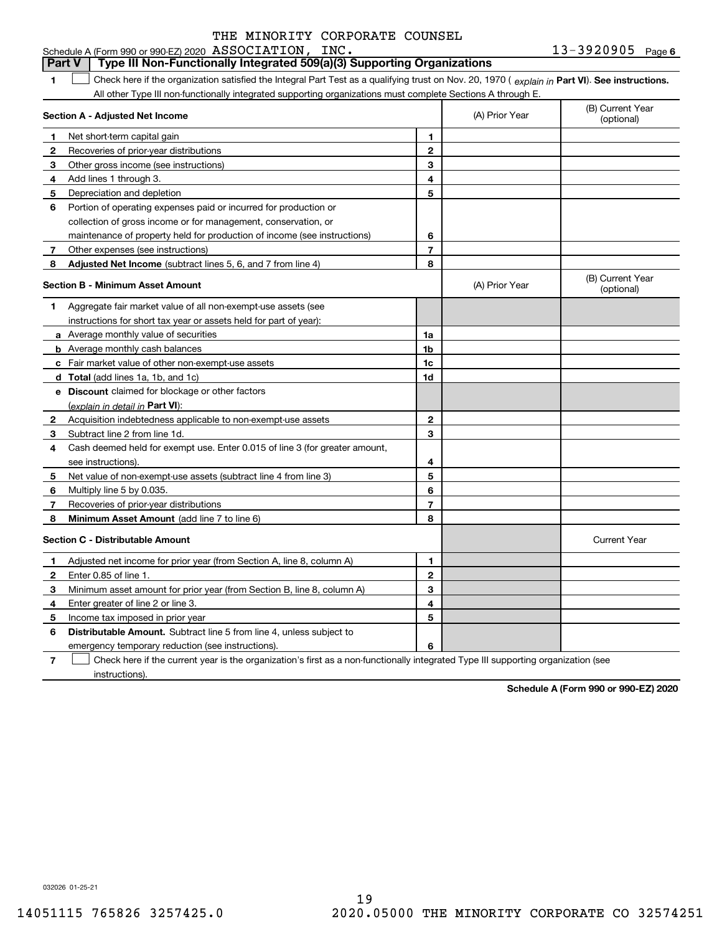#### **1Part VI** Check here if the organization satisfied the Integral Part Test as a qualifying trust on Nov. 20, 1970 ( explain in Part **VI**). See instructions. **Section A - Adjusted Net Income 123** Other gross income (see instructions) **456** Portion of operating expenses paid or incurred for production or **7** Other expenses (see instructions) **8** Adjusted Net Income (subtract lines 5, 6, and 7 from line 4) **8 8 1234567Section B - Minimum Asset Amount 1**Aggregate fair market value of all non-exempt-use assets (see **2**Acquisition indebtedness applicable to non-exempt-use assets **3** Subtract line 2 from line 1d. **4**Cash deemed held for exempt use. Enter 0.015 of line 3 (for greater amount, **5** Net value of non-exempt-use assets (subtract line 4 from line 3) **678a** Average monthly value of securities **b** Average monthly cash balances **c**Fair market value of other non-exempt-use assets **dTotal**  (add lines 1a, 1b, and 1c) **eDiscount** claimed for blockage or other factors **1a1b1c1d2345678**(explain in detail in Part VI): **Minimum Asset Amount**  (add line 7 to line 6) **Section C - Distributable Amount 123456123456Distributable Amount.** Subtract line 5 from line 4, unless subject to Schedule A (Form 990 or 990-EZ) 2020  $\, {\rm ASSOCIATION}$  ,  $\, {\rm INC}$  ,  $\,$ All other Type III non-functionally integrated supporting organizations must complete Sections A through E. (B) Current Year (optional)(A) Prior Year Net short-term capital gain Recoveries of prior-year distributions Add lines 1 through 3. Depreciation and depletion collection of gross income or for management, conservation, or maintenance of property held for production of income (see instructions) (B) Current Year (optional)(A) Prior Year instructions for short tax year or assets held for part of year): see instructions). Multiply line 5 by 0.035. Recoveries of prior-year distributions Current Year Adjusted net income for prior year (from Section A, line 8, column A) Enter 0.85 of line 1. Minimum asset amount for prior year (from Section B, line 8, column A) Enter greater of line 2 or line 3. Income tax imposed in prior year emergency temporary reduction (see instructions). **Part V Type III Non-Functionally Integrated 509(a)(3) Supporting Organizations**   $\mathcal{L}^{\text{max}}$

**7**Check here if the current year is the organization's first as a non-functionally integrated Type III supporting organization (see instructions). $\mathcal{L}^{\text{max}}$ 

**Schedule A (Form 990 or 990-EZ) 2020**

032026 01-25-21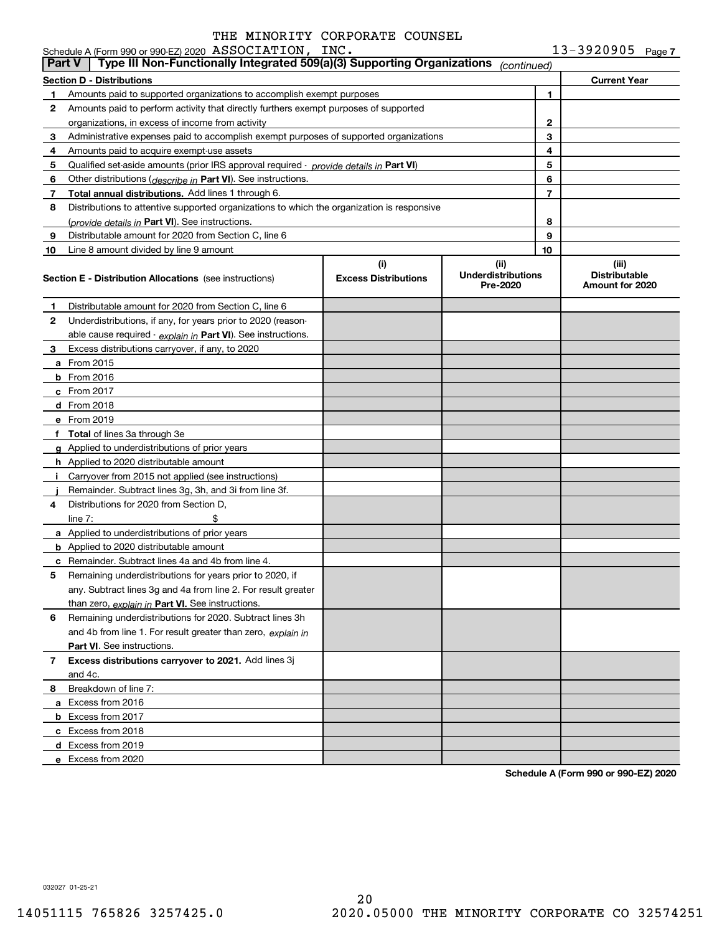|               | Schedule A (Form 990 or 990-EZ) 2020 ASSOCIATION, INC.                                     |                                    |                                               |    | $13 - 3920905$ Page 7                            |  |
|---------------|--------------------------------------------------------------------------------------------|------------------------------------|-----------------------------------------------|----|--------------------------------------------------|--|
| <b>Part V</b> | Type III Non-Functionally Integrated 509(a)(3) Supporting Organizations                    |                                    | (continued)                                   |    |                                                  |  |
|               | Section D - Distributions                                                                  |                                    |                                               |    | <b>Current Year</b>                              |  |
| 1.            | Amounts paid to supported organizations to accomplish exempt purposes                      |                                    |                                               | 1  |                                                  |  |
| 2             | Amounts paid to perform activity that directly furthers exempt purposes of supported       |                                    |                                               |    |                                                  |  |
|               | organizations, in excess of income from activity                                           |                                    |                                               | 2  |                                                  |  |
| 3             | Administrative expenses paid to accomplish exempt purposes of supported organizations      |                                    |                                               | 3  |                                                  |  |
| 4             | Amounts paid to acquire exempt-use assets                                                  |                                    |                                               | 4  |                                                  |  |
| 5             | Qualified set-aside amounts (prior IRS approval required - provide details in Part VI)     |                                    |                                               | 5  |                                                  |  |
| 6             | Other distributions (describe in Part VI). See instructions.                               |                                    |                                               | 6  |                                                  |  |
| 7             | Total annual distributions. Add lines 1 through 6.                                         |                                    |                                               | 7  |                                                  |  |
| 8             | Distributions to attentive supported organizations to which the organization is responsive |                                    |                                               |    |                                                  |  |
|               | ( <i>provide details in</i> Part VI). See instructions.                                    |                                    |                                               | 8  |                                                  |  |
| 9             | Distributable amount for 2020 from Section C, line 6                                       |                                    |                                               | 9  |                                                  |  |
| 10            | Line 8 amount divided by line 9 amount                                                     |                                    |                                               | 10 |                                                  |  |
|               | <b>Section E - Distribution Allocations</b> (see instructions)                             | (i)<br><b>Excess Distributions</b> | (ii)<br><b>Underdistributions</b><br>Pre-2020 |    | (iii)<br><b>Distributable</b><br>Amount for 2020 |  |
| 1             | Distributable amount for 2020 from Section C, line 6                                       |                                    |                                               |    |                                                  |  |
| 2             | Underdistributions, if any, for years prior to 2020 (reason-                               |                                    |                                               |    |                                                  |  |
|               | able cause required $\cdot$ explain in Part VI). See instructions.                         |                                    |                                               |    |                                                  |  |
| 3             | Excess distributions carryover, if any, to 2020                                            |                                    |                                               |    |                                                  |  |
|               | <b>a</b> From 2015                                                                         |                                    |                                               |    |                                                  |  |
|               | <b>b</b> From 2016                                                                         |                                    |                                               |    |                                                  |  |
|               | <b>c</b> From 2017                                                                         |                                    |                                               |    |                                                  |  |
|               | d From 2018                                                                                |                                    |                                               |    |                                                  |  |
|               | e From 2019                                                                                |                                    |                                               |    |                                                  |  |
|               | f Total of lines 3a through 3e                                                             |                                    |                                               |    |                                                  |  |
|               | g Applied to underdistributions of prior years                                             |                                    |                                               |    |                                                  |  |
|               | <b>h</b> Applied to 2020 distributable amount                                              |                                    |                                               |    |                                                  |  |
| i.            | Carryover from 2015 not applied (see instructions)                                         |                                    |                                               |    |                                                  |  |
|               | Remainder. Subtract lines 3g, 3h, and 3i from line 3f.                                     |                                    |                                               |    |                                                  |  |
| 4             | Distributions for 2020 from Section D,                                                     |                                    |                                               |    |                                                  |  |
|               | \$<br>line $7:$                                                                            |                                    |                                               |    |                                                  |  |
|               | a Applied to underdistributions of prior years                                             |                                    |                                               |    |                                                  |  |
|               | <b>b</b> Applied to 2020 distributable amount                                              |                                    |                                               |    |                                                  |  |
|               | <b>c</b> Remainder. Subtract lines 4a and 4b from line 4.                                  |                                    |                                               |    |                                                  |  |
|               | Remaining underdistributions for years prior to 2020, if                                   |                                    |                                               |    |                                                  |  |
|               | any. Subtract lines 3g and 4a from line 2. For result greater                              |                                    |                                               |    |                                                  |  |
|               | than zero, explain in Part VI. See instructions.                                           |                                    |                                               |    |                                                  |  |
| 6             | Remaining underdistributions for 2020. Subtract lines 3h                                   |                                    |                                               |    |                                                  |  |
|               | and 4b from line 1. For result greater than zero, explain in                               |                                    |                                               |    |                                                  |  |
|               | <b>Part VI.</b> See instructions.                                                          |                                    |                                               |    |                                                  |  |
| 7             | Excess distributions carryover to 2021. Add lines 3j                                       |                                    |                                               |    |                                                  |  |
|               | and 4c.                                                                                    |                                    |                                               |    |                                                  |  |
| 8             | Breakdown of line 7:                                                                       |                                    |                                               |    |                                                  |  |
|               | a Excess from 2016                                                                         |                                    |                                               |    |                                                  |  |
|               | <b>b</b> Excess from 2017                                                                  |                                    |                                               |    |                                                  |  |
|               | c Excess from 2018                                                                         |                                    |                                               |    |                                                  |  |
|               | d Excess from 2019                                                                         |                                    |                                               |    |                                                  |  |
|               | e Excess from 2020                                                                         |                                    |                                               |    |                                                  |  |

**Schedule A (Form 990 or 990-EZ) 2020**

032027 01-25-21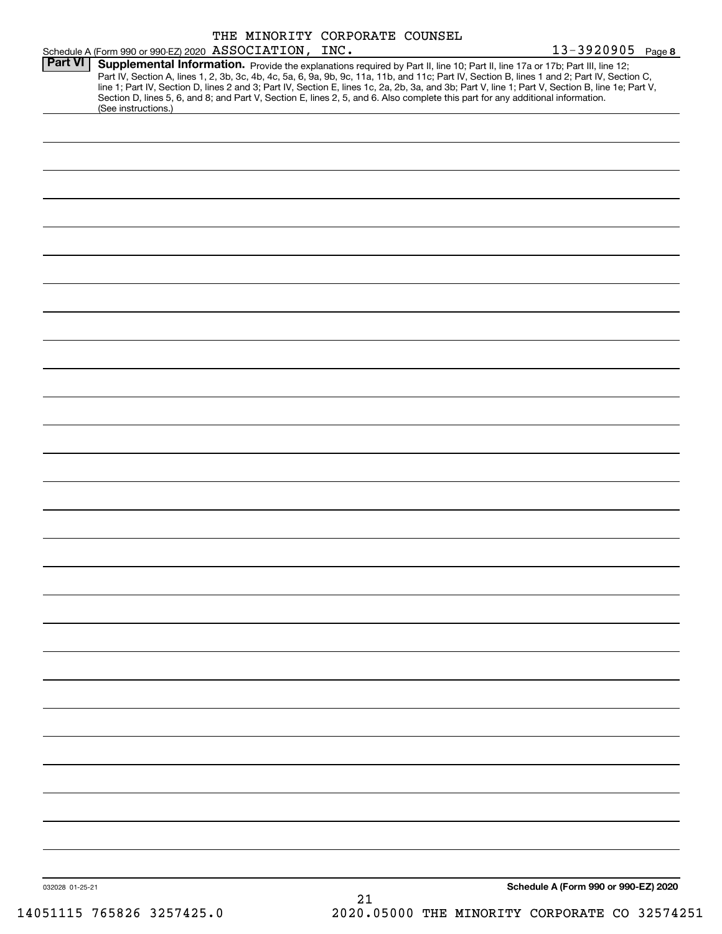|                |                                                                                                                                                                                                                                                                                                                                                                                                                                                                                                                                                                      | THE MINORITY CORPORATE COUNSEL |                   |  |
|----------------|----------------------------------------------------------------------------------------------------------------------------------------------------------------------------------------------------------------------------------------------------------------------------------------------------------------------------------------------------------------------------------------------------------------------------------------------------------------------------------------------------------------------------------------------------------------------|--------------------------------|-------------------|--|
| <b>Part VI</b> | Schedule A (Form 990 or 990-EZ) 2020 ASSOCIATION, INC.                                                                                                                                                                                                                                                                                                                                                                                                                                                                                                               |                                | 13-3920905 Page 8 |  |
|                | Supplemental Information. Provide the explanations required by Part II, line 10; Part II, line 17a or 17b; Part III, line 12;<br>Part IV, Section A, lines 1, 2, 3b, 3c, 4b, 4c, 5a, 6, 9a, 9b, 9c, 11a, 11b, and 11c; Part IV, Section B, lines 1 and 2; Part IV, Section C,<br>line 1; Part IV, Section D, lines 2 and 3; Part IV, Section E, lines 1c, 2a, 2b, 3a, and 3b; Part V, line 1; Part V, Section B, line 1e; Part V,<br>Section D, lines 5, 6, and 8; and Part V, Section E, lines 2, 5, and 6. Also complete this part for any additional information. |                                |                   |  |
|                | (See instructions.)                                                                                                                                                                                                                                                                                                                                                                                                                                                                                                                                                  |                                |                   |  |
|                |                                                                                                                                                                                                                                                                                                                                                                                                                                                                                                                                                                      |                                |                   |  |
|                |                                                                                                                                                                                                                                                                                                                                                                                                                                                                                                                                                                      |                                |                   |  |
|                |                                                                                                                                                                                                                                                                                                                                                                                                                                                                                                                                                                      |                                |                   |  |
|                |                                                                                                                                                                                                                                                                                                                                                                                                                                                                                                                                                                      |                                |                   |  |
|                |                                                                                                                                                                                                                                                                                                                                                                                                                                                                                                                                                                      |                                |                   |  |
|                |                                                                                                                                                                                                                                                                                                                                                                                                                                                                                                                                                                      |                                |                   |  |
|                |                                                                                                                                                                                                                                                                                                                                                                                                                                                                                                                                                                      |                                |                   |  |
|                |                                                                                                                                                                                                                                                                                                                                                                                                                                                                                                                                                                      |                                |                   |  |
|                |                                                                                                                                                                                                                                                                                                                                                                                                                                                                                                                                                                      |                                |                   |  |
|                |                                                                                                                                                                                                                                                                                                                                                                                                                                                                                                                                                                      |                                |                   |  |
|                |                                                                                                                                                                                                                                                                                                                                                                                                                                                                                                                                                                      |                                |                   |  |
|                |                                                                                                                                                                                                                                                                                                                                                                                                                                                                                                                                                                      |                                |                   |  |
|                |                                                                                                                                                                                                                                                                                                                                                                                                                                                                                                                                                                      |                                |                   |  |
|                |                                                                                                                                                                                                                                                                                                                                                                                                                                                                                                                                                                      |                                |                   |  |
|                |                                                                                                                                                                                                                                                                                                                                                                                                                                                                                                                                                                      |                                |                   |  |
|                |                                                                                                                                                                                                                                                                                                                                                                                                                                                                                                                                                                      |                                |                   |  |
|                |                                                                                                                                                                                                                                                                                                                                                                                                                                                                                                                                                                      |                                |                   |  |
|                |                                                                                                                                                                                                                                                                                                                                                                                                                                                                                                                                                                      |                                |                   |  |
|                |                                                                                                                                                                                                                                                                                                                                                                                                                                                                                                                                                                      |                                |                   |  |
|                |                                                                                                                                                                                                                                                                                                                                                                                                                                                                                                                                                                      |                                |                   |  |
|                |                                                                                                                                                                                                                                                                                                                                                                                                                                                                                                                                                                      |                                |                   |  |
|                |                                                                                                                                                                                                                                                                                                                                                                                                                                                                                                                                                                      |                                |                   |  |
|                |                                                                                                                                                                                                                                                                                                                                                                                                                                                                                                                                                                      |                                |                   |  |
|                |                                                                                                                                                                                                                                                                                                                                                                                                                                                                                                                                                                      |                                |                   |  |
|                |                                                                                                                                                                                                                                                                                                                                                                                                                                                                                                                                                                      |                                |                   |  |
|                |                                                                                                                                                                                                                                                                                                                                                                                                                                                                                                                                                                      |                                |                   |  |
|                |                                                                                                                                                                                                                                                                                                                                                                                                                                                                                                                                                                      |                                |                   |  |
|                |                                                                                                                                                                                                                                                                                                                                                                                                                                                                                                                                                                      |                                |                   |  |
|                |                                                                                                                                                                                                                                                                                                                                                                                                                                                                                                                                                                      |                                |                   |  |
|                |                                                                                                                                                                                                                                                                                                                                                                                                                                                                                                                                                                      |                                |                   |  |
|                |                                                                                                                                                                                                                                                                                                                                                                                                                                                                                                                                                                      |                                |                   |  |
|                |                                                                                                                                                                                                                                                                                                                                                                                                                                                                                                                                                                      |                                |                   |  |
|                |                                                                                                                                                                                                                                                                                                                                                                                                                                                                                                                                                                      |                                |                   |  |
|                |                                                                                                                                                                                                                                                                                                                                                                                                                                                                                                                                                                      |                                |                   |  |
|                |                                                                                                                                                                                                                                                                                                                                                                                                                                                                                                                                                                      |                                |                   |  |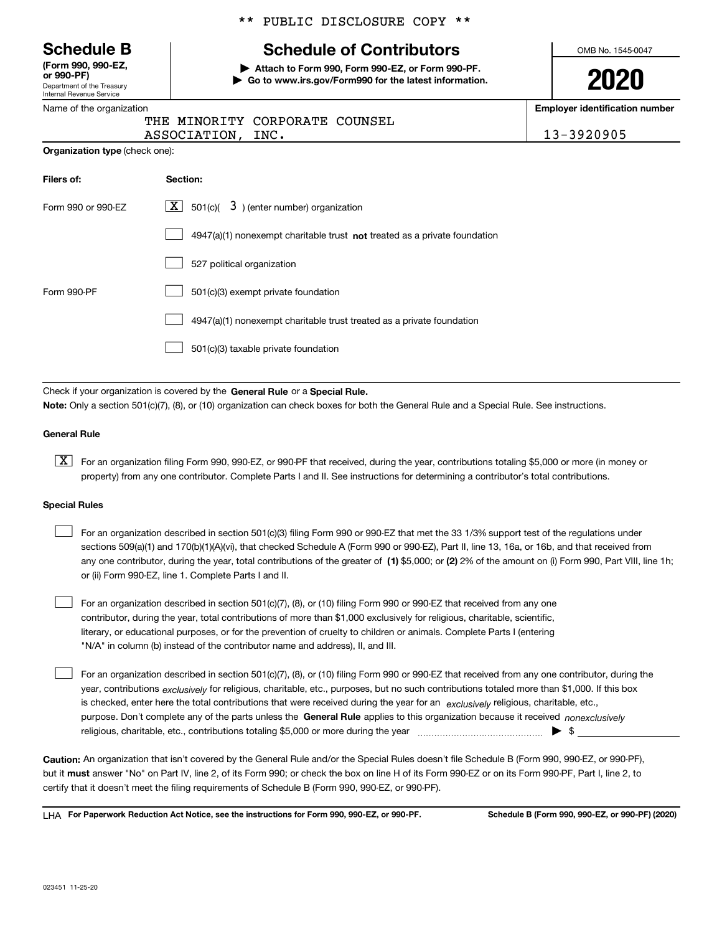Department of the Treasury Internal Revenue Service **(Form 990, 990-EZ, or 990-PF)**

|  | Name of the organization |
|--|--------------------------|
|  |                          |

### \*\* PUBLIC DISCLOSURE COPY \*\*

# **Schedule B Schedule of Contributors**

**| Attach to Form 990, Form 990-EZ, or Form 990-PF. | Go to www.irs.gov/Form990 for the latest information.** OMB No. 1545-0047

**2020**

**Employer identification number**

13-3920905

| <b>THE OF SHIPLE SHIP</b> |             |                                |  |
|---------------------------|-------------|--------------------------------|--|
|                           |             | THE MINORITY CORPORATE COUNSEL |  |
|                           | ASSOCIATION | TNC.                           |  |

**Organization type** (check one):

| Filers of:         | Section:                                                                  |
|--------------------|---------------------------------------------------------------------------|
| Form 990 or 990-EZ | $\lfloor x \rfloor$ 501(c)( 3) (enter number) organization                |
|                    | 4947(a)(1) nonexempt charitable trust not treated as a private foundation |
|                    | 527 political organization                                                |
| Form 990-PF        | 501(c)(3) exempt private foundation                                       |
|                    | 4947(a)(1) nonexempt charitable trust treated as a private foundation     |
|                    | 501(c)(3) taxable private foundation                                      |

Check if your organization is covered by the **General Rule** or a **Special Rule. Note:**  Only a section 501(c)(7), (8), or (10) organization can check boxes for both the General Rule and a Special Rule. See instructions.

### **General Rule**

 $\boxed{\textbf{X}}$  For an organization filing Form 990, 990-EZ, or 990-PF that received, during the year, contributions totaling \$5,000 or more (in money or property) from any one contributor. Complete Parts I and II. See instructions for determining a contributor's total contributions.

#### **Special Rules**

| For an organization described in section 501(c)(3) filing Form 990 or 990-EZ that met the 33 1/3% support test of the regulations under               |
|-------------------------------------------------------------------------------------------------------------------------------------------------------|
| sections 509(a)(1) and 170(b)(1)(A)(vi), that checked Schedule A (Form 990 or 990-EZ), Part II, line 13, 16a, or 16b, and that received from          |
| any one contributor, during the year, total contributions of the greater of (1) \$5,000; or (2) 2% of the amount on (i) Form 990, Part VIII, line 1h; |
| or (ii) Form 990-EZ, line 1. Complete Parts I and II.                                                                                                 |

For an organization described in section 501(c)(7), (8), or (10) filing Form 990 or 990-EZ that received from any one contributor, during the year, total contributions of more than \$1,000 exclusively for religious, charitable, scientific, literary, or educational purposes, or for the prevention of cruelty to children or animals. Complete Parts I (entering "N/A" in column (b) instead of the contributor name and address), II, and III.  $\mathcal{L}^{\text{max}}$ 

purpose. Don't complete any of the parts unless the **General Rule** applies to this organization because it received *nonexclusively* year, contributions <sub>exclusively</sub> for religious, charitable, etc., purposes, but no such contributions totaled more than \$1,000. If this box is checked, enter here the total contributions that were received during the year for an *exclusively* religious, charitable, etc., For an organization described in section 501(c)(7), (8), or (10) filing Form 990 or 990-EZ that received from any one contributor, during the religious, charitable, etc., contributions totaling \$5,000 or more during the year  $\Box$ — $\Box$   $\Box$  $\mathcal{L}^{\text{max}}$ 

**Caution:**  An organization that isn't covered by the General Rule and/or the Special Rules doesn't file Schedule B (Form 990, 990-EZ, or 990-PF),  **must** but it answer "No" on Part IV, line 2, of its Form 990; or check the box on line H of its Form 990-EZ or on its Form 990-PF, Part I, line 2, to certify that it doesn't meet the filing requirements of Schedule B (Form 990, 990-EZ, or 990-PF).

**For Paperwork Reduction Act Notice, see the instructions for Form 990, 990-EZ, or 990-PF. Schedule B (Form 990, 990-EZ, or 990-PF) (2020)** LHA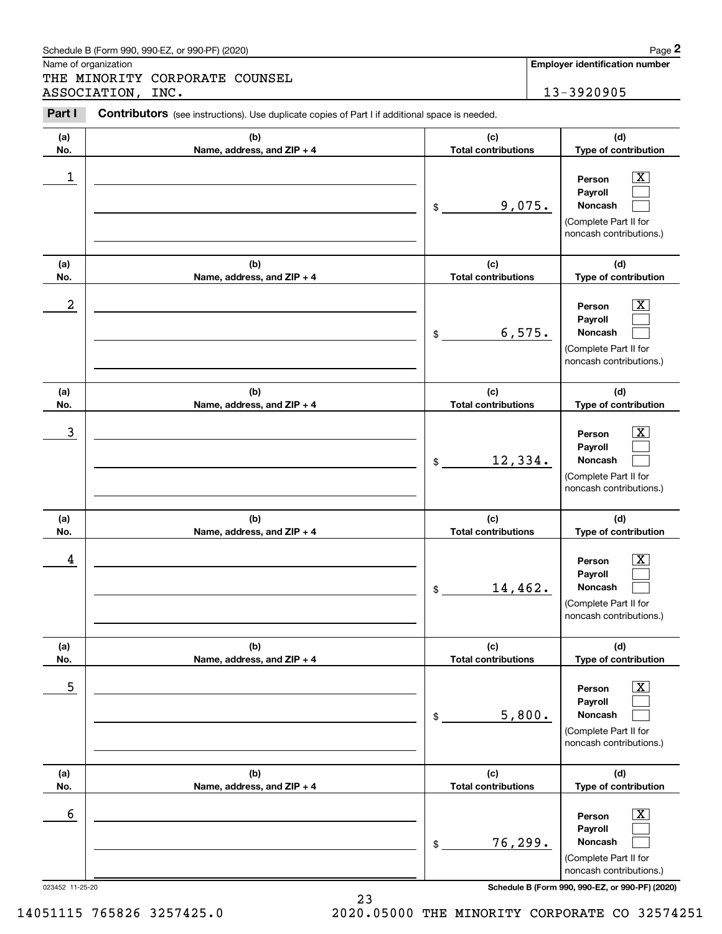|                      | Schedule B (Form 990, 990-EZ, or 990-PF) (2020)                                                |                                   | Page 2                                                                                                             |
|----------------------|------------------------------------------------------------------------------------------------|-----------------------------------|--------------------------------------------------------------------------------------------------------------------|
| Name of organization | THE MINORITY CORPORATE COUNSEL                                                                 |                                   | Employer identification number                                                                                     |
|                      | ASSOCIATION, INC.                                                                              |                                   | 13-3920905                                                                                                         |
| Part I               | Contributors (see instructions). Use duplicate copies of Part I if additional space is needed. |                                   |                                                                                                                    |
| (a)<br>No.           | (b)<br>Name, address, and ZIP + 4                                                              | (c)<br><b>Total contributions</b> | (d)<br>Type of contribution                                                                                        |
| 1                    |                                                                                                | 9,075.<br>\$                      | $\overline{\text{X}}$<br>Person<br>Payroll<br>Noncash<br>(Complete Part II for<br>noncash contributions.)          |
| (a)<br>No.           | (b)<br>Name, address, and ZIP + 4                                                              | (c)<br><b>Total contributions</b> | (d)<br>Type of contribution                                                                                        |
| 2                    |                                                                                                | 6,575.<br>\$                      | $\overline{\text{X}}$<br>Person<br>Payroll<br>Noncash<br>(Complete Part II for<br>noncash contributions.)          |
| (a)<br>No.           | (b)<br>Name, address, and ZIP + 4                                                              | (c)<br><b>Total contributions</b> | (d)<br>Type of contribution                                                                                        |
| 3                    |                                                                                                | 12,334.<br>\$                     | $\overline{\text{X}}$<br>Person<br>Payroll<br>Noncash<br>(Complete Part II for<br>noncash contributions.)          |
| (a)<br>No.           | (b)<br>Name, address, and ZIP + 4                                                              | (c)<br><b>Total contributions</b> | (d)<br>Type of contribution                                                                                        |
| 4                    |                                                                                                | 14,462.<br>\$                     | $\overline{\text{X}}$<br>Person<br>Payroll<br>Noncash<br>(Complete Part II for<br>noncash contributions.)          |
| (a)<br>No.           | (b)<br>Name, address, and ZIP + 4                                                              | (c)<br><b>Total contributions</b> | (d)<br>Type of contribution                                                                                        |
| 5                    |                                                                                                | 5,800.<br>\$                      | $\overline{\mathbf{X}}$<br>Person<br>Payroll<br><b>Noncash</b><br>(Complete Part II for<br>noncash contributions.) |
| (a)<br>No.           | (b)<br>Name, address, and ZIP + 4                                                              | (c)<br><b>Total contributions</b> | (d)<br>Type of contribution                                                                                        |
| 6                    |                                                                                                | 76,299.<br>\$                     | $\overline{\mathbf{X}}$<br>Person<br>Payroll<br><b>Noncash</b><br>(Complete Part II for<br>noncash contributions.) |

023452 11-25-20 **Schedule B (Form 990, 990-EZ, or 990-PF) (2020)**

23 14051115 765826 3257425.0 2020.05000 THE MINORITY CORPORATE CO 32574251

| Schedule B (Form 990, 990-EZ, or 990-PF) (2020) | Page |
|-------------------------------------------------|------|
|-------------------------------------------------|------|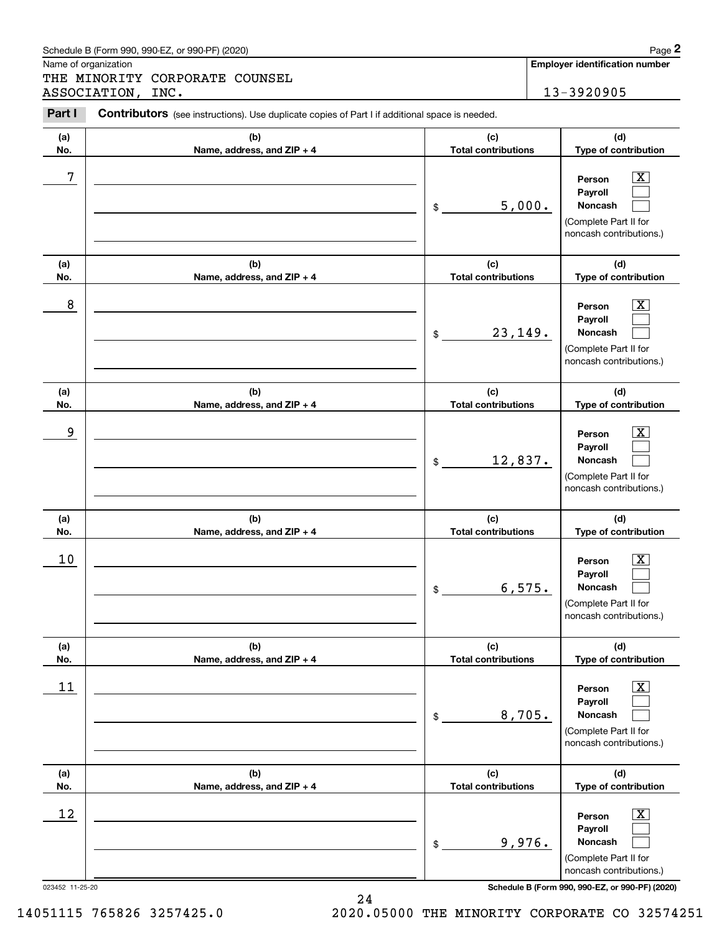|                      | Schedule B (Form 990, 990-EZ, or 990-PF) (2020)                                                |                                   | Page 2                                                                                                        |
|----------------------|------------------------------------------------------------------------------------------------|-----------------------------------|---------------------------------------------------------------------------------------------------------------|
| Name of organization | THE MINORITY CORPORATE COUNSEL                                                                 |                                   | Employer identification number                                                                                |
|                      | ASSOCIATION, INC.                                                                              |                                   | 13-3920905                                                                                                    |
| Part I               | Contributors (see instructions). Use duplicate copies of Part I if additional space is needed. |                                   |                                                                                                               |
| (a)<br>No.           | (b)<br>Name, address, and ZIP + 4                                                              | (c)<br><b>Total contributions</b> | (d)<br>Type of contribution                                                                                   |
| 7                    |                                                                                                | 5,000.<br>\$                      | $\overline{\mathbf{X}}$<br>Person<br>Payroll<br>Noncash<br>(Complete Part II for<br>noncash contributions.)   |
| (a)<br>No.           | (b)<br>Name, address, and ZIP + 4                                                              | (c)<br><b>Total contributions</b> | (d)<br>Type of contribution                                                                                   |
| 8                    |                                                                                                | 23,149.<br>\$                     | $\overline{\mathbf{X}}$<br>Person<br>Payroll<br>Noncash<br>(Complete Part II for<br>noncash contributions.)   |
| (a)<br>No.           | (b)<br>Name, address, and ZIP + 4                                                              | (c)<br><b>Total contributions</b> | (d)<br>Type of contribution                                                                                   |
| 9                    |                                                                                                | 12,837.<br>\$                     | $\overline{\mathbf{X}}$<br>Person<br>Payroll<br>Noncash<br>(Complete Part II for<br>noncash contributions.)   |
| (a)<br>No.           | (b)<br>Name, address, and ZIP + 4                                                              | (c)<br><b>Total contributions</b> | (d)<br>Type of contribution                                                                                   |
| 10                   |                                                                                                | 6,575.<br>\$                      | $\mathbf{X}$<br>Person<br>Payroll<br>Noncash<br>(Complete Part II for<br>noncash contributions.)              |
| (a)<br>No.           | (b)<br>Name, address, and ZIP + 4                                                              | (c)<br><b>Total contributions</b> | (d)<br>Type of contribution                                                                                   |
| 11                   |                                                                                                | 8,705.<br>\$                      | $\boxed{\text{X}}$<br>Person<br>Payroll<br><b>Noncash</b><br>(Complete Part II for<br>noncash contributions.) |
| (a)<br>No.           | (b)<br>Name, address, and ZIP + 4                                                              | (c)<br><b>Total contributions</b> | (d)<br>Type of contribution                                                                                   |
| 12                   |                                                                                                | 9,976.<br>\$                      | $\boxed{\text{X}}$<br>Person<br>Payroll<br><b>Noncash</b><br>(Complete Part II for<br>noncash contributions.) |

Schedule B (Form 990, 990-EZ, or 990-PF) (2020) Page 2

023452 11-25-20 **Schedule B (Form 990, 990-EZ, or 990-PF) (2020)**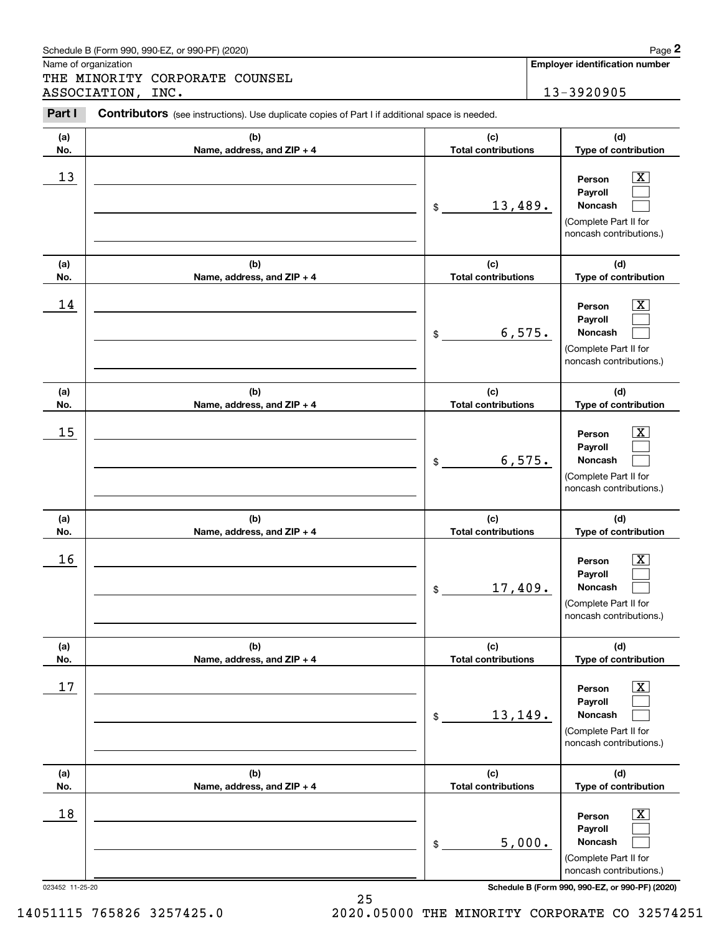| Schedule B (Form 990. 990-EZ. or 990-PF) (2020) | Page |
|-------------------------------------------------|------|
|-------------------------------------------------|------|

THE MINORITY CORPORATE COUNSEL ASSOCIATION, INC. 13-3920905

**Employer identification number**

#### **(a)No.(b)Name, address, and ZIP + 4 (c)Total contributions (d)Type of contribution PersonPayrollNoncash (a)No.(b)Name, address, and ZIP + 4 (c)Total contributions (d)Type of contribution PersonPayrollNoncash (a)No.(b)Name, address, and ZIP + 4 (c)Total contributions (d)Type of contribution PersonPayrollNoncash (a) No.(b) Name, address, and ZIP + 4 (c) Total contributions (d) Type of contribution PersonPayrollNoncash(a) No.(b)Name, address, and ZIP + 4 (c) Total contributions (d) Type of contribution PersonPayrollNoncash (a) No.(b)Name, address, and ZIP + 4 (c) Total contributions (d)Type of contribution PersonPayrollNoncash Contributors** (see instructions). Use duplicate copies of Part I if additional space is needed. \$(Complete Part II for noncash contributions.) \$(Complete Part II for noncash contributions.) \$(Complete Part II for noncash contributions.) \$(Complete Part II for noncash contributions.) \$(Complete Part II for noncash contributions.) \$(Complete Part II for noncash contributions.) Chedule B (Form 990, 990-EZ, or 990-PF) (2020)<br> **2Page 2**<br>
2PART MINORITY CORPORATE COUNSEL<br>
2PART I Contributors (see instructions). Use duplicate copies of Part I if additional space is needed.<br>
2PART I Contributors (see  $|X|$  $\mathcal{L}^{\text{max}}$  $\mathcal{L}^{\text{max}}$  $\boxed{\text{X}}$  $\mathcal{L}^{\text{max}}$  $\mathcal{L}^{\text{max}}$  $|X|$  $\mathcal{L}^{\text{max}}$  $\mathcal{L}^{\text{max}}$  $|X|$  $\mathcal{L}^{\text{max}}$  $\mathcal{L}^{\text{max}}$  $|X|$  $\mathcal{L}^{\text{max}}$  $\mathcal{L}^{\text{max}}$  $\boxed{\text{X}}$  $\mathcal{L}^{\text{max}}$  $\mathcal{L}^{\text{max}}$  $13$  Person X 13,489.  $14$  Person X 6,575.  $15$  Person X 6,575.  $16$  Person X 17,409.  $17$  | Person  $\overline{\text{X}}$ 13,149.  $18$  Person  $\overline{\text{X}}$ 5,000.

023452 11-25-20 **Schedule B (Form 990, 990-EZ, or 990-PF) (2020)**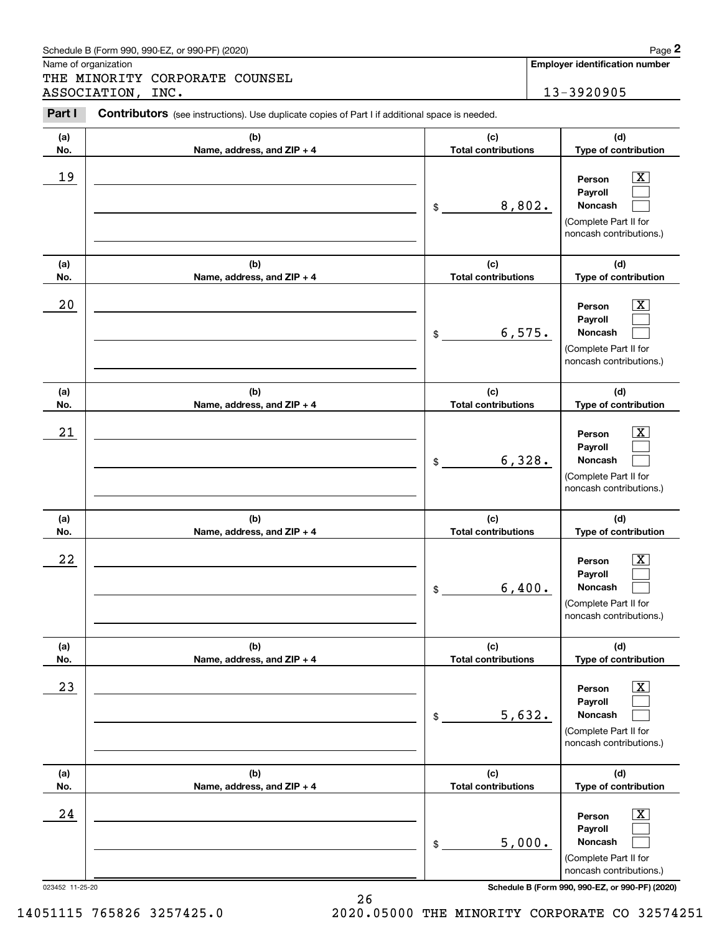| Schedule B (Form 990. 990-EZ. or 990-PF) (2020) | Page |
|-------------------------------------------------|------|
|-------------------------------------------------|------|

THE MINORITY CORPORATE COUNSEL ASSOCIATION, INC. 13-3920905

**Employer identification number**

#### **(a)No.(b)Name, address, and ZIP + 4 (c)Total contributions (d)Type of contribution PersonPayrollNoncash (a)No.(b)Name, address, and ZIP + 4 (c)Total contributions (d)Type of contribution PersonPayrollNoncash (a)No.(b)Name, address, and ZIP + 4 (c)Total contributions (d)Type of contribution PersonPayrollNoncash (a) No.(b)Name, address, and ZIP + 4 (c) Total contributions (d) Type of contribution PersonPayrollNoncash (a) No.(b)Name, address, and ZIP + 4 (c) Total contributions (d) Type of contribution PersonPayrollNoncash (a) No.(b)Name, address, and ZIP + 4 (c) Total contributions (d)Type of contribution PersonPayrollNoncash Contributors** (see instructions). Use duplicate copies of Part I if additional space is needed. \$(Complete Part II for noncash contributions.) \$(Complete Part II for noncash contributions.) \$(Complete Part II for noncash contributions.) \$(Complete Part II for noncash contributions.) \$(Complete Part II for noncash contributions.) \$(Complete Part II for noncash contributions.) Chedule B (Form 990, 990-EZ, or 990-PF) (2020)<br> **2Page 2**<br>
2PART MINORITY CORPORATE COUNSEL<br>
2PART I Contributors (see instructions). Use duplicate copies of Part I if additional space is needed.<br>
2PART I Contributors (see  $|X|$  $\mathcal{L}^{\text{max}}$  $\mathcal{L}^{\text{max}}$  $\boxed{\text{X}}$  $\mathcal{L}^{\text{max}}$  $\mathcal{L}^{\text{max}}$  $|X|$  $\mathcal{L}^{\text{max}}$  $\mathcal{L}^{\text{max}}$  $|X|$  $\mathcal{L}^{\text{max}}$  $\mathcal{L}^{\text{max}}$  $|X|$  $\mathcal{L}^{\text{max}}$  $\mathcal{L}^{\text{max}}$  $\boxed{\text{X}}$  $\mathcal{L}^{\text{max}}$  $\mathcal{L}^{\text{max}}$ 19 X 8,802.  $20$  | Person  $\overline{\text{X}}$ 6,575.  $21$  Person X 6,328.  $22$  | Person  $\overline{\text{X}}$ 6,400.  $23$  | Person  $\overline{\text{X}}$ 5,632.  $24$  | Person  $\overline{\text{X}}$ 5,000.

023452 11-25-20 **Schedule B (Form 990, 990-EZ, or 990-PF) (2020)**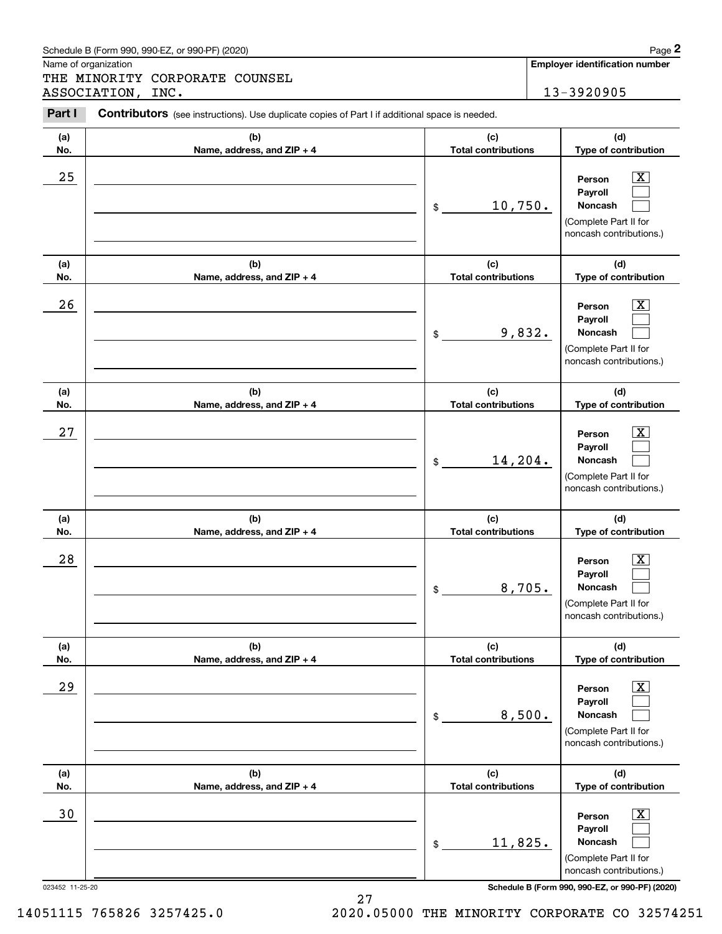| Schedule B (Form 990. 990-EZ. or 990-PF) (2020) | Page |
|-------------------------------------------------|------|
|-------------------------------------------------|------|

THE MINORITY CORPORATE COUNSEL ASSOCIATION, INC. 13-3920905

#### **(a)No.(b)Name, address, and ZIP + 4 (c)Total contributions (d)Type of contribution PersonPayrollNoncash (a)No.(b)Name, address, and ZIP + 4 (c)Total contributions (d)Type of contribution PersonPayrollNoncash (a)No.(b)Name, address, and ZIP + 4 (c)Total contributions (d)Type of contribution PersonPayrollNoncash (a) No.(b) Name, address, and ZIP + 4 (c) Total contributions (d) Type of contribution PersonPayrollNoncash(a) No.(b)Name, address, and ZIP + 4 (c) Total contributions (d) Type of contribution PersonPayrollNoncash (a) No.(b)Name, address, and ZIP + 4 (c) Total contributions (d)Type of contribution PersonPayrollNoncash Contributors** (see instructions). Use duplicate copies of Part I if additional space is needed. \$(Complete Part II for noncash contributions.) \$(Complete Part II for noncash contributions.) \$(Complete Part II for noncash contributions.) \$(Complete Part II for noncash contributions.) \$(Complete Part II for noncash contributions.) \$(Complete Part II for noncash contributions.) Chedule B (Form 990, 990-EZ, or 990-PF) (2020)<br> **2Page 2**<br>
2PART MINORITY CORPORATE COUNSEL<br>
2PART I Contributors (see instructions). Use duplicate copies of Part I if additional space is needed.<br>
2PART I Contributors (see  $|X|$  $\mathcal{L}^{\text{max}}$  $\mathcal{L}^{\text{max}}$  $\boxed{\text{X}}$  $\mathcal{L}^{\text{max}}$  $\mathcal{L}^{\text{max}}$  $|X|$  $\mathcal{L}^{\text{max}}$  $\mathcal{L}^{\text{max}}$  $|X|$  $\mathcal{L}^{\text{max}}$  $\mathcal{L}^{\text{max}}$  $\boxed{\text{X}}$  $\mathcal{L}^{\text{max}}$  $\mathcal{L}^{\text{max}}$  $\boxed{\text{X}}$  $\mathcal{L}^{\text{max}}$  $\mathcal{L}^{\text{max}}$  $25$  | Person  $\overline{\text{X}}$ 10,750.  $26$  | Person  $\overline{\text{X}}$ 9,832.  $27$  | Person  $\overline{\text{X}}$ 14,204.  $28$  | Person  $\overline{\text{X}}$ 8,705.  $29$  | Person  $\overline{\text{X}}$ 8,500. 30 Person X 11,825.

023452 11-25-20 **Schedule B (Form 990, 990-EZ, or 990-PF) (2020)**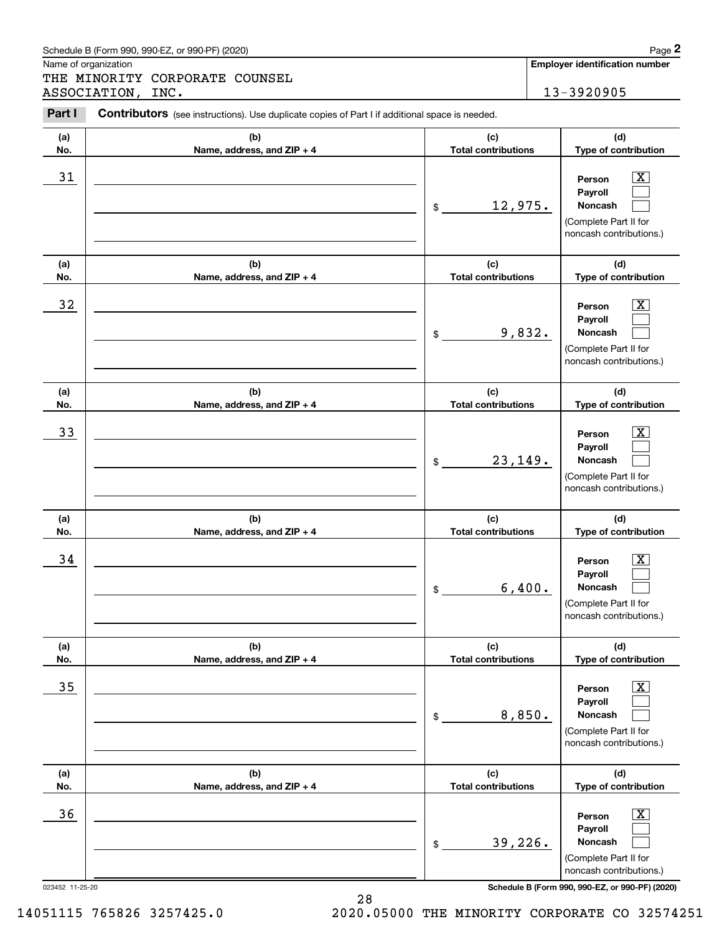| Schedule B (Form 990. 990-EZ. or 990-PF) (2020) | Page |
|-------------------------------------------------|------|
|-------------------------------------------------|------|

THE MINORITY CORPORATE COUNSEL ASSOCIATION, INC. 13-3920905

#### **(a)No.(b)Name, address, and ZIP + 4 (c)Total contributions (d)Type of contribution PersonPayrollNoncash (a)No.(b)Name, address, and ZIP + 4 (c)Total contributions (d)Type of contribution PersonPayrollNoncash (a)No.(b)Name, address, and ZIP + 4 (c)Total contributions (d)Type of contribution PersonPayrollNoncash (a) No.(b) Name, address, and ZIP + 4 (c) Total contributions (d) Type of contribution PersonPayrollNoncash(a) No.(b)Name, address, and ZIP + 4 (c) Total contributions (d) Type of contribution PersonPayrollNoncash (a) No.(b)Name, address, and ZIP + 4 (c) Total contributions (d)Type of contribution PersonPayrollNoncash Contributors** (see instructions). Use duplicate copies of Part I if additional space is needed. \$(Complete Part II for noncash contributions.) \$(Complete Part II for noncash contributions.) \$(Complete Part II for noncash contributions.) \$(Complete Part II for noncash contributions.) \$(Complete Part II for noncash contributions.) \$(Complete Part II for noncash contributions.) Chedule B (Form 990, 990-EZ, or 990-PF) (2020)<br> **2Page 2**<br>
2PART MINORITY CORPORATE COUNSEL<br>
2PART I Contributors (see instructions). Use duplicate copies of Part I if additional space is needed.<br>
2PART I Contributors (see  $|X|$  $\mathcal{L}^{\text{max}}$  $\mathcal{L}^{\text{max}}$  $\boxed{\text{X}}$  $\mathcal{L}^{\text{max}}$  $\mathcal{L}^{\text{max}}$  $|X|$  $\mathcal{L}^{\text{max}}$  $\mathcal{L}^{\text{max}}$  $|X|$  $\mathcal{L}^{\text{max}}$  $\mathcal{L}^{\text{max}}$  $|X|$  $\mathcal{L}^{\text{max}}$  $\mathcal{L}^{\text{max}}$  $\boxed{\text{X}}$  $\mathcal{L}^{\text{max}}$  $\mathcal{L}^{\text{max}}$ 31 Person X 12,975.  $32$  | Person  $\overline{\text{X}}$ 9,832. 33 Person X 23,149.  $34$  | Person  $\overline{\text{X}}$ 6,400.  $35$  | Person  $\overline{\text{X}}$ 8,850.  $36$  Person X 39,226.

023452 11-25-20 **Schedule B (Form 990, 990-EZ, or 990-PF) (2020)**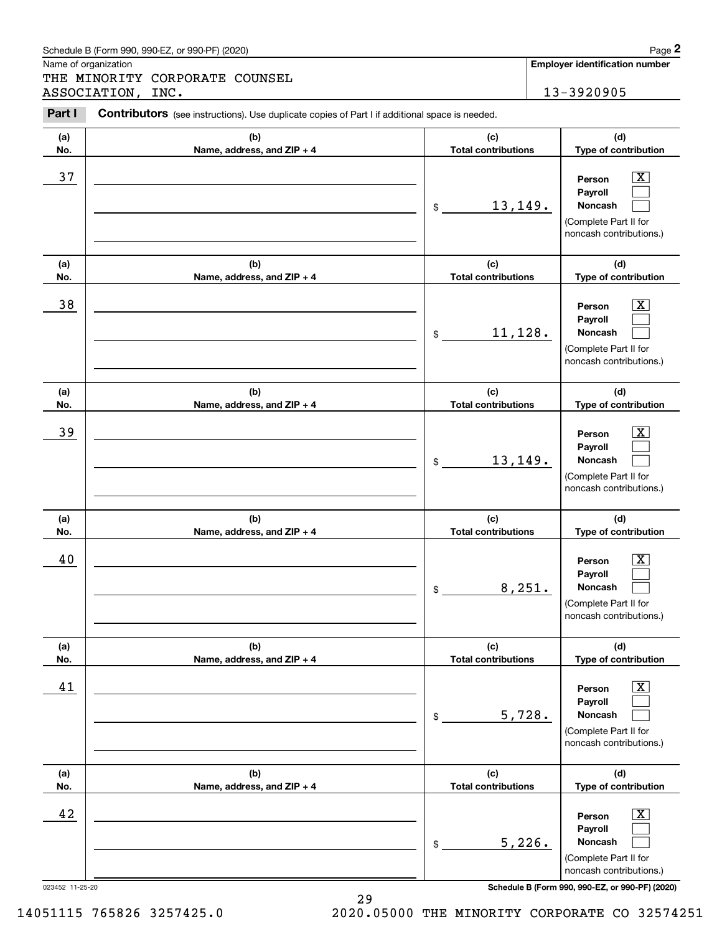| (a) | (b)                        | (c)                        | (d)                                                                                              |
|-----|----------------------------|----------------------------|--------------------------------------------------------------------------------------------------|
| No. | Name, address, and ZIP + 4 | <b>Total contributions</b> | Type of contribution                                                                             |
| 37  |                            | 13,149.<br>\$              | X.<br>Person<br>Payroll<br><b>Noncash</b><br>(Complete Part II for<br>noncash contributions.)    |
| (a) | (b)                        | (c)                        | (d)                                                                                              |
| No. | Name, address, and ZIP + 4 | <b>Total contributions</b> | Type of contribution                                                                             |
| 38  |                            | 11,128.<br>\$              | X.<br>Person<br>Payroll<br><b>Noncash</b><br>(Complete Part II for<br>noncash contributions.)    |
| (a) | (b)                        | (c)                        | (d)                                                                                              |
| No. | Name, address, and ZIP + 4 | <b>Total contributions</b> | Type of contribution                                                                             |
| 39  |                            | 13,149.<br>\$              | X.<br>Person<br>Payroll<br><b>Noncash</b><br>(Complete Part II for<br>noncash contributions.)    |
| (a) | (b)                        | (c)                        | (d)                                                                                              |
| No. | Name, address, and ZIP + 4 | <b>Total contributions</b> | Type of contribution                                                                             |
| 40  |                            | 8,251.<br>\$               | X.<br>Person<br>Payroll<br><b>Noncash</b><br>(Complete Part II for<br>noncash contributions.)    |
| (a) | (b)                        | (c)                        | (d)                                                                                              |
| No. | Name, address, and ZIP + 4 | Total contributions        | Type of contribution                                                                             |
| 41  |                            | 5,728.<br>\$               | X<br>Person<br>Payroll<br>Noncash<br>(Complete Part II for<br>noncash contributions.)            |
| (a) | (b)                        | (c)                        | (d)                                                                                              |
| No. | Name, address, and ZIP + 4 | <b>Total contributions</b> | Type of contribution                                                                             |
| 42  |                            | 5,226.<br>\$               | $\mathbf{X}$<br>Person<br>Payroll<br>Noncash<br>(Complete Part II for<br>noncash contributions.) |

Contributors (see instructions). Use duplicate copies of Part I if additional space is needed.

Schedule B (Form 990, 990-EZ, or 990-PF) (2020) **Page 2** 

Name of organization

Chedule B (Form 990, 990-EZ, or 990-PF) (2020)<br> **2Page 2**<br>
2PART MINORITY CORPORATE COUNSEL<br>
2PART I Contributors (see instructions). Use duplicate copies of Part I if additional space is needed.<br>
2PART I Contributors (see THE MINORITY CORPORATE COUNSEL ASSOCIATION, INC. 13-3920905

023452 11-25-20 **Schedule B (Form 990, 990-EZ, or 990-PF) (2020)**

**Employer identification number**

14051115 765826 3257425.0 2020.05000 THE MINORITY CORPORATE CO 32574251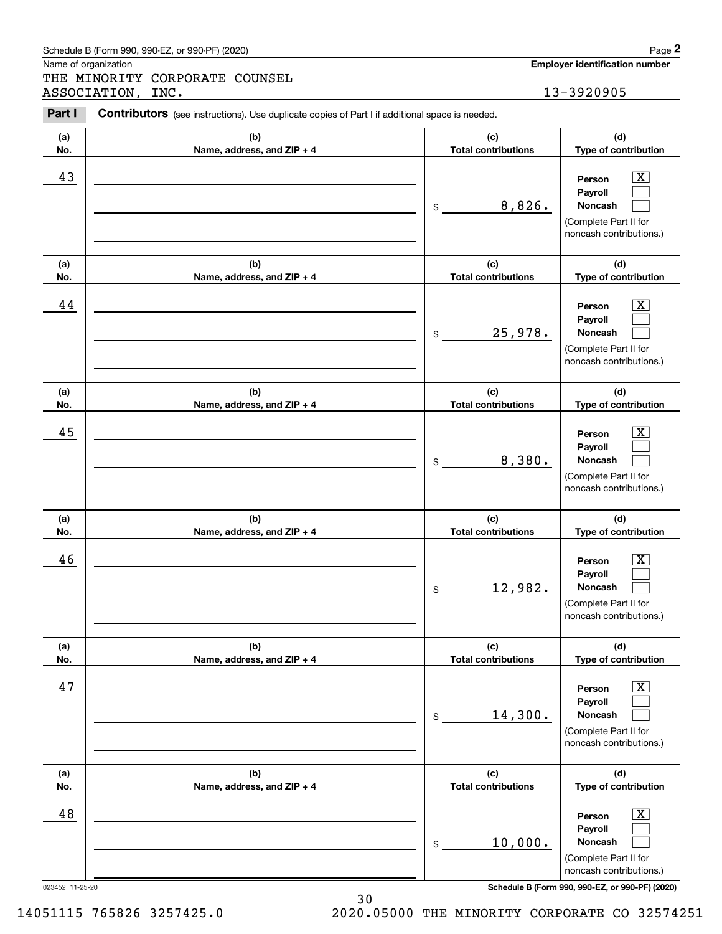| Schedule B (Form 990. 990-EZ. or 990-PF) (2020) | Page |
|-------------------------------------------------|------|
|-------------------------------------------------|------|

THE MINORITY CORPORATE COUNSEL ASSOCIATION, INC. 13-3920905

#### **(a)No.(b)Name, address, and ZIP + 4 (c)Total contributions (d)Type of contribution PersonPayrollNoncash (a)No.(b)Name, address, and ZIP + 4 (c)Total contributions (d)Type of contribution PersonPayrollNoncash (a)No.(b)Name, address, and ZIP + 4 (c)Total contributions (d)Type of contribution PersonPayrollNoncash (a) No.(b) Name, address, and ZIP + 4 (c) Total contributions (d) Type of contribution PersonPayrollNoncash(a) No.(b) Name, address, and ZIP + 4 (c) Total contributions (d) Type of contribution PersonPayrollNoncash (a) No.(b)Name, address, and ZIP + 4 (c) Total contributions (d)Type of contribution PersonPayrollNoncash Contributors** (see instructions). Use duplicate copies of Part I if additional space is needed. \$(Complete Part II for noncash contributions.) \$(Complete Part II for noncash contributions.) \$(Complete Part II for noncash contributions.) \$(Complete Part II for noncash contributions.) \$(Complete Part II for noncash contributions.) \$(Complete Part II for noncash contributions.) Chedule B (Form 990, 990-EZ, or 990-PF) (2020)<br> **2Page 2**<br>
2PART MINORITY CORPORATE COUNSEL<br>
2PART I Contributors (see instructions). Use duplicate copies of Part I if additional space is needed.<br>
2PART I Contributors (see  $|X|$  $\mathcal{L}^{\text{max}}$  $\mathcal{L}^{\text{max}}$  $\boxed{\text{X}}$  $\mathcal{L}^{\text{max}}$  $\mathcal{L}^{\text{max}}$  $|X|$  $\mathcal{L}^{\text{max}}$  $\mathcal{L}^{\text{max}}$  $|X|$  $\mathcal{L}^{\text{max}}$  $\mathcal{L}^{\text{max}}$  $\boxed{\text{X}}$  $\mathcal{L}^{\text{max}}$  $\mathcal{L}^{\text{max}}$  $\boxed{\text{X}}$  $\mathcal{L}^{\text{max}}$  $\mathcal{L}^{\text{max}}$ 43 Person X 8,826. 44 X 25,978. 45 X 8,380. 46 X 12,982. 47 X 14,300. 48 X 10,000.

023452 11-25-20 **Schedule B (Form 990, 990-EZ, or 990-PF) (2020)**

14051115 765826 3257425.0 2020.05000 THE MINORITY CORPORATE CO 32574251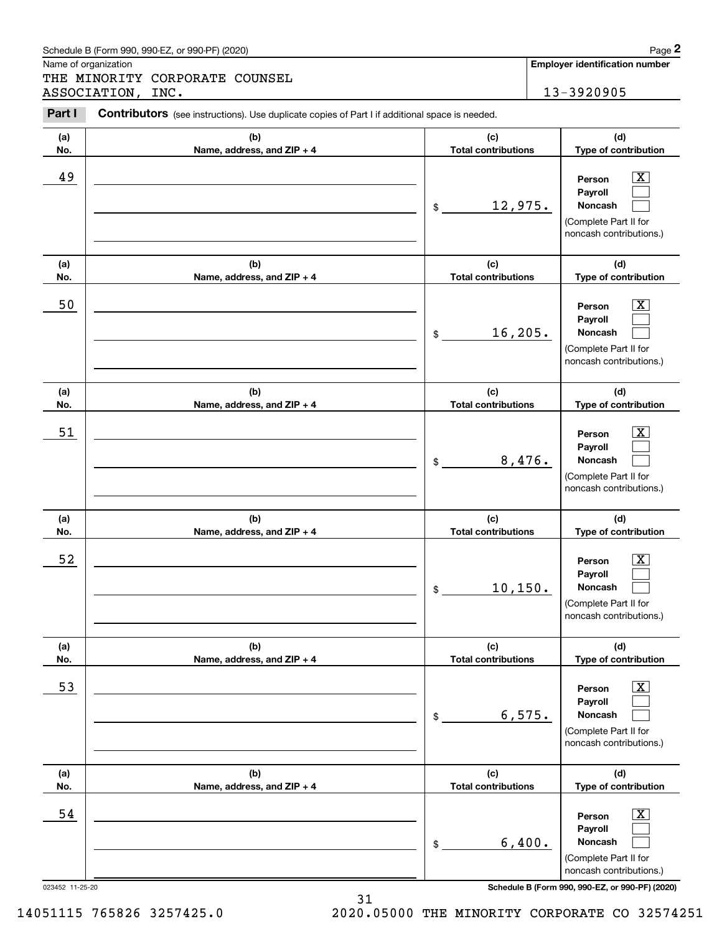|            | Schedule B (Form 990, 990-EZ, or 990-PF) (2020)                                                |                                   |        | Page 2                                                                                                        |
|------------|------------------------------------------------------------------------------------------------|-----------------------------------|--------|---------------------------------------------------------------------------------------------------------------|
|            | Name of organization                                                                           |                                   |        | <b>Employer identification number</b>                                                                         |
|            | THE MINORITY CORPORATE COUNSEL<br>ASSOCIATION, INC.                                            |                                   |        | 13-3920905                                                                                                    |
| Part I     | Contributors (see instructions). Use duplicate copies of Part I if additional space is needed. |                                   |        |                                                                                                               |
| (a)<br>No. | (b)<br>Name, address, and ZIP + 4                                                              | (c)<br><b>Total contributions</b> |        | (d)<br>Type of contribution                                                                                   |
| 49         |                                                                                                | 12,975.<br>$\$$                   |        | $\mathbf{X}$<br>Person<br>Payroll<br><b>Noncash</b><br>(Complete Part II for<br>noncash contributions.)       |
| (a)<br>No. | (b)<br>Name, address, and ZIP + 4                                                              | (c)<br><b>Total contributions</b> |        | (d)<br>Type of contribution                                                                                   |
| 50         |                                                                                                | 16, 205.<br>\$                    |        | ΙX.<br>Person<br>Payroll<br><b>Noncash</b><br>(Complete Part II for<br>noncash contributions.)                |
| (a)<br>No. | (b)<br>Name, address, and ZIP + 4                                                              | (c)<br><b>Total contributions</b> |        | (d)<br>Type of contribution                                                                                   |
| 51         |                                                                                                | \$                                | 8,476. | x<br>Person<br>Payroll<br>Noncash<br>(Complete Part II for<br>noncash contributions.)                         |
| (a)<br>No. | (b)<br>Name, address, and ZIP + 4                                                              | (c)<br><b>Total contributions</b> |        | (d)<br>Type of contribution                                                                                   |
| 52         |                                                                                                | 10, 150.<br>\$                    |        | $\mathbf{X}$<br>Person<br>Payroll<br>Noncash<br>(Complete Part II for<br>noncash contributions.)              |
| (a)<br>No. | (b)<br>Name, address, and ZIP + 4                                                              | (c)<br><b>Total contributions</b> |        | (d)<br>Type of contribution                                                                                   |
| 53         |                                                                                                | \$                                | 6,575. | $\boxed{\text{X}}$<br>Person<br>Payroll<br><b>Noncash</b><br>(Complete Part II for<br>noncash contributions.) |
| (a)<br>No. | (b)<br>Name, address, and ZIP + 4                                                              | (c)<br><b>Total contributions</b> |        | (d)<br>Type of contribution                                                                                   |
| 54         |                                                                                                | \$                                | 6,400. | $\boxed{\text{X}}$<br>Person<br>Payroll<br><b>Noncash</b><br>(Complete Part II for<br>noncash contributions.) |

023452 11-25-20 **Schedule B (Form 990, 990-EZ, or 990-PF) (2020)**

14051115 765826 3257425.0 2020.05000 THE MINORITY CORPORATE CO 32574251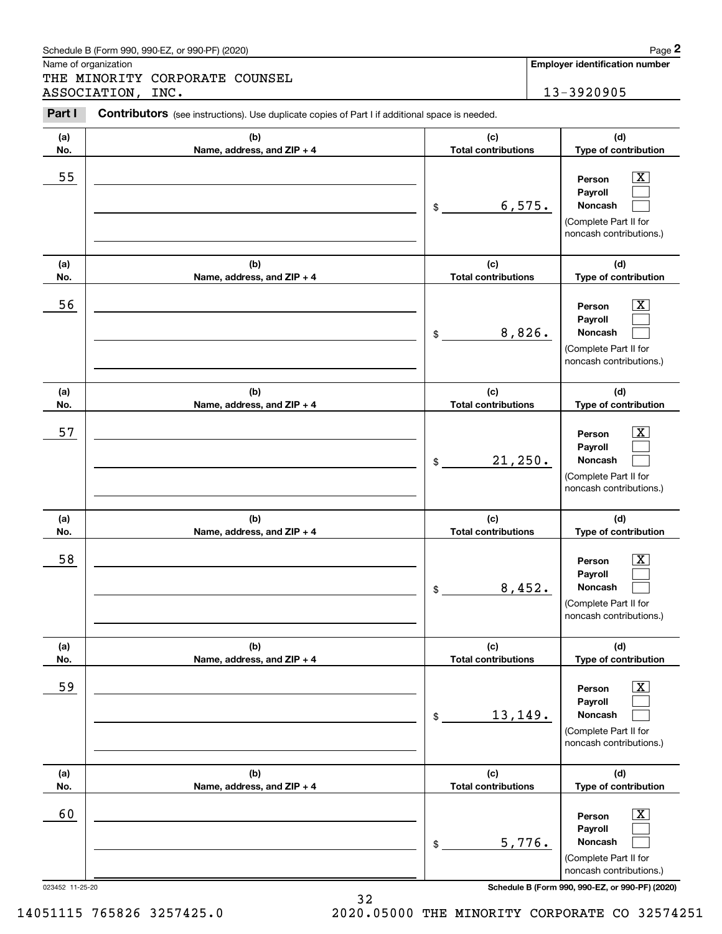| Schedule B (Form 990. 990-EZ. or 990-PF) (2020) | Page |
|-------------------------------------------------|------|
|-------------------------------------------------|------|

THE MINORITY CORPORATE COUNSEL ASSOCIATION, INC. 13-3920905

#### **(a)No.(b)Name, address, and ZIP + 4 (c)Total contributions (d)Type of contribution PersonPayrollNoncash (a)No.(b)Name, address, and ZIP + 4 (c)Total contributions (d)Type of contribution PersonPayrollNoncash (a)No.(b)Name, address, and ZIP + 4 (c)Total contributions (d)Type of contribution PersonPayrollNoncash (a) No.(b) Name, address, and ZIP + 4 (c) Total contributions (d) Type of contribution PersonPayrollNoncash(a) No.(b)Name, address, and ZIP + 4 (c) Total contributions (d) Type of contribution PersonPayrollNoncash (a) No.(b)Name, address, and ZIP + 4 (c) Total contributions (d)Type of contribution PersonPayrollNoncash Contributors** (see instructions). Use duplicate copies of Part I if additional space is needed. \$(Complete Part II for noncash contributions.) \$(Complete Part II for noncash contributions.) \$(Complete Part II for noncash contributions.) \$(Complete Part II for noncash contributions.) \$(Complete Part II for noncash contributions.) \$(Complete Part II for noncash contributions.) Chedule B (Form 990, 990-EZ, or 990-PF) (2020)<br> **2Page 2**<br>
2PART MINORITY CORPORATE COUNSEL<br>
2PART I Contributors (see instructions). Use duplicate copies of Part I if additional space is needed.<br>
2PART I Contributors (see  $|X|$  $\mathcal{L}^{\text{max}}$  $\mathcal{L}^{\text{max}}$  $\boxed{\text{X}}$  $\mathcal{L}^{\text{max}}$  $\mathcal{L}^{\text{max}}$  $|X|$  $\mathcal{L}^{\text{max}}$  $\mathcal{L}^{\text{max}}$  $|X|$  $\mathcal{L}^{\text{max}}$  $\mathcal{L}^{\text{max}}$  $|X|$  $\mathcal{L}^{\text{max}}$  $\mathcal{L}^{\text{max}}$  $\boxed{\text{X}}$  $\mathcal{L}^{\text{max}}$  $\mathcal{L}^{\text{max}}$ 55 | Person X 6,575. 56 | Person X 8,826. 57 X 21,250. 58 X 8,452. 59 X 13,149. 60 Person X 5,776.

023452 11-25-20 **Schedule B (Form 990, 990-EZ, or 990-PF) (2020)**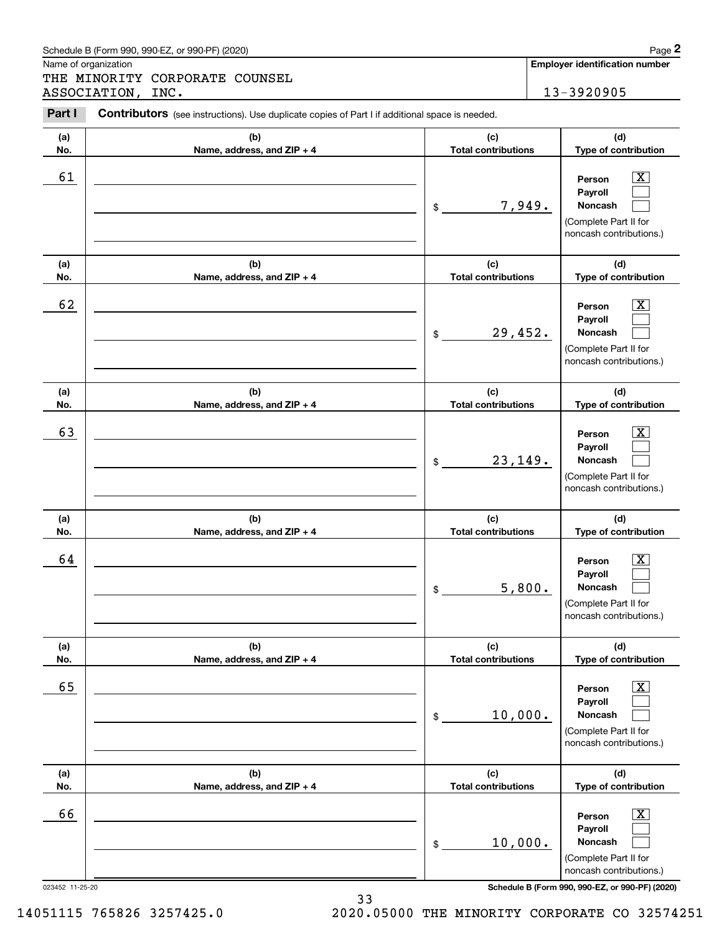| Schedule B (Form 990. 990-EZ. or 990-PF) (2020) | Page |
|-------------------------------------------------|------|
|-------------------------------------------------|------|

THE MINORITY CORPORATE COUNSEL ASSOCIATION, INC. 13-3920905

#### **(a)No.(b)Name, address, and ZIP + 4 (c)Total contributions (d)Type of contribution PersonPayrollNoncash (a)No.(b)Name, address, and ZIP + 4 (c)Total contributions (d)Type of contribution PersonPayrollNoncash (a)No.(b)Name, address, and ZIP + 4 (c)Total contributions (d)Type of contribution PersonPayrollNoncash (a) No.(b) Name, address, and ZIP + 4 (c) Total contributions (d) Type of contribution PersonPayrollNoncash(a) No.(b)Name, address, and ZIP + 4 (c) Total contributions (d) Type of contribution PersonPayrollNoncash (a) No.(b)Name, address, and ZIP + 4 (c) Total contributions (d)Type of contribution PersonPayrollNoncash Contributors** (see instructions). Use duplicate copies of Part I if additional space is needed. \$(Complete Part II for noncash contributions.) \$(Complete Part II for noncash contributions.) \$(Complete Part II for noncash contributions.) \$(Complete Part II for noncash contributions.) \$(Complete Part II for noncash contributions.) \$(Complete Part II for noncash contributions.) Chedule B (Form 990, 990-EZ, or 990-PF) (2020)<br> **2Page 2**<br>
2PART MINORITY CORPORATE COUNSEL<br>
2PART I Contributors (see instructions). Use duplicate copies of Part I if additional space is needed.<br>
2PART I Contributors (see  $|X|$  $\mathcal{L}^{\text{max}}$  $\mathcal{L}^{\text{max}}$  $\boxed{\text{X}}$  $\mathcal{L}^{\text{max}}$  $\mathcal{L}^{\text{max}}$  $|X|$  $\mathcal{L}^{\text{max}}$  $\mathcal{L}^{\text{max}}$  $|X|$  $\mathcal{L}^{\text{max}}$  $\mathcal{L}^{\text{max}}$  $\boxed{\text{X}}$  $\mathcal{L}^{\text{max}}$  $\mathcal{L}^{\text{max}}$  $\boxed{\text{X}}$  $\mathcal{L}^{\text{max}}$  $\mathcal{L}^{\text{max}}$ 61 X 7,949. 62 X 29,452. 63 | Person X 23,149. 64 X 5,800. 65 X 10,000. 66 X 10,000.

023452 11-25-20 **Schedule B (Form 990, 990-EZ, or 990-PF) (2020)**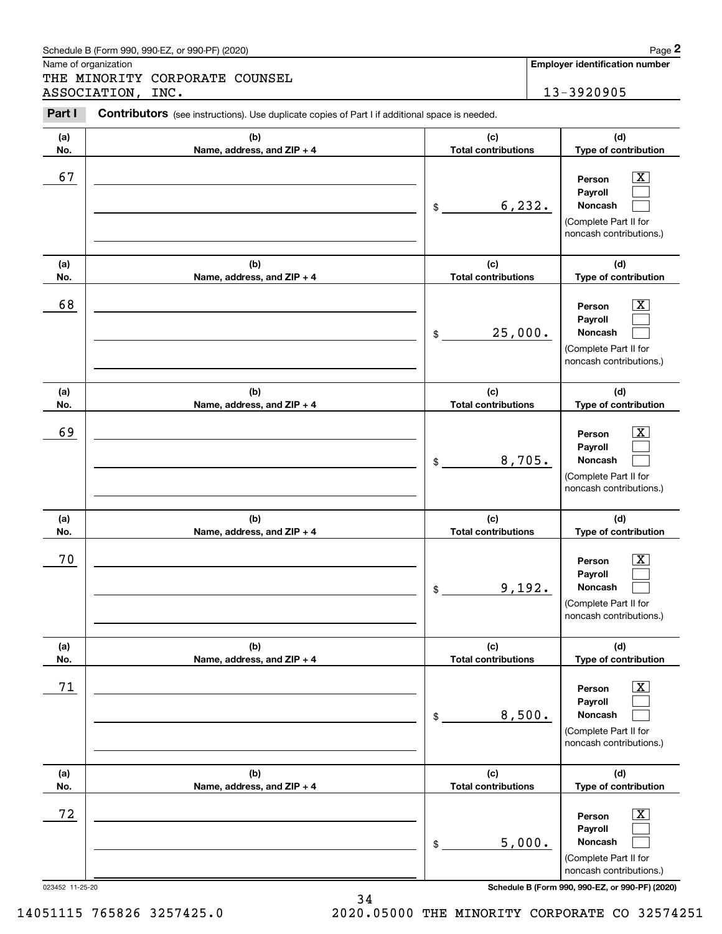| (d)<br>(c)<br>(b)<br>(a)<br><b>Total contributions</b><br>Name, address, and ZIP + 4<br>No.<br>67<br>$\overline{\mathbf{X}}$<br>Person<br>Payroll<br>6, 232.<br>Noncash<br>$\frac{1}{2}$<br>(c)<br>(b)<br>(d)<br>(a)<br><b>Total contributions</b><br>Name, address, and ZIP + 4<br>No.<br>68<br>$\mathbf{X}$<br>Person<br>Payroll<br>25,000.<br>Noncash<br>$$\tilde{\phantom{a}}$$<br>(c)<br>(b)<br>(d)<br>(a)<br><b>Total contributions</b><br>Name, address, and ZIP + 4<br>No.<br>69<br>$\mathbf{X}$<br>Person<br>Payroll<br>8,705.<br>Noncash<br>$\mathsf{\$}$<br>(c)<br>(b)<br>(d)<br>(a)<br>Name, address, and ZIP + 4<br><b>Total contributions</b><br>No.<br>70<br>$\overline{\mathbf{X}}$<br>Person<br>Payroll<br>9,192.<br>Noncash<br>$\frac{1}{2}$<br>(b)<br>(c)<br>(a)<br>(d)<br>Name, address, and ZIP + 4<br><b>Total contributions</b><br>No.<br>71<br>$\overline{\mathbf{X}}$<br>Person<br>Payroll<br>8,500.<br>Noncash<br>\$<br>(b)<br>(c)<br>(d)<br>(a)<br><b>Total contributions</b><br>Name, address, and ZIP + 4<br>Type of contribution<br>No.<br>72<br>$\overline{\mathbf{X}}$<br>Person<br>Payroll<br>5,000.<br>Noncash<br>\$ |  |                                                  |
|--------------------------------------------------------------------------------------------------------------------------------------------------------------------------------------------------------------------------------------------------------------------------------------------------------------------------------------------------------------------------------------------------------------------------------------------------------------------------------------------------------------------------------------------------------------------------------------------------------------------------------------------------------------------------------------------------------------------------------------------------------------------------------------------------------------------------------------------------------------------------------------------------------------------------------------------------------------------------------------------------------------------------------------------------------------------------------------------------------------------------------------------------------|--|--------------------------------------------------|
|                                                                                                                                                                                                                                                                                                                                                                                                                                                                                                                                                                                                                                                                                                                                                                                                                                                                                                                                                                                                                                                                                                                                                        |  | Type of contribution                             |
|                                                                                                                                                                                                                                                                                                                                                                                                                                                                                                                                                                                                                                                                                                                                                                                                                                                                                                                                                                                                                                                                                                                                                        |  | (Complete Part II for<br>noncash contributions.) |
|                                                                                                                                                                                                                                                                                                                                                                                                                                                                                                                                                                                                                                                                                                                                                                                                                                                                                                                                                                                                                                                                                                                                                        |  | Type of contribution                             |
|                                                                                                                                                                                                                                                                                                                                                                                                                                                                                                                                                                                                                                                                                                                                                                                                                                                                                                                                                                                                                                                                                                                                                        |  | (Complete Part II for<br>noncash contributions.) |
|                                                                                                                                                                                                                                                                                                                                                                                                                                                                                                                                                                                                                                                                                                                                                                                                                                                                                                                                                                                                                                                                                                                                                        |  | Type of contribution                             |
|                                                                                                                                                                                                                                                                                                                                                                                                                                                                                                                                                                                                                                                                                                                                                                                                                                                                                                                                                                                                                                                                                                                                                        |  | (Complete Part II for<br>noncash contributions.) |
|                                                                                                                                                                                                                                                                                                                                                                                                                                                                                                                                                                                                                                                                                                                                                                                                                                                                                                                                                                                                                                                                                                                                                        |  | Type of contribution                             |
|                                                                                                                                                                                                                                                                                                                                                                                                                                                                                                                                                                                                                                                                                                                                                                                                                                                                                                                                                                                                                                                                                                                                                        |  | (Complete Part II for<br>noncash contributions.) |
|                                                                                                                                                                                                                                                                                                                                                                                                                                                                                                                                                                                                                                                                                                                                                                                                                                                                                                                                                                                                                                                                                                                                                        |  | Type of contribution                             |
|                                                                                                                                                                                                                                                                                                                                                                                                                                                                                                                                                                                                                                                                                                                                                                                                                                                                                                                                                                                                                                                                                                                                                        |  | (Complete Part II for<br>noncash contributions.) |
|                                                                                                                                                                                                                                                                                                                                                                                                                                                                                                                                                                                                                                                                                                                                                                                                                                                                                                                                                                                                                                                                                                                                                        |  |                                                  |
| Schedule B (Form 990, 990-EZ, or 990-PF) (2020)<br>023452 11-25-20                                                                                                                                                                                                                                                                                                                                                                                                                                                                                                                                                                                                                                                                                                                                                                                                                                                                                                                                                                                                                                                                                     |  | (Complete Part II for<br>noncash contributions.) |

### Schedule B (Form 990, 990-EZ, or 990-PF) (2020) **Page 2** Page 2

Name of organization

(see instructions). Use duplicate copies of Part I if additional space is needed.<br> **2Part I Contributors** (see instructions). Use duplicate copies of Part I if additional space is needed.<br> **2Part I Contributors** (see i THE MINORITY CORPORATE COUNSEL ASSOCIATION, INC. 13-3920905

**Employer identification number**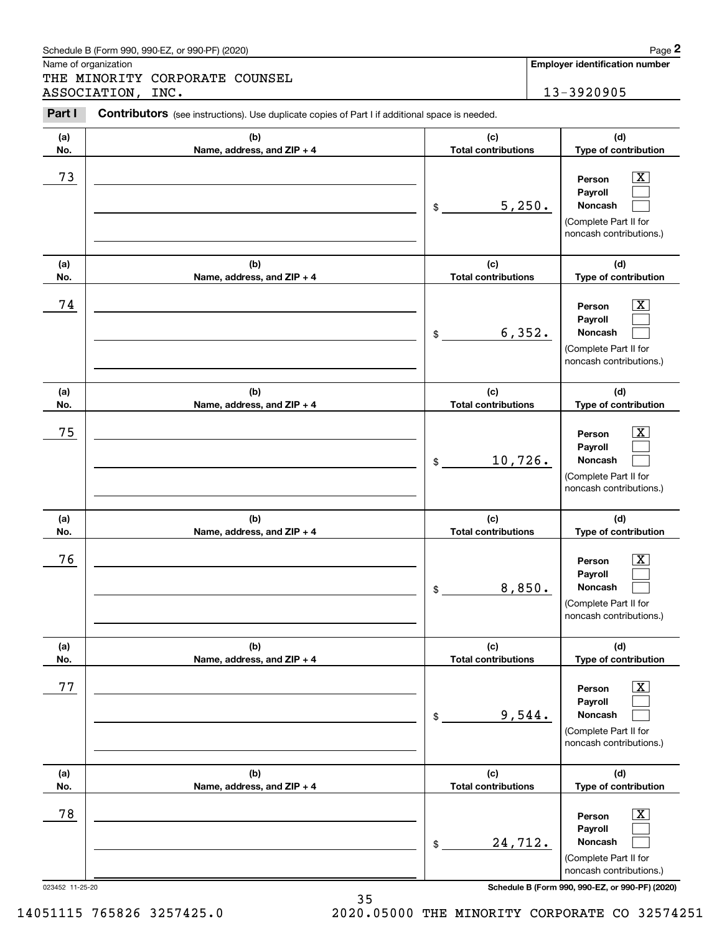| Schedule B (Form 990. 990-EZ. or 990-PF) (2020) | Page |
|-------------------------------------------------|------|
|-------------------------------------------------|------|

THE MINORITY CORPORATE COUNSEL ASSOCIATION, INC. 13-3920905

#### **(a)No.(b)Name, address, and ZIP + 4 (c)Total contributions (d)Type of contribution PersonPayrollNoncash (a)No.(b)Name, address, and ZIP + 4 (c)Total contributions (d)Type of contribution PersonPayrollNoncash (a)No.(b)Name, address, and ZIP + 4 (c)Total contributions (d)Type of contribution PersonPayrollNoncash (a) No.(b) Name, address, and ZIP + 4 (c) Total contributions (d) Type of contribution PersonPayrollNoncash(a) No.(b)Name, address, and ZIP + 4 (c) Total contributions (d) Type of contribution PersonPayrollNoncash (a) No.(b)Name, address, and ZIP + 4 (c) Total contributions (d)Type of contribution PersonPayrollNoncash Contributors** (see instructions). Use duplicate copies of Part I if additional space is needed. \$(Complete Part II for noncash contributions.) \$(Complete Part II for noncash contributions.) \$(Complete Part II for noncash contributions.) \$(Complete Part II for noncash contributions.) \$(Complete Part II for noncash contributions.) \$(Complete Part II for noncash contributions.) Chedule B (Form 990, 990-EZ, or 990-PF) (2020)<br> **2Page 2**<br>
2PART MINORITY CORPORATE COUNSEL<br>
2PART I Contributors (see instructions). Use duplicate copies of Part I if additional space is needed.<br>
2PART I Contributors (see  $|X|$  $\mathcal{L}^{\text{max}}$  $\mathcal{L}^{\text{max}}$  $\boxed{\text{X}}$  $\mathcal{L}^{\text{max}}$  $\mathcal{L}^{\text{max}}$  $|X|$  $\mathcal{L}^{\text{max}}$  $\mathcal{L}^{\text{max}}$  $|X|$  $\mathcal{L}^{\text{max}}$  $\mathcal{L}^{\text{max}}$  $\boxed{\text{X}}$  $\mathcal{L}^{\text{max}}$  $\mathcal{L}^{\text{max}}$  $\boxed{\text{X}}$  $\mathcal{L}^{\text{max}}$  $\mathcal{L}^{\text{max}}$ 73 X 5,250. 74 X 6,352. 75 X 10,726. 76 X 8,850. 77 X 9,544. 78 X 24,712.

023452 11-25-20 **Schedule B (Form 990, 990-EZ, or 990-PF) (2020)**

14051115 765826 3257425.0 2020.05000 THE MINORITY CORPORATE CO 32574251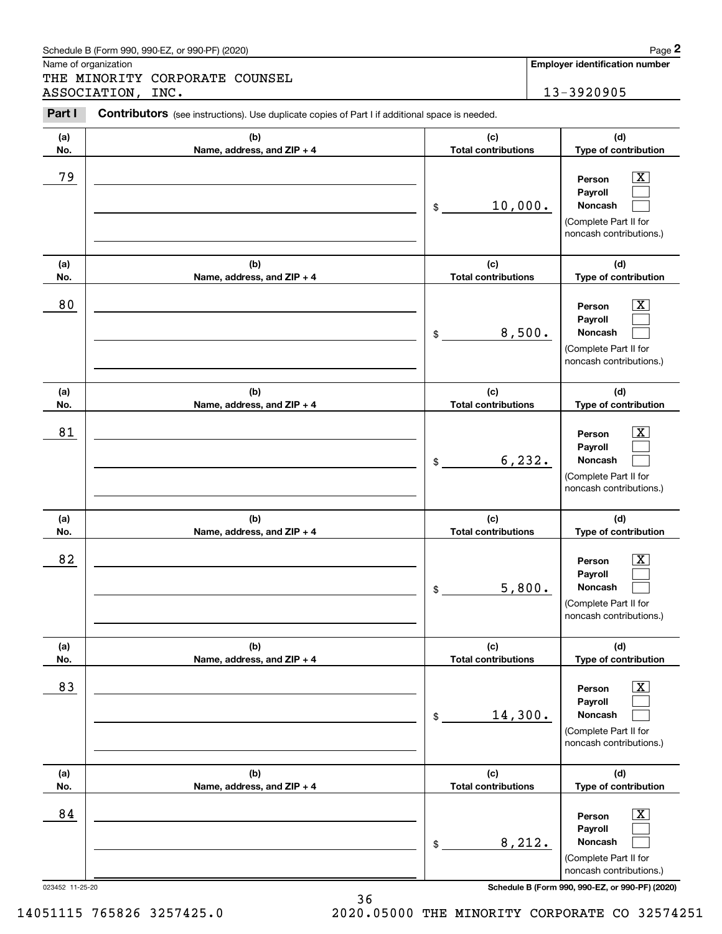|            | Schedule B (Form 990, 990-EZ, or 990-PF) (2020)                                                |                                   | Page 2                                                                                                      |
|------------|------------------------------------------------------------------------------------------------|-----------------------------------|-------------------------------------------------------------------------------------------------------------|
|            | Name of organization<br>THE MINORITY CORPORATE COUNSEL                                         |                                   | <b>Employer identification number</b>                                                                       |
|            | ASSOCIATION, INC.                                                                              |                                   | 13-3920905                                                                                                  |
| Part I     | Contributors (see instructions). Use duplicate copies of Part I if additional space is needed. |                                   |                                                                                                             |
| (a)<br>No. | (b)<br>Name, address, and ZIP + 4                                                              | (c)<br><b>Total contributions</b> | (d)<br>Type of contribution                                                                                 |
| 79         |                                                                                                | 10,000.<br>\$                     | $\mathbf{X}$<br>Person<br>Payroll<br>Noncash<br>(Complete Part II for<br>noncash contributions.)            |
| (a)<br>No. | (b)<br>Name, address, and ZIP + 4                                                              | (c)<br><b>Total contributions</b> | (d)<br>Type of contribution                                                                                 |
| 80         |                                                                                                | 8,500.<br>\$                      | $\overline{\mathbf{X}}$<br>Person<br>Payroll<br>Noncash<br>(Complete Part II for<br>noncash contributions.) |
| (a)<br>No. | (b)<br>Name, address, and ZIP + 4                                                              | (c)<br><b>Total contributions</b> | (d)<br>Type of contribution                                                                                 |
| 81         |                                                                                                | 6, 232.<br>\$                     | $\overline{\mathbf{X}}$<br>Person<br>Payroll<br>Noncash<br>(Complete Part II for<br>noncash contributions.) |
| (a)<br>No. | (b)<br>Name, address, and ZIP + 4                                                              | (c)<br><b>Total contributions</b> | (d)<br>Type of contribution                                                                                 |
| 82         |                                                                                                | 5,800.<br>\$                      | $\mathbf{X}$<br>Person<br><b>Payroll</b><br>Noncash<br>(Complete Part II for<br>noncash contributions.)     |
| (a)<br>No. | (b)<br>Name, address, and ZIP + 4                                                              | (c)<br><b>Total contributions</b> | (d)<br>Type of contribution                                                                                 |
| 83         |                                                                                                | 14,300.<br>\$                     | $\boxed{\text{X}}$<br>Person<br>Payroll<br>Noncash<br>(Complete Part II for<br>noncash contributions.)      |
| (a)        | (b)                                                                                            | (c)                               | (d)                                                                                                         |

 $\lfloor x \rfloor$  $\mathcal{L}^{\text{max}}$  $\mathcal{L}^{\text{max}}$ 

**(d) Type of contribution**

023452 11-25-20 **Schedule B (Form 990, 990-EZ, or 990-PF) (2020)**

**PersonPayrollNoncash**

(Complete Part II for noncash contributions.)

**No.**

14051115 765826 3257425.0 2020.05000 THE MINORITY CORPORATE CO 32574251

8,212.

**Total contributions**

\$

36

84 X

**Name, address, and ZIP + 4**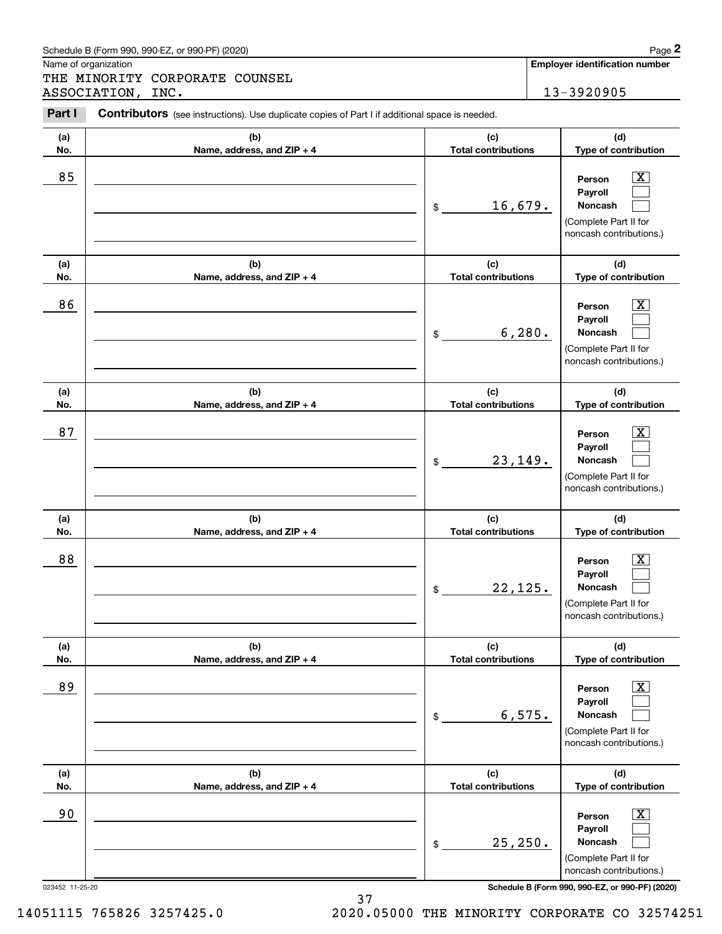| (a)                   | (b)                               | (c)                               | (d)                                                                                                                                       |
|-----------------------|-----------------------------------|-----------------------------------|-------------------------------------------------------------------------------------------------------------------------------------------|
| No.                   | Name, address, and ZIP + 4        | <b>Total contributions</b>        | Type of contribution                                                                                                                      |
| 85                    |                                   | 16,679.<br>\$                     | X.<br>Person<br>Payroll<br>Noncash<br>(Complete Part II for<br>noncash contributions.)                                                    |
| (a)                   | (b)                               | (c)                               | (d)                                                                                                                                       |
| No.                   | Name, address, and ZIP + 4        | <b>Total contributions</b>        | Type of contribution                                                                                                                      |
| 86                    |                                   | 6, 280.<br>\$                     | Person<br>Payroll<br><b>Noncash</b><br>(Complete Part II for<br>noncash contributions.)                                                   |
| (a)                   | (b)                               | (c)                               | (d)                                                                                                                                       |
| No.                   | Name, address, and ZIP + 4        | <b>Total contributions</b>        | Type of contribution                                                                                                                      |
| 87                    |                                   | 23, 149.<br>\$                    | Person<br>х.<br>Payroll<br>Noncash<br>(Complete Part II for<br>noncash contributions.)                                                    |
|                       |                                   |                                   |                                                                                                                                           |
|                       |                                   |                                   |                                                                                                                                           |
| (a)<br>No.            | (b)<br>Name, address, and ZIP + 4 | (c)<br><b>Total contributions</b> | (d)<br>Type of contribution                                                                                                               |
| 88                    |                                   | 22, 125.<br>\$                    | Person<br>Payroll<br><b>Noncash</b><br>(Complete Part II for<br>noncash contributions.)                                                   |
| (a)                   | (b)                               | (c)                               | (d)                                                                                                                                       |
| No.                   | Name, address, and $ZIP + 4$      | <b>Total contributions</b>        | <b>Type of contribution</b>                                                                                                               |
| 89                    |                                   | 6, 575.<br>\$                     | Х,<br>Person<br>Payroll<br>Noncash<br>(Complete Part II for<br>noncash contributions.)                                                    |
| (a)                   | (b)                               | (c)                               | (d)                                                                                                                                       |
| No.                   | Name, address, and ZIP + 4        | <b>Total contributions</b>        | Type of contribution                                                                                                                      |
| 90<br>023452 11-25-20 |                                   | 25, 250.<br>\$                    | Х,<br>Person<br>Payroll<br>Noncash<br>(Complete Part II for<br>noncash contributions.)<br>Schedule B (Form 990, 990-EZ, or 990-PF) (2020) |

Contributors (see instructions). Use duplicate copies of Part I if additional space is needed.

Name of organization

Chedule B (Form 990, 990-EZ, or 990-PF) (2020)<br> **2Page 2**<br>
2PART MINORITY CORPORATE COUNSEL<br>
2PART I Contributors (see instructions). Use duplicate copies of Part I if additional space is needed.<br>
2PART I Contributors (see THE MINORITY CORPORATE COUNSEL ASSOCIATION, INC. 13-3920905

**Employer identification number**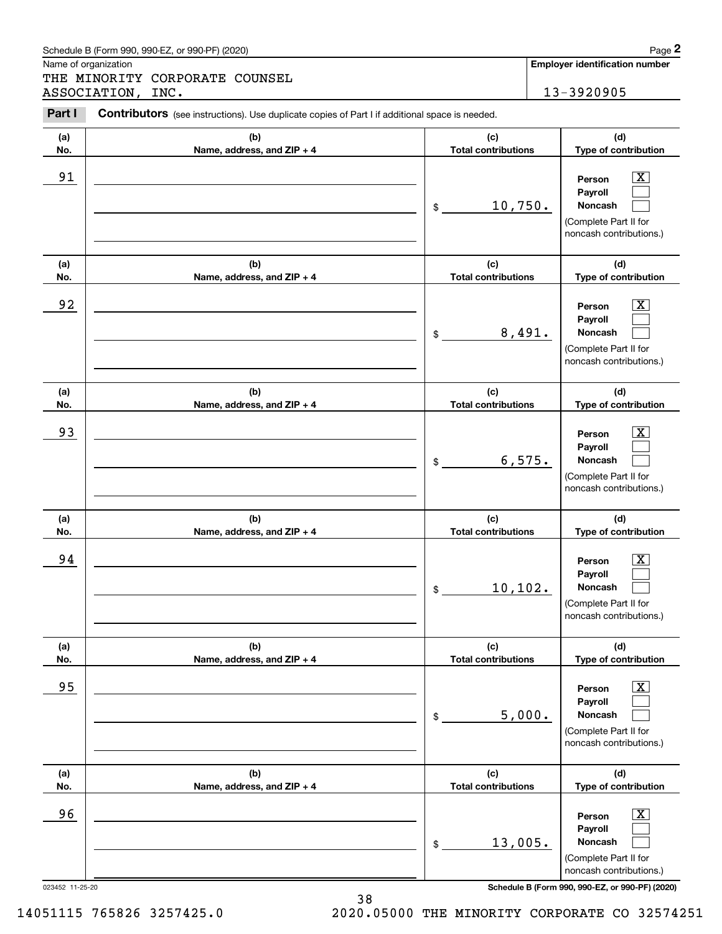| (a)<br>No.                   | (b)<br>Name, address, and ZIP + 4 | (c)<br><b>Total contributions</b>           | (d)<br>Type of contribution                                                                                                                                                            |
|------------------------------|-----------------------------------|---------------------------------------------|----------------------------------------------------------------------------------------------------------------------------------------------------------------------------------------|
| 91                           |                                   | 10,750.<br>\$                               | $\overline{\mathbf{X}}$<br>Person<br>Payroll<br><b>Noncash</b><br>(Complete Part II for<br>noncash contributions.)                                                                     |
| (a)<br>No.                   | (b)<br>Name, address, and ZIP + 4 | (c)<br><b>Total contributions</b>           | (d)<br>Type of contribution                                                                                                                                                            |
| 92                           |                                   | 8,491.<br>\$                                | $\overline{\text{X}}$<br>Person<br>Payroll<br><b>Noncash</b><br>(Complete Part II for<br>noncash contributions.)                                                                       |
| (a)<br>No.                   | (b)<br>Name, address, and ZIP + 4 | (c)<br><b>Total contributions</b>           | (d)<br>Type of contribution                                                                                                                                                            |
| 93                           |                                   | 6,575.<br>$\frac{1}{2}$                     | $\overline{\mathbf{X}}$<br>Person<br>Payroll<br><b>Noncash</b><br>(Complete Part II for<br>noncash contributions.)                                                                     |
| (a)<br>No.                   | (b)<br>Name, address, and ZIP + 4 | (c)<br><b>Total contributions</b>           | (d)<br>Type of contribution                                                                                                                                                            |
| 94                           |                                   | 10, 102.<br>\$                              | $\overline{\texttt{X}}$<br>Person<br>Payroll<br><b>Noncash</b><br>(Complete Part II for<br>noncash contributions.)                                                                     |
| (a)<br>No.                   | (b)<br>Name, address, and ZIP + 4 | (c)<br><b>Total contributions</b>           | (d)<br>Type of contribution                                                                                                                                                            |
| 95                           |                                   | 5,000.<br>\$                                | $\overline{\mathbf{X}}$<br>Person<br>Payroll<br>Noncash<br>(Complete Part II for<br>noncash contributions.)                                                                            |
| (a)                          | (b)                               | (c)                                         | (d)                                                                                                                                                                                    |
| No.<br>96<br>023452 11-25-20 | Name, address, and ZIP + 4        | <b>Total contributions</b><br>13,005.<br>\$ | Type of contribution<br>$\overline{\mathbf{X}}$<br>Person<br>Payroll<br>Noncash<br>(Complete Part II for<br>noncash contributions.)<br>Schedule B (Form 990, 990-EZ, or 990-PF) (2020) |
|                              |                                   |                                             |                                                                                                                                                                                        |

Name of organization

Chedule B (Form 990, 990-EZ, or 990-PF) (2020)<br> **2Page 2**<br>
2PART MINORITY CORPORATE COUNSEL<br>
2PART I Contributors (see instructions). Use duplicate copies of Part I if additional space is needed.<br>
2PART I Contributors (see THE MINORITY CORPORATE COUNSEL ASSOCIATION, INC. 13-3920905

Contributors (see instructions). Use duplicate copies of Part I if additional space is needed.

**Employer identification number**

14051115 765826 3257425.0 2020.05000 THE MINORITY CORPORATE CO 32574251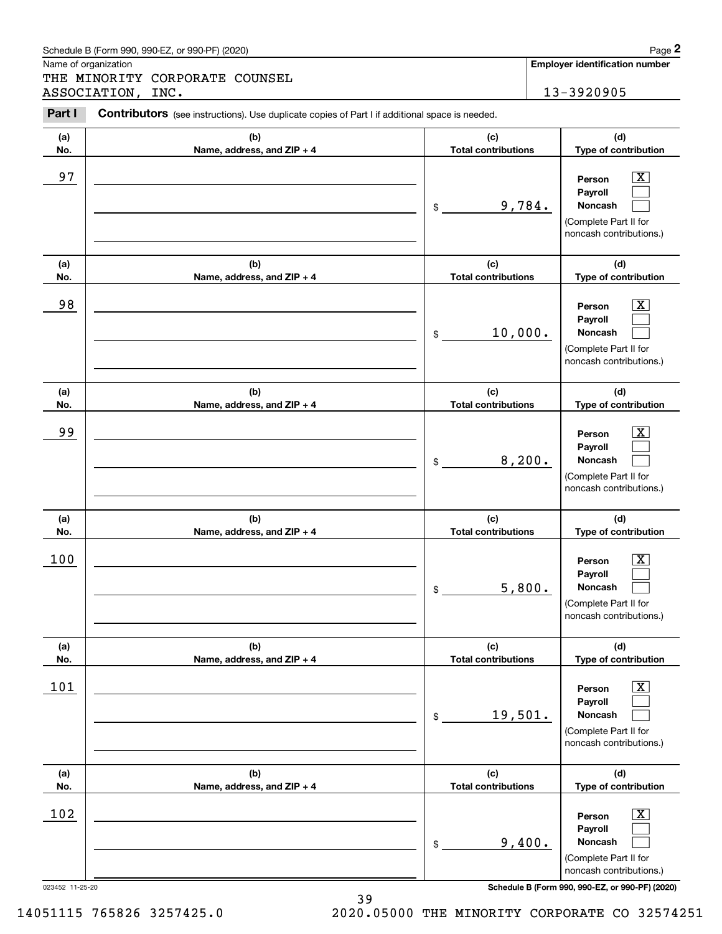|            | Schedule B (Form 990, 990-EZ, or 990-PF) (2020)                                                |                                   |         | Page 2                                                                                                      |
|------------|------------------------------------------------------------------------------------------------|-----------------------------------|---------|-------------------------------------------------------------------------------------------------------------|
|            | Name of organization<br>THE MINORITY CORPORATE COUNSEL                                         |                                   |         | <b>Employer identification number</b>                                                                       |
|            | ASSOCIATION, INC.                                                                              |                                   |         | 13-3920905                                                                                                  |
| Part I     | Contributors (see instructions). Use duplicate copies of Part I if additional space is needed. |                                   |         |                                                                                                             |
| (a)<br>No. | (b)<br>Name, address, and ZIP + 4                                                              | (c)<br><b>Total contributions</b> |         | (d)<br>Type of contribution                                                                                 |
| 97         |                                                                                                | \$                                | 9,784.  | $\overline{\mathbf{X}}$<br>Person<br>Payroll<br>Noncash<br>(Complete Part II for<br>noncash contributions.) |
| (a)<br>No. | (b)<br>Name, address, and ZIP + 4                                                              | (c)<br><b>Total contributions</b> |         | (d)<br>Type of contribution                                                                                 |
| 98         |                                                                                                | \$                                | 10,000. | $\overline{\mathbf{X}}$<br>Person<br>Payroll<br>Noncash<br>(Complete Part II for<br>noncash contributions.) |
| (a)<br>No. | (b)<br>Name, address, and ZIP + 4                                                              | (c)<br><b>Total contributions</b> |         | (d)<br>Type of contribution                                                                                 |
| 99         |                                                                                                | \$                                | 8,200.  | $\overline{\mathbf{X}}$<br>Person<br>Payroll<br>Noncash<br>(Complete Part II for<br>noncash contributions.) |
| (a)<br>No. | (b)<br>Name, address, and ZIP + 4                                                              | (c)<br><b>Total contributions</b> |         | (d)<br>Type of contribution                                                                                 |
| 100        |                                                                                                | \$                                | 5,800.  | $\mathbf{X}$<br>Person<br>Payroll<br>Noncash<br>(Complete Part II for<br>noncash contributions.)            |
| (a)<br>No. | (b)<br>Name, address, and ZIP + 4                                                              | (c)<br><b>Total contributions</b> |         | (d)<br>Type of contribution                                                                                 |
| 101        |                                                                                                | 19,501.<br>\$                     |         | $\boxed{\text{X}}$<br>Person<br>Payroll<br>Noncash<br>(Complete Part II for<br>noncash contributions.)      |
| (a)<br>No. | (b)<br>Name, address, and ZIP + 4                                                              | (c)<br><b>Total contributions</b> |         | (d)<br>Type of contribution                                                                                 |
| 102        |                                                                                                | \$                                | 9,400.  | $\boxed{\text{X}}$<br>Person<br>Payroll<br>Noncash<br>(Complete Part II for<br>noncash contributions.)      |

14051115 765826 3257425.0 2020.05000 THE MINORITY CORPORATE CO 32574251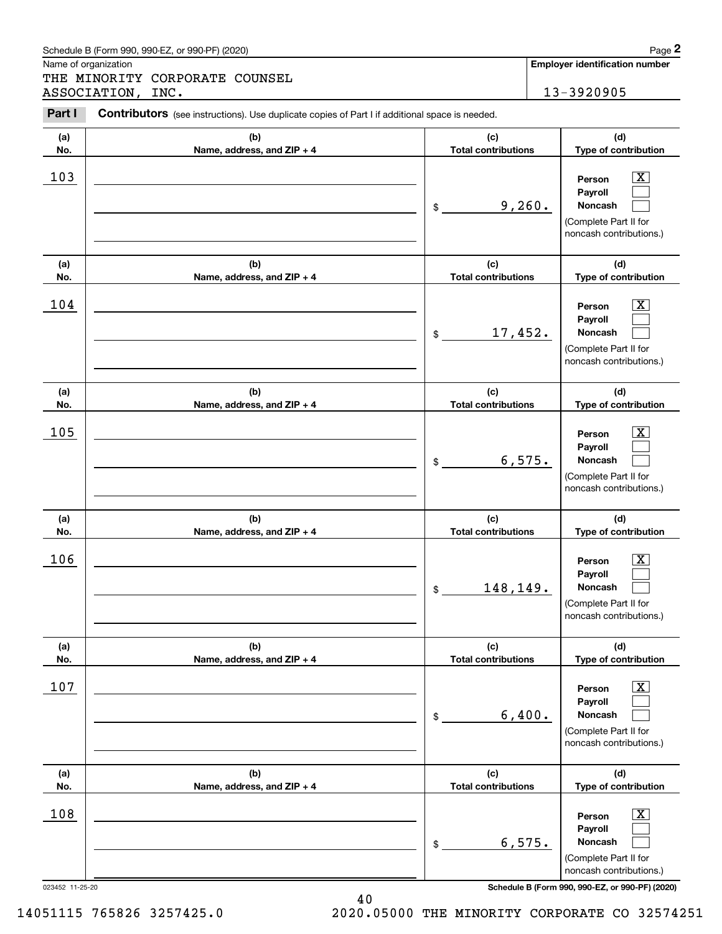|            | Schedule B (Form 990, 990-EZ, or 990-PF) (2020)                                                |                                   |  | Page 2                                                                                                      |
|------------|------------------------------------------------------------------------------------------------|-----------------------------------|--|-------------------------------------------------------------------------------------------------------------|
|            | Name of organization<br>THE MINORITY CORPORATE COUNSEL                                         |                                   |  | <b>Employer identification number</b>                                                                       |
|            | ASSOCIATION, INC.                                                                              |                                   |  | 13-3920905                                                                                                  |
| Part I     | Contributors (see instructions). Use duplicate copies of Part I if additional space is needed. |                                   |  |                                                                                                             |
| (a)<br>No. | (b)<br>Name, address, and ZIP + 4                                                              | (c)<br><b>Total contributions</b> |  | (d)<br>Type of contribution                                                                                 |
| 103        |                                                                                                | \$<br>9,260.                      |  | $\overline{\mathbf{X}}$<br>Person<br>Payroll<br>Noncash<br>(Complete Part II for<br>noncash contributions.) |
| (a)<br>No. | (b)<br>Name, address, and ZIP + 4                                                              | (c)<br><b>Total contributions</b> |  | (d)<br>Type of contribution                                                                                 |
| 104        |                                                                                                | \$<br>17,452.                     |  | $\overline{\mathbf{X}}$<br>Person<br>Payroll<br>Noncash<br>(Complete Part II for<br>noncash contributions.) |
| (a)<br>No. | (b)<br>Name, address, and ZIP + 4                                                              | (c)<br><b>Total contributions</b> |  | (d)<br>Type of contribution                                                                                 |
| 105        |                                                                                                | \$<br>6,575.                      |  | $\overline{\mathbf{X}}$<br>Person<br>Payroll<br>Noncash<br>(Complete Part II for<br>noncash contributions.) |
| (a)<br>No. | (b)<br>Name, address, and ZIP + 4                                                              | (c)<br><b>Total contributions</b> |  | (d)<br>Type of contribution                                                                                 |
| 106        |                                                                                                | \$<br>148,149.                    |  | $\mathbf{X}$<br>Person<br>Payroll<br>Noncash<br>(Complete Part II for<br>noncash contributions.)            |
| (a)<br>No. | (b)<br>Name, address, and ZIP + 4                                                              | (c)<br><b>Total contributions</b> |  | (d)<br>Type of contribution                                                                                 |
| 107        |                                                                                                | \$<br>6,400.                      |  | $\boxed{\text{X}}$<br>Person<br>Payroll<br>Noncash<br>(Complete Part II for<br>noncash contributions.)      |
| (a)<br>No. | (b)<br>Name, address, and ZIP + 4                                                              | (c)<br><b>Total contributions</b> |  | (d)<br>Type of contribution                                                                                 |
| 108        |                                                                                                | \$<br>6,575.                      |  | $\boxed{\text{X}}$<br>Person<br>Payroll<br>Noncash<br>(Complete Part II for<br>noncash contributions.)      |

40 14051115 765826 3257425.0 2020.05000 THE MINORITY CORPORATE CO 32574251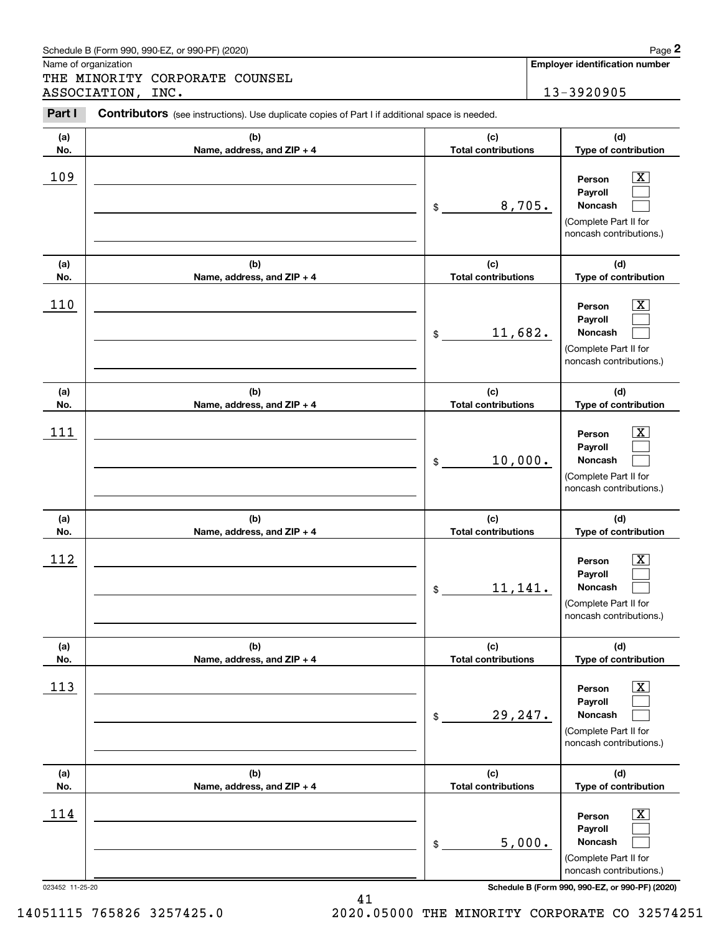|            | Schedule B (Form 990, 990-EZ, or 990-PF) (2020)                                                |                                   |        | Page 2                                                                                                        |
|------------|------------------------------------------------------------------------------------------------|-----------------------------------|--------|---------------------------------------------------------------------------------------------------------------|
|            | Name of organization<br>THE MINORITY CORPORATE COUNSEL                                         |                                   |        | <b>Employer identification number</b>                                                                         |
|            | ASSOCIATION, INC.                                                                              |                                   |        | 13-3920905                                                                                                    |
| Part I     | Contributors (see instructions). Use duplicate copies of Part I if additional space is needed. |                                   |        |                                                                                                               |
| (a)        | (b)                                                                                            | (c)                               |        | (d)                                                                                                           |
| No.        | Name, address, and ZIP + 4                                                                     | <b>Total contributions</b>        |        | Type of contribution                                                                                          |
| 109        |                                                                                                | \$                                | 8,705. | $\mathbf{X}$<br>Person<br>Payroll<br><b>Noncash</b><br>(Complete Part II for<br>noncash contributions.)       |
| (a)        | (b)                                                                                            | (c)                               |        | (d)                                                                                                           |
| No.        | Name, address, and ZIP + 4                                                                     | <b>Total contributions</b>        |        | Type of contribution                                                                                          |
| 110        |                                                                                                | 11,682.<br>\$                     |        | ΙX.<br>Person<br>Payroll<br><b>Noncash</b><br>(Complete Part II for<br>noncash contributions.)                |
| (a)<br>No. | (b)<br>Name, address, and ZIP + 4                                                              | (c)<br><b>Total contributions</b> |        | (d)<br>Type of contribution                                                                                   |
| 111        |                                                                                                | 10,000.<br>\$                     |        | x<br>Person<br>Payroll<br><b>Noncash</b><br>(Complete Part II for<br>noncash contributions.)                  |
| (a)<br>No. | (b)<br>Name, address, and ZIP + 4                                                              | (c)<br><b>Total contributions</b> |        | (d)<br>Type of contribution                                                                                   |
| 112        |                                                                                                | 11,141.<br>\$                     |        | $\mathbf{X}$<br>Person<br>Payroll<br>Noncash<br>(Complete Part II for<br>noncash contributions.)              |
| (a)<br>No. | (b)<br>Name, address, and ZIP + 4                                                              | (c)<br><b>Total contributions</b> |        | (d)<br>Type of contribution                                                                                   |
| 113        |                                                                                                | 29,247.<br>\$                     |        | $\boxed{\text{X}}$<br>Person<br>Payroll<br><b>Noncash</b><br>(Complete Part II for<br>noncash contributions.) |
| (a)<br>No. | (b)<br>Name, address, and ZIP + 4                                                              | (c)<br><b>Total contributions</b> |        | (d)<br>Type of contribution                                                                                   |
| 114        |                                                                                                | \$                                | 5,000. | $\boxed{\text{X}}$<br>Person<br>Payroll<br><b>Noncash</b><br>(Complete Part II for<br>noncash contributions.) |

14051115 765826 3257425.0 2020.05000 THE MINORITY CORPORATE CO 32574251

023452 11-25-20 **Schedule B (Form 990, 990-EZ, or 990-PF) (2020)**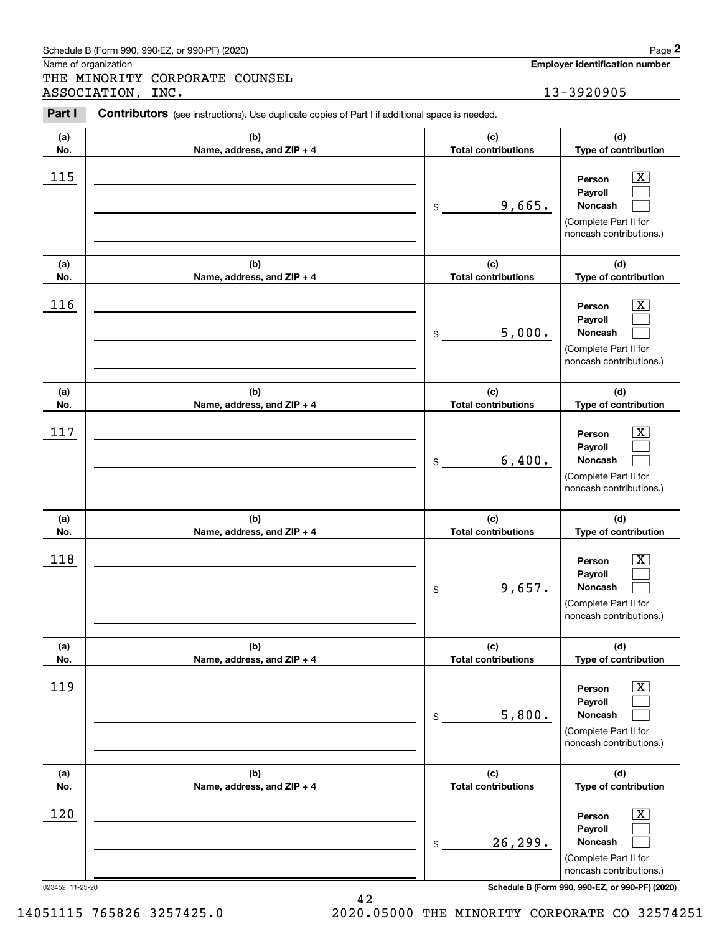| . a.                          | <b>DUTTLE IDATOR</b> (SEE IFISTIQUIOIIS). OSE QUPIICATE COPIES OF FAILE IT AQUITIONAL SPACE IS HEEQEQ. |                                             |                                                                                                                                                                                   |
|-------------------------------|--------------------------------------------------------------------------------------------------------|---------------------------------------------|-----------------------------------------------------------------------------------------------------------------------------------------------------------------------------------|
| (a)<br>No.                    | (b)<br>Name, address, and ZIP + 4                                                                      | (c)<br><b>Total contributions</b>           | (d)<br>Type of contribution                                                                                                                                                       |
| 115                           |                                                                                                        | 9,665.<br>$\$$                              | $\boxed{\text{X}}$<br>Person<br>Payroll<br>Noncash<br>(Complete Part II for<br>noncash contributions.)                                                                            |
| (a)<br>No.                    | (b)<br>Name, address, and ZIP + 4                                                                      | (c)<br><b>Total contributions</b>           | (d)<br>Type of contribution                                                                                                                                                       |
| 116                           |                                                                                                        | 5,000.<br>\$                                | $\overline{\mathbf{x}}$<br>Person<br>Payroll<br>Noncash<br>(Complete Part II for<br>noncash contributions.)                                                                       |
| (a)<br>No.                    | (b)<br>Name, address, and ZIP + 4                                                                      | (c)<br><b>Total contributions</b>           | (d)<br>Type of contribution                                                                                                                                                       |
| 117                           |                                                                                                        | 6,400.<br>\$                                | $\mathbf{X}$<br>Person<br>Payroll<br>Noncash<br>(Complete Part II for<br>noncash contributions.)                                                                                  |
| (a)<br>No.                    | (b)<br>Name, address, and ZIP + 4                                                                      | (c)<br><b>Total contributions</b>           | (d)<br>Type of contribution                                                                                                                                                       |
| 118                           |                                                                                                        | 9,657.<br>\$                                | $\overline{\mathbf{X}}$<br>Person<br>Payroll<br>Noncash<br>(Complete Part II for<br>noncash contributions.)                                                                       |
| (a)<br>No.                    | (b)<br>Name, address, and ZIP + 4                                                                      | (c)<br><b>Total contributions</b>           | (d)<br>Type of contribution                                                                                                                                                       |
| 119                           |                                                                                                        | 5,800.<br>\$                                | $\boxed{\text{X}}$<br>Person<br>Payroll<br>Noncash<br>(Complete Part II for<br>noncash contributions.)                                                                            |
| (a)                           | (b)                                                                                                    | (c)                                         | (d)                                                                                                                                                                               |
| No.<br>120<br>023452 11-25-20 | Name, address, and ZIP + 4                                                                             | <b>Total contributions</b><br>26,299.<br>\$ | Type of contribution<br>$\boxed{\text{X}}$<br>Person<br>Payroll<br>Noncash<br>(Complete Part II for<br>noncash contributions.)<br>Schedule B (Form 990, 990-EZ, or 990-PF) (2020) |

Schedule B (Form 990, 990-EZ, or 990-PF) (2020) **Page 2** Page 2

Name of organization

(see instructions). Use duplicate copies of Part I if additional space is needed.<br> **2Part I Contributors** (see instructions). Use duplicate copies of Part I if additional space is needed.<br> **2Part I Contributors** (see i THE MINORITY CORPORATE COUNSEL ASSOCIATION, INC. 13-3920905

**Employer identification number**

14051115 765826 3257425.0 2020.05000 THE MINORITY CORPORATE CO 32574251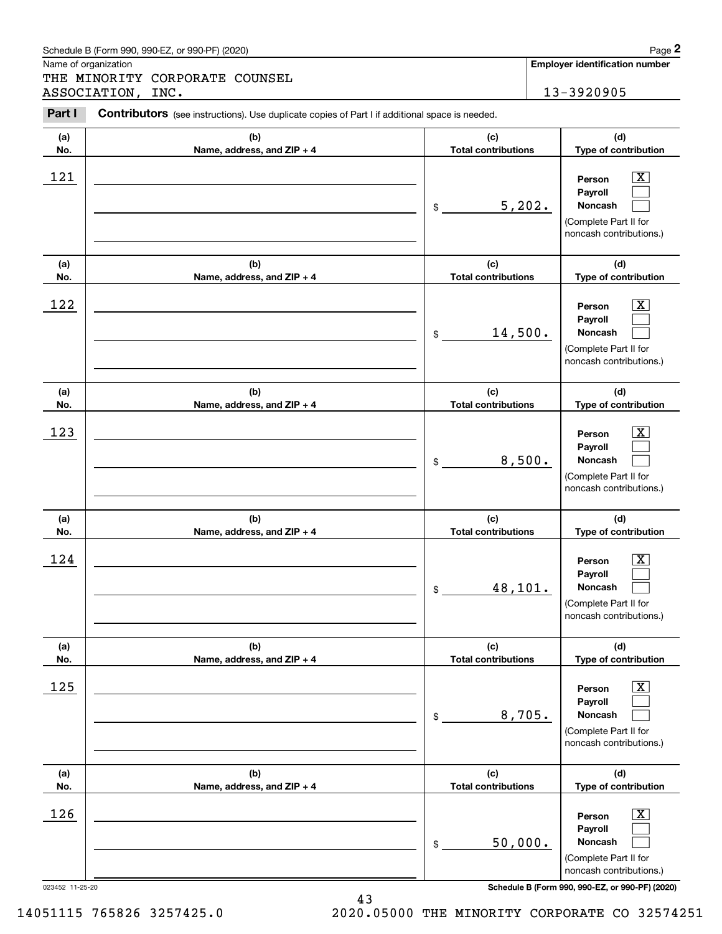|            | Schedule B (Form 990, 990-EZ, or 990-PF) (2020)                                                |                                   | Page 2                                                                                                  |
|------------|------------------------------------------------------------------------------------------------|-----------------------------------|---------------------------------------------------------------------------------------------------------|
|            | Name of organization<br>THE MINORITY CORPORATE COUNSEL                                         |                                   | <b>Employer identification number</b>                                                                   |
|            | ASSOCIATION, INC.                                                                              |                                   | 13-3920905                                                                                              |
| Part I     | Contributors (see instructions). Use duplicate copies of Part I if additional space is needed. |                                   |                                                                                                         |
| (a)<br>No. | (b)<br>Name, address, and ZIP + 4                                                              | (c)<br><b>Total contributions</b> | (d)<br>Type of contribution                                                                             |
| 121        |                                                                                                | 5,202.<br>\$                      | $\mathbf{X}$<br>Person<br>Payroll<br>Noncash<br>(Complete Part II for<br>noncash contributions.)        |
| (a)<br>No. | (b)<br>Name, address, and ZIP + 4                                                              | (c)<br><b>Total contributions</b> | (d)<br>Type of contribution                                                                             |
| 122        |                                                                                                | 14,500.<br>\$                     | $\mathbf{X}$<br>Person<br>Payroll<br><b>Noncash</b><br>(Complete Part II for<br>noncash contributions.) |
| (a)<br>No. | (b)<br>Name, address, and ZIP + 4                                                              | (c)<br><b>Total contributions</b> | (d)<br>Type of contribution                                                                             |
| 123        |                                                                                                | 8,500.<br>\$                      | $\mathbf{X}$<br>Person<br>Payroll<br>Noncash<br>(Complete Part II for<br>noncash contributions.)        |
| (a)<br>No. | (b)<br>Name, address, and ZIP + 4                                                              | (c)<br><b>Total contributions</b> | (d)<br>Type of contribution                                                                             |
| 124        |                                                                                                | 48,101.<br>\$                     | $\mathbf{X}$<br>Person<br>Payroll<br>Noncash<br>(Complete Part II for<br>noncash contributions.)        |
| (a)<br>No. | (b)<br>Name, address, and ZIP + 4                                                              | (c)<br><b>Total contributions</b> | (d)<br>Type of contribution                                                                             |
| 125        |                                                                                                | 8,705.<br>\$                      | $\boxed{\text{X}}$<br>Person<br>Payroll<br>Noncash<br>(Complete Part II for<br>noncash contributions.)  |
| (a)<br>No. | (b)<br>Name, address, and ZIP + 4                                                              | (c)<br><b>Total contributions</b> | (d)<br>Type of contribution                                                                             |
| 126        |                                                                                                | 50,000.<br>\$                     | $\boxed{\text{X}}$<br>Person<br>Payroll<br>Noncash<br>(Complete Part II for<br>noncash contributions.)  |

023452 11-25-20 **Schedule B (Form 990, 990-EZ, or 990-PF) (2020)** 43

14051115 765826 3257425.0 2020.05000 THE MINORITY CORPORATE CO 32574251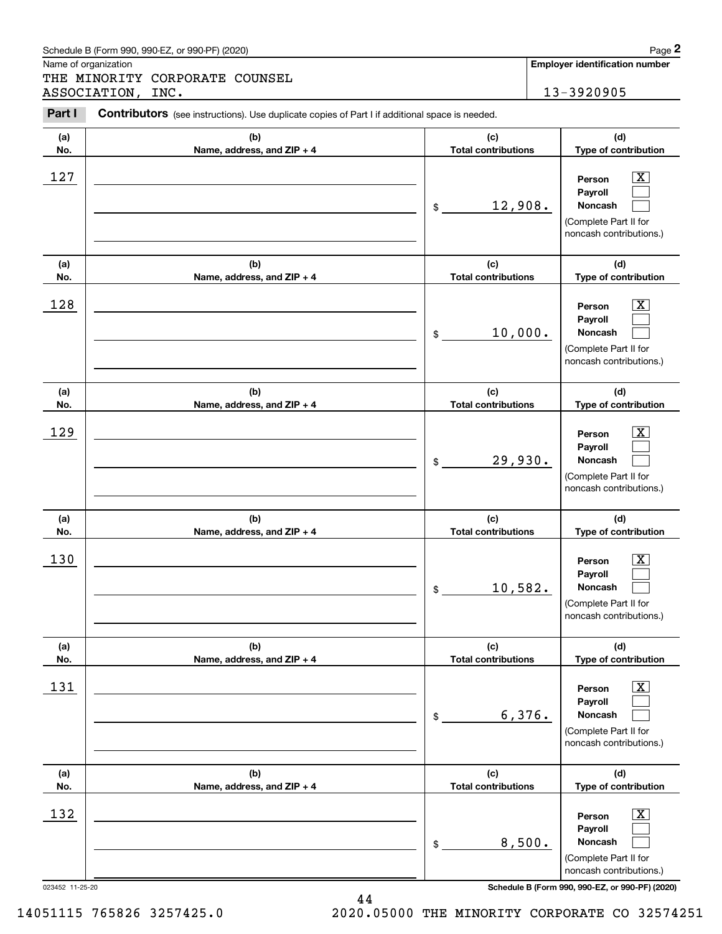|            | Schedule B (Form 990, 990-EZ, or 990-PF) (2020)                                                |                                   |        | Page 2                                                                                                      |
|------------|------------------------------------------------------------------------------------------------|-----------------------------------|--------|-------------------------------------------------------------------------------------------------------------|
|            | Name of organization<br>THE MINORITY CORPORATE COUNSEL                                         |                                   |        | <b>Employer identification number</b>                                                                       |
|            | ASSOCIATION, INC.                                                                              |                                   |        | 13-3920905                                                                                                  |
| Part I     | Contributors (see instructions). Use duplicate copies of Part I if additional space is needed. |                                   |        |                                                                                                             |
| (a)<br>No. | (b)<br>Name, address, and ZIP + 4                                                              | (c)<br><b>Total contributions</b> |        | (d)<br>Type of contribution                                                                                 |
| 127        |                                                                                                | 12,908.<br>\$                     |        | $\overline{\mathbf{X}}$<br>Person<br>Payroll<br>Noncash<br>(Complete Part II for<br>noncash contributions.) |
| (a)<br>No. | (b)<br>Name, address, and ZIP + 4                                                              | (c)<br><b>Total contributions</b> |        | (d)<br>Type of contribution                                                                                 |
| 128        |                                                                                                | 10,000.<br>\$                     |        | $\mathbf{X}$<br>Person<br>Payroll<br>Noncash<br>(Complete Part II for<br>noncash contributions.)            |
| (a)<br>No. | (b)<br>Name, address, and ZIP + 4                                                              | (c)<br><b>Total contributions</b> |        | (d)<br>Type of contribution                                                                                 |
| 129        |                                                                                                | 29,930.<br>\$                     |        | $\mathbf{X}$<br>Person<br>Payroll<br>Noncash<br>(Complete Part II for<br>noncash contributions.)            |
| (a)<br>No. | (b)<br>Name, address, and ZIP + 4                                                              | (c)<br><b>Total contributions</b> |        | (d)<br>Type of contribution                                                                                 |
| 130        |                                                                                                | 10,582.<br>\$                     |        | $\mathbf{X}$<br>Person<br>Payroll<br>Noncash<br>(Complete Part II for<br>noncash contributions.)            |
| (a)<br>No. | (b)<br>Name, address, and ZIP + 4                                                              | (c)<br><b>Total contributions</b> |        | (d)<br>Type of contribution                                                                                 |
| 131        |                                                                                                | \$                                | 6,376. | $\boxed{\text{X}}$<br>Person<br>Payroll<br>Noncash<br>(Complete Part II for<br>noncash contributions.)      |
| (a)<br>No. | (b)<br>Name, address, and ZIP + 4                                                              | (c)<br><b>Total contributions</b> |        | (d)<br>Type of contribution                                                                                 |
| 132        |                                                                                                | \$                                | 8,500. | $\boxed{\text{X}}$<br>Person<br>Payroll<br>Noncash<br>(Complete Part II for<br>noncash contributions.)      |

14051115 765826 3257425.0 2020.05000 THE MINORITY CORPORATE CO 32574251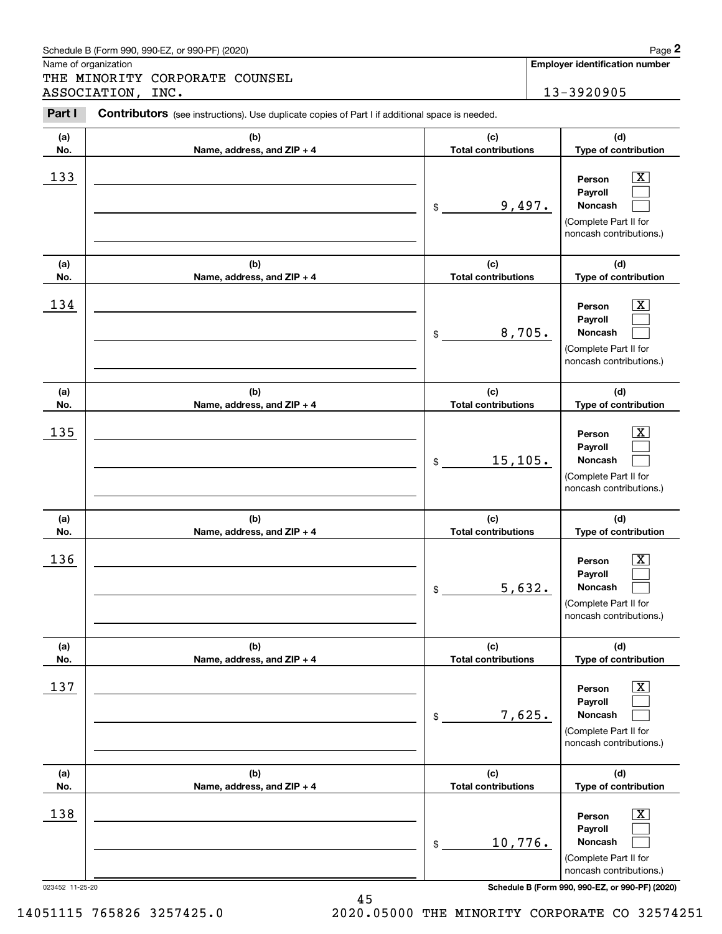| (a)                    | (b)                               | (c)                                          | (d)                                                                                                                                      |
|------------------------|-----------------------------------|----------------------------------------------|------------------------------------------------------------------------------------------------------------------------------------------|
| No.                    | Name, address, and ZIP + 4        | <b>Total contributions</b>                   | Type of contribution                                                                                                                     |
| 133                    |                                   | 9,497.<br>$\$$                               | x.<br>Person<br>Payroll<br>Noncash<br>(Complete Part II for<br>noncash contributions.)                                                   |
| (a)                    | (b)<br>Name, address, and ZIP + 4 | (c)<br><b>Total contributions</b>            | (d)<br>Type of contribution                                                                                                              |
| No.<br>134             |                                   | 8,705.<br>\$                                 | x<br>Person<br>Payroll<br>Noncash<br>(Complete Part II for<br>noncash contributions.)                                                    |
| (a)                    | (b)                               | (c)                                          | (d)                                                                                                                                      |
| No.<br>135             | Name, address, and ZIP + 4        | <b>Total contributions</b><br>15, 105.<br>\$ | Type of contribution<br>x<br>Person<br>Payroll<br>Noncash<br>(Complete Part II for<br>noncash contributions.)                            |
|                        |                                   |                                              |                                                                                                                                          |
| (a)                    | (b)                               | (c)                                          | (d)                                                                                                                                      |
| No.                    | Name, address, and ZIP + 4        | <b>Total contributions</b>                   | Type of contribution                                                                                                                     |
| 136                    |                                   | 5,632.<br>\$                                 | Person<br>Payroll<br>Noncash<br>(Complete Part II for<br>noncash contributions.)                                                         |
| (a)                    | (b)                               | (c)                                          | (d)                                                                                                                                      |
| No.                    | Name, address, and $ZIP + 4$      | Total contributions                          | Type of contribution                                                                                                                     |
| 137                    |                                   | 7,625.<br>\$                                 | X<br>Person<br>Payroll<br>Noncash<br>(Complete Part II for<br>noncash contributions.)                                                    |
| (a)                    | (b)                               | (c)                                          | (d)                                                                                                                                      |
| No.                    | Name, address, and ZIP + 4        | <b>Total contributions</b>                   | Type of contribution                                                                                                                     |
| 138<br>023452 11-25-20 |                                   | 10,776.<br>\$                                | х<br>Person<br>Payroll<br>Noncash<br>(Complete Part II for<br>noncash contributions.)<br>Schedule B (Form 990, 990-EZ, or 990-PF) (2020) |

Contributors (see instructions). Use duplicate copies of Part I if additional space is needed.

Name of organization

Chedule B (Form 990, 990-EZ, or 990-PF) (2020)<br> **2Page 2**<br>
2PART MINORITY CORPORATE COUNSEL<br>
2PART I Contributors (see instructions). Use duplicate copies of Part I if additional space is needed.<br>
2PART I Contributors (see THE MINORITY CORPORATE COUNSEL ASSOCIATION, INC. 13-3920905

**Employer identification number**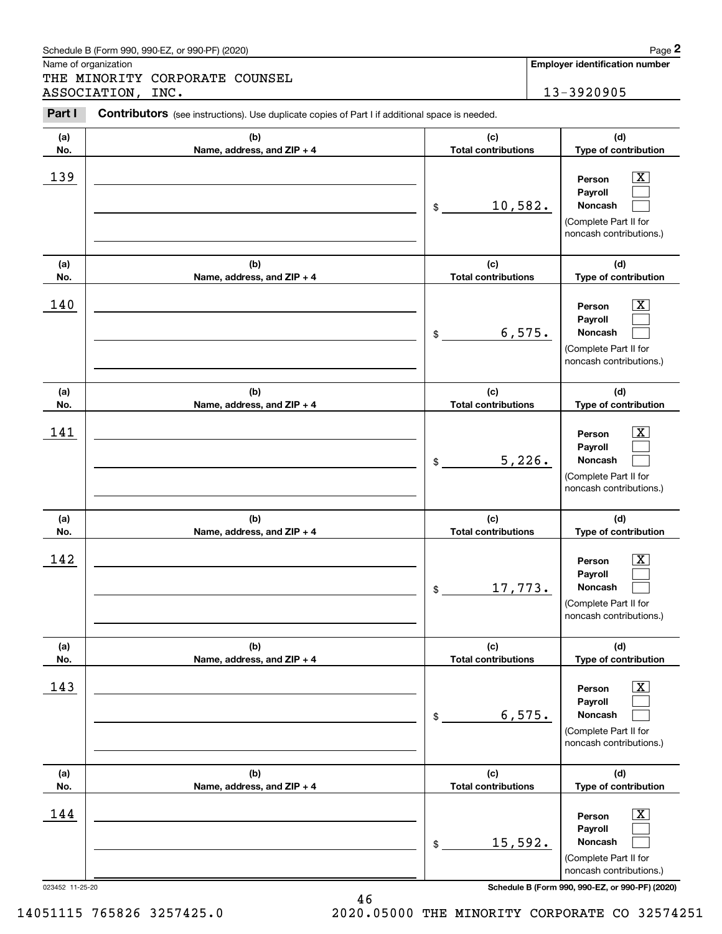| Schedule B (Form 990. 990-EZ. or 990-PF) (2020) | Page |
|-------------------------------------------------|------|
|-------------------------------------------------|------|

Name of organization

THE MINORITY CORPORATE COUNSEL ASSOCIATION, INC. 13-3920905

#### **(a)No.(b)Name, address, and ZIP + 4 (c)Total contributions (d)Type of contribution PersonPayrollNoncash (a)No.(b)Name, address, and ZIP + 4 (c)Total contributions (d)Type of contribution PersonPayrollNoncash (a)No.(b)Name, address, and ZIP + 4 (c)Total contributions (d)Type of contribution PersonPayrollNoncash (a) No.(b) Name, address, and ZIP + 4 (c) Total contributions (d) Type of contribution PersonPayrollNoncash (a) No.(b)Name, address, and ZIP + 4 (c) Total contributions (d) Type of contribution PersonPayrollNoncash (a) No.(b)Name, address, and ZIP + 4 (c) Total contributions (d)Type of contribution PersonPayrollNoncash Contributors** (see instructions). Use duplicate copies of Part I if additional space is needed. \$(Complete Part II for noncash contributions.) \$(Complete Part II for noncash contributions.) \$(Complete Part II for noncash contributions.) \$(Complete Part II for noncash contributions.) \$(Complete Part II for noncash contributions.) \$(Complete Part II for noncash contributions.) Chedule B (Form 990, 990-EZ, or 990-PF) (2020)<br> **2Page 2**<br>
2PART MINORITY CORPORATE COUNSEL<br>
2PART I Contributors (see instructions). Use duplicate copies of Part I if additional space is needed.<br>
2PART I Contributors (see  $|X|$  $\mathcal{L}^{\text{max}}$  $\mathcal{L}^{\text{max}}$  $\boxed{\text{X}}$  $\mathcal{L}^{\text{max}}$  $\mathcal{L}^{\text{max}}$  $|X|$  $\mathcal{L}^{\text{max}}$  $\mathcal{L}^{\text{max}}$  $|X|$  $\mathcal{L}^{\text{max}}$  $\mathcal{L}^{\text{max}}$  $|X|$  $\mathcal{L}^{\text{max}}$  $\mathcal{L}^{\text{max}}$  $\boxed{\text{X}}$  $\mathcal{L}^{\text{max}}$  $\mathcal{L}^{\text{max}}$ 139 X 10,582.  $140$  Person  $\overline{\text{X}}$ 6,575.  $141$  | Person  $\overline{\text{X}}$ 5,226.  $142$  Person  $\overline{\text{X}}$ 17,773.  $143$  Person  $\overline{\text{X}}$ 6,575.  $144$  | Person  $\overline{\text{X}}$ 15,592.

023452 11-25-20 **Schedule B (Form 990, 990-EZ, or 990-PF) (2020)**

14051115 765826 3257425.0 2020.05000 THE MINORITY CORPORATE CO 32574251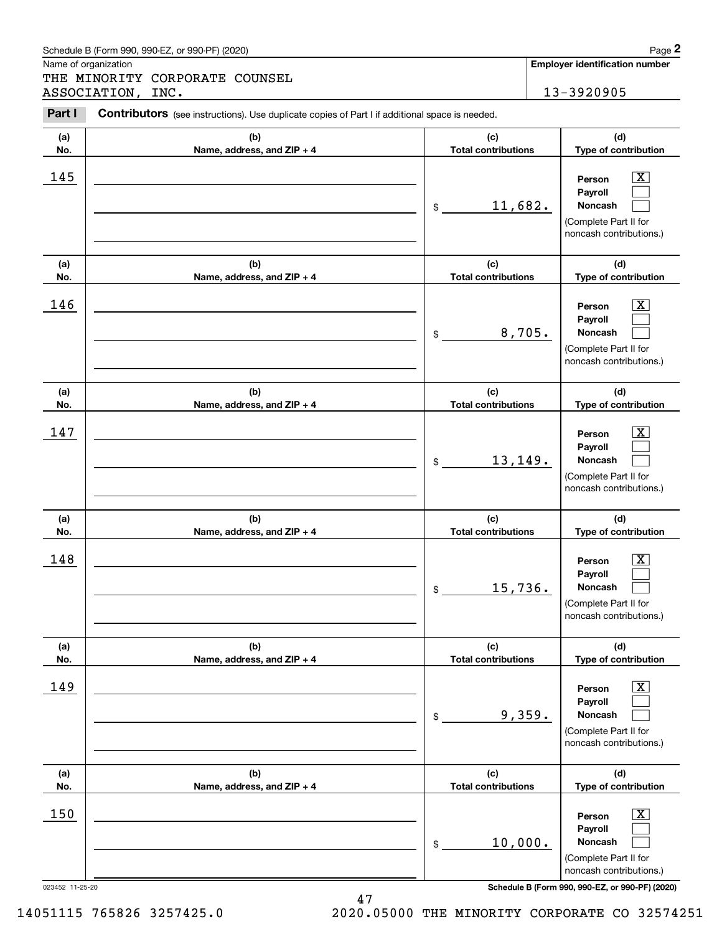| (a)<br>No.             | (b)<br>Name, address, and ZIP + 4 | (c)<br><b>Total contributions</b> | (d)<br>Type of contribution                                                                                                                                  |
|------------------------|-----------------------------------|-----------------------------------|--------------------------------------------------------------------------------------------------------------------------------------------------------------|
| 145                    |                                   | 11,682.<br>\$                     | $\overline{\text{X}}$<br>Person<br>Payroll<br>Noncash<br>(Complete Part II for<br>noncash contributions.)                                                    |
| (a)<br>No.             | (b)<br>Name, address, and ZIP + 4 | (c)<br><b>Total contributions</b> | (d)<br>Type of contribution                                                                                                                                  |
| 146                    |                                   | 8,705.<br>\$                      | $\overline{\text{X}}$<br>Person<br>Payroll<br><b>Noncash</b><br>(Complete Part II for<br>noncash contributions.)                                             |
| (a)<br>No.             | (b)<br>Name, address, and ZIP + 4 | (c)<br><b>Total contributions</b> | (d)<br>Type of contribution                                                                                                                                  |
| 147                    |                                   | 13,149.<br>\$                     | x<br>Person<br>Payroll<br><b>Noncash</b><br>(Complete Part II for<br>noncash contributions.)                                                                 |
| (a)<br>No.             | (b)<br>Name, address, and ZIP + 4 | (c)<br><b>Total contributions</b> | (d)<br>Type of contribution                                                                                                                                  |
| 148                    |                                   | 15,736.<br>\$                     | $\overline{\text{X}}$<br>Person<br>Payroll<br>Noncash<br>(Complete Part II for<br>noncash contributions.)                                                    |
| (a)<br>No.             | (b)<br>Name, address, and ZIP + 4 | (c)<br><b>Total contributions</b> | (d)<br>Type of contribution                                                                                                                                  |
| 149                    |                                   | 9,359.<br>\$                      | $\overline{\texttt{X}}$<br>Person<br>Payroll<br>Noncash<br>(Complete Part II for<br>noncash contributions.)                                                  |
| (a)<br>No.             | (b)<br>Name, address, and ZIP + 4 | (c)<br><b>Total contributions</b> | (d)<br>Type of contribution                                                                                                                                  |
| 150<br>023452 11-25-20 |                                   | 10,000.<br>\$                     | $\overline{\text{X}}$<br>Person<br>Payroll<br>Noncash<br>(Complete Part II for<br>noncash contributions.)<br>Schedule B (Form 990, 990-EZ, or 990-PF) (2020) |

Name of organization

Chedule B (Form 990, 990-EZ, or 990-PF) (2020)<br> **2Page 2**<br>
2PART MINORITY CORPORATE COUNSEL<br>
2PART I Contributors (see instructions). Use duplicate copies of Part I if additional space is needed.<br>
2PART I Contributors (see THE MINORITY CORPORATE COUNSEL ASSOCIATION, INC. 13-3920905

Contributors (see instructions). Use duplicate copies of Part I if additional space is needed.

**Employer identification number**

14051115 765826 3257425.0 2020.05000 THE MINORITY CORPORATE CO 32574251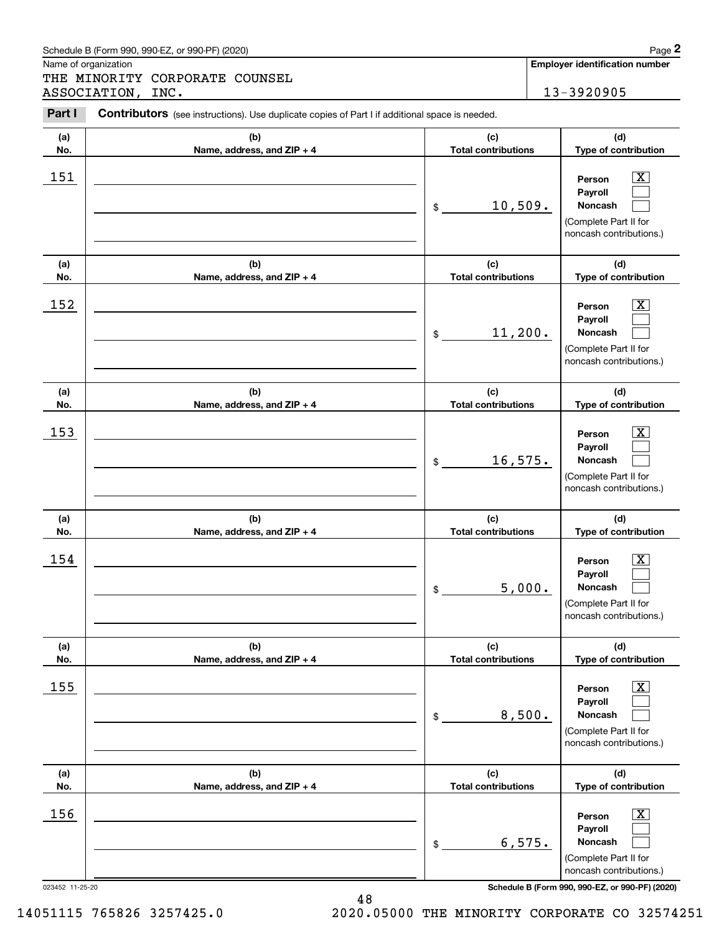|            | Schedule B (Form 990, 990-EZ, or 990-PF) (2020)                                                |                                   |        | Page 2                                                                                                        |
|------------|------------------------------------------------------------------------------------------------|-----------------------------------|--------|---------------------------------------------------------------------------------------------------------------|
|            | Name of organization<br>THE MINORITY CORPORATE COUNSEL                                         |                                   |        | <b>Employer identification number</b>                                                                         |
|            | ASSOCIATION, INC.                                                                              |                                   |        | 13-3920905                                                                                                    |
| Part I     | Contributors (see instructions). Use duplicate copies of Part I if additional space is needed. |                                   |        |                                                                                                               |
| (a)<br>No. | (b)<br>Name, address, and ZIP + 4                                                              | (c)<br><b>Total contributions</b> |        | (d)<br>Type of contribution                                                                                   |
| 151        |                                                                                                | 10,509.<br>\$                     |        | $\mathbf{X}$<br>Person<br>Payroll<br>Noncash<br>(Complete Part II for<br>noncash contributions.)              |
| (a)<br>No. | (b)<br>Name, address, and ZIP + 4                                                              | (c)<br><b>Total contributions</b> |        | (d)<br>Type of contribution                                                                                   |
| 152        |                                                                                                | 11,200.<br>\$                     |        | $\mathbf{X}$<br>Person<br>Payroll<br>Noncash<br>(Complete Part II for<br>noncash contributions.)              |
| (a)<br>No. | (b)<br>Name, address, and ZIP + 4                                                              | (c)<br><b>Total contributions</b> |        | (d)<br>Type of contribution                                                                                   |
| 153        |                                                                                                | 16, 575.<br>\$                    |        | $\mathbf{X}$<br>Person<br>Payroll<br>Noncash<br>(Complete Part II for<br>noncash contributions.)              |
| (a)<br>No. | (b)<br>Name, address, and ZIP + 4                                                              | (c)<br><b>Total contributions</b> |        | (d)<br>Type of contribution                                                                                   |
| 154        |                                                                                                | \$                                | 5,000. | $\mathbf{X}$<br>Person<br>Payroll<br>Noncash<br>(Complete Part II for<br>noncash contributions.)              |
| (a)<br>No. | (b)<br>Name, address, and ZIP + 4                                                              | (c)<br><b>Total contributions</b> |        | (d)<br>Type of contribution                                                                                   |
| 155        |                                                                                                | \$                                | 8,500. | $\boxed{\text{X}}$<br>Person<br>Payroll<br><b>Noncash</b><br>(Complete Part II for<br>noncash contributions.) |
| (a)<br>No. | (b)<br>Name, address, and ZIP + 4                                                              | (c)<br><b>Total contributions</b> |        | (d)<br>Type of contribution                                                                                   |
| 156        |                                                                                                | \$                                | 6,575. | $\boxed{\text{X}}$<br>Person<br>Payroll<br>Noncash<br>(Complete Part II for<br>noncash contributions.)        |

14051115 765826 3257425.0 2020.05000 THE MINORITY CORPORATE CO 32574251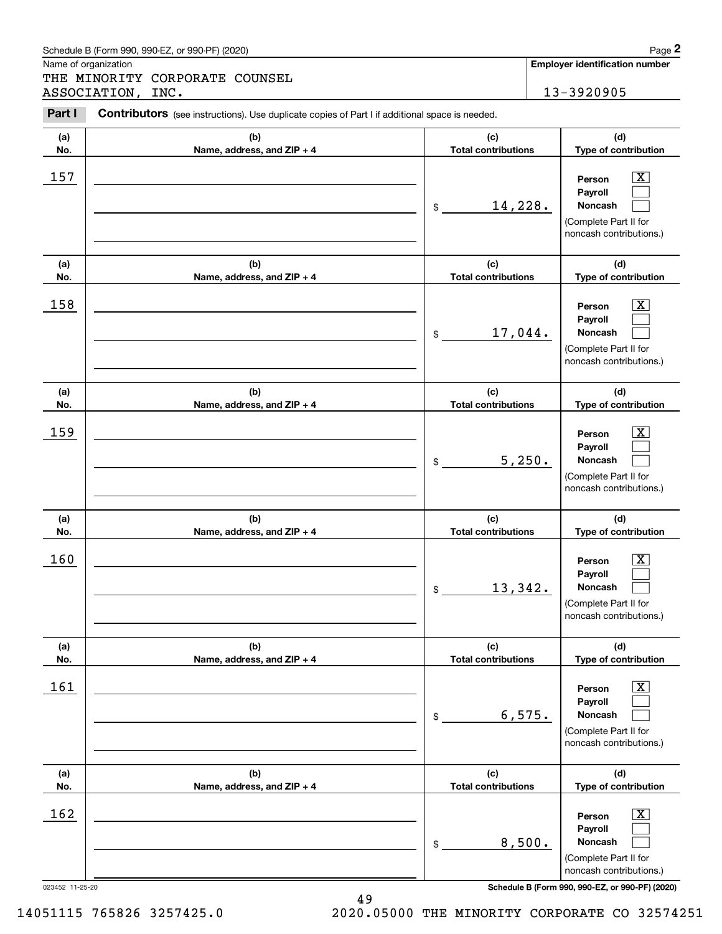|            | Schedule B (Form 990, 990-EZ, or 990-PF) (2020)                                                |                                   |        | Page 2                                                                                                      |
|------------|------------------------------------------------------------------------------------------------|-----------------------------------|--------|-------------------------------------------------------------------------------------------------------------|
|            | Name of organization<br>THE MINORITY CORPORATE COUNSEL                                         |                                   |        | <b>Employer identification number</b>                                                                       |
|            | ASSOCIATION, INC.                                                                              |                                   |        | 13-3920905                                                                                                  |
| Part I     | Contributors (see instructions). Use duplicate copies of Part I if additional space is needed. |                                   |        |                                                                                                             |
| (a)<br>No. | (b)<br>Name, address, and ZIP + 4                                                              | (c)<br><b>Total contributions</b> |        | (d)<br>Type of contribution                                                                                 |
| 157        |                                                                                                | 14,228.<br>\$                     |        | $\overline{\mathbf{X}}$<br>Person<br>Payroll<br>Noncash<br>(Complete Part II for<br>noncash contributions.) |
| (a)<br>No. | (b)<br>Name, address, and ZIP + 4                                                              | (c)<br><b>Total contributions</b> |        | (d)<br>Type of contribution                                                                                 |
| 158        |                                                                                                | 17,044.<br>\$                     |        | $\overline{\text{X}}$<br>Person<br>Payroll<br>Noncash<br>(Complete Part II for<br>noncash contributions.)   |
| (a)<br>No. | (b)<br>Name, address, and ZIP + 4                                                              | (c)<br><b>Total contributions</b> |        | (d)<br>Type of contribution                                                                                 |
| 159        |                                                                                                | \$                                | 5,250. | $\overline{\text{X}}$<br>Person<br>Payroll<br>Noncash<br>(Complete Part II for<br>noncash contributions.)   |
| (a)<br>No. | (b)<br>Name, address, and ZIP + 4                                                              | (c)<br><b>Total contributions</b> |        | (d)<br>Type of contribution                                                                                 |
| 160        |                                                                                                | 13,342.<br>\$                     |        | $\overline{\text{X}}$<br>Person<br>Payroll<br>Noncash<br>(Complete Part II for<br>noncash contributions.)   |
| (a)<br>No. | (b)<br>Name, address, and ZIP + 4                                                              | (c)<br><b>Total contributions</b> |        | (d)<br>Type of contribution                                                                                 |
| 161        |                                                                                                | \$                                | 6,575. | $\overline{\mathbf{X}}$<br>Person<br>Payroll<br>Noncash<br>(Complete Part II for<br>noncash contributions.) |
| (a)<br>No. | (b)<br>Name, address, and ZIP + 4                                                              | (c)<br><b>Total contributions</b> |        | (d)<br>Type of contribution                                                                                 |
| 162        |                                                                                                | 8,500.<br>\$                      |        | $\overline{\mathbf{X}}$<br>Person<br>Payroll<br>Noncash<br>(Complete Part II for<br>noncash contributions.) |

14051115 765826 3257425.0 2020.05000 THE MINORITY CORPORATE CO 32574251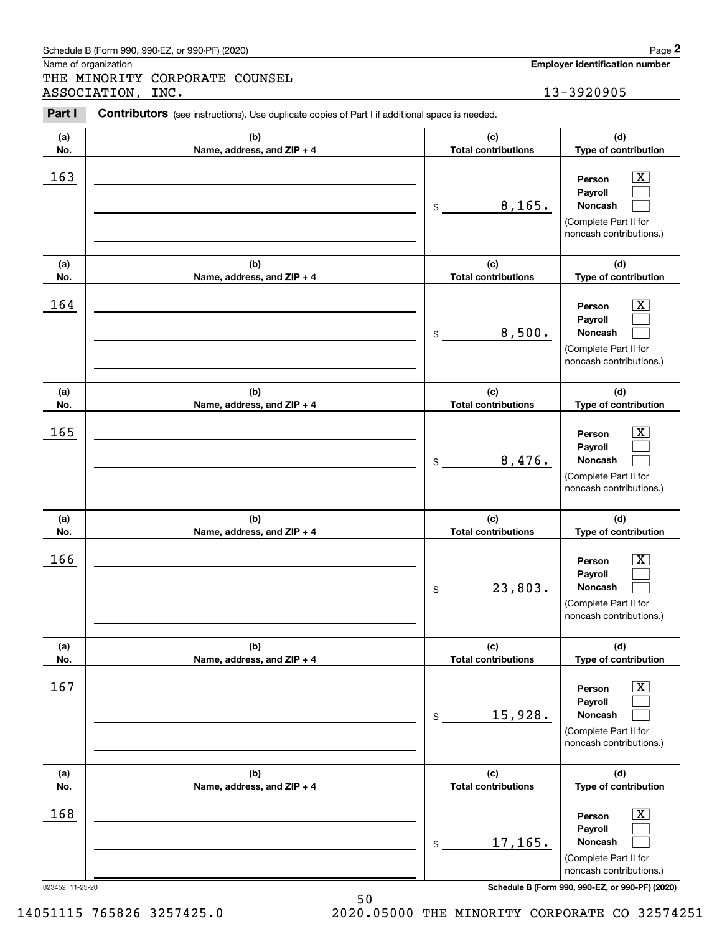|            | Schedule B (Form 990, 990-EZ, or 990-PF) (2020)                                                |                                   | Page 2                                                                                                      |
|------------|------------------------------------------------------------------------------------------------|-----------------------------------|-------------------------------------------------------------------------------------------------------------|
|            | Name of organization<br>THE MINORITY CORPORATE COUNSEL                                         |                                   | <b>Employer identification number</b>                                                                       |
|            | ASSOCIATION, INC.                                                                              |                                   | 13-3920905                                                                                                  |
| Part I     | Contributors (see instructions). Use duplicate copies of Part I if additional space is needed. |                                   |                                                                                                             |
| (a)        | (b)                                                                                            | (c)                               | (d)                                                                                                         |
| No.        | Name, address, and ZIP + 4                                                                     | <b>Total contributions</b>        | Type of contribution                                                                                        |
| 163        |                                                                                                | 8, 165.<br>\$                     | $\mathbf{X}$<br>Person<br>Payroll<br>Noncash<br>(Complete Part II for<br>noncash contributions.)            |
| (a)<br>No. | (b)<br>Name, address, and ZIP + 4                                                              | (c)<br><b>Total contributions</b> | (d)<br>Type of contribution                                                                                 |
| 164        |                                                                                                | 8,500.<br>\$                      | $\mathbf{X}$<br>Person<br>Payroll<br>Noncash<br>(Complete Part II for<br>noncash contributions.)            |
| (a)<br>No. | (b)<br>Name, address, and ZIP + 4                                                              | (c)<br><b>Total contributions</b> | (d)<br>Type of contribution                                                                                 |
| 165        |                                                                                                | 8,476.<br>\$                      | $\mathbf{X}$<br>Person<br>Payroll<br>Noncash<br>(Complete Part II for<br>noncash contributions.)            |
| (a)<br>No. | (b)<br>Name, address, and ZIP + 4                                                              | (c)<br><b>Total contributions</b> | (d)<br>Type of contribution                                                                                 |
| 166        |                                                                                                | 23,803.<br>\$                     | $\mathbf{X}$<br>Person<br>Payroll<br>Noncash<br>(Complete Part II for<br>noncash contributions.)            |
| (a)<br>No. | (b)<br>Name, address, and ZIP + 4                                                              | (c)<br><b>Total contributions</b> | (d)<br>Type of contribution                                                                                 |
| 167        |                                                                                                | 15,928.<br>\$                     | $\overline{\mathbf{X}}$<br>Person<br>Payroll<br>Noncash<br>(Complete Part II for<br>noncash contributions.) |
| (a)<br>No. | (b)<br>Name, address, and ZIP + 4                                                              | (c)<br><b>Total contributions</b> | (d)<br>Type of contribution                                                                                 |
| 168        |                                                                                                | 17, 165.<br>\$                    | $\overline{\mathbf{X}}$<br>Person<br>Payroll<br>Noncash<br>(Complete Part II for<br>noncash contributions.) |

Schedule B (Form 990, 990-EZ, or 990-PF) (2020) **Page 2** Page 2

14051115 765826 3257425.0 2020.05000 THE MINORITY CORPORATE CO 32574251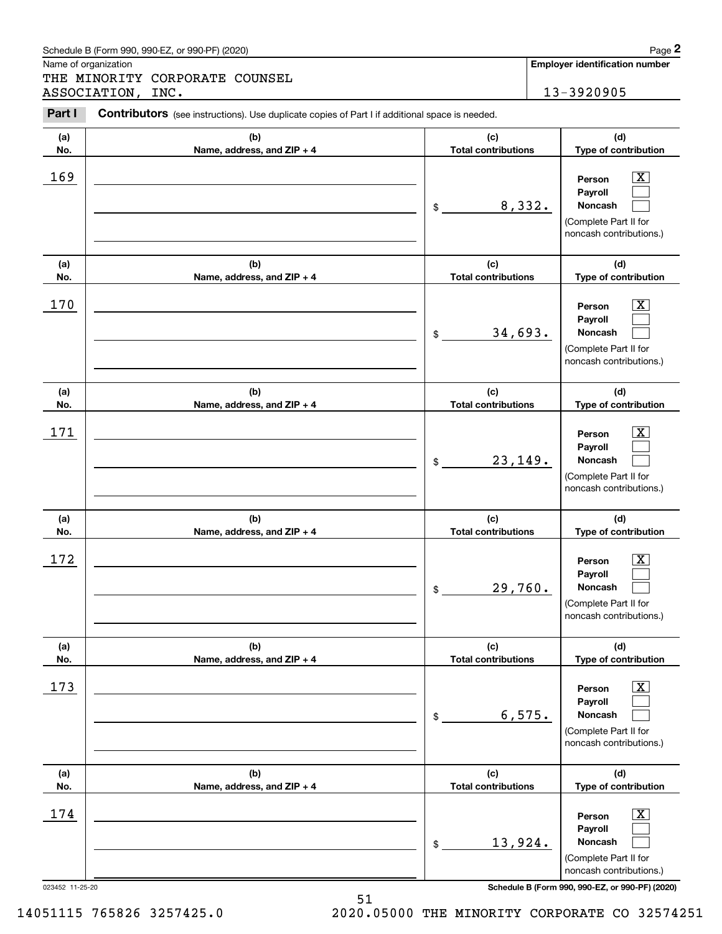| Schedule B (Form 990. 990-EZ. or 990-PF) (2020) | Page |
|-------------------------------------------------|------|
|-------------------------------------------------|------|

Name of organization

THE MINORITY CORPORATE COUNSEL ASSOCIATION, INC. 13-3920905

#### **(a)No.(b)Name, address, and ZIP + 4 (c)Total contributions (d)Type of contribution PersonPayrollNoncash (a)No.(b)Name, address, and ZIP + 4 (c)Total contributions (d)Type of contribution PersonPayrollNoncash (a)No.(b)Name, address, and ZIP + 4 (c)Total contributions (d)Type of contribution PersonPayrollNoncash (a) No.(b) Name, address, and ZIP + 4 (c) Total contributions (d) Type of contribution PersonPayrollNoncash (a) No.(b)Name, address, and ZIP + 4 (c) Total contributions (d) Type of contribution PersonPayrollNoncash (a) No.(b)Name, address, and ZIP + 4 (c) Total contributions (d)Type of contribution PersonPayrollNoncash Contributors** (see instructions). Use duplicate copies of Part I if additional space is needed. \$(Complete Part II for noncash contributions.) \$(Complete Part II for noncash contributions.) \$(Complete Part II for noncash contributions.) \$(Complete Part II for noncash contributions.) \$(Complete Part II for noncash contributions.) \$(Complete Part II for noncash contributions.) Chedule B (Form 990, 990-EZ, or 990-PF) (2020)<br> **2Page 2**<br>
2PART MINORITY CORPORATE COUNSEL<br>
2PART I Contributors (see instructions). Use duplicate copies of Part I if additional space is needed.<br>
2PART I Contributors (see  $|X|$  $\mathcal{L}^{\text{max}}$  $\mathcal{L}^{\text{max}}$  $\boxed{\text{X}}$  $\mathcal{L}^{\text{max}}$  $\mathcal{L}^{\text{max}}$  $|X|$  $\mathcal{L}^{\text{max}}$  $\mathcal{L}^{\text{max}}$  $|X|$  $\mathcal{L}^{\text{max}}$  $\mathcal{L}^{\text{max}}$  $|X|$  $\mathcal{L}^{\text{max}}$  $\mathcal{L}^{\text{max}}$  $\boxed{\text{X}}$  $\mathcal{L}^{\text{max}}$  $\mathcal{L}^{\text{max}}$ 169 X 8,332. 170 X 34,693.  $171$  | Person  $\overline{\text{X}}$ 23,149.  $172$  | Person  $\overline{\text{X}}$ 29,760. 173 X 6,575.  $174$  | Person  $\overline{\text{X}}$ 13,924.

023452 11-25-20 **Schedule B (Form 990, 990-EZ, or 990-PF) (2020)**

14051115 765826 3257425.0 2020.05000 THE MINORITY CORPORATE CO 32574251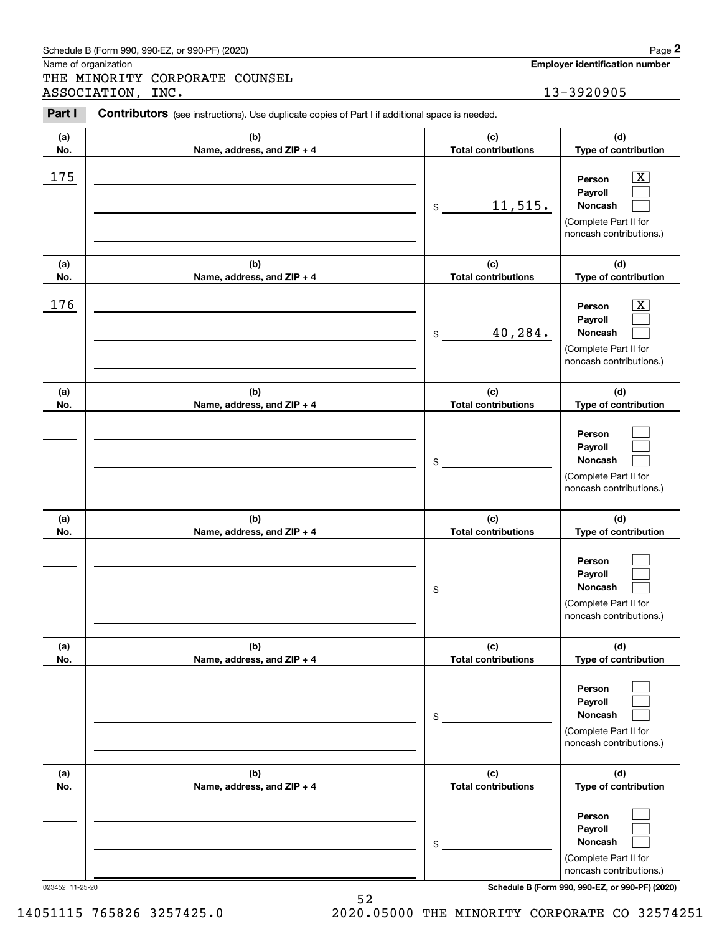|            | Schedule B (Form 990, 990-EZ, or 990-PF) (2020)                                                |                                             | Page 2                                                                                                                   |
|------------|------------------------------------------------------------------------------------------------|---------------------------------------------|--------------------------------------------------------------------------------------------------------------------------|
|            | Name of organization<br>THE MINORITY CORPORATE COUNSEL                                         |                                             | Employer identification number                                                                                           |
|            | ASSOCIATION, INC.                                                                              |                                             | 13-3920905                                                                                                               |
| Part I     | Contributors (see instructions). Use duplicate copies of Part I if additional space is needed. |                                             |                                                                                                                          |
| (a)<br>No. | (b)<br>Name, address, and ZIP + 4                                                              | (c)<br><b>Total contributions</b>           | (d)<br>Type of contribution                                                                                              |
| 175        |                                                                                                | 11,515.<br>\$                               | $\overline{\mathbf{X}}$<br>Person<br>Payroll<br>Noncash<br>(Complete Part II for<br>noncash contributions.)              |
| (a)        | (b)                                                                                            | (c)                                         | (d)                                                                                                                      |
| No.<br>176 | Name, address, and ZIP + 4                                                                     | <b>Total contributions</b><br>40,284.<br>\$ | Type of contribution<br>$\mathbf{X}$<br>Person<br>Payroll<br>Noncash<br>(Complete Part II for<br>noncash contributions.) |
| (a)<br>No. | (b)<br>Name, address, and ZIP + 4                                                              | (c)<br><b>Total contributions</b>           | (d)<br>Type of contribution                                                                                              |
|            |                                                                                                | \$                                          | Person<br>Payroll<br>Noncash<br>(Complete Part II for<br>noncash contributions.)                                         |
| (a)<br>No. | (b)<br>Name, address, and ZIP + 4                                                              | (c)<br><b>Total contributions</b>           | (d)<br>Type of contribution                                                                                              |
|            |                                                                                                | \$                                          | Person<br>Payroll<br>Noncash<br>(Complete Part II for<br>noncash contributions.)                                         |
| (a)<br>No. | (b)<br>Name, address, and ZIP + 4                                                              | (c)<br><b>Total contributions</b>           | (d)<br>Type of contribution                                                                                              |
|            |                                                                                                | \$                                          | Person<br>Payroll<br>Noncash<br>(Complete Part II for<br>noncash contributions.)                                         |
| (a)<br>No. | (b)<br>Name, address, and ZIP + 4                                                              | (c)<br><b>Total contributions</b>           | (d)<br>Type of contribution                                                                                              |
|            |                                                                                                | \$                                          | Person<br>Payroll<br>Noncash<br>(Complete Part II for<br>noncash contributions.)                                         |

52 14051115 765826 3257425.0 2020.05000 THE MINORITY CORPORATE CO 32574251

| Schedule B (Form 990, 990-EZ, or 990-PF) (2020) | $P$ aqe $\blacktriangle$ |
|-------------------------------------------------|--------------------------|
|                                                 |                          |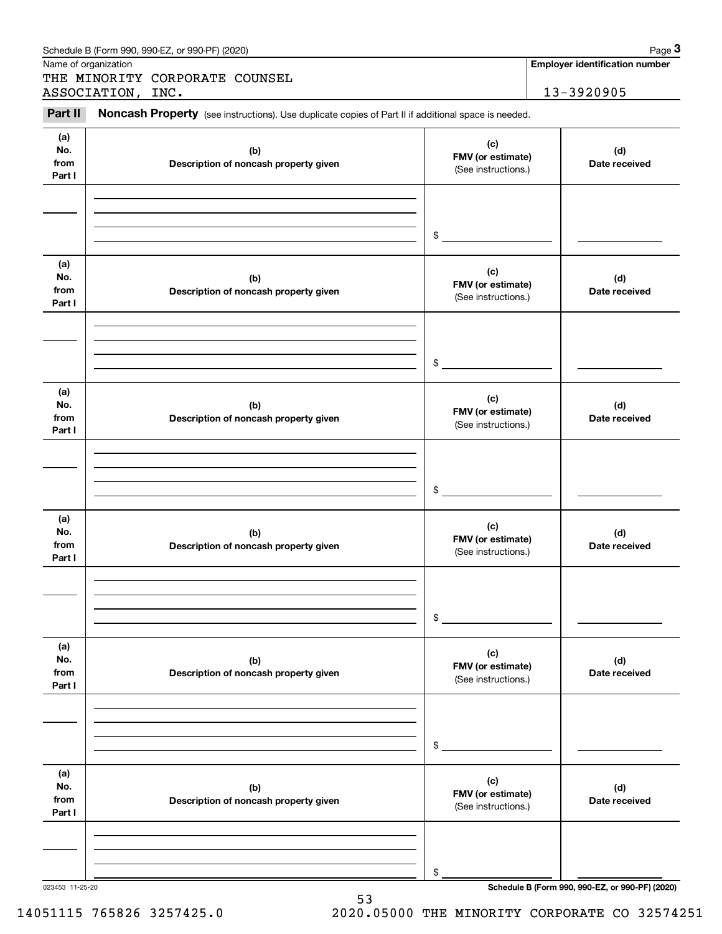|                              | Schedule B (Form 990, 990-EZ, or 990-PF) (2020)                                                     |                                                                  | Page 3                                          |
|------------------------------|-----------------------------------------------------------------------------------------------------|------------------------------------------------------------------|-------------------------------------------------|
|                              | Name of organization                                                                                |                                                                  | <b>Employer identification number</b>           |
|                              | THE MINORITY CORPORATE COUNSEL<br>ASSOCIATION, INC.                                                 |                                                                  | 13-3920905                                      |
| Part II                      | Noncash Property (see instructions). Use duplicate copies of Part II if additional space is needed. |                                                                  |                                                 |
| (a)<br>No.<br>from<br>Part I | (b)<br>Description of noncash property given                                                        | (d)<br>FMV (or estimate)<br>Date received<br>(See instructions.) |                                                 |
|                              |                                                                                                     | \$                                                               |                                                 |
| (a)<br>No.<br>from<br>Part I | (b)<br>Description of noncash property given                                                        | (c)<br>FMV (or estimate)<br>(See instructions.)                  | (d)<br>Date received                            |
|                              |                                                                                                     | \$                                                               |                                                 |
| (a)<br>No.<br>from<br>Part I | (b)<br>Description of noncash property given                                                        | (c)<br>FMV (or estimate)<br>(See instructions.)                  | (d)<br>Date received                            |
|                              |                                                                                                     | \$                                                               |                                                 |
| (a)<br>No.<br>from<br>Part I | (b)<br>Description of noncash property given                                                        | (c)<br>FMV (or estimate)<br>(See instructions.)                  | (d)<br>Date received                            |
|                              |                                                                                                     | \$                                                               |                                                 |
| (a)<br>No.<br>from<br>Part I | (b)<br>Description of noncash property given                                                        | (c)<br>FMV (or estimate)<br>(See instructions.)                  | (d)<br>Date received                            |
|                              |                                                                                                     | \$                                                               |                                                 |
| (a)<br>No.<br>from<br>Part I | (b)<br>Description of noncash property given                                                        | (c)<br>FMV (or estimate)<br>(See instructions.)                  | (d)<br>Date received                            |
|                              |                                                                                                     | \$                                                               |                                                 |
| 023453 11-25-20              |                                                                                                     |                                                                  | Schedule B (Form 990, 990-EZ, or 990-PF) (2020) |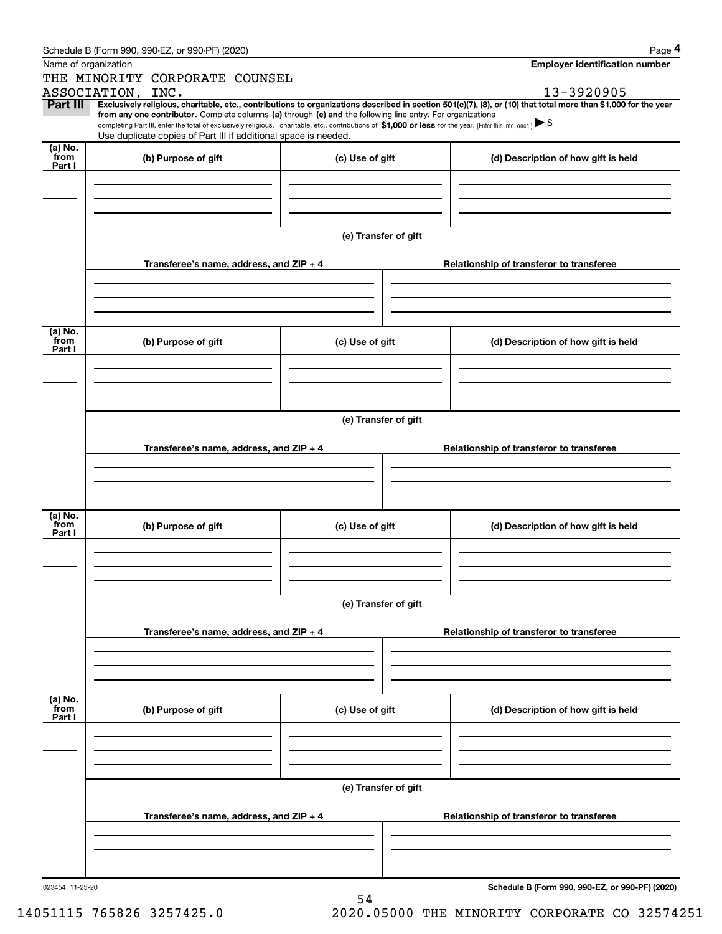|                             | Schedule B (Form 990, 990-EZ, or 990-PF) (2020)                                                                                                              |                      | Page 4                                                                                                                                                         |  |  |  |  |
|-----------------------------|--------------------------------------------------------------------------------------------------------------------------------------------------------------|----------------------|----------------------------------------------------------------------------------------------------------------------------------------------------------------|--|--|--|--|
|                             | Name of organization                                                                                                                                         |                      | <b>Employer identification number</b>                                                                                                                          |  |  |  |  |
|                             | THE MINORITY CORPORATE COUNSEL                                                                                                                               |                      |                                                                                                                                                                |  |  |  |  |
|                             | ASSOCIATION, INC.                                                                                                                                            |                      | 13-3920905                                                                                                                                                     |  |  |  |  |
| Part III                    | from any one contributor. Complete columns (a) through (e) and the following line entry. For organizations                                                   |                      | Exclusively religious, charitable, etc., contributions to organizations described in section 501(c)(7), (8), or (10) that total more than \$1,000 for the year |  |  |  |  |
|                             | completing Part III, enter the total of exclusively religious, charitable, etc., contributions of \$1,000 or less for the year. (Enter this info. once.) \\$ |                      |                                                                                                                                                                |  |  |  |  |
|                             | Use duplicate copies of Part III if additional space is needed.                                                                                              |                      |                                                                                                                                                                |  |  |  |  |
| $(a)$ No.<br>from<br>Part I | (b) Purpose of gift                                                                                                                                          | (c) Use of gift      | (d) Description of how gift is held                                                                                                                            |  |  |  |  |
|                             |                                                                                                                                                              |                      |                                                                                                                                                                |  |  |  |  |
|                             |                                                                                                                                                              |                      |                                                                                                                                                                |  |  |  |  |
|                             |                                                                                                                                                              | (e) Transfer of gift |                                                                                                                                                                |  |  |  |  |
|                             | Transferee's name, address, and ZIP + 4                                                                                                                      |                      | Relationship of transferor to transferee                                                                                                                       |  |  |  |  |
|                             |                                                                                                                                                              |                      |                                                                                                                                                                |  |  |  |  |
|                             |                                                                                                                                                              |                      |                                                                                                                                                                |  |  |  |  |
| (a) No.<br>from<br>Part I   | (b) Purpose of gift                                                                                                                                          | (c) Use of gift      | (d) Description of how gift is held                                                                                                                            |  |  |  |  |
|                             |                                                                                                                                                              |                      |                                                                                                                                                                |  |  |  |  |
|                             |                                                                                                                                                              |                      |                                                                                                                                                                |  |  |  |  |
|                             | (e) Transfer of gift                                                                                                                                         |                      |                                                                                                                                                                |  |  |  |  |
|                             | Transferee's name, address, and ZIP + 4                                                                                                                      |                      | Relationship of transferor to transferee                                                                                                                       |  |  |  |  |
|                             |                                                                                                                                                              |                      |                                                                                                                                                                |  |  |  |  |
|                             |                                                                                                                                                              |                      |                                                                                                                                                                |  |  |  |  |
| (a) No.<br>from<br>Part I   | (b) Purpose of gift                                                                                                                                          | (c) Use of gift      | (d) Description of how gift is held                                                                                                                            |  |  |  |  |
|                             |                                                                                                                                                              |                      |                                                                                                                                                                |  |  |  |  |
|                             |                                                                                                                                                              |                      |                                                                                                                                                                |  |  |  |  |
|                             | (e) Transfer of gift                                                                                                                                         |                      |                                                                                                                                                                |  |  |  |  |
|                             | Transferee's name, address, and ZIP + 4                                                                                                                      |                      | Relationship of transferor to transferee                                                                                                                       |  |  |  |  |
|                             |                                                                                                                                                              |                      |                                                                                                                                                                |  |  |  |  |
|                             |                                                                                                                                                              |                      |                                                                                                                                                                |  |  |  |  |
| (a) No.<br>from<br>Part I   | (b) Purpose of gift                                                                                                                                          | (c) Use of gift      | (d) Description of how gift is held                                                                                                                            |  |  |  |  |
|                             |                                                                                                                                                              |                      |                                                                                                                                                                |  |  |  |  |
|                             |                                                                                                                                                              |                      |                                                                                                                                                                |  |  |  |  |
|                             |                                                                                                                                                              | (e) Transfer of gift |                                                                                                                                                                |  |  |  |  |
|                             | Transferee's name, address, and ZIP + 4                                                                                                                      |                      | Relationship of transferor to transferee                                                                                                                       |  |  |  |  |
|                             |                                                                                                                                                              |                      |                                                                                                                                                                |  |  |  |  |
|                             |                                                                                                                                                              |                      |                                                                                                                                                                |  |  |  |  |
| 023454 11-25-20             |                                                                                                                                                              | 54                   | Schedule B (Form 990, 990-EZ, or 990-PF) (2020)                                                                                                                |  |  |  |  |

14051115 765826 3257425.0 2020.05000 THE MINORITY CORPORATE CO 32574251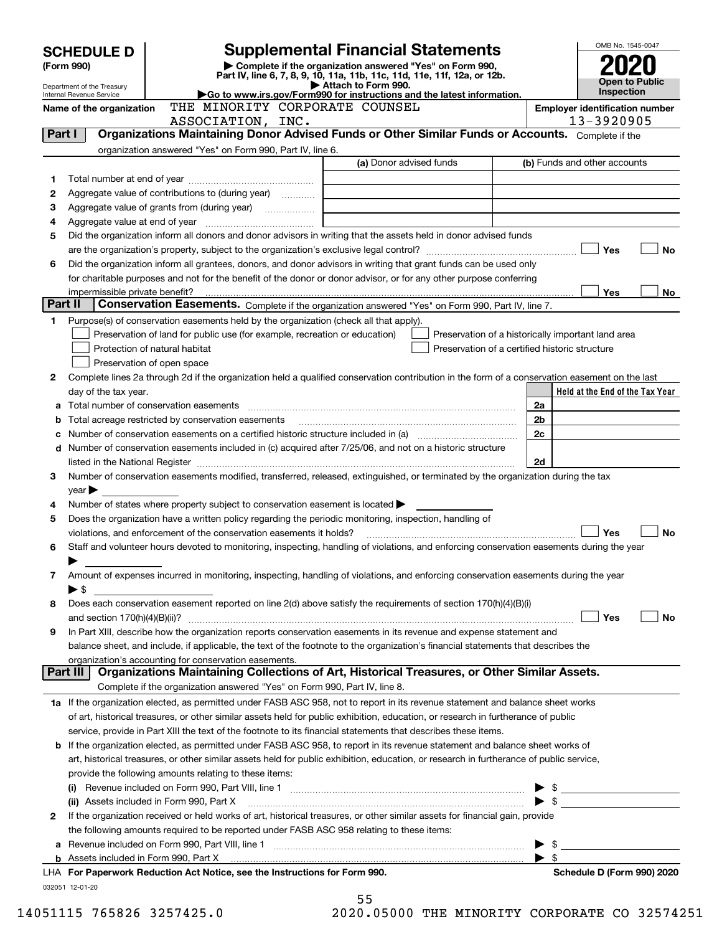|         | <b>Supplemental Financial Statements</b><br><b>SCHEDULE D</b>          |                                                                                                                                                       |                         |                                                    | OMB No. 1545-0047 |                                       |
|---------|------------------------------------------------------------------------|-------------------------------------------------------------------------------------------------------------------------------------------------------|-------------------------|----------------------------------------------------|-------------------|---------------------------------------|
|         | Complete if the organization answered "Yes" on Form 990,<br>(Form 990) |                                                                                                                                                       |                         |                                                    |                   |                                       |
|         |                                                                        | Part IV, line 6, 7, 8, 9, 10, 11a, 11b, 11c, 11d, 11e, 11f, 12a, or 12b.                                                                              |                         |                                                    |                   | Open to Public                        |
|         | Department of the Treasury<br>Internal Revenue Service                 | Go to www.irs.gov/Form990 for instructions and the latest information.                                                                                | Attach to Form 990.     |                                                    |                   | <b>Inspection</b>                     |
|         | Name of the organization                                               | THE MINORITY CORPORATE COUNSEL                                                                                                                        |                         |                                                    |                   | <b>Employer identification number</b> |
|         |                                                                        | ASSOCIATION, INC.                                                                                                                                     |                         |                                                    |                   | 13-3920905                            |
|         | Part I                                                                 | Organizations Maintaining Donor Advised Funds or Other Similar Funds or Accounts. Complete if the                                                     |                         |                                                    |                   |                                       |
|         |                                                                        | organization answered "Yes" on Form 990, Part IV, line 6.                                                                                             |                         |                                                    |                   |                                       |
|         |                                                                        |                                                                                                                                                       | (a) Donor advised funds |                                                    |                   | (b) Funds and other accounts          |
| 1       |                                                                        |                                                                                                                                                       |                         |                                                    |                   |                                       |
| 2       |                                                                        |                                                                                                                                                       |                         |                                                    |                   |                                       |
| 3       |                                                                        |                                                                                                                                                       |                         |                                                    |                   |                                       |
| 4       |                                                                        |                                                                                                                                                       |                         |                                                    |                   |                                       |
| 5       |                                                                        | Did the organization inform all donors and donor advisors in writing that the assets held in donor advised funds                                      |                         |                                                    |                   |                                       |
|         |                                                                        |                                                                                                                                                       |                         |                                                    |                   | Yes<br>No                             |
| 6       |                                                                        | Did the organization inform all grantees, donors, and donor advisors in writing that grant funds can be used only                                     |                         |                                                    |                   |                                       |
|         |                                                                        | for charitable purposes and not for the benefit of the donor or donor advisor, or for any other purpose conferring                                    |                         |                                                    |                   |                                       |
|         | impermissible private benefit?                                         |                                                                                                                                                       |                         |                                                    |                   | <b>Yes</b><br>No.                     |
| Part II |                                                                        | Conservation Easements. Complete if the organization answered "Yes" on Form 990, Part IV, line 7.                                                     |                         |                                                    |                   |                                       |
| 1       |                                                                        | Purpose(s) of conservation easements held by the organization (check all that apply).                                                                 |                         |                                                    |                   |                                       |
|         |                                                                        | Preservation of land for public use (for example, recreation or education)                                                                            |                         | Preservation of a historically important land area |                   |                                       |
|         |                                                                        | Protection of natural habitat                                                                                                                         |                         | Preservation of a certified historic structure     |                   |                                       |
|         |                                                                        | Preservation of open space                                                                                                                            |                         |                                                    |                   |                                       |
| 2       |                                                                        | Complete lines 2a through 2d if the organization held a qualified conservation contribution in the form of a conservation easement on the last        |                         |                                                    |                   |                                       |
|         | day of the tax year.                                                   |                                                                                                                                                       |                         |                                                    |                   | Held at the End of the Tax Year       |
|         |                                                                        |                                                                                                                                                       |                         |                                                    | 2a                |                                       |
| b       |                                                                        | Total acreage restricted by conservation easements                                                                                                    |                         |                                                    | 2 <sub>b</sub>    |                                       |
|         |                                                                        |                                                                                                                                                       |                         |                                                    | 2c                |                                       |
| d       |                                                                        | Number of conservation easements included in (c) acquired after 7/25/06, and not on a historic structure                                              |                         |                                                    |                   |                                       |
|         |                                                                        |                                                                                                                                                       |                         |                                                    | 2d                |                                       |
| З       |                                                                        | Number of conservation easements modified, transferred, released, extinguished, or terminated by the organization during the tax                      |                         |                                                    |                   |                                       |
|         | $year \blacktriangleright$                                             |                                                                                                                                                       |                         |                                                    |                   |                                       |
| 4       |                                                                        | Number of states where property subject to conservation easement is located                                                                           |                         |                                                    |                   |                                       |
| 5       |                                                                        | Does the organization have a written policy regarding the periodic monitoring, inspection, handling of                                                |                         |                                                    |                   |                                       |
|         |                                                                        | violations, and enforcement of the conservation easements it holds?                                                                                   |                         |                                                    |                   | Yes<br>No                             |
| 6       |                                                                        | Staff and volunteer hours devoted to monitoring, inspecting, handling of violations, and enforcing conservation easements during the year             |                         |                                                    |                   |                                       |
|         |                                                                        |                                                                                                                                                       |                         |                                                    |                   |                                       |
| 7       |                                                                        | Amount of expenses incurred in monitoring, inspecting, handling of violations, and enforcing conservation easements during the year                   |                         |                                                    |                   |                                       |
|         | ▶\$                                                                    |                                                                                                                                                       |                         |                                                    |                   |                                       |
| 8       |                                                                        | Does each conservation easement reported on line 2(d) above satisfy the requirements of section 170(h)(4)(B)(i)                                       |                         |                                                    |                   |                                       |
|         |                                                                        |                                                                                                                                                       |                         |                                                    |                   | Yes<br>No                             |
| 9       |                                                                        | In Part XIII, describe how the organization reports conservation easements in its revenue and expense statement and                                   |                         |                                                    |                   |                                       |
|         |                                                                        | balance sheet, and include, if applicable, the text of the footnote to the organization's financial statements that describes the                     |                         |                                                    |                   |                                       |
|         | Part III                                                               | organization's accounting for conservation easements.<br>Organizations Maintaining Collections of Art, Historical Treasures, or Other Similar Assets. |                         |                                                    |                   |                                       |
|         |                                                                        |                                                                                                                                                       |                         |                                                    |                   |                                       |
|         |                                                                        | Complete if the organization answered "Yes" on Form 990, Part IV, line 8.                                                                             |                         |                                                    |                   |                                       |
|         |                                                                        | 1a If the organization elected, as permitted under FASB ASC 958, not to report in its revenue statement and balance sheet works                       |                         |                                                    |                   |                                       |
|         |                                                                        | of art, historical treasures, or other similar assets held for public exhibition, education, or research in furtherance of public                     |                         |                                                    |                   |                                       |
|         |                                                                        | service, provide in Part XIII the text of the footnote to its financial statements that describes these items.                                        |                         |                                                    |                   |                                       |
| b       |                                                                        | If the organization elected, as permitted under FASB ASC 958, to report in its revenue statement and balance sheet works of                           |                         |                                                    |                   |                                       |
|         |                                                                        | art, historical treasures, or other similar assets held for public exhibition, education, or research in furtherance of public service,               |                         |                                                    |                   |                                       |
|         |                                                                        | provide the following amounts relating to these items:                                                                                                |                         |                                                    |                   |                                       |
|         |                                                                        |                                                                                                                                                       |                         |                                                    |                   |                                       |
|         |                                                                        | (ii) Assets included in Form 990, Part X                                                                                                              |                         |                                                    |                   |                                       |
| 2       |                                                                        | If the organization received or held works of art, historical treasures, or other similar assets for financial gain, provide                          |                         |                                                    |                   |                                       |
|         |                                                                        | the following amounts required to be reported under FASB ASC 958 relating to these items:                                                             |                         |                                                    |                   |                                       |
| а       |                                                                        |                                                                                                                                                       |                         |                                                    |                   | $\mathbb{S}$                          |
|         |                                                                        |                                                                                                                                                       |                         |                                                    | ▶ \$              |                                       |
|         |                                                                        | LHA For Paperwork Reduction Act Notice, see the Instructions for Form 990.                                                                            |                         |                                                    |                   | Schedule D (Form 990) 2020            |
|         | 032051 12-01-20                                                        |                                                                                                                                                       |                         |                                                    |                   |                                       |
|         |                                                                        |                                                                                                                                                       | 55                      |                                                    |                   |                                       |

14051115 765826 3257425.0 2020.05000 THE MINORITY CORPORATE CO 32574251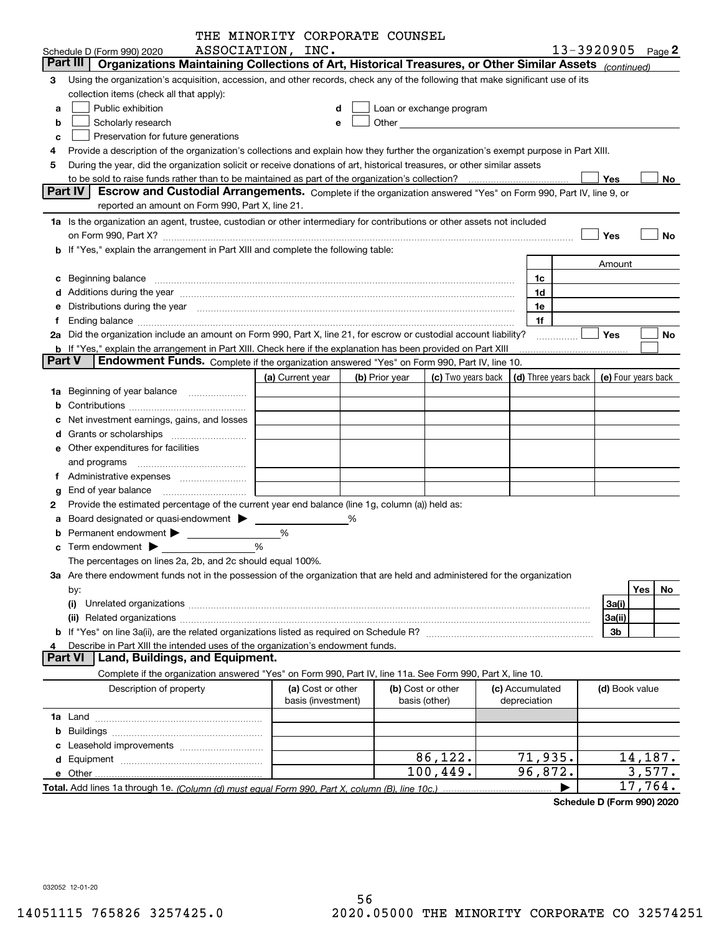|               |                                                                                                                                                                                                                                | THE MINORITY CORPORATE COUNSEL |   |                |                                                                                                                                                                                                                               |  |                 |                                            |           |
|---------------|--------------------------------------------------------------------------------------------------------------------------------------------------------------------------------------------------------------------------------|--------------------------------|---|----------------|-------------------------------------------------------------------------------------------------------------------------------------------------------------------------------------------------------------------------------|--|-----------------|--------------------------------------------|-----------|
|               | Schedule D (Form 990) 2020                                                                                                                                                                                                     | ASSOCIATION, INC.              |   |                |                                                                                                                                                                                                                               |  |                 | 13-3920905 $_{Page}$ 2                     |           |
|               | Part III<br>Organizations Maintaining Collections of Art, Historical Treasures, or Other Similar Assets (continued)                                                                                                            |                                |   |                |                                                                                                                                                                                                                               |  |                 |                                            |           |
| з             | Using the organization's acquisition, accession, and other records, check any of the following that make significant use of its                                                                                                |                                |   |                |                                                                                                                                                                                                                               |  |                 |                                            |           |
|               | collection items (check all that apply):                                                                                                                                                                                       |                                |   |                |                                                                                                                                                                                                                               |  |                 |                                            |           |
| a             | Public exhibition                                                                                                                                                                                                              |                                |   |                | Loan or exchange program                                                                                                                                                                                                      |  |                 |                                            |           |
| b             | Scholarly research                                                                                                                                                                                                             |                                | е |                | Other and the contract of the contract of the contract of the contract of the contract of the contract of the contract of the contract of the contract of the contract of the contract of the contract of the contract of the |  |                 |                                            |           |
| c             | Preservation for future generations                                                                                                                                                                                            |                                |   |                |                                                                                                                                                                                                                               |  |                 |                                            |           |
|               | Provide a description of the organization's collections and explain how they further the organization's exempt purpose in Part XIII.                                                                                           |                                |   |                |                                                                                                                                                                                                                               |  |                 |                                            |           |
| 5             | During the year, did the organization solicit or receive donations of art, historical treasures, or other similar assets                                                                                                       |                                |   |                |                                                                                                                                                                                                                               |  |                 |                                            |           |
|               | Yes<br>No                                                                                                                                                                                                                      |                                |   |                |                                                                                                                                                                                                                               |  |                 |                                            |           |
|               | <b>Part IV</b><br>Escrow and Custodial Arrangements. Complete if the organization answered "Yes" on Form 990, Part IV, line 9, or                                                                                              |                                |   |                |                                                                                                                                                                                                                               |  |                 |                                            |           |
|               | reported an amount on Form 990, Part X, line 21.                                                                                                                                                                               |                                |   |                |                                                                                                                                                                                                                               |  |                 |                                            |           |
|               |                                                                                                                                                                                                                                |                                |   |                |                                                                                                                                                                                                                               |  |                 |                                            |           |
|               | 1a Is the organization an agent, trustee, custodian or other intermediary for contributions or other assets not included                                                                                                       |                                |   |                |                                                                                                                                                                                                                               |  |                 |                                            |           |
|               | on Form 990, Part X? [11] matter contracts and contracts and contracts are contracted as a form 990, Part X?                                                                                                                   |                                |   |                |                                                                                                                                                                                                                               |  |                 | Yes                                        | No        |
|               | b If "Yes," explain the arrangement in Part XIII and complete the following table:                                                                                                                                             |                                |   |                |                                                                                                                                                                                                                               |  |                 |                                            |           |
|               |                                                                                                                                                                                                                                |                                |   |                |                                                                                                                                                                                                                               |  |                 | Amount                                     |           |
|               | c Beginning balance measurements and the state of the state of the state of the state of the state of the state of the state of the state of the state of the state of the state of the state of the state of the state of the |                                |   |                |                                                                                                                                                                                                                               |  | 1c              |                                            |           |
|               |                                                                                                                                                                                                                                |                                |   |                |                                                                                                                                                                                                                               |  | 1d              |                                            |           |
|               | e Distributions during the year manufactured and contained and contained and contained and contained and contained and contained and contained and contained and contained and contained and contained and contained and conta |                                |   |                |                                                                                                                                                                                                                               |  | 1e              |                                            |           |
| Ť.            | Ending balance measurements are all the contract of the contract of the contract of the contract of the contract of the contract of the contract of the contract of the contract of the contract of the contract of the contra |                                |   |                |                                                                                                                                                                                                                               |  | 1f              |                                            |           |
|               | 2a Did the organization include an amount on Form 990, Part X, line 21, for escrow or custodial account liability?                                                                                                             |                                |   |                |                                                                                                                                                                                                                               |  | .               | Yes                                        | No        |
|               | <b>b</b> If "Yes," explain the arrangement in Part XIII. Check here if the explanation has been provided on Part XIII                                                                                                          |                                |   |                |                                                                                                                                                                                                                               |  |                 |                                            |           |
| <b>Part V</b> | Endowment Funds. Complete if the organization answered "Yes" on Form 990, Part IV, line 10.                                                                                                                                    |                                |   |                |                                                                                                                                                                                                                               |  |                 |                                            |           |
|               |                                                                                                                                                                                                                                | (a) Current year               |   | (b) Prior year | (c) Two years back                                                                                                                                                                                                            |  |                 | (d) Three years back   (e) Four years back |           |
|               | <b>1a</b> Beginning of year balance                                                                                                                                                                                            |                                |   |                |                                                                                                                                                                                                                               |  |                 |                                            |           |
|               |                                                                                                                                                                                                                                |                                |   |                |                                                                                                                                                                                                                               |  |                 |                                            |           |
|               | Net investment earnings, gains, and losses                                                                                                                                                                                     |                                |   |                |                                                                                                                                                                                                                               |  |                 |                                            |           |
|               |                                                                                                                                                                                                                                |                                |   |                |                                                                                                                                                                                                                               |  |                 |                                            |           |
|               | e Other expenditures for facilities                                                                                                                                                                                            |                                |   |                |                                                                                                                                                                                                                               |  |                 |                                            |           |
|               | and programs                                                                                                                                                                                                                   |                                |   |                |                                                                                                                                                                                                                               |  |                 |                                            |           |
|               | f Administrative expenses <i>manually communicative</i>                                                                                                                                                                        |                                |   |                |                                                                                                                                                                                                                               |  |                 |                                            |           |
|               | <b>g</b> End of year balance $\ldots$                                                                                                                                                                                          |                                |   |                |                                                                                                                                                                                                                               |  |                 |                                            |           |
| 2             | Provide the estimated percentage of the current year end balance (line 1g, column (a)) held as:                                                                                                                                |                                |   |                |                                                                                                                                                                                                                               |  |                 |                                            |           |
|               | a Board designated or quasi-endowment >                                                                                                                                                                                        |                                | % |                |                                                                                                                                                                                                                               |  |                 |                                            |           |
|               | Permanent endowment >                                                                                                                                                                                                          | %                              |   |                |                                                                                                                                                                                                                               |  |                 |                                            |           |
|               | %<br>$\mathbf c$ Term endowment $\blacktriangleright$                                                                                                                                                                          |                                |   |                |                                                                                                                                                                                                                               |  |                 |                                            |           |
|               |                                                                                                                                                                                                                                |                                |   |                |                                                                                                                                                                                                                               |  |                 |                                            |           |
|               | The percentages on lines 2a, 2b, and 2c should equal 100%.                                                                                                                                                                     |                                |   |                |                                                                                                                                                                                                                               |  |                 |                                            |           |
|               | 3a Are there endowment funds not in the possession of the organization that are held and administered for the organization                                                                                                     |                                |   |                |                                                                                                                                                                                                                               |  |                 |                                            |           |
|               | by:                                                                                                                                                                                                                            |                                |   |                |                                                                                                                                                                                                                               |  |                 |                                            | Yes<br>No |
|               | (i)                                                                                                                                                                                                                            |                                |   |                |                                                                                                                                                                                                                               |  |                 | 3a(i)                                      |           |
|               |                                                                                                                                                                                                                                |                                |   |                |                                                                                                                                                                                                                               |  |                 | 3a(ii)                                     |           |
|               |                                                                                                                                                                                                                                |                                |   |                |                                                                                                                                                                                                                               |  |                 | 3b                                         |           |
|               | Describe in Part XIII the intended uses of the organization's endowment funds.<br><b>Part VI</b>                                                                                                                               |                                |   |                |                                                                                                                                                                                                                               |  |                 |                                            |           |
|               | Land, Buildings, and Equipment.                                                                                                                                                                                                |                                |   |                |                                                                                                                                                                                                                               |  |                 |                                            |           |
|               | Complete if the organization answered "Yes" on Form 990, Part IV, line 11a. See Form 990, Part X, line 10.                                                                                                                     |                                |   |                |                                                                                                                                                                                                                               |  |                 |                                            |           |
|               | Description of property                                                                                                                                                                                                        | (a) Cost or other              |   |                | (b) Cost or other                                                                                                                                                                                                             |  | (c) Accumulated | (d) Book value                             |           |
|               |                                                                                                                                                                                                                                | basis (investment)             |   |                | basis (other)                                                                                                                                                                                                                 |  | depreciation    |                                            |           |
|               |                                                                                                                                                                                                                                |                                |   |                |                                                                                                                                                                                                                               |  |                 |                                            |           |
|               |                                                                                                                                                                                                                                |                                |   |                |                                                                                                                                                                                                                               |  |                 |                                            |           |
|               |                                                                                                                                                                                                                                |                                |   |                |                                                                                                                                                                                                                               |  |                 |                                            |           |
|               |                                                                                                                                                                                                                                |                                |   |                | 86,122.                                                                                                                                                                                                                       |  | 71,935.         |                                            | 14, 187.  |
|               |                                                                                                                                                                                                                                |                                |   |                | 100,449.                                                                                                                                                                                                                      |  | 96,872.         |                                            | 3,577.    |
|               | Total. Add lines 1a through 1e. (Column (d) must equal Form 990. Part X. column (B). line 10c.)                                                                                                                                |                                |   |                |                                                                                                                                                                                                                               |  |                 |                                            | 17,764.   |

**Schedule D (Form 990) 2020**

032052 12-01-20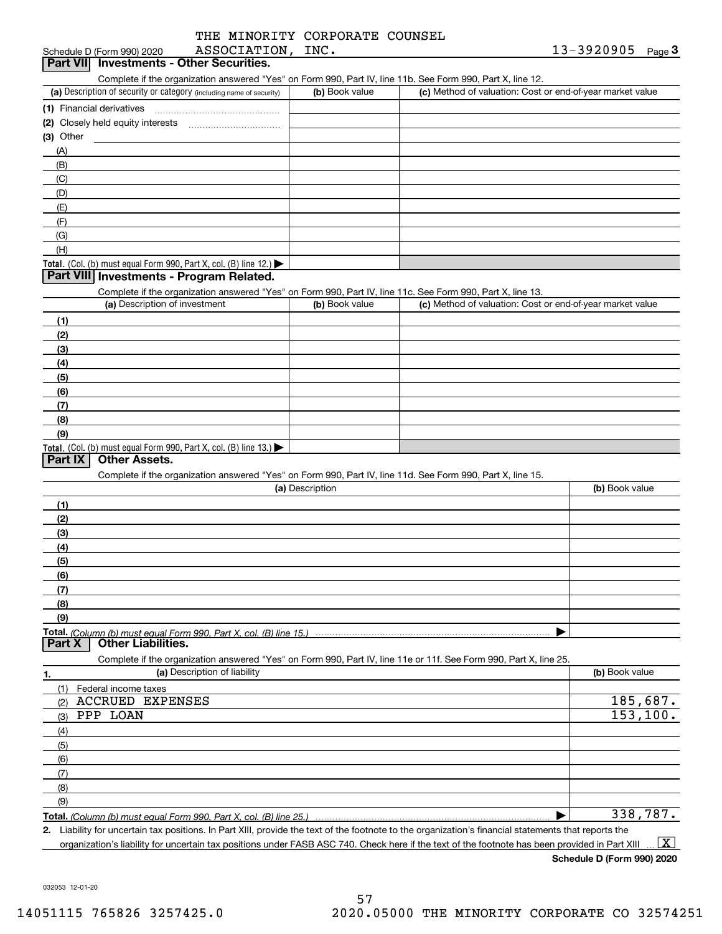|  | THE MINORITY CORPORATE COUNSEL |  |
|--|--------------------------------|--|
|  |                                |  |

| ASSOCIATION, INC.<br>Schedule D (Form 990) 2020                                                            |                 | 13-3920905 Page 3                                         |
|------------------------------------------------------------------------------------------------------------|-----------------|-----------------------------------------------------------|
| Part VII Investments - Other Securities.                                                                   |                 |                                                           |
| Complete if the organization answered "Yes" on Form 990, Part IV, line 11b. See Form 990, Part X, line 12. |                 |                                                           |
| (a) Description of security or category (including name of security)                                       | (b) Book value  | (c) Method of valuation: Cost or end-of-year market value |
| (1) Financial derivatives                                                                                  |                 |                                                           |
|                                                                                                            |                 |                                                           |
| $(3)$ Other                                                                                                |                 |                                                           |
| (A)                                                                                                        |                 |                                                           |
| (B)                                                                                                        |                 |                                                           |
| (C)                                                                                                        |                 |                                                           |
| (D)                                                                                                        |                 |                                                           |
| (E)                                                                                                        |                 |                                                           |
| (F)                                                                                                        |                 |                                                           |
| (G)                                                                                                        |                 |                                                           |
| (H)                                                                                                        |                 |                                                           |
| Total. (Col. (b) must equal Form 990, Part X, col. (B) line 12.)                                           |                 |                                                           |
| Part VIII Investments - Program Related.                                                                   |                 |                                                           |
| Complete if the organization answered "Yes" on Form 990, Part IV, line 11c. See Form 990, Part X, line 13. |                 |                                                           |
| (a) Description of investment                                                                              | (b) Book value  | (c) Method of valuation: Cost or end-of-year market value |
| (1)                                                                                                        |                 |                                                           |
| (2)                                                                                                        |                 |                                                           |
| (3)                                                                                                        |                 |                                                           |
| (4)                                                                                                        |                 |                                                           |
| (5)                                                                                                        |                 |                                                           |
| (6)                                                                                                        |                 |                                                           |
| (7)                                                                                                        |                 |                                                           |
| (8)                                                                                                        |                 |                                                           |
| (9)                                                                                                        |                 |                                                           |
| Total. (Col. (b) must equal Form 990, Part X, col. (B) line 13.)                                           |                 |                                                           |
| <b>Other Assets.</b><br>Part IX                                                                            |                 |                                                           |
| Complete if the organization answered "Yes" on Form 990, Part IV, line 11d. See Form 990, Part X, line 15. |                 |                                                           |
|                                                                                                            | (a) Description | (b) Book value                                            |
| (1)                                                                                                        |                 |                                                           |
| (2)                                                                                                        |                 |                                                           |
| (3)                                                                                                        |                 |                                                           |
| (4)                                                                                                        |                 |                                                           |
| (5)                                                                                                        |                 |                                                           |
| (6)                                                                                                        |                 |                                                           |
| (7)                                                                                                        |                 |                                                           |

**Total.**  *(Column (b) must equal Form 990, Part X, col. (B) line 15.)* **Part X Other Liabilities.**

Complete if the organization answered "Yes" on Form 990, Part IV, line 11e or 11f. See Form 990, Part X, line 25.

| 1.           | (a) Description of liability | (b) Book value              |
|--------------|------------------------------|-----------------------------|
| (1)          | Federal income taxes         |                             |
| (2)          | <b>ACCRUED EXPENSES</b>      | $\frac{185,687.}{153,100.}$ |
| (3)          | PPP LOAN                     |                             |
| (4)          |                              |                             |
| (5)          |                              |                             |
| (6)          |                              |                             |
| $\qquad$ (7) |                              |                             |
| (8)          |                              |                             |
| (9)          |                              |                             |
|              |                              | 338,787.                    |

**2.** Liability for uncertain tax positions. In Part XIII, provide the text of the footnote to the organization's financial statements that reports the organization's liability for uncertain tax positions under FASB ASC 740. Check here if the text of the footnote has been provided in Part XIII  $\boxed{\text{X}}$ 

**Schedule D (Form 990) 2020**

 $\blacktriangleright$ 

032053 12-01-20

**(8) (9)**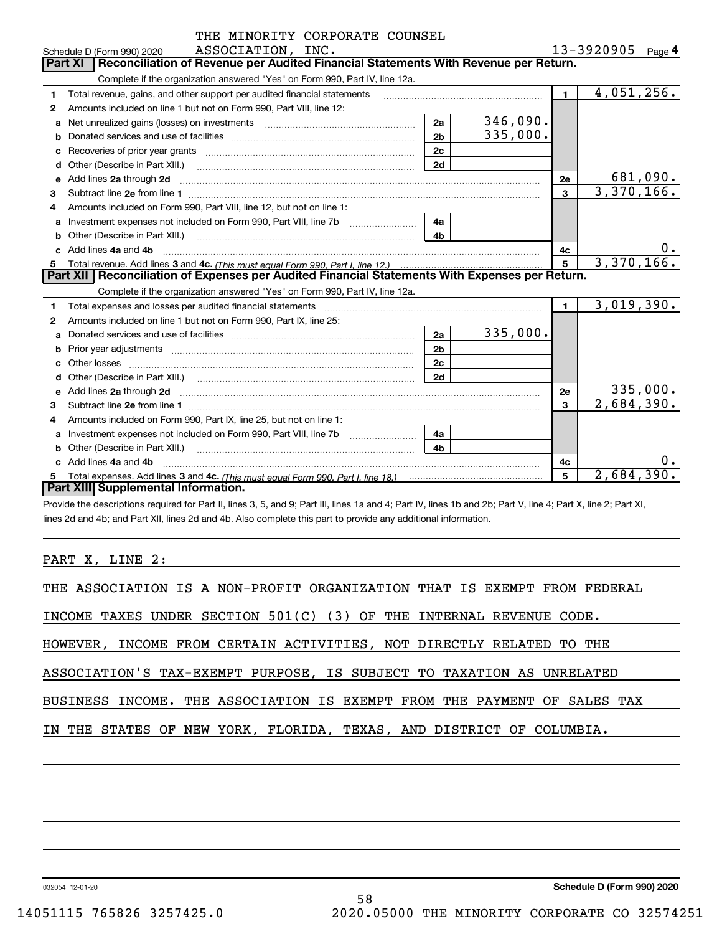|    | THE MINORITY CORPORATE COUNSEL                                                                                                                                                                                                      |                |          |                |                          |           |
|----|-------------------------------------------------------------------------------------------------------------------------------------------------------------------------------------------------------------------------------------|----------------|----------|----------------|--------------------------|-----------|
|    | ASSOCIATION, INC.<br>Schedule D (Form 990) 2020                                                                                                                                                                                     |                |          |                | $13 - 3920905$ Page 4    |           |
|    | Reconciliation of Revenue per Audited Financial Statements With Revenue per Return.<br><b>Part XI</b>                                                                                                                               |                |          |                |                          |           |
|    | Complete if the organization answered "Yes" on Form 990, Part IV, line 12a.                                                                                                                                                         |                |          |                |                          |           |
| 1  | Total revenue, gains, and other support per audited financial statements                                                                                                                                                            |                |          | 1 <sup>1</sup> | 4,051,256.               |           |
| 2  | Amounts included on line 1 but not on Form 990, Part VIII, line 12:                                                                                                                                                                 |                |          |                |                          |           |
| a  | Net unrealized gains (losses) on investments [11] matter contracts and the unrealized gains (losses) on investments                                                                                                                 | 2a             | 346,090. |                |                          |           |
| b  |                                                                                                                                                                                                                                     | 2 <sub>b</sub> | 335,000. |                |                          |           |
| с  |                                                                                                                                                                                                                                     | 2c             |          |                |                          |           |
| d  |                                                                                                                                                                                                                                     | 2d             |          |                |                          |           |
| е  | Add lines 2a through 2d                                                                                                                                                                                                             |                |          | 2е             |                          | 681,090.  |
| 3  |                                                                                                                                                                                                                                     |                |          | $\mathbf{3}$   | 3,370,166.               |           |
| 4  | Amounts included on Form 990, Part VIII, line 12, but not on line 1:                                                                                                                                                                |                |          |                |                          |           |
| a  |                                                                                                                                                                                                                                     | 4a             |          |                |                          |           |
|    | Other (Describe in Part XIII.) <b>Construction Contract Construction</b> Chern Construction Chern Chern Chern Chern Chern Chern Chern Chern Chern Chern Chern Chern Chern Chern Chern Chern Chern Chern Chern Chern Chern Chern Che | 4b             |          |                |                          |           |
|    | c Add lines 4a and 4b                                                                                                                                                                                                               |                |          | 4c             |                          | $0 \cdot$ |
| 5  |                                                                                                                                                                                                                                     |                |          | 5              | 3,370,166.               |           |
|    | Part XII   Reconciliation of Expenses per Audited Financial Statements With Expenses per Return.                                                                                                                                    |                |          |                |                          |           |
|    | Complete if the organization answered "Yes" on Form 990, Part IV, line 12a.                                                                                                                                                         |                |          |                |                          |           |
| 1  | Total expenses and losses per audited financial statements [11] [11] Total expenses and losses per audited financial statements [11] [11] Total expenses and losses per audited financial statements                                |                |          | $\blacksquare$ | 3,019,390.               |           |
| 2  | Amounts included on line 1 but not on Form 990, Part IX, line 25:                                                                                                                                                                   |                |          |                |                          |           |
| a  |                                                                                                                                                                                                                                     | 2a             | 335,000. |                |                          |           |
|    |                                                                                                                                                                                                                                     | 2 <sub>b</sub> |          |                |                          |           |
| C. |                                                                                                                                                                                                                                     | 2c             |          |                |                          |           |
| d  |                                                                                                                                                                                                                                     | 2d             |          |                |                          |           |
| е  | Add lines 2a through 2d <b>contained a contained a contained a contained a</b> contained a contact the state of the state of the state of the state of the state of the state of the state of the state of the state of the state o |                |          | 2e             |                          | 335,000.  |
| 3  |                                                                                                                                                                                                                                     |                |          | 3              | $\overline{2,684,390}$ . |           |
| 4  | Amounts included on Form 990, Part IX, line 25, but not on line 1:                                                                                                                                                                  |                |          |                |                          |           |
| a  |                                                                                                                                                                                                                                     | 4a             |          |                |                          |           |
| b  | Other (Describe in Part XIII.) <b>Construction Contract Construction</b> Chemistry Chemistry Chemistry Chemistry Chemistry                                                                                                          | 4 <sub>b</sub> |          |                |                          |           |
|    | Add lines 4a and 4b                                                                                                                                                                                                                 |                |          | 4c             |                          | 0.        |
| 5  |                                                                                                                                                                                                                                     |                |          | 5              | 2,684,390.               |           |
|    | Part XIII Supplemental Information.                                                                                                                                                                                                 |                |          |                |                          |           |

Provide the descriptions required for Part II, lines 3, 5, and 9; Part III, lines 1a and 4; Part IV, lines 1b and 2b; Part V, line 4; Part X, line 2; Part XI, lines 2d and 4b; and Part XII, lines 2d and 4b. Also complete this part to provide any additional information.

PART X, LINE 2:

| THE ASSOCIATION IS A NON-PROFIT ORGANIZATION THAT IS EXEMPT FROM FEDERAL |  |
|--------------------------------------------------------------------------|--|
| INCOME TAXES UNDER SECTION $501(C)$ (3) OF THE INTERNAL REVENUE CODE.    |  |
| HOWEVER, INCOME FROM CERTAIN ACTIVITIES, NOT DIRECTLY RELATED TO THE     |  |
| ASSOCIATION'S TAX-EXEMPT PURPOSE, IS SUBJECT TO TAXATION AS UNRELATED    |  |
| BUSINESS INCOME. THE ASSOCIATION IS EXEMPT FROM THE PAYMENT OF SALES TAX |  |
| IN THE STATES OF NEW YORK, FLORIDA, TEXAS, AND DISTRICT OF COLUMBIA.     |  |
|                                                                          |  |
|                                                                          |  |

58

032054 12-01-20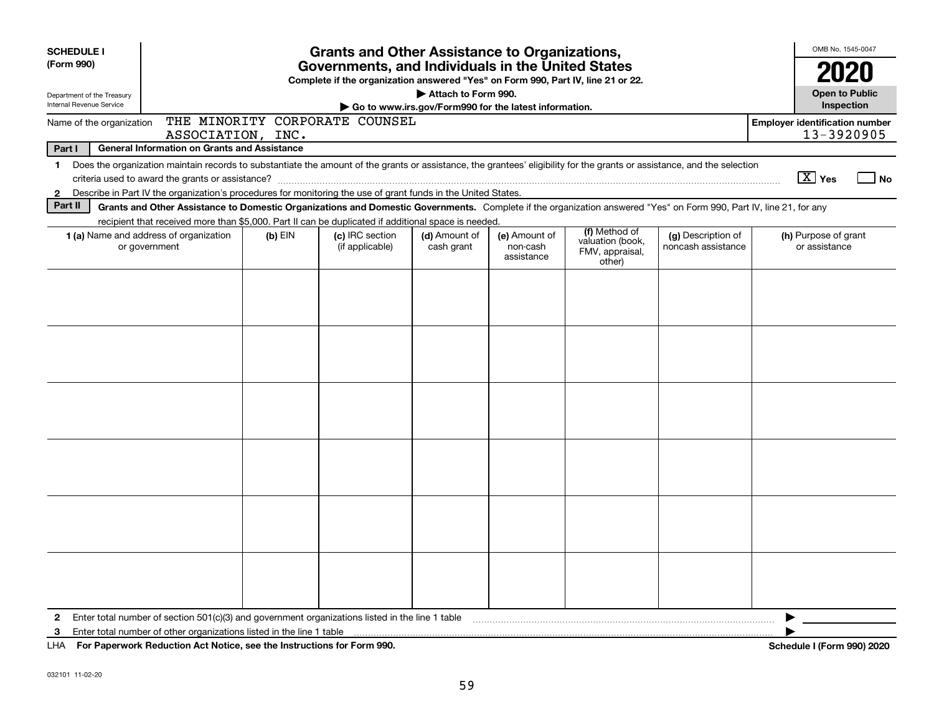| <b>SCHEDULE I</b>                                      |                                                                                                                                                                                                                                                                                           |           | <b>Grants and Other Assistance to Organizations,</b>                                                                                  |                                                                              |                                         |                                                                |                                          | OMB No. 1545-0047                                   |
|--------------------------------------------------------|-------------------------------------------------------------------------------------------------------------------------------------------------------------------------------------------------------------------------------------------------------------------------------------------|-----------|---------------------------------------------------------------------------------------------------------------------------------------|------------------------------------------------------------------------------|-----------------------------------------|----------------------------------------------------------------|------------------------------------------|-----------------------------------------------------|
| (Form 990)                                             |                                                                                                                                                                                                                                                                                           |           | Governments, and Individuals in the United States<br>Complete if the organization answered "Yes" on Form 990, Part IV, line 21 or 22. |                                                                              |                                         |                                                                |                                          |                                                     |
| Department of the Treasury<br>Internal Revenue Service |                                                                                                                                                                                                                                                                                           |           |                                                                                                                                       | Attach to Form 990.<br>Go to www.irs.gov/Form990 for the latest information. |                                         |                                                                |                                          | <b>Open to Public</b><br>Inspection                 |
| Name of the organization                               | ASSOCIATION, INC.                                                                                                                                                                                                                                                                         |           | THE MINORITY CORPORATE COUNSEL                                                                                                        |                                                                              |                                         |                                                                |                                          | <b>Employer identification number</b><br>13-3920905 |
| Part I                                                 | <b>General Information on Grants and Assistance</b>                                                                                                                                                                                                                                       |           |                                                                                                                                       |                                                                              |                                         |                                                                |                                          |                                                     |
| $\mathbf 1$<br>$\mathbf{2}$                            | Does the organization maintain records to substantiate the amount of the grants or assistance, the grantees' eligibility for the grants or assistance, and the selection<br>Describe in Part IV the organization's procedures for monitoring the use of grant funds in the United States. |           |                                                                                                                                       |                                                                              |                                         |                                                                |                                          | $\boxed{\text{X}}$ Yes<br>  No                      |
| Part II                                                | Grants and Other Assistance to Domestic Organizations and Domestic Governments. Complete if the organization answered "Yes" on Form 990, Part IV, line 21, for any                                                                                                                        |           |                                                                                                                                       |                                                                              |                                         |                                                                |                                          |                                                     |
|                                                        | recipient that received more than \$5,000. Part II can be duplicated if additional space is needed.                                                                                                                                                                                       |           |                                                                                                                                       |                                                                              |                                         |                                                                |                                          |                                                     |
|                                                        | <b>1 (a)</b> Name and address of organization<br>or government                                                                                                                                                                                                                            | $(b)$ EIN | (c) IRC section<br>(if applicable)                                                                                                    | (d) Amount of<br>cash grant                                                  | (e) Amount of<br>non-cash<br>assistance | (f) Method of<br>valuation (book,<br>FMV, appraisal,<br>other) | (g) Description of<br>noncash assistance | (h) Purpose of grant<br>or assistance               |
|                                                        |                                                                                                                                                                                                                                                                                           |           |                                                                                                                                       |                                                                              |                                         |                                                                |                                          |                                                     |
|                                                        |                                                                                                                                                                                                                                                                                           |           |                                                                                                                                       |                                                                              |                                         |                                                                |                                          |                                                     |
|                                                        |                                                                                                                                                                                                                                                                                           |           |                                                                                                                                       |                                                                              |                                         |                                                                |                                          |                                                     |
|                                                        |                                                                                                                                                                                                                                                                                           |           |                                                                                                                                       |                                                                              |                                         |                                                                |                                          |                                                     |
|                                                        |                                                                                                                                                                                                                                                                                           |           |                                                                                                                                       |                                                                              |                                         |                                                                |                                          |                                                     |
|                                                        |                                                                                                                                                                                                                                                                                           |           |                                                                                                                                       |                                                                              |                                         |                                                                |                                          |                                                     |
| 3                                                      | UIA For Den crossed Dedication Act Notice and the Instructions for Form 000                                                                                                                                                                                                               |           |                                                                                                                                       |                                                                              |                                         |                                                                |                                          | ▶<br>Carlos de la 175 anos<br>0.001000              |

**For Paperwork Reduction Act Notice, see the Instructions for Form 990. Schedule I (Form 990) 2020** LHA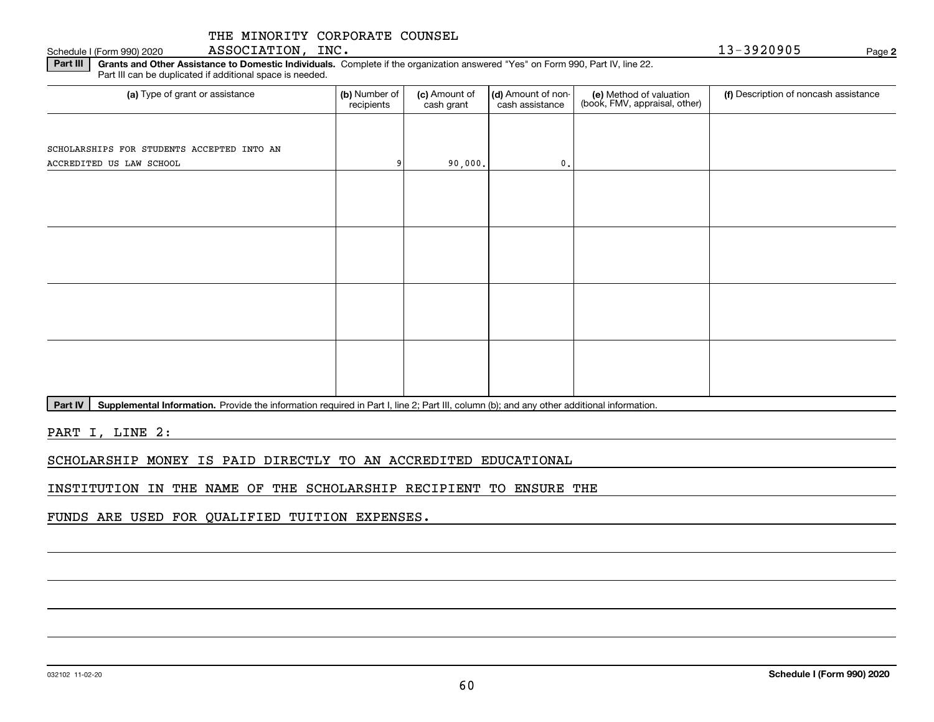# THE MINORITY CORPORATE COUNSEL

# Schedule I (Form 990) 2020 ASSOCIATION,INC. 1 3-3920905 Page

**2**

**Part III** | Grants and Other Assistance to Domestic Individuals. Complete if the organization answered "Yes" on Form 990, Part IV, line 22. Part III can be duplicated if additional space is needed.

| (a) Type of grant or assistance            | (b) Number of<br>recipients | (c) Amount of<br>cash grant | (d) Amount of non-<br>cash assistance | (e) Method of valuation<br>(book, FMV, appraisal, other) | (f) Description of noncash assistance |
|--------------------------------------------|-----------------------------|-----------------------------|---------------------------------------|----------------------------------------------------------|---------------------------------------|
|                                            |                             |                             |                                       |                                                          |                                       |
| SCHOLARSHIPS FOR STUDENTS ACCEPTED INTO AN |                             |                             |                                       |                                                          |                                       |
| ACCREDITED US LAW SCHOOL                   | q                           | 90,000.                     | 0.                                    |                                                          |                                       |
|                                            |                             |                             |                                       |                                                          |                                       |
|                                            |                             |                             |                                       |                                                          |                                       |
|                                            |                             |                             |                                       |                                                          |                                       |
|                                            |                             |                             |                                       |                                                          |                                       |
|                                            |                             |                             |                                       |                                                          |                                       |
|                                            |                             |                             |                                       |                                                          |                                       |
|                                            |                             |                             |                                       |                                                          |                                       |
|                                            |                             |                             |                                       |                                                          |                                       |
|                                            |                             |                             |                                       |                                                          |                                       |
|                                            |                             |                             |                                       |                                                          |                                       |
|                                            |                             |                             |                                       |                                                          |                                       |
|                                            |                             |                             |                                       |                                                          |                                       |
|                                            |                             |                             |                                       |                                                          |                                       |

Part IV | Supplemental Information. Provide the information required in Part I, line 2; Part III, column (b); and any other additional information.

PART I, LINE 2:

SCHOLARSHIP MONEY IS PAID DIRECTLY TO AN ACCREDITED EDUCATIONAL

INSTITUTION IN THE NAME OF THE SCHOLARSHIP RECIPIENT TO ENSURE THE

FUNDS ARE USED FOR QUALIFIED TUITION EXPENSES.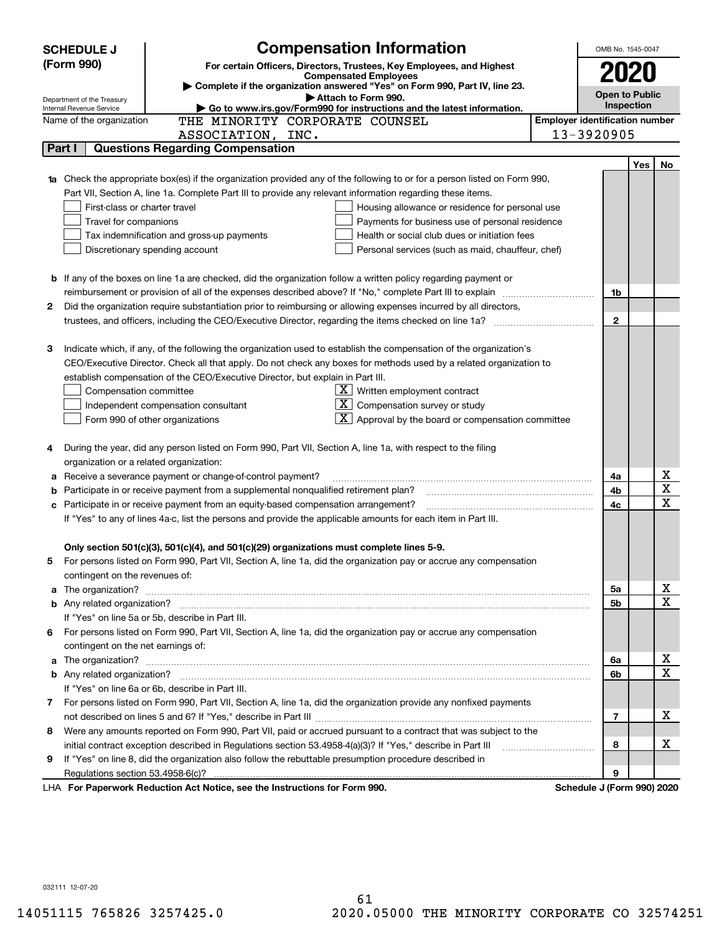|    | <b>Compensation Information</b><br><b>SCHEDULE J</b>                                                                                                                                                                                 |                                                                         |                                       | OMB No. 1545-0047          |     |                              |
|----|--------------------------------------------------------------------------------------------------------------------------------------------------------------------------------------------------------------------------------------|-------------------------------------------------------------------------|---------------------------------------|----------------------------|-----|------------------------------|
|    | (Form 990)<br>For certain Officers, Directors, Trustees, Key Employees, and Highest                                                                                                                                                  |                                                                         |                                       |                            |     |                              |
|    | <b>Compensated Employees</b>                                                                                                                                                                                                         |                                                                         |                                       |                            |     |                              |
|    | Complete if the organization answered "Yes" on Form 990, Part IV, line 23.<br>Attach to Form 990.                                                                                                                                    |                                                                         |                                       | <b>Open to Public</b>      |     |                              |
|    | Department of the Treasury<br>Go to www.irs.gov/Form990 for instructions and the latest information.<br>Internal Revenue Service                                                                                                     |                                                                         |                                       | Inspection                 |     |                              |
|    | Name of the organization<br>THE MINORITY CORPORATE COUNSEL                                                                                                                                                                           |                                                                         | <b>Employer identification number</b> |                            |     |                              |
|    | ASSOCIATION, INC.                                                                                                                                                                                                                    |                                                                         |                                       | 13-3920905                 |     |                              |
|    | <b>Questions Regarding Compensation</b><br>Part I                                                                                                                                                                                    |                                                                         |                                       |                            |     |                              |
|    |                                                                                                                                                                                                                                      |                                                                         |                                       |                            | Yes | No                           |
|    | <b>1a</b> Check the appropriate box(es) if the organization provided any of the following to or for a person listed on Form 990,                                                                                                     |                                                                         |                                       |                            |     |                              |
|    | Part VII, Section A, line 1a. Complete Part III to provide any relevant information regarding these items.                                                                                                                           |                                                                         |                                       |                            |     |                              |
|    | First-class or charter travel                                                                                                                                                                                                        | Housing allowance or residence for personal use                         |                                       |                            |     |                              |
|    | Travel for companions                                                                                                                                                                                                                | Payments for business use of personal residence                         |                                       |                            |     |                              |
|    | Tax indemnification and gross-up payments                                                                                                                                                                                            | Health or social club dues or initiation fees                           |                                       |                            |     |                              |
|    | Discretionary spending account                                                                                                                                                                                                       | Personal services (such as maid, chauffeur, chef)                       |                                       |                            |     |                              |
|    |                                                                                                                                                                                                                                      |                                                                         |                                       |                            |     |                              |
|    | <b>b</b> If any of the boxes on line 1a are checked, did the organization follow a written policy regarding payment or                                                                                                               |                                                                         |                                       |                            |     |                              |
|    | reimbursement or provision of all of the expenses described above? If "No," complete Part III to explain                                                                                                                             |                                                                         |                                       | 1b                         |     |                              |
| 2  | Did the organization require substantiation prior to reimbursing or allowing expenses incurred by all directors,                                                                                                                     |                                                                         |                                       |                            |     |                              |
|    |                                                                                                                                                                                                                                      |                                                                         |                                       | $\mathbf{2}$               |     |                              |
|    |                                                                                                                                                                                                                                      |                                                                         |                                       |                            |     |                              |
| 3  | Indicate which, if any, of the following the organization used to establish the compensation of the organization's                                                                                                                   |                                                                         |                                       |                            |     |                              |
|    | CEO/Executive Director. Check all that apply. Do not check any boxes for methods used by a related organization to                                                                                                                   |                                                                         |                                       |                            |     |                              |
|    | establish compensation of the CEO/Executive Director, but explain in Part III.                                                                                                                                                       |                                                                         |                                       |                            |     |                              |
|    | Compensation committee                                                                                                                                                                                                               | $X$ Written employment contract                                         |                                       |                            |     |                              |
|    | Independent compensation consultant                                                                                                                                                                                                  | $X$ Compensation survey or study                                        |                                       |                            |     |                              |
|    | Form 990 of other organizations                                                                                                                                                                                                      | $\overline{\mathbf{X}}$ Approval by the board or compensation committee |                                       |                            |     |                              |
|    |                                                                                                                                                                                                                                      |                                                                         |                                       |                            |     |                              |
| 4  | During the year, did any person listed on Form 990, Part VII, Section A, line 1a, with respect to the filing                                                                                                                         |                                                                         |                                       |                            |     |                              |
|    | organization or a related organization:                                                                                                                                                                                              |                                                                         |                                       |                            |     |                              |
|    | Receive a severance payment or change-of-control payment?                                                                                                                                                                            |                                                                         |                                       | 4a                         |     | x<br>$\overline{\mathbf{x}}$ |
|    | Participate in or receive payment from a supplemental nonqualified retirement plan?                                                                                                                                                  |                                                                         |                                       | 4b                         |     | $\overline{\textbf{X}}$      |
|    | c Participate in or receive payment from an equity-based compensation arrangement?                                                                                                                                                   |                                                                         |                                       | 4c                         |     |                              |
|    | If "Yes" to any of lines 4a-c, list the persons and provide the applicable amounts for each item in Part III.                                                                                                                        |                                                                         |                                       |                            |     |                              |
|    |                                                                                                                                                                                                                                      |                                                                         |                                       |                            |     |                              |
|    | Only section 501(c)(3), 501(c)(4), and 501(c)(29) organizations must complete lines 5-9.                                                                                                                                             |                                                                         |                                       |                            |     |                              |
| 5. | For persons listed on Form 990, Part VII, Section A, line 1a, did the organization pay or accrue any compensation                                                                                                                    |                                                                         |                                       |                            |     |                              |
|    | contingent on the revenues of:                                                                                                                                                                                                       |                                                                         |                                       |                            |     | <u>x</u>                     |
|    | a The organization? <b>Entitled Strategies and Strategies and Strategies and Strategies and Strategies and Strategies and Strategies and Strategies and Strategies and Strategies and Strategies and Strategies and Strategies a</b> |                                                                         |                                       | 5a<br>5b                   |     | $\overline{\mathbf{x}}$      |
|    | If "Yes" on line 5a or 5b, describe in Part III.                                                                                                                                                                                     |                                                                         |                                       |                            |     |                              |
|    | 6 For persons listed on Form 990, Part VII, Section A, line 1a, did the organization pay or accrue any compensation                                                                                                                  |                                                                         |                                       |                            |     |                              |
|    | contingent on the net earnings of:                                                                                                                                                                                                   |                                                                         |                                       |                            |     |                              |
|    |                                                                                                                                                                                                                                      |                                                                         |                                       | 6a                         |     | <u>x</u>                     |
|    |                                                                                                                                                                                                                                      |                                                                         |                                       | 6b                         |     | $\overline{\mathbf{x}}$      |
|    | If "Yes" on line 6a or 6b, describe in Part III.                                                                                                                                                                                     |                                                                         |                                       |                            |     |                              |
|    | 7 For persons listed on Form 990, Part VII, Section A, line 1a, did the organization provide any nonfixed payments                                                                                                                   |                                                                         |                                       |                            |     |                              |
|    |                                                                                                                                                                                                                                      |                                                                         |                                       | 7                          |     | х                            |
| 8  | Were any amounts reported on Form 990, Part VII, paid or accrued pursuant to a contract that was subject to the                                                                                                                      |                                                                         |                                       |                            |     |                              |
|    | initial contract exception described in Regulations section 53.4958-4(a)(3)? If "Yes," describe in Part III                                                                                                                          |                                                                         |                                       | 8                          |     | х                            |
| 9  | If "Yes" on line 8, did the organization also follow the rebuttable presumption procedure described in                                                                                                                               |                                                                         |                                       |                            |     |                              |
|    |                                                                                                                                                                                                                                      |                                                                         |                                       | 9                          |     |                              |
|    | LHA For Paperwork Reduction Act Notice, see the Instructions for Form 990.                                                                                                                                                           |                                                                         |                                       | Schedule J (Form 990) 2020 |     |                              |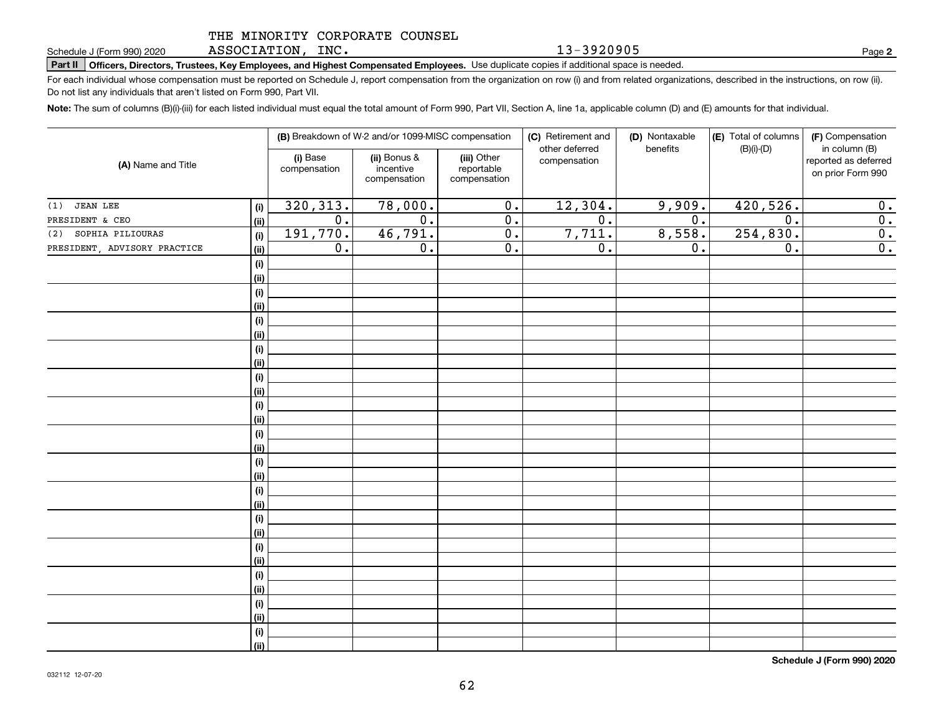## THE MINORITY CORPORATE COUNSEL

ASSOCIATION, INC.

**Part II Officers, Directors, Trustees, Key Employees, and Highest Compensated Employees.**  Schedule J (Form 990) 2020 Page Use duplicate copies if additional space is needed.

For each individual whose compensation must be reported on Schedule J, report compensation from the organization on row (i) and from related organizations, described in the instructions, on row (ii). Do not list any individuals that aren't listed on Form 990, Part VII.

**Note:**  The sum of columns (B)(i)-(iii) for each listed individual must equal the total amount of Form 990, Part VII, Section A, line 1a, applicable column (D) and (E) amounts for that individual.

|                              |                    |                          | (B) Breakdown of W-2 and/or 1099-MISC compensation |                                           | (C) Retirement and<br>other deferred | (D) Nontaxable<br>benefits | (E) Total of columns<br>$(B)(i)-(D)$ | (F) Compensation<br>in column (B)         |
|------------------------------|--------------------|--------------------------|----------------------------------------------------|-------------------------------------------|--------------------------------------|----------------------------|--------------------------------------|-------------------------------------------|
| (A) Name and Title           |                    | (i) Base<br>compensation | (ii) Bonus &<br>incentive<br>compensation          | (iii) Other<br>reportable<br>compensation | compensation                         |                            |                                      | reported as deferred<br>on prior Form 990 |
| <b>JEAN LEE</b><br>(1)       | (i)                | 320, 313.                | 78,000.                                            | 0.                                        | 12,304.                              | 9,909.                     | 420,526.                             | 0.                                        |
| PRESIDENT & CEO              | <u>(ii)</u>        | $\overline{0}$ .         | $\overline{0}$ .                                   | $\overline{0}$ .                          | $\overline{0}$ .                     | $\overline{0}$ .           | $\overline{0}$ .                     | 0.                                        |
| SOPHIA PILIOURAS<br>(2)      | (i)                | 191,770.                 | 46,791.                                            | $\overline{0}$ .                          | 7,711.                               | 8,558.                     | 254, 830.                            | $\overline{\mathbf{0}}$ .                 |
| PRESIDENT, ADVISORY PRACTICE | <u>(ii)</u>        | $\overline{0}$ .         | $\overline{0}$ .                                   | $\overline{0}$ .                          | $\overline{0}$ .                     | 0.                         | $\overline{0}$ .                     | $\overline{0}$ .                          |
|                              | $(\sf{i})$         |                          |                                                    |                                           |                                      |                            |                                      |                                           |
|                              | <u>(ii)</u>        |                          |                                                    |                                           |                                      |                            |                                      |                                           |
|                              | $(\sf{i})$         |                          |                                                    |                                           |                                      |                            |                                      |                                           |
|                              | <u>(ii)</u>        |                          |                                                    |                                           |                                      |                            |                                      |                                           |
|                              | (i)                |                          |                                                    |                                           |                                      |                            |                                      |                                           |
|                              | <u>(ii)</u>        |                          |                                                    |                                           |                                      |                            |                                      |                                           |
|                              | (i)                |                          |                                                    |                                           |                                      |                            |                                      |                                           |
|                              | <u>(ii)</u>        |                          |                                                    |                                           |                                      |                            |                                      |                                           |
|                              | (i)                |                          |                                                    |                                           |                                      |                            |                                      |                                           |
|                              | <u>(ii)</u>        |                          |                                                    |                                           |                                      |                            |                                      |                                           |
|                              | (i)                |                          |                                                    |                                           |                                      |                            |                                      |                                           |
|                              | <u>(ii)</u>        |                          |                                                    |                                           |                                      |                            |                                      |                                           |
|                              | (i)<br><u>(ii)</u> |                          |                                                    |                                           |                                      |                            |                                      |                                           |
|                              | (i)                |                          |                                                    |                                           |                                      |                            |                                      |                                           |
|                              | <u>(ii)</u>        |                          |                                                    |                                           |                                      |                            |                                      |                                           |
|                              | (i)                |                          |                                                    |                                           |                                      |                            |                                      |                                           |
|                              | <u>(ii)</u>        |                          |                                                    |                                           |                                      |                            |                                      |                                           |
|                              | (i)                |                          |                                                    |                                           |                                      |                            |                                      |                                           |
|                              | <u>(ii)</u>        |                          |                                                    |                                           |                                      |                            |                                      |                                           |
|                              | (i)                |                          |                                                    |                                           |                                      |                            |                                      |                                           |
|                              | <u>(ii)</u>        |                          |                                                    |                                           |                                      |                            |                                      |                                           |
|                              | (i)                |                          |                                                    |                                           |                                      |                            |                                      |                                           |
|                              | <u>(ii)</u>        |                          |                                                    |                                           |                                      |                            |                                      |                                           |
|                              | (i)                |                          |                                                    |                                           |                                      |                            |                                      |                                           |
|                              | <u>(ii)</u>        |                          |                                                    |                                           |                                      |                            |                                      |                                           |
|                              | (i)                |                          |                                                    |                                           |                                      |                            |                                      |                                           |
|                              | (ii)               |                          |                                                    |                                           |                                      |                            |                                      |                                           |

**Schedule J (Form 990) 2020**

**2**

13-3920905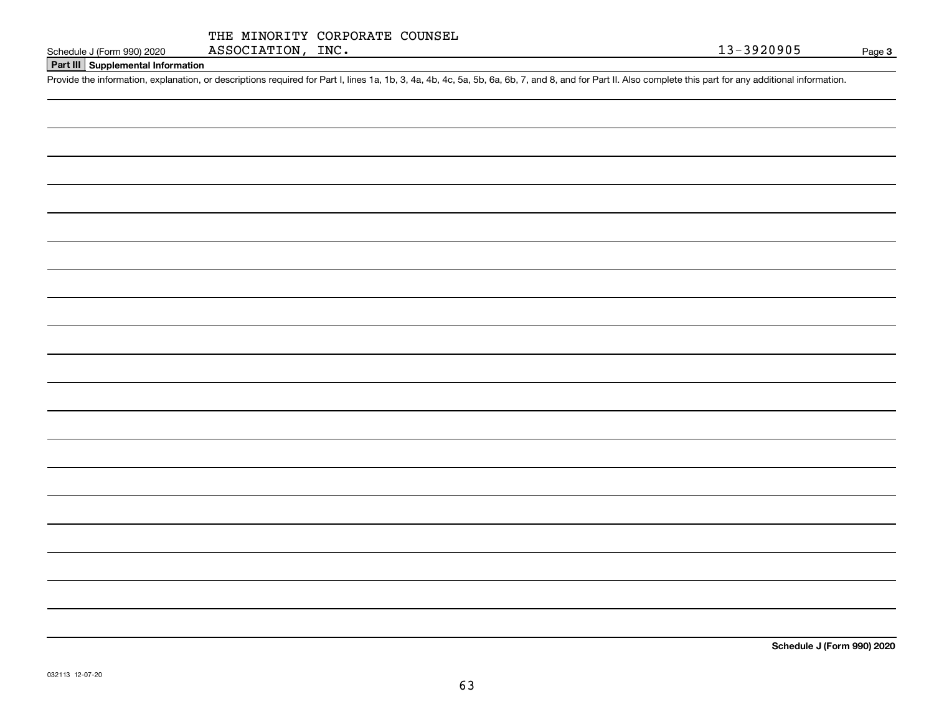| THE MINORITY CORPORATE COUNSEL |  |
|--------------------------------|--|
| ASSOCIATION, INC.              |  |

# **Part III Supplemental Information**

Schedule J (Form 990) 2020 ASSOCIATION, INC.<br>Part III Supplemental Information<br>Provide the information, explanation, or descriptions required for Part I, lines 1a, 1b, 3, 4a, 4b, 4c, 5a, 5b, 6a, 6b, 7, and 8, and for Part

**Schedule J (Form 990) 2020**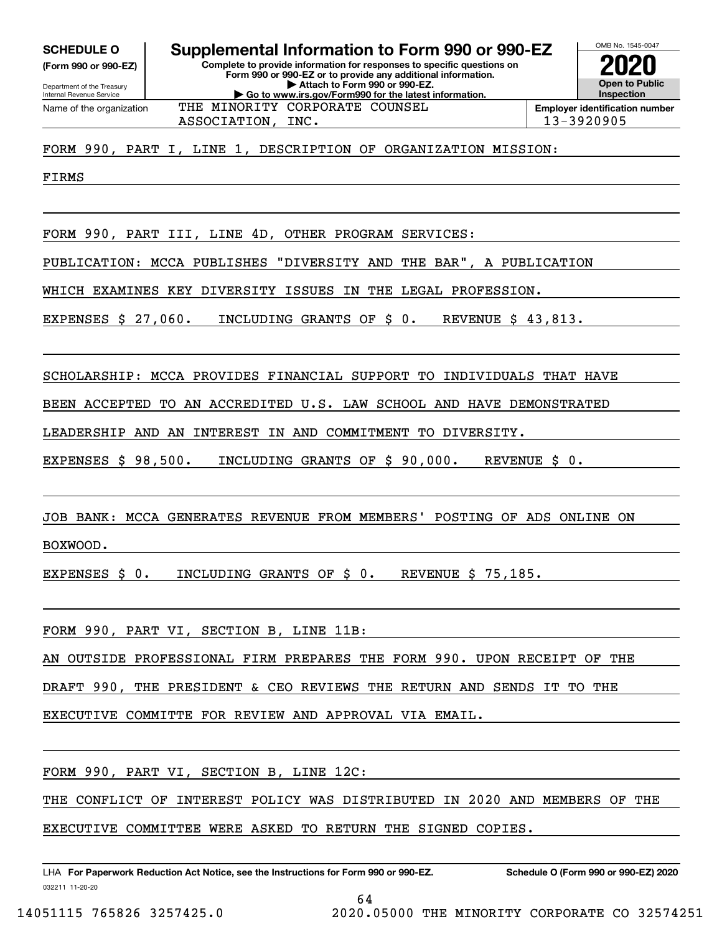**(Form 990 or 990-EZ)**

Department of the Treasury Internal Revenue Service Name of the organization

**Complete to provide information for responses to specific questions on Form 990 or 990-EZ or to provide any additional information. | Attach to Form 990 or 990-EZ. | Go to www.irs.gov/Form990 for the latest information. SCHEDULE O Supplemental Information to Form 990 or 990-EZ** THE MINORITY CORPORATE COUNSEL

**Open to Public InspectionEmployer identification number 2020**

OMB No. 1545-0047

ASSOCIATION, INC. 13-3920905

FORM 990, PART I, LINE 1, DESCRIPTION OF ORGANIZATION MISSION:

FIRMS

FORM 990, PART III, LINE 4D, OTHER PROGRAM SERVICES:

PUBLICATION: MCCA PUBLISHES "DIVERSITY AND THE BAR", A PUBLICATION

WHICH EXAMINES KEY DIVERSITY ISSUES IN THE LEGAL PROFESSION.

EXPENSES \$ 27,060. INCLUDING GRANTS OF \$ 0. REVENUE \$ 43,813.

SCHOLARSHIP: MCCA PROVIDES FINANCIAL SUPPORT TO INDIVIDUALS THAT HAVE

BEEN ACCEPTED TO AN ACCREDITED U.S. LAW SCHOOL AND HAVE DEMONSTRATED

LEADERSHIP AND AN INTEREST IN AND COMMITMENT TO DIVERSITY.

EXPENSES \$ 98,500. INCLUDING GRANTS OF \$ 90,000. REVENUE \$ 0.

JOB BANK: MCCA GENERATES REVENUE FROM MEMBERS' POSTING OF ADS ONLINE ON

BOXWOOD.

EXPENSES \$ 0. INCLUDING GRANTS OF \$ 0. REVENUE \$ 75,185.

FORM 990, PART VI, SECTION B, LINE 11B:

AN OUTSIDE PROFESSIONAL FIRM PREPARES THE FORM 990. UPON RECEIPT OF THE

DRAFT 990, THE PRESIDENT & CEO REVIEWS THE RETURN AND SENDS IT TO THE

EXECUTIVE COMMITTE FOR REVIEW AND APPROVAL VIA EMAIL.

FORM 990, PART VI, SECTION B, LINE 12C:

THE CONFLICT OF INTEREST POLICY WAS DISTRIBUTED IN 2020 AND MEMBERS OF THE

64

EXECUTIVE COMMITTEE WERE ASKED TO RETURN THE SIGNED COPIES.

032211 11-20-20 LHA For Paperwork Reduction Act Notice, see the Instructions for Form 990 or 990-EZ. Schedule O (Form 990 or 990-EZ) 2020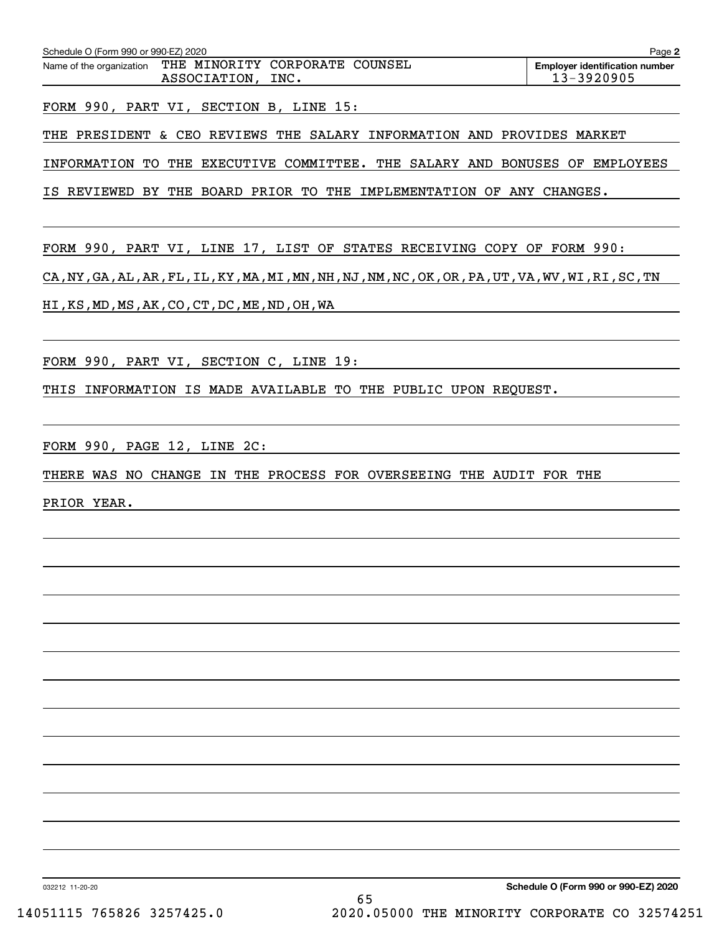| Schedule O (Form 990 or 990-EZ) 2020 |                                                        | Page 2                                              |
|--------------------------------------|--------------------------------------------------------|-----------------------------------------------------|
| Name of the organization             | THE MINORITY CORPORATE COUNSEL<br>ASSOCIATION,<br>INC. | <b>Employer identification number</b><br>13-3920905 |
|                                      | FORM 990, PART VI, SECTION B, LINE 15:                 |                                                     |

THE PRESIDENT & CEO REVIEWS THE SALARY INFORMATION AND PROVIDES MARKET

INFORMATION TO THE EXECUTIVE COMMITTEE. THE SALARY AND BONUSES OF EMPLOYEES

IS REVIEWED BY THE BOARD PRIOR TO THE IMPLEMENTATION OF ANY CHANGES.

FORM 990, PART VI, LINE 17, LIST OF STATES RECEIVING COPY OF FORM 990:

CA,NY,GA,AL,AR,FL,IL,KY,MA,MI,MN,NH,NJ,NM,NC,OK,OR,PA,UT,VA,WV,WI,RI,SC,TN

HI,KS,MD,MS,AK,CO,CT,DC,ME,ND,OH,WA

FORM 990, PART VI, SECTION C, LINE 19:

THIS INFORMATION IS MADE AVAILABLE TO THE PUBLIC UPON REQUEST.

FORM 990, PAGE 12, LINE 2C:

THERE WAS NO CHANGE IN THE PROCESS FOR OVERSEEING THE AUDIT FOR THE

PRIOR YEAR.

032212 11-20-20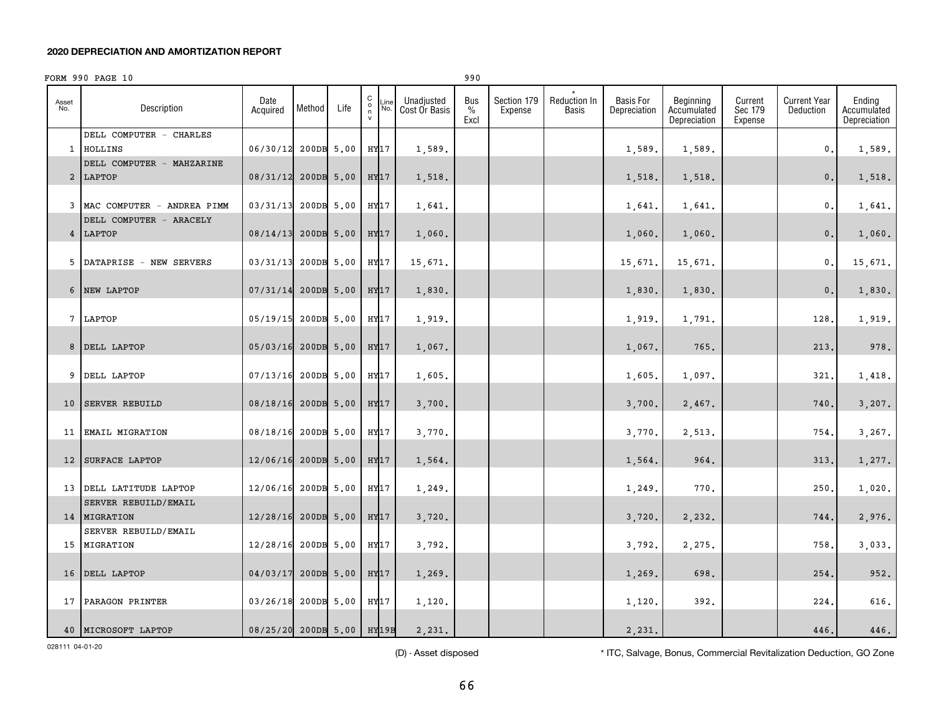### **2020 DEPRECIATION AND AMORTIZATION REPORT**

|              | FORM 990 PAGE 10                                |                           |            |            |                                              |             |                             | 990                          |                        |                       |                                  |                                          |                               |                                  |                                       |
|--------------|-------------------------------------------------|---------------------------|------------|------------|----------------------------------------------|-------------|-----------------------------|------------------------------|------------------------|-----------------------|----------------------------------|------------------------------------------|-------------------------------|----------------------------------|---------------------------------------|
| Asset<br>No. | Description                                     | Date<br>Acquired          | Method     | Life       | $\mathtt{C}$<br>$\circ$<br>n<br>$\mathsf{v}$ | Line<br>No. | Unadjusted<br>Cost Or Basis | Bus<br>$\frac{0}{0}$<br>Excl | Section 179<br>Expense | Reduction In<br>Basis | <b>Basis For</b><br>Depreciation | Beginning<br>Accumulated<br>Depreciation | Current<br>Sec 179<br>Expense | <b>Current Year</b><br>Deduction | Ending<br>Accumulated<br>Depreciation |
|              | DELL COMPUTER - CHARLES<br>1 HOLLINS            | 06/30/12                  | 200DB 5.00 |            | HY17                                         |             | 1,589.                      |                              |                        |                       | 1,589.                           | 1,589.                                   |                               | 0.                               | 1,589.                                |
|              | DELL COMPUTER - MAHZARINE<br>2 LAPTOP           | 08/31/12 200DB 5.00       |            |            | HY17                                         |             | 1,518.                      |                              |                        |                       | 1,518.                           | 1,518.                                   |                               | $\mathbf{0}$ .                   | 1,518.                                |
|              | 3 MAC COMPUTER - ANDREA PIMM                    | 03/31/13                  |            | 200DB 5.00 | HY17                                         |             | 1,641.                      |                              |                        |                       | 1,641.                           | 1,641.                                   |                               | 0.                               | 1,641.                                |
|              | DELL COMPUTER - ARACELY<br>4 LAPTOP             | 08/14/13                  |            | 200DB 5.00 | HY17                                         |             | 1,060.                      |                              |                        |                       | 1,060.                           | 1,060.                                   |                               | 0.                               | 1,060.                                |
|              | 5 DATAPRISE - NEW SERVERS                       | 03/31/13                  | 200DB 5.00 |            | HY17                                         |             | 15,671.                     |                              |                        |                       | 15,671.                          | 15,671.                                  |                               | 0.                               | 15,671.                               |
|              | 6 NEW LAPTOP                                    | 07/31/14                  |            | 200DB 5.00 | HY17                                         |             | 1,830.                      |                              |                        |                       | 1,830.                           | 1,830.                                   |                               | 0.                               | 1,830.                                |
|              | 7 LAPTOP                                        | 05/19/15                  |            | 200DB 5.00 | HY17                                         |             | 1,919.                      |                              |                        |                       | 1,919.                           | 1,791.                                   |                               | 128                              | 1,919.                                |
|              | 8 DELL LAPTOP                                   | 05/03/16                  |            | 200DB 5.00 | HY <sub>17</sub>                             |             | 1,067.                      |                              |                        |                       | 1,067.                           | 765.                                     |                               | 213                              | 978.                                  |
|              | 9 DELL LAPTOP                                   | 07/13/16                  |            | 200DB 5.00 | HY17                                         |             | 1,605.                      |                              |                        |                       | 1,605                            | 1,097.                                   |                               | 321                              | 1,418.                                |
|              | 10 SERVER REBUILD                               | 08/18/16                  | 200DB 5.00 |            | HY17                                         |             | 3,700.                      |                              |                        |                       | 3,700.                           | 2,467.                                   |                               | 740                              | 3,207.                                |
| 11           | <b>EMAIL MIGRATION</b>                          | 08/18/16                  | 200DB 5.00 |            | HY17                                         |             | 3,770.                      |                              |                        |                       | 3,770                            | 2,513.                                   |                               | 754                              | 3,267.                                |
|              | 12 SURFACE LAPTOP                               | 12/06/16 200DB 5.00       |            |            | HY17                                         |             | 1,564.                      |                              |                        |                       | 1,564.                           | 964.                                     |                               | 313                              | 1,277.                                |
|              | 13 DELL LATITUDE LAPTOP<br>SERVER REBUILD/EMAIL | 12/06/16                  | 200DB 5.00 |            | HY17                                         |             | 1,249.                      |                              |                        |                       | 1,249.                           | 770.                                     |                               | 250                              | 1,020.                                |
|              | 14   MIGRATION<br>SERVER REBUILD/EMAIL          | 12/28/16 200DB 5.00       |            |            | HY17                                         |             | 3,720.                      |                              |                        |                       | 3,720.                           | 2,232.                                   |                               | 744.                             | 2,976.                                |
|              | 15 MIGRATION                                    | 12/28/16                  | 200DB 5.00 |            | HY17                                         |             | 3,792.                      |                              |                        |                       | 3,792.                           | 2,275.                                   |                               | 758                              | 3,033.                                |
|              | 16 DELL LAPTOP                                  | 04/03/17                  |            | 200DB 5.00 | HY17                                         |             | 1,269.                      |                              |                        |                       | 1,269.                           | 698.                                     |                               | 254                              | 952.                                  |
|              | 17 PARAGON PRINTER                              | 03/26/18                  |            | 200DB 5.00 | HY17                                         |             | 1,120.                      |                              |                        |                       | 1,120                            | 392.                                     |                               | 224                              | 616.                                  |
|              | 40 MICROSOFT LAPTOP                             | 08/25/20 200DB 5.00 HY19B |            |            |                                              |             | 2,231.                      |                              |                        |                       | 2,231.                           |                                          |                               | 446.                             | 446.                                  |

028111 04-01-20

(D) - Asset disposed \* ITC, Salvage, Bonus, Commercial Revitalization Deduction, GO Zone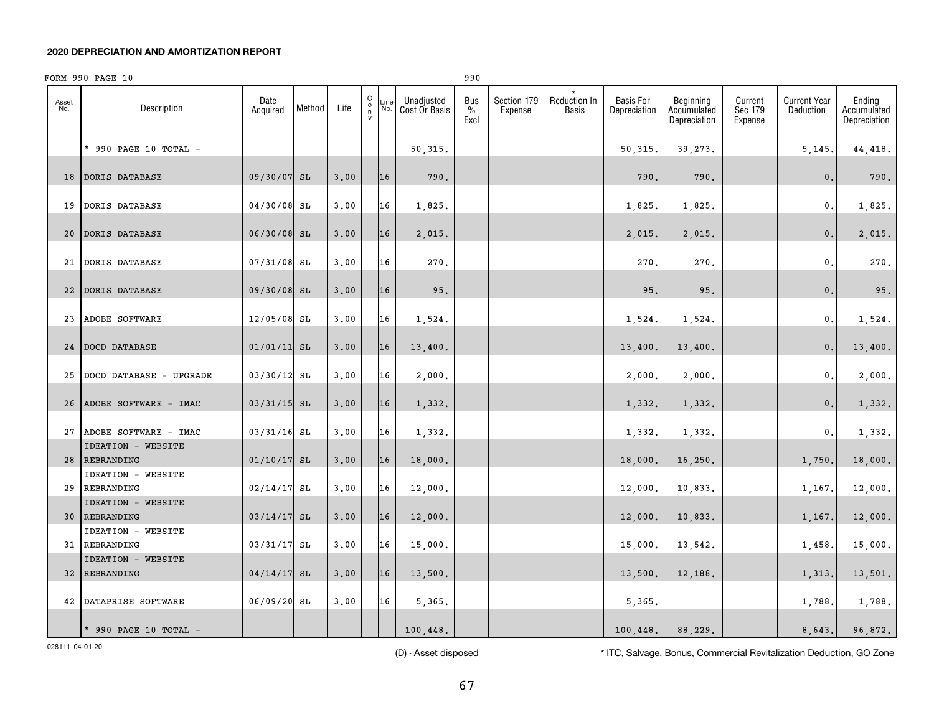### **2020 DEPRECIATION AND AMORTIZATION REPORT**

|              | FORM 990 PAGE 10                           |                  |        |      |                                                     |             |                             | 990                 |                        |                       |                                  |                                          |                               |                                  |                                       |
|--------------|--------------------------------------------|------------------|--------|------|-----------------------------------------------------|-------------|-----------------------------|---------------------|------------------------|-----------------------|----------------------------------|------------------------------------------|-------------------------------|----------------------------------|---------------------------------------|
| Asset<br>No. | Description                                | Date<br>Acquired | Method | Life | $\begin{smallmatrix} 0 \\ 0 \\ 7 \end{smallmatrix}$ | Line<br>No. | Unadjusted<br>Cost Or Basis | Bus<br>$\%$<br>Excl | Section 179<br>Expense | Reduction In<br>Basis | <b>Basis For</b><br>Depreciation | Beginning<br>Accumulated<br>Depreciation | Current<br>Sec 179<br>Expense | <b>Current Year</b><br>Deduction | Ending<br>Accumulated<br>Depreciation |
|              | * 990 PAGE 10 TOTAL -                      |                  |        |      |                                                     |             | 50,315.                     |                     |                        |                       | 50,315.                          | 39,273.                                  |                               | 5,145.                           | 44, 418.                              |
| 18           | DORIS DATABASE                             | 09/30/07         | SL     | 3,00 |                                                     | 16          | 790.                        |                     |                        |                       | 790.                             | 790.                                     |                               | $\mathbf{0}$ .                   | 790.                                  |
| 19           | <b>DORIS DATABASE</b>                      | 04/30/08         | SL     | 3.00 |                                                     | 16          | 1,825.                      |                     |                        |                       | 1,825.                           | 1,825.                                   |                               | 0.                               | 1,825.                                |
| 20           | DORIS DATABASE                             | 06/30/08 SL      |        | 3,00 |                                                     | 16          | 2,015.                      |                     |                        |                       | 2,015.                           | 2,015.                                   |                               | 0.                               | 2,015.                                |
|              | 21 DORIS DATABASE                          | $07/31/08$ SL    |        | 3.00 |                                                     | 16          | 270.                        |                     |                        |                       | 270.                             | 270.                                     |                               | $\mathfrak{o}$ .                 | 270.                                  |
|              | 22 DORIS DATABASE                          | 09/30/08 SL      |        | 3,00 |                                                     | 16          | 95.                         |                     |                        |                       | 95.                              | 95.                                      |                               | 0.                               | 95.                                   |
| 23           | ADOBE SOFTWARE                             | 12/05/08         | SL     | 3.00 |                                                     | 16          | 1,524.                      |                     |                        |                       | 1,524.                           | 1,524.                                   |                               | $^{\circ}$ .                     | 1,524.                                |
|              | 24 DOCD DATABASE                           | $01/01/11$ SL    |        | 3.00 |                                                     | 16          | 13,400.                     |                     |                        |                       | 13,400.                          | 13,400.                                  |                               | 0.                               | 13,400.                               |
| 25           | DOCD DATABASE - UPGRADE                    | 03/30/12         | SL     | 3.00 |                                                     | 16          | 2,000.                      |                     |                        |                       | 2,000.                           | 2,000.                                   |                               | 0.                               | 2,000.                                |
|              | 26 ADOBE SOFTWARE - IMAC                   | 03/31/15 SL      |        | 3.00 |                                                     | 16          | 1,332.                      |                     |                        |                       | 1,332.                           | 1,332.                                   |                               | 0.                               | 1,332.                                |
|              | 27 ADOBE SOFTWARE - IMAC                   | 03/31/16         | SL     | 3.00 |                                                     | 16          | 1,332.                      |                     |                        |                       | 1,332.                           | 1,332.                                   |                               | 0.                               | 1,332.                                |
|              | <b>IDEATION - WEBSITE</b><br>28 REBRANDING | 01/10/17         | SL     | 3.00 |                                                     | 16          | 18,000.                     |                     |                        |                       | 18,000.                          | 16,250.                                  |                               | 1,750.                           | 18,000.                               |
| 29           | <b>IDEATION - WEBSITE</b><br>REBRANDING    | 02/14/17         | SL     | 3.00 |                                                     | 16          | 12,000.                     |                     |                        |                       | 12,000.                          | 10,833.                                  |                               | 1,167.                           | 12,000.                               |
|              | <b>IDEATION - WEBSITE</b><br>30 REBRANDING | 03/14/17         | SL     | 3.00 |                                                     | 16          | 12,000.                     |                     |                        |                       | 12,000.                          | 10,833.                                  |                               | 1,167.                           | 12,000.                               |
|              | <b>IDEATION - WEBSITE</b><br>31 REBRANDING | 03/31/17         | SL     | 3.00 |                                                     | 16          | 15,000.                     |                     |                        |                       | 15,000.                          | 13,542.                                  |                               | 1,458.                           | 15,000.                               |
|              | <b>IDEATION - WEBSITE</b><br>32 REBRANDING | 04/14/17         | SL     | 3.00 |                                                     | 16          | 13,500.                     |                     |                        |                       | 13,500.                          | 12,188.                                  |                               | 1,313.                           | 13,501.                               |
|              | 42 DATAPRISE SOFTWARE                      | 06/09/20         | SL     | 3.00 |                                                     | 16          | 5,365.                      |                     |                        |                       | 5,365.                           |                                          |                               | 1,788.                           | 1,788.                                |
|              | * 990 PAGE 10 TOTAL $-$                    |                  |        |      |                                                     |             | 100,448.                    |                     |                        |                       | 100,448.                         | 88.229.                                  |                               | 8.643.                           | 96.872.                               |

(D) - Asset disposed \* ITC, Salvage, Bonus, Commercial Revitalization Deduction, GO Zone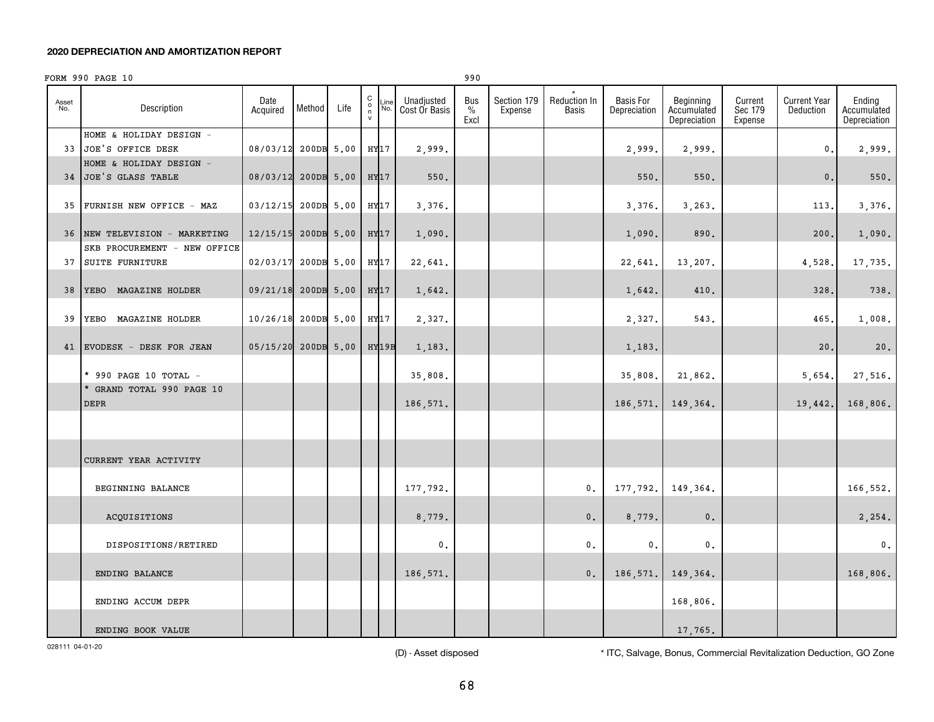### **2020 DEPRECIATION AND AMORTIZATION REPORT**

|              | FORM 990 PAGE 10                                   |                     |            |      |                                               |             |                             | 990                 |                        |                       |                                  |                                          |                               |                                  |                                       |
|--------------|----------------------------------------------------|---------------------|------------|------|-----------------------------------------------|-------------|-----------------------------|---------------------|------------------------|-----------------------|----------------------------------|------------------------------------------|-------------------------------|----------------------------------|---------------------------------------|
| Asset<br>No. | Description                                        | Date<br>Acquired    | Method     | Life | $\begin{array}{c} C \\ 0 \\ \eta \end{array}$ | Line<br>No. | Unadjusted<br>Cost Or Basis | Bus<br>$\%$<br>Excl | Section 179<br>Expense | Reduction In<br>Basis | <b>Basis For</b><br>Depreciation | Beginning<br>Accumulated<br>Depreciation | Current<br>Sec 179<br>Expense | <b>Current Year</b><br>Deduction | Ending<br>Accumulated<br>Depreciation |
|              | HOME & HOLIDAY DESIGN -<br>33 JOE'S OFFICE DESK    | 08/03/12            | 200DB 5.00 |      | HY17                                          |             | 2,999.                      |                     |                        |                       | 2,999.                           | 2,999.                                   |                               | 0.                               | 2,999.                                |
|              | HOME & HOLIDAY DESIGN -<br>34 JOE'S GLASS TABLE    | 08/03/12 200DB 5.00 |            |      | HY17                                          |             | 550.                        |                     |                        |                       | 550.                             | 550.                                     |                               | $\mathbf{0}$ .                   | $550.$                                |
| 35           | FURNISH NEW OFFICE - MAZ                           | 03/12/15 200DB 5.00 |            |      | HY17                                          |             | 3,376.                      |                     |                        |                       | 3,376.                           | 3,263.                                   |                               | 113.                             | 3,376.                                |
|              | 36 NEW TELEVISION - MARKETING                      | 12/15/15            | 200DB 5.00 |      | HY17                                          |             | 1,090.                      |                     |                        |                       | 1,090.                           | 890.                                     |                               | 200.                             | 1,090.                                |
|              | SKB PROCUREMENT - NEW OFFICE<br>37 SUITE FURNITURE | 02/03/17            | 200DB 5.00 |      | HY17                                          |             | 22,641.                     |                     |                        |                       | 22,641.                          | 13,207.                                  |                               | 4,528.                           | 17,735.                               |
| 38           | YEBO MAGAZINE HOLDER                               | 09/21/18 200DB 5.00 |            |      | HY17                                          |             | 1,642.                      |                     |                        |                       | 1,642.                           | 410.                                     |                               | 328                              | 738.                                  |
| 39           | YEBO MAGAZINE HOLDER                               | 10/26/18            | 200DB 5.00 |      | HY17                                          |             | 2,327.                      |                     |                        |                       | 2,327.                           | 543.                                     |                               | 465.                             | 1,008.                                |
|              | 41 EVODESK - DESK FOR JEAN                         | 05/15/20            | 200DB 5.00 |      | HY19B                                         |             | 1,183.                      |                     |                        |                       | 1,183.                           |                                          |                               | 20                               | 20.                                   |
|              | * 990 PAGE 10 TOTAL -<br>* GRAND TOTAL 990 PAGE 10 |                     |            |      |                                               |             | 35,808.                     |                     |                        |                       | 35,808.                          | 21,862.                                  |                               | 5,654.                           | 27,516.                               |
|              | <b>DEPR</b>                                        |                     |            |      |                                               |             | 186,571.                    |                     |                        |                       | 186,571.                         | 149,364.                                 |                               | 19,442                           | 168,806.                              |
|              |                                                    |                     |            |      |                                               |             |                             |                     |                        |                       |                                  |                                          |                               |                                  |                                       |
|              | CURRENT YEAR ACTIVITY                              |                     |            |      |                                               |             |                             |                     |                        |                       |                                  |                                          |                               |                                  |                                       |
|              | BEGINNING BALANCE                                  |                     |            |      |                                               |             | 177,792.                    |                     |                        | $\mathbf{0}$ .        | 177, 792.                        | 149,364.                                 |                               |                                  | 166,552.                              |
|              | ACQUISITIONS                                       |                     |            |      |                                               |             | 8,779.                      |                     |                        | 0.                    | 8,779.                           | 0.                                       |                               |                                  | 2,254.                                |
|              | DISPOSITIONS/RETIRED                               |                     |            |      |                                               |             | $\mathbf{0}$ .              |                     |                        | 0.                    | $\mathbf{0}$ .                   | $\mathfrak o$ .                          |                               |                                  | $\mathbf{0}$ .                        |
|              | ENDING BALANCE                                     |                     |            |      |                                               |             | 186,571.                    |                     |                        | 0.                    | 186,571.                         | 149,364.                                 |                               |                                  | 168,806.                              |
|              | ENDING ACCUM DEPR                                  |                     |            |      |                                               |             |                             |                     |                        |                       |                                  | 168,806.                                 |                               |                                  |                                       |
|              | ENDING BOOK VALUE                                  |                     |            |      |                                               |             |                             |                     |                        |                       |                                  | 17,765.                                  |                               |                                  |                                       |

(D) - Asset disposed \* ITC, Salvage, Bonus, Commercial Revitalization Deduction, GO Zone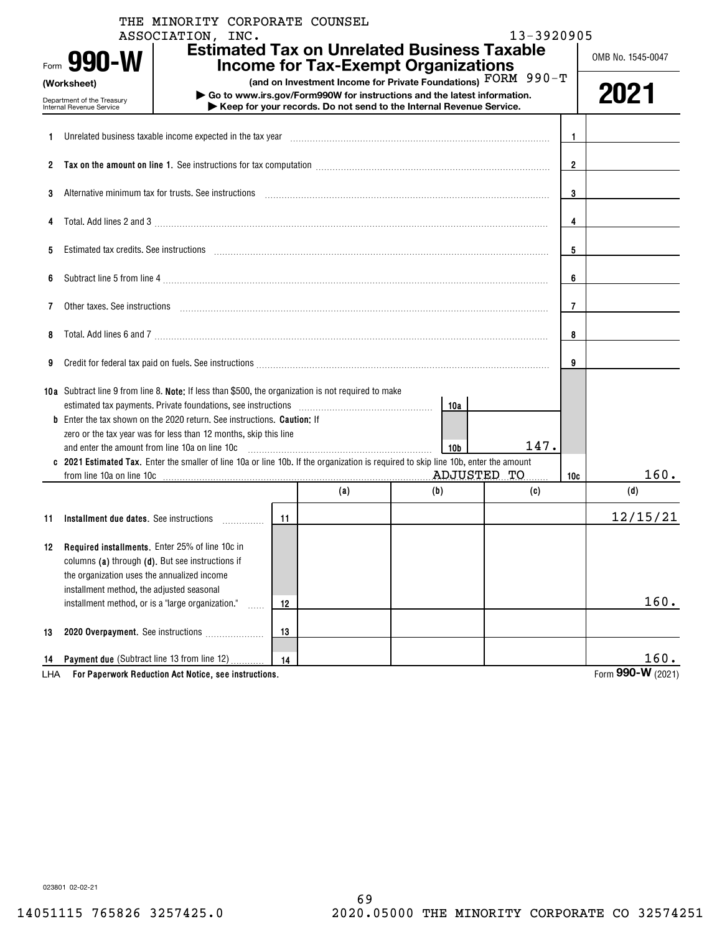|     | THE MINORITY CORPORATE COUNSEL<br>ASSOCIATION, INC.                                                                                                                                                                            |    |     |                                                                                                                                          | 13-3920905 |                   |
|-----|--------------------------------------------------------------------------------------------------------------------------------------------------------------------------------------------------------------------------------|----|-----|------------------------------------------------------------------------------------------------------------------------------------------|------------|-------------------|
|     | Form 990-W                                                                                                                                                                                                                     |    |     | <b>Estimated Tax on Unrelated Business Taxable</b><br><b>Income for Tax-Exempt Organizations</b>                                         |            | OMB No. 1545-0047 |
|     | (Worksheet)<br>Department of the Treasury                                                                                                                                                                                      |    |     | (and on Investment Income for Private Foundations) FORM 990-T<br>Go to www.irs.gov/Form990W for instructions and the latest information. |            | 2021              |
|     | Internal Revenue Service                                                                                                                                                                                                       |    |     | Keep for your records. Do not send to the Internal Revenue Service.                                                                      |            |                   |
| 1   | Unrelated business taxable income expected in the tax year manufactured contains and the state of business taxable income expected in the tax year manufactured contains and the state of the state of the state of the state  |    |     |                                                                                                                                          |            | -1                |
| 2   |                                                                                                                                                                                                                                |    |     |                                                                                                                                          |            | $\mathbf{2}$      |
| 3   | Alternative minimum tax for trusts. See instructions maturities and the content of the set of the set of the state of the set of the set of the set of the set of the set of the set of the set of the set of the set of the s |    |     |                                                                                                                                          |            | 3                 |
| 4   | Total. Add lines 2 and 3 manufactured and control and control of the 2 and 3 manufactured and 3 manufactured and control and control and control and control and control and control and control and control and control and c |    |     |                                                                                                                                          |            | 4                 |
| 5   | Estimated tax credits. See instructions entertainment contains and all the set of the set of the set of the set of the set of the set of the set of the set of the set of the set of the set of the set of the set of the set  |    |     |                                                                                                                                          |            | 5                 |
| 6   |                                                                                                                                                                                                                                |    |     |                                                                                                                                          |            | 6                 |
| 7   | Other taxes. See instructions                                                                                                                                                                                                  |    |     |                                                                                                                                          |            | 7                 |
| 8   |                                                                                                                                                                                                                                |    |     |                                                                                                                                          |            | 8                 |
| 9   |                                                                                                                                                                                                                                |    |     |                                                                                                                                          |            | 9                 |
|     | 10a Subtract line 9 from line 8. Note: If less than \$500, the organization is not required to make                                                                                                                            |    |     |                                                                                                                                          |            |                   |
|     | Enter the tax shown on the 2020 return. See instructions. <b>Caution:</b> If                                                                                                                                                   |    |     | 10a                                                                                                                                      |            |                   |
|     | zero or the tax year was for less than 12 months, skip this line                                                                                                                                                               |    |     |                                                                                                                                          |            |                   |
|     | and enter the amount from line 10a on line 10c                                                                                                                                                                                 |    |     | 10 <sub>b</sub>                                                                                                                          | 147.       |                   |
|     | c 2021 Estimated Tax. Enter the smaller of line 10a or line 10b. If the organization is required to skip line 10b, enter the amount                                                                                            |    |     |                                                                                                                                          |            |                   |
|     | from line 10a on line 10c                                                                                                                                                                                                      |    |     | ADJUSTED TO                                                                                                                              |            | 160.<br>10c       |
|     |                                                                                                                                                                                                                                |    | (a) | (b)                                                                                                                                      | (c)        | (d)               |
| 11  | Installment due dates. See instructions<br>.                                                                                                                                                                                   | 11 |     |                                                                                                                                          |            | 12/15/21          |
| 12  | <b>Required installments.</b> Enter 25% of line 10c in                                                                                                                                                                         |    |     |                                                                                                                                          |            |                   |
|     | columns (a) through (d). But see instructions if                                                                                                                                                                               |    |     |                                                                                                                                          |            |                   |
|     | the organization uses the annualized income                                                                                                                                                                                    |    |     |                                                                                                                                          |            |                   |
|     | installment method, the adjusted seasonal                                                                                                                                                                                      |    |     |                                                                                                                                          |            |                   |
|     | installment method, or is a "large organization."<br>.                                                                                                                                                                         | 12 |     |                                                                                                                                          |            | 160.              |
|     |                                                                                                                                                                                                                                |    |     |                                                                                                                                          |            |                   |
| 13  | 2020 Overpayment. See instructions                                                                                                                                                                                             | 13 |     |                                                                                                                                          |            |                   |
| 14  | <b>Payment due (Subtract line 13 from line 12)</b>                                                                                                                                                                             | 14 |     |                                                                                                                                          |            | 160.              |
| LHA | For Paperwork Reduction Act Notice, see instructions.                                                                                                                                                                          |    |     |                                                                                                                                          |            | Form 990-W (2021) |

LHA

023801 02-02-21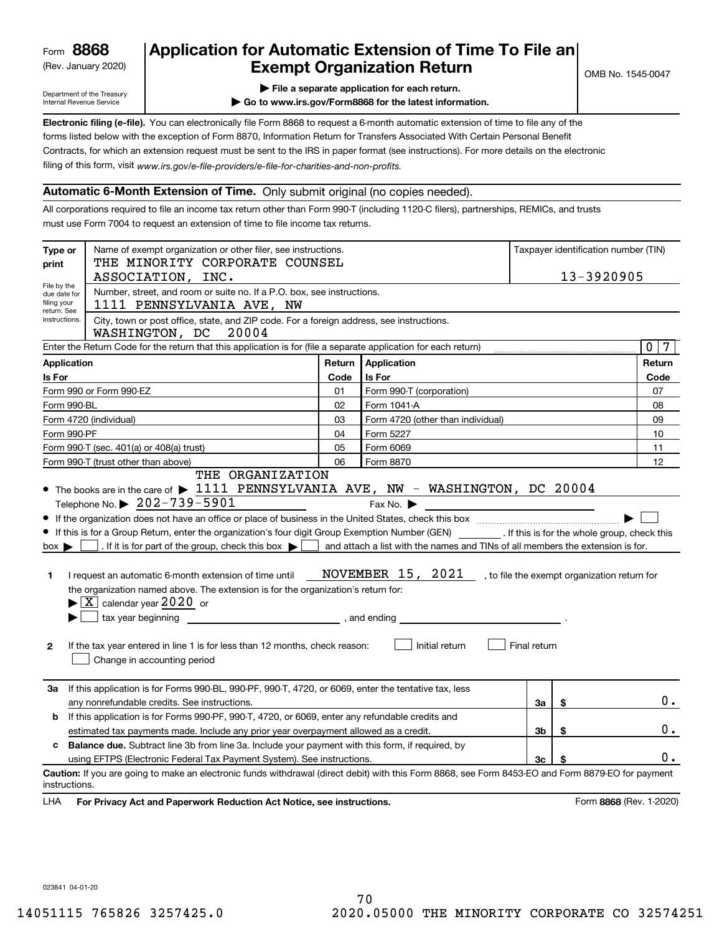(Rev. January 2020)

# **Application for Automatic Extension of Time To File an Exempt Organization Return**

Department of the Treasury Internal Revenue Service

**| File a separate application for each return.**

**| Go to www.irs.gov/Form8868 for the latest information.**

**Electronic filing (e-file).**  You can electronically file Form 8868 to request a 6-month automatic extension of time to file any of the filing of this form, visit www.irs.gov/e-file-providers/e-file-for-charities-and-non-profits. forms listed below with the exception of Form 8870, Information Return for Transfers Associated With Certain Personal Benefit Contracts, for which an extension request must be sent to the IRS in paper format (see instructions). For more details on the electronic

## **Automatic 6-Month Extension of Time.** Only submit original (no copies needed).

All corporations required to file an income tax return other than Form 990-T (including 1120-C filers), partnerships, REMICs, and trusts must use Form 7004 to request an extension of time to file income tax returns.

| Type or<br>print                                          | Name of exempt organization or other filer, see instructions.<br>Taxpayer identification number (TIN)<br>THE MINORITY CORPORATE COUNSEL            |        |                                                                                |                |                                              |                         |  |  |  |  |  |  |
|-----------------------------------------------------------|----------------------------------------------------------------------------------------------------------------------------------------------------|--------|--------------------------------------------------------------------------------|----------------|----------------------------------------------|-------------------------|--|--|--|--|--|--|
|                                                           | ASSOCIATION, INC.                                                                                                                                  |        |                                                                                |                | 13-3920905                                   |                         |  |  |  |  |  |  |
| File by the<br>due date for<br>filing your<br>return. See | Number, street, and room or suite no. If a P.O. box, see instructions.<br>1111 PENNSYLVANIA AVE, NW                                                |        |                                                                                |                |                                              |                         |  |  |  |  |  |  |
| instructions.                                             | City, town or post office, state, and ZIP code. For a foreign address, see instructions.<br>WASHINGTON, DC<br>20004                                |        |                                                                                |                |                                              |                         |  |  |  |  |  |  |
|                                                           | Enter the Return Code for the return that this application is for (file a separate application for each return)                                    |        |                                                                                |                |                                              | $\mathbf 0$<br>7        |  |  |  |  |  |  |
| <b>Application</b>                                        |                                                                                                                                                    | Return | Application                                                                    |                |                                              | Return                  |  |  |  |  |  |  |
| Is For                                                    |                                                                                                                                                    | Code   | <b>Is For</b>                                                                  |                |                                              | Code                    |  |  |  |  |  |  |
|                                                           | Form 990 or Form 990-EZ                                                                                                                            | 01     | Form 990-T (corporation)                                                       |                |                                              | 07                      |  |  |  |  |  |  |
| Form 990-BL                                               |                                                                                                                                                    | 02     | Form 1041-A                                                                    |                |                                              | 08                      |  |  |  |  |  |  |
|                                                           | Form 4720 (individual)                                                                                                                             | 03     | Form 4720 (other than individual)                                              |                |                                              | 09                      |  |  |  |  |  |  |
| Form 990-PF                                               |                                                                                                                                                    | 04     | Form 5227                                                                      |                |                                              | 10                      |  |  |  |  |  |  |
|                                                           | Form 990-T (sec. 401(a) or 408(a) trust)                                                                                                           | 05     | Form 6069                                                                      |                |                                              | 11                      |  |  |  |  |  |  |
|                                                           | Form 990-T (trust other than above)                                                                                                                | 06     | Form 8870                                                                      |                |                                              | 12                      |  |  |  |  |  |  |
|                                                           | THE ORGANIZATION                                                                                                                                   |        |                                                                                |                |                                              |                         |  |  |  |  |  |  |
|                                                           | • The books are in the care of $\blacktriangleright$ 1111 PENNSYLVANIA AVE, NW - WASHINGTON, DC 20004                                              |        |                                                                                |                |                                              |                         |  |  |  |  |  |  |
|                                                           | Telephone No. $\triangleright$ 202-739-5901                                                                                                        |        | Fax No. $\blacktriangleright$                                                  |                |                                              |                         |  |  |  |  |  |  |
|                                                           |                                                                                                                                                    |        |                                                                                |                |                                              |                         |  |  |  |  |  |  |
|                                                           | If this is for a Group Return, enter the organization's four digit Group Exemption Number (GEN) [If this is for the whole group, check this        |        |                                                                                |                |                                              |                         |  |  |  |  |  |  |
| $box \blacktriangleright$                                 | . If it is for part of the group, check this box $\blacktriangleright$                                                                             |        | and attach a list with the names and TINs of all members the extension is for. |                |                                              |                         |  |  |  |  |  |  |
|                                                           |                                                                                                                                                    |        |                                                                                |                |                                              |                         |  |  |  |  |  |  |
| 1                                                         | I request an automatic 6-month extension of time until                                                                                             |        | <b>NOVEMBER 15, 2021</b>                                                       |                | , to file the exempt organization return for |                         |  |  |  |  |  |  |
|                                                           | the organization named above. The extension is for the organization's return for:                                                                  |        |                                                                                |                |                                              |                         |  |  |  |  |  |  |
|                                                           | $\blacktriangleright$ $\boxed{\text{X}}$ calendar year 2020 or                                                                                     |        |                                                                                |                |                                              |                         |  |  |  |  |  |  |
|                                                           | tax year beginning<br>and ending and ending                                                                                                        |        |                                                                                |                |                                              |                         |  |  |  |  |  |  |
|                                                           |                                                                                                                                                    |        |                                                                                |                |                                              |                         |  |  |  |  |  |  |
| 2                                                         | If the tax year entered in line 1 is for less than 12 months, check reason:<br>Change in accounting period                                         |        | Initial return                                                                 | Final return   |                                              |                         |  |  |  |  |  |  |
| За                                                        | If this application is for Forms 990-BL, 990-PF, 990-T, 4720, or 6069, enter the tentative tax, less                                               |        |                                                                                |                |                                              |                         |  |  |  |  |  |  |
|                                                           | any nonrefundable credits. See instructions.                                                                                                       |        |                                                                                | За             | \$                                           | 0.                      |  |  |  |  |  |  |
| b                                                         | If this application is for Forms 990-PF, 990-T, 4720, or 6069, enter any refundable credits and                                                    |        |                                                                                |                |                                              |                         |  |  |  |  |  |  |
|                                                           | estimated tax payments made. Include any prior year overpayment allowed as a credit.                                                               |        |                                                                                | 3b             | \$                                           | $0$ .                   |  |  |  |  |  |  |
| c                                                         | Balance due. Subtract line 3b from line 3a. Include your payment with this form, if required, by                                                   |        |                                                                                |                |                                              |                         |  |  |  |  |  |  |
|                                                           | using EFTPS (Electronic Federal Tax Payment System). See instructions.                                                                             |        |                                                                                | 3 <sub>c</sub> |                                              | 0.                      |  |  |  |  |  |  |
| instructions.                                             | Caution: If you are going to make an electronic funds withdrawal (direct debit) with this Form 8868, see Form 8453-EO and Form 8879-EO for payment |        |                                                                                |                |                                              |                         |  |  |  |  |  |  |
| LHA                                                       | For Privacy Act and Paperwork Reduction Act Notice, see instructions.                                                                              |        |                                                                                |                |                                              | Form 8868 (Rev. 1-2020) |  |  |  |  |  |  |

023841 04-01-20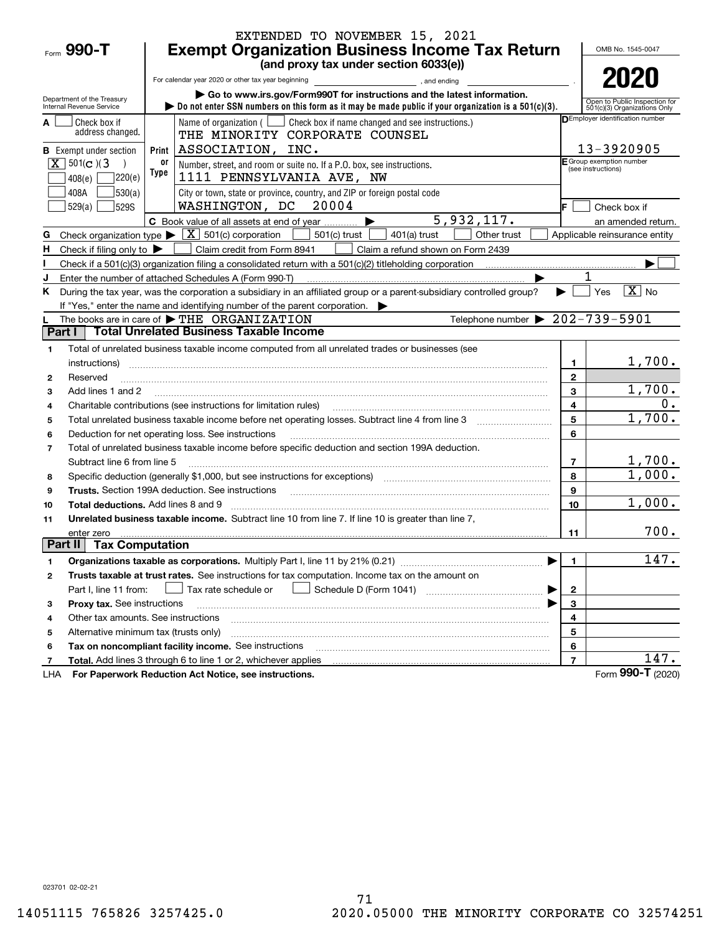|                                                                                                          |            | EXTENDED TO NOVEMBER 15, 2021                                                                                                                                                     |                |                                                               |
|----------------------------------------------------------------------------------------------------------|------------|-----------------------------------------------------------------------------------------------------------------------------------------------------------------------------------|----------------|---------------------------------------------------------------|
| Form $990 - T$                                                                                           |            | <b>Exempt Organization Business Income Tax Return</b><br>(and proxy tax under section 6033(e))                                                                                    |                | OMB No. 1545-0047                                             |
|                                                                                                          |            |                                                                                                                                                                                   |                | 2020                                                          |
|                                                                                                          |            | For calendar year 2020 or other tax year beginning<br>and ending<br>Go to www.irs.gov/Form990T for instructions and the latest information.                                       |                |                                                               |
| Department of the Treasury<br>Internal Revenue Service                                                   |            | bo not enter SSN numbers on this form as it may be made public if your organization is a $501(c)(3)$ .                                                                            |                | Open to Public Inspection for<br>501(c)(3) Organizations Only |
| Check box if                                                                                             |            | Name of organization ( $\Box$ Check box if name changed and see instructions.)                                                                                                    |                | <b>DEmployer identification number</b>                        |
| address changed.                                                                                         |            | THE MINORITY CORPORATE COUNSEL                                                                                                                                                    |                |                                                               |
| <b>B</b> Exempt under section                                                                            |            | Print   ASSOCIATION, INC.                                                                                                                                                         |                | 13-3920905<br>E Group exemption number                        |
| $\boxed{\mathbf{X}}$ 501(c)(3                                                                            | or<br>Type | Number, street, and room or suite no. If a P.O. box, see instructions.                                                                                                            |                | (see instructions)                                            |
| 220(e)<br>408(e)                                                                                         |            | 1111 PENNSYLVANIA AVE, NW                                                                                                                                                         |                |                                                               |
| 530(a) <br>408A                                                                                          |            | City or town, state or province, country, and ZIP or foreign postal code                                                                                                          |                |                                                               |
| 529(a)<br><b>529S</b>                                                                                    |            | WASHINGTON, DC 20004<br>5,932,117.                                                                                                                                                | IF.            | Check box if                                                  |
|                                                                                                          |            | C Book value of all assets at end of year<br>Check organization type $\blacktriangleright \boxed{\textbf{X}}$ 501(c) corporation<br>501(c) trust<br>$401(a)$ trust<br>Other trust |                | an amended return.<br>Applicable reinsurance entity           |
| G<br>H.                                                                                                  |            | Claim credit from Form 8941                                                                                                                                                       |                |                                                               |
| Check if filing only to $\blacktriangleright$                                                            |            | Claim a refund shown on Form 2439                                                                                                                                                 |                |                                                               |
| J                                                                                                        |            | Enter the number of attached Schedules A (Form 990-T)                                                                                                                             |                |                                                               |
| Κ                                                                                                        |            | During the tax year, was the corporation a subsidiary in an affiliated group or a parent-subsidiary controlled group?                                                             |                | $ \overline{\mathbf{X}} $ No<br>Yes                           |
|                                                                                                          |            | If "Yes," enter the name and identifying number of the parent corporation.                                                                                                        |                |                                                               |
|                                                                                                          |            | Telephone number $\triangleright$ 202-739-5901<br>The books are in care of $\blacktriangleright$ THE ORGANIZATION                                                                 |                |                                                               |
| Part I                                                                                                   |            | <b>Total Unrelated Business Taxable Income</b>                                                                                                                                    |                |                                                               |
| 1                                                                                                        |            | Total of unrelated business taxable income computed from all unrelated trades or businesses (see                                                                                  |                |                                                               |
| instructions)                                                                                            |            |                                                                                                                                                                                   | 1              | 1,700.                                                        |
| Reserved<br>$\mathbf{2}$                                                                                 |            |                                                                                                                                                                                   | $\mathbf{2}$   |                                                               |
| Add lines 1 and 2<br>3                                                                                   |            |                                                                                                                                                                                   | 3              | 1,700.                                                        |
| 4                                                                                                        |            | Charitable contributions (see instructions for limitation rules)                                                                                                                  | 4              | 0.                                                            |
| 5                                                                                                        |            | Total unrelated business taxable income before net operating losses. Subtract line 4 from line 3                                                                                  | 5              | 1,700.                                                        |
| 6                                                                                                        |            | Deduction for net operating loss. See instructions                                                                                                                                | 6              |                                                               |
| $\overline{7}$                                                                                           |            | Total of unrelated business taxable income before specific deduction and section 199A deduction.                                                                                  |                |                                                               |
| Subtract line 6 from line 5                                                                              |            |                                                                                                                                                                                   | $\overline{7}$ | 1,700.                                                        |
| 8                                                                                                        |            | Specific deduction (generally \$1,000, but see instructions for exceptions) manufactured contains an exception of                                                                 | 8              | 1,000.                                                        |
| 9                                                                                                        |            | <b>Trusts.</b> Section 199A deduction. See instructions                                                                                                                           | 9              |                                                               |
| <b>Total deductions.</b> Add lines 8 and 9<br>10                                                         |            |                                                                                                                                                                                   | 10             | 1,000.                                                        |
| 11                                                                                                       |            | Unrelated business taxable income. Subtract line 10 from line 7. If line 10 is greater than line 7,                                                                               |                |                                                               |
| enter zero                                                                                               |            |                                                                                                                                                                                   | 11             | 700.                                                          |
| <b>Tax Computation</b><br>Part II                                                                        |            |                                                                                                                                                                                   |                |                                                               |
| 1                                                                                                        |            |                                                                                                                                                                                   | 1.             | 147.                                                          |
| 2                                                                                                        |            | Trusts taxable at trust rates. See instructions for tax computation. Income tax on the amount on                                                                                  |                |                                                               |
| Part I, line 11 from:                                                                                    |            | Tax rate schedule or                                                                                                                                                              | $\mathbf{2}$   |                                                               |
| Proxy tax. See instructions<br>з                                                                         |            |                                                                                                                                                                                   | 3              |                                                               |
| Other tax amounts. See instructions<br>4                                                                 |            |                                                                                                                                                                                   | 4              |                                                               |
| 5<br>Alternative minimum tax (trusts only)<br>5<br>Tax on noncompliant facility income. See instructions |            |                                                                                                                                                                                   |                |                                                               |
| 6                                                                                                        |            |                                                                                                                                                                                   | 6              | 147.                                                          |
| 7                                                                                                        |            | <b>Total.</b> Add lines 3 through 6 to line 1 or 2, whichever applies<br>For Paperwork Reduction Act Notice, see instructions.                                                    | $\overline{7}$ | Form 990-T (2020)                                             |
| LHA                                                                                                      |            |                                                                                                                                                                                   |                |                                                               |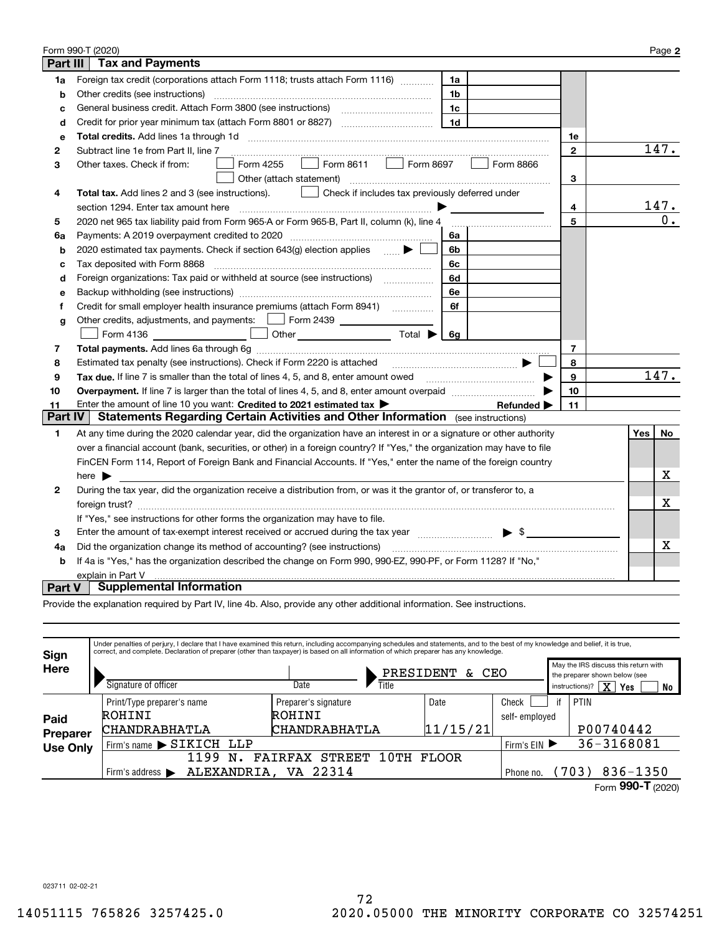|                                                                                                                    | Form 990-T (2020)                                                                                                                                                       |              |     | Page 2           |  |  |
|--------------------------------------------------------------------------------------------------------------------|-------------------------------------------------------------------------------------------------------------------------------------------------------------------------|--------------|-----|------------------|--|--|
| Part III<br><b>Tax and Payments</b>                                                                                |                                                                                                                                                                         |              |     |                  |  |  |
| 1a                                                                                                                 | Foreign tax credit (corporations attach Form 1118; trusts attach Form 1116) [[[[[[[[[[[[[[[[[[[[[[[[<br>1a                                                              |              |     |                  |  |  |
| b                                                                                                                  | Other credits (see instructions)<br>1b                                                                                                                                  |              |     |                  |  |  |
| c                                                                                                                  | 1c                                                                                                                                                                      |              |     |                  |  |  |
| d                                                                                                                  | 1 <sub>d</sub>                                                                                                                                                          |              |     |                  |  |  |
| е                                                                                                                  |                                                                                                                                                                         | 1е           |     |                  |  |  |
| 2                                                                                                                  | Subtract line 1e from Part II, line 7                                                                                                                                   | $\mathbf{2}$ |     | 147.             |  |  |
| 3                                                                                                                  | Form 8697<br>Form 4255<br>$\Box$ Form 8611<br>Form 8866<br>Other taxes. Check if from:<br>$\mathbf{1}$                                                                  |              |     |                  |  |  |
|                                                                                                                    | Other (attach statement)                                                                                                                                                | 3            |     |                  |  |  |
| 4                                                                                                                  | Total tax. Add lines 2 and 3 (see instructions).<br>Check if includes tax previously deferred under                                                                     |              |     |                  |  |  |
|                                                                                                                    | section 1294. Enter tax amount here                                                                                                                                     | 4            |     | 147.             |  |  |
| 5                                                                                                                  | 2020 net 965 tax liability paid from Form 965-A or Form 965-B, Part II, column (k), line 4                                                                              | 5            |     | $\overline{0}$ . |  |  |
| 6a                                                                                                                 | Payments: A 2019 overpayment credited to 2020 [11] [12] maximum materials and Payments: A 2019 overpayment credited to 2020 [11] maximum materials and Payments A<br>6a |              |     |                  |  |  |
| b                                                                                                                  | 2020 estimated tax payments. Check if section 643(g) election applies<br>6b                                                                                             |              |     |                  |  |  |
| c                                                                                                                  | Tax deposited with Form 8868<br>6c                                                                                                                                      |              |     |                  |  |  |
| d                                                                                                                  | Foreign organizations: Tax paid or withheld at source (see instructions) [<br>6d                                                                                        |              |     |                  |  |  |
| е                                                                                                                  | 6е                                                                                                                                                                      |              |     |                  |  |  |
| f                                                                                                                  | Credit for small employer health insurance premiums (attach Form 8941) [<br>6f                                                                                          |              |     |                  |  |  |
| g                                                                                                                  | Other credits, adjustments, and payments:   Form 2439                                                                                                                   |              |     |                  |  |  |
|                                                                                                                    | Other $\overline{\hspace{1cm}}$ Total $\blacktriangleright$ $\overline{\hspace{1cm}}$ 6g<br>Form 4136                                                                   |              |     |                  |  |  |
| 7                                                                                                                  |                                                                                                                                                                         | 7            |     |                  |  |  |
| 8                                                                                                                  | Estimated tax penalty (see instructions). Check if Form 2220 is attached                                                                                                | 8            |     |                  |  |  |
| 9                                                                                                                  | Tax due. If line 7 is smaller than the total of lines 4, 5, and 8, enter amount owed <i>manumenon containers</i>                                                        | 9            |     | 147.             |  |  |
| 10                                                                                                                 |                                                                                                                                                                         | 10           |     |                  |  |  |
| 11                                                                                                                 | Enter the amount of line 10 you want: Credited to 2021 estimated tax<br>Refunded $\blacktriangleright$                                                                  | 11           |     |                  |  |  |
| <b>Part IV</b>                                                                                                     | <b>Statements Regarding Certain Activities and Other Information</b> (see instructions)                                                                                 |              |     |                  |  |  |
| 1                                                                                                                  | At any time during the 2020 calendar year, did the organization have an interest in or a signature or other authority                                                   |              | Yes | No               |  |  |
|                                                                                                                    | over a financial account (bank, securities, or other) in a foreign country? If "Yes," the organization may have to file                                                 |              |     |                  |  |  |
|                                                                                                                    | FinCEN Form 114, Report of Foreign Bank and Financial Accounts. If "Yes," enter the name of the foreign country                                                         |              |     |                  |  |  |
|                                                                                                                    | here $\blacktriangleright$                                                                                                                                              |              |     | х                |  |  |
| 2                                                                                                                  | During the tax year, did the organization receive a distribution from, or was it the grantor of, or transferor to, a                                                    |              |     |                  |  |  |
|                                                                                                                    |                                                                                                                                                                         |              |     |                  |  |  |
|                                                                                                                    | If "Yes," see instructions for other forms the organization may have to file.                                                                                           |              |     |                  |  |  |
| 3                                                                                                                  | Enter the amount of tax-exempt interest received or accrued during the tax year manufactured $\blacktriangleright$ \$                                                   |              |     |                  |  |  |
| 4a                                                                                                                 | Did the organization change its method of accounting? (see instructions)                                                                                                |              |     |                  |  |  |
| If 4a is "Yes," has the organization described the change on Form 990, 990-EZ, 990-PF, or Form 1128? If "No,"<br>b |                                                                                                                                                                         |              |     |                  |  |  |
| explain in Part V                                                                                                  |                                                                                                                                                                         |              |     |                  |  |  |
| Part V                                                                                                             | <b>Supplemental Information</b>                                                                                                                                         |              |     |                  |  |  |

Provide the explanation required by Part IV, line 4b. Also, provide any other additional information. See instructions.

| Sign                    | Under penalties of perjury, I declare that I have examined this return, including accompanying schedules and statements, and to the best of my knowledge and belief, it is true,<br>correct, and complete. Declaration of preparer (other than taxpayer) is based on all information of which preparer has any knowledge. |                                         |              |                                                                       |    |                                                  |  |  |
|-------------------------|---------------------------------------------------------------------------------------------------------------------------------------------------------------------------------------------------------------------------------------------------------------------------------------------------------------------------|-----------------------------------------|--------------|-----------------------------------------------------------------------|----|--------------------------------------------------|--|--|
| Here                    |                                                                                                                                                                                                                                                                                                                           | PRESIDENT                               | CEO          | May the IRS discuss this return with<br>the preparer shown below (see |    |                                                  |  |  |
|                         | Signature of officer                                                                                                                                                                                                                                                                                                      | Date<br>Title                           |              |                                                                       |    | instructions)? $\boxed{\textbf{X}}$<br>Yes<br>No |  |  |
|                         | Print/Type preparer's name                                                                                                                                                                                                                                                                                                | Preparer's signature                    | Date         | Check                                                                 | if | PTIN                                             |  |  |
| Paid<br><b>Preparer</b> | ROHINI                                                                                                                                                                                                                                                                                                                    | ROHINI                                  |              | self-employed                                                         |    |                                                  |  |  |
|                         | <b>CHANDRABHATLA</b>                                                                                                                                                                                                                                                                                                      | CHANDRABHATLA                           | 11/15/21     |                                                                       |    | P00740442                                        |  |  |
| <b>Use Only</b>         | Firm's name > SIKICH LLP                                                                                                                                                                                                                                                                                                  | Firm's $EIN$                            |              | 36-3168081                                                            |    |                                                  |  |  |
|                         | 1199<br>N                                                                                                                                                                                                                                                                                                                 | 10TH<br><b>STREET</b><br><b>FAIRFAX</b> | <b>FLOOR</b> |                                                                       |    |                                                  |  |  |
|                         | Firm's address $\blacktriangleright$                                                                                                                                                                                                                                                                                      | ALEXANDRIA, VA 22314                    |              | Phone no.                                                             |    | $836 - 1350$<br>(703)                            |  |  |
|                         |                                                                                                                                                                                                                                                                                                                           |                                         |              |                                                                       |    | Form 990-T (2020)                                |  |  |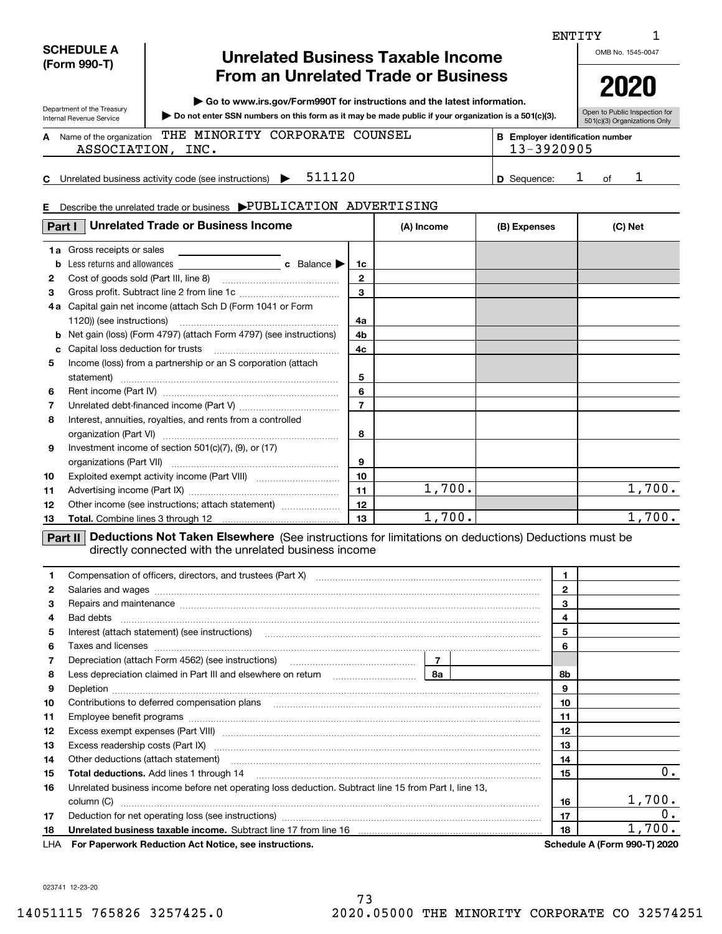| <b>SCHEDULE A</b> |  |
|-------------------|--|
| (Form 990-T)      |  |

Department of the Treasury Internal Revenue Service

# **Unrelated Business Taxable Income From an Unrelated Trade or Business**

**| Go to www.irs.gov/Form990T for instructions and the latest information.**

**Do not enter SSN numbers on this form as it may be made public if your organization is a 501(c)(3). |** 

Open to Public Inspection for 501(c)(3) Organizations Only

**2020**

1

Name of the organization **THE MINORITY CORPORATE COUNSEL The Support of the Support identification number A**ASSOCIATION, INC. 13-3920905

**C**511120 **1 D** Sequence: 1 of 1 Unrelated business activity code (see instructions)  $\rightarrow$  511120 **D** Sequence: 1 of

**BE**

#### **E**Describe the unrelated trade or business  $\blacktriangleright \text{PUBLICATION}$   $\text{ADVERTISING}$

| Part I                                                                                                                                                                        | <b>Unrelated Trade or Business Income</b>                                                                                                                                                                                      |                         | (A) Income | (B) Expenses |              | (C) Net |
|-------------------------------------------------------------------------------------------------------------------------------------------------------------------------------|--------------------------------------------------------------------------------------------------------------------------------------------------------------------------------------------------------------------------------|-------------------------|------------|--------------|--------------|---------|
|                                                                                                                                                                               | <b>1a</b> Gross receipts or sales<br><u> 1989 - Andrea State Barbara, president a la provincia de la provincia de la provincia de la provincia de la p</u>                                                                     |                         |            |              |              |         |
| b                                                                                                                                                                             | Less returns and allowances <b>c</b> Balance                                                                                                                                                                                   | 1c                      |            |              |              |         |
| 2                                                                                                                                                                             |                                                                                                                                                                                                                                | $\mathbf{2}$            |            |              |              |         |
| 3                                                                                                                                                                             | Gross profit. Subtract line 2 from line 1c                                                                                                                                                                                     | $\overline{\mathbf{3}}$ |            |              |              |         |
| 4 a                                                                                                                                                                           | Capital gain net income (attach Sch D (Form 1041 or Form                                                                                                                                                                       |                         |            |              |              |         |
|                                                                                                                                                                               |                                                                                                                                                                                                                                | 4a                      |            |              |              |         |
| b                                                                                                                                                                             | Net gain (loss) (Form 4797) (attach Form 4797) (see instructions)                                                                                                                                                              | 4 <sub>b</sub>          |            |              |              |         |
| c                                                                                                                                                                             |                                                                                                                                                                                                                                | 4 <sub>c</sub>          |            |              |              |         |
| 5                                                                                                                                                                             | Income (loss) from a partnership or an S corporation (attach                                                                                                                                                                   |                         |            |              |              |         |
|                                                                                                                                                                               | statement)                                                                                                                                                                                                                     | 5                       |            |              |              |         |
| 6                                                                                                                                                                             |                                                                                                                                                                                                                                | 6                       |            |              |              |         |
| 7                                                                                                                                                                             |                                                                                                                                                                                                                                | $\overline{7}$          |            |              |              |         |
| 8                                                                                                                                                                             | Interest, annuities, royalties, and rents from a controlled                                                                                                                                                                    |                         |            |              |              |         |
|                                                                                                                                                                               |                                                                                                                                                                                                                                | 8                       |            |              |              |         |
| 9                                                                                                                                                                             | Investment income of section 501(c)(7), (9), or (17)                                                                                                                                                                           |                         |            |              |              |         |
|                                                                                                                                                                               |                                                                                                                                                                                                                                | 9                       |            |              |              |         |
| 10                                                                                                                                                                            |                                                                                                                                                                                                                                | 10                      |            |              |              |         |
| 11                                                                                                                                                                            |                                                                                                                                                                                                                                | 11                      | 1,700.     |              |              | 1,700.  |
| 12                                                                                                                                                                            | Other income (see instructions; attach statement)                                                                                                                                                                              | 12                      |            |              |              |         |
| 13                                                                                                                                                                            |                                                                                                                                                                                                                                | 13                      | 1,700.     |              |              | 1,700.  |
| <b>Deductions Not Taken Elsewhere</b> (See instructions for limitations on deductions) Deductions must be<br>Part II<br>directly connected with the unrelated business income |                                                                                                                                                                                                                                |                         |            |              |              |         |
|                                                                                                                                                                               |                                                                                                                                                                                                                                |                         |            |              | 1.           |         |
| 2                                                                                                                                                                             | Salaries and wages with the continuum contract of the contract of the contract of the contract of the contract of the contract of the contract of the contract of the contract of the contract of the contract of the contract |                         |            |              | $\mathbf{2}$ |         |

| $\mathbf{2}$ | Salaries and wages with the continuum contract of the contract of the contract of the contract of the contract of the contract of the contract of the contract of the contract of the contract of the contract of the contract |  |    |                                     |
|--------------|--------------------------------------------------------------------------------------------------------------------------------------------------------------------------------------------------------------------------------|--|----|-------------------------------------|
| 3            | Repairs and maintenance material content content content and maintenance material content and maintenance material content and maintenance material content and maintenance material content and material content and material |  |    |                                     |
| 4            |                                                                                                                                                                                                                                |  | 4  |                                     |
| 5            |                                                                                                                                                                                                                                |  | 5  |                                     |
| 6            | Taxes and licenses www.communication.communication.com/www.communication.com/www.communication.com                                                                                                                             |  | 6  |                                     |
| 7            |                                                                                                                                                                                                                                |  |    |                                     |
| 8            |                                                                                                                                                                                                                                |  | 8b |                                     |
| 9            |                                                                                                                                                                                                                                |  | 9  |                                     |
| 10           | Contributions to deferred compensation plans [11] matter contracts and the contributions to deferred compensation plans                                                                                                        |  | 10 |                                     |
| 11           |                                                                                                                                                                                                                                |  | 11 |                                     |
| 12           | Excess exempt expenses (Part VIII) <b>manually constructed and the experimental construction of the expenses</b> (Part VIII)                                                                                                   |  | 12 |                                     |
| 13           | Excess readership costs (Part IX) [11] [2000] [2000] [3000] [3000] [3000] [3000] [3000] [3000] [3000] [3000] [                                                                                                                 |  | 13 |                                     |
| 14           | Other deductions (attach statement) encourance and according to the deductions (attach statement)                                                                                                                              |  | 14 |                                     |
| 15           |                                                                                                                                                                                                                                |  | 15 | 0.                                  |
| 16           | Unrelated business income before net operating loss deduction. Subtract line 15 from Part I, line 13,                                                                                                                          |  |    |                                     |
|              |                                                                                                                                                                                                                                |  | 16 | 1,700.                              |
| 17           |                                                                                                                                                                                                                                |  | 17 | 0.                                  |
| 18           |                                                                                                                                                                                                                                |  | 18 | 1,700.                              |
|              | LHA For Paperwork Reduction Act Notice, see instructions.                                                                                                                                                                      |  |    | <b>Schedule A (Form 990-T) 2020</b> |

OMB No. 1545-0047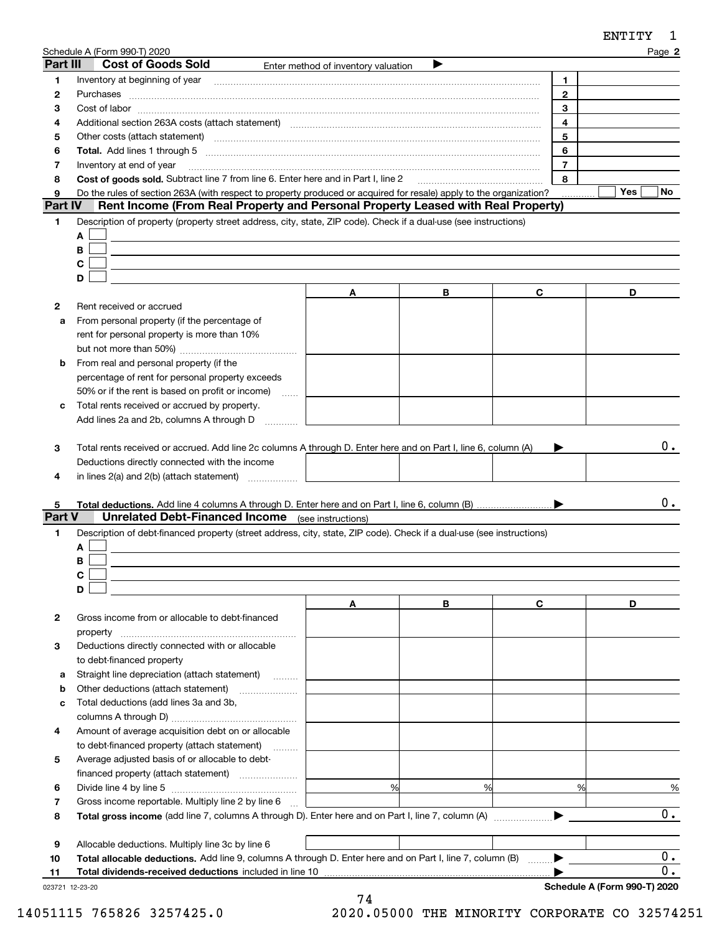|                | Schedule A (Form 990-T) 2020                                                                                                                                                                                                   |                                     |   |                | Page 2           |
|----------------|--------------------------------------------------------------------------------------------------------------------------------------------------------------------------------------------------------------------------------|-------------------------------------|---|----------------|------------------|
| Part III       | <b>Cost of Goods Sold</b>                                                                                                                                                                                                      | Enter method of inventory valuation |   |                |                  |
| 1              |                                                                                                                                                                                                                                |                                     |   | 1.             |                  |
| 2              | Purchases                                                                                                                                                                                                                      |                                     |   | $\mathbf{2}$   |                  |
| з              |                                                                                                                                                                                                                                |                                     |   | 3              |                  |
| 4              |                                                                                                                                                                                                                                |                                     |   | 4              |                  |
| 5              | Other costs (attach statement) manufactured and contract and contract and contract and contract and contract and contract and contract and contract and contract and contract and contract and contract and contract and contr |                                     |   | 5              |                  |
| 6              |                                                                                                                                                                                                                                |                                     |   | 6              |                  |
| 7              | Inventory at end of year                                                                                                                                                                                                       |                                     |   | $\overline{7}$ |                  |
| 8              | Cost of goods sold. Subtract line 7 from line 6. Enter here and in Part I, line 2                                                                                                                                              |                                     |   | 8              |                  |
| 9              | Do the rules of section 263A (with respect to property produced or acquired for resale) apply to the organization?                                                                                                             |                                     |   |                | Yes<br>No.       |
| <b>Part IV</b> | Rent Income (From Real Property and Personal Property Leased with Real Property)                                                                                                                                               |                                     |   |                |                  |
| 1              | Description of property (property street address, city, state, ZIP code). Check if a dual-use (see instructions)                                                                                                               |                                     |   |                |                  |
|                | A                                                                                                                                                                                                                              |                                     |   |                |                  |
|                | B                                                                                                                                                                                                                              |                                     |   |                |                  |
|                | С                                                                                                                                                                                                                              |                                     |   |                |                  |
|                | D                                                                                                                                                                                                                              |                                     |   |                |                  |
|                |                                                                                                                                                                                                                                | A                                   | В | C              | D                |
| 2              | Rent received or accrued                                                                                                                                                                                                       |                                     |   |                |                  |
| a              | From personal property (if the percentage of                                                                                                                                                                                   |                                     |   |                |                  |
|                | rent for personal property is more than 10%                                                                                                                                                                                    |                                     |   |                |                  |
|                |                                                                                                                                                                                                                                |                                     |   |                |                  |
| b              | From real and personal property (if the                                                                                                                                                                                        |                                     |   |                |                  |
|                |                                                                                                                                                                                                                                |                                     |   |                |                  |
|                | percentage of rent for personal property exceeds                                                                                                                                                                               |                                     |   |                |                  |
|                | 50% or if the rent is based on profit or income)<br><b>Service</b>                                                                                                                                                             |                                     |   |                |                  |
| с              | Total rents received or accrued by property.                                                                                                                                                                                   |                                     |   |                |                  |
|                | Add lines 2a and 2b, columns A through D                                                                                                                                                                                       |                                     |   |                |                  |
|                |                                                                                                                                                                                                                                |                                     |   |                |                  |
| з              | Total rents received or accrued. Add line 2c columns A through D. Enter here and on Part I, line 6, column (A)                                                                                                                 |                                     |   |                | 0.               |
|                | Deductions directly connected with the income                                                                                                                                                                                  |                                     |   |                |                  |
| 4              | in lines $2(a)$ and $2(b)$ (attach statement) $\ldots$                                                                                                                                                                         |                                     |   |                |                  |
|                |                                                                                                                                                                                                                                |                                     |   |                |                  |
| 5              |                                                                                                                                                                                                                                |                                     |   |                | 0.               |
| Part V         | <b>Unrelated Debt-Financed Income</b> (see instructions)                                                                                                                                                                       |                                     |   |                |                  |
| 1              | Description of debt-financed property (street address, city, state, ZIP code). Check if a dual-use (see instructions)                                                                                                          |                                     |   |                |                  |
|                | A                                                                                                                                                                                                                              |                                     |   |                |                  |
|                | В                                                                                                                                                                                                                              |                                     |   |                |                  |
|                | C.                                                                                                                                                                                                                             |                                     |   |                |                  |
|                | D                                                                                                                                                                                                                              |                                     |   |                |                  |
|                |                                                                                                                                                                                                                                | A                                   | В | C              | D                |
| 2              | Gross income from or allocable to debt-financed                                                                                                                                                                                |                                     |   |                |                  |
|                | property                                                                                                                                                                                                                       |                                     |   |                |                  |
| 3              | Deductions directly connected with or allocable                                                                                                                                                                                |                                     |   |                |                  |
|                | to debt-financed property                                                                                                                                                                                                      |                                     |   |                |                  |
| а              | Straight line depreciation (attach statement)                                                                                                                                                                                  |                                     |   |                |                  |
| b              | Other deductions (attach statement)                                                                                                                                                                                            |                                     |   |                |                  |
| c              | Total deductions (add lines 3a and 3b,                                                                                                                                                                                         |                                     |   |                |                  |
|                |                                                                                                                                                                                                                                |                                     |   |                |                  |
| 4              | Amount of average acquisition debt on or allocable                                                                                                                                                                             |                                     |   |                |                  |
|                |                                                                                                                                                                                                                                |                                     |   |                |                  |
|                | to debt-financed property (attach statement)                                                                                                                                                                                   |                                     |   |                |                  |
| 5              | Average adjusted basis of or allocable to debt-                                                                                                                                                                                |                                     |   |                |                  |
|                |                                                                                                                                                                                                                                |                                     |   |                |                  |
| 6              |                                                                                                                                                                                                                                | %                                   | % | %              | %                |
| 7              | Gross income reportable. Multiply line 2 by line 6                                                                                                                                                                             |                                     |   |                |                  |
| 8              |                                                                                                                                                                                                                                |                                     |   |                | 0.               |
|                |                                                                                                                                                                                                                                |                                     |   |                |                  |
| 9              | Allocable deductions. Multiply line 3c by line 6                                                                                                                                                                               |                                     |   |                |                  |
| 10             | Total allocable deductions. Add line 9, columns A through D. Enter here and on Part I, line 7, column (B)                                                                                                                      |                                     |   |                | $\overline{0}$ . |

|--|

023721 12-23-20

0.

ENTITY 1

 $\blacktriangleright$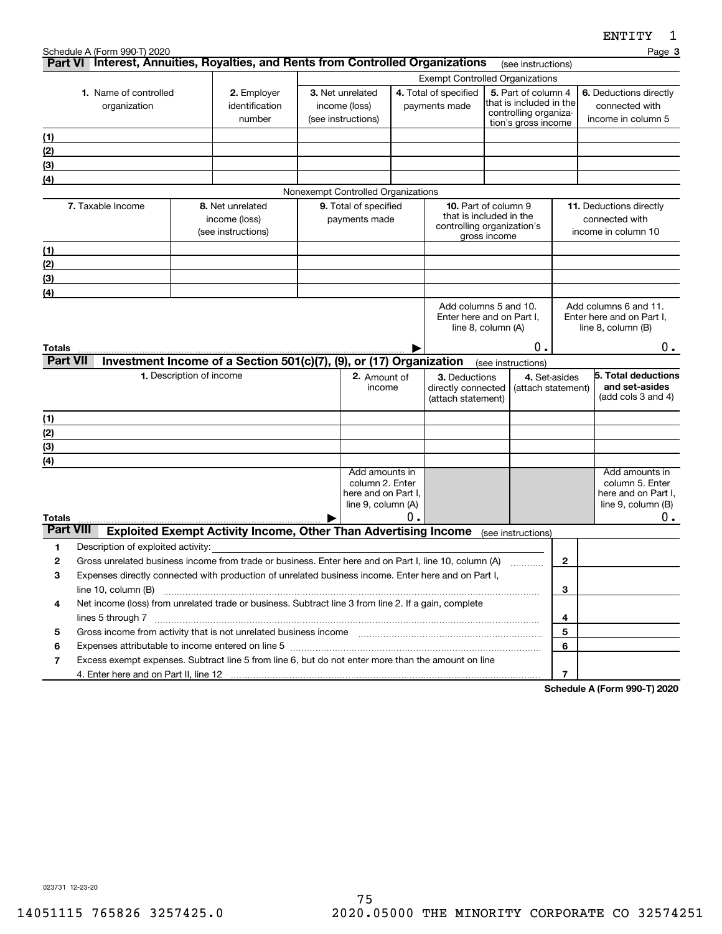**3**

|                                                                                                                                                                                                                                     |                                                     |                                                                                    |  |                                    |    | <b>Exempt Controlled Organizations</b>                 |                                                                   |                     |                 |                                                    |
|-------------------------------------------------------------------------------------------------------------------------------------------------------------------------------------------------------------------------------------|-----------------------------------------------------|------------------------------------------------------------------------------------|--|------------------------------------|----|--------------------------------------------------------|-------------------------------------------------------------------|---------------------|-----------------|----------------------------------------------------|
| 1. Name of controlled                                                                                                                                                                                                               |                                                     | 2. Employer                                                                        |  | 3. Net unrelated                   |    | 4. Total of specified                                  |                                                                   | 5. Part of column 4 |                 | 6. Deductions directly                             |
| organization                                                                                                                                                                                                                        | identification                                      |                                                                                    |  | income (loss)                      |    |                                                        | that is included in the<br>payments made<br>controlling organiza- |                     |                 | connected with                                     |
|                                                                                                                                                                                                                                     | number<br>(see instructions)<br>tion's gross income |                                                                                    |  |                                    |    | income in column 5                                     |                                                                   |                     |                 |                                                    |
| (1)                                                                                                                                                                                                                                 |                                                     |                                                                                    |  |                                    |    |                                                        |                                                                   |                     |                 |                                                    |
| (2)                                                                                                                                                                                                                                 |                                                     |                                                                                    |  |                                    |    |                                                        |                                                                   |                     |                 |                                                    |
| (3)                                                                                                                                                                                                                                 |                                                     |                                                                                    |  |                                    |    |                                                        |                                                                   |                     |                 |                                                    |
| (4)                                                                                                                                                                                                                                 |                                                     |                                                                                    |  |                                    |    |                                                        |                                                                   |                     |                 |                                                    |
|                                                                                                                                                                                                                                     |                                                     |                                                                                    |  | Nonexempt Controlled Organizations |    |                                                        |                                                                   |                     |                 |                                                    |
| 7. Taxable Income                                                                                                                                                                                                                   |                                                     | 8. Net unrelated                                                                   |  | 9. Total of specified              |    | <b>10.</b> Part of column 9<br>that is included in the |                                                                   |                     |                 | 11. Deductions directly                            |
|                                                                                                                                                                                                                                     |                                                     | income (loss)<br>(see instructions)                                                |  | payments made                      |    | controlling organization's                             |                                                                   |                     |                 | connected with<br>income in column 10              |
|                                                                                                                                                                                                                                     |                                                     |                                                                                    |  |                                    |    |                                                        | gross income                                                      |                     |                 |                                                    |
| (1)                                                                                                                                                                                                                                 |                                                     |                                                                                    |  |                                    |    |                                                        |                                                                   |                     |                 |                                                    |
| (2)                                                                                                                                                                                                                                 |                                                     |                                                                                    |  |                                    |    |                                                        |                                                                   |                     |                 |                                                    |
| (3)                                                                                                                                                                                                                                 |                                                     |                                                                                    |  |                                    |    |                                                        |                                                                   |                     |                 |                                                    |
| (4)                                                                                                                                                                                                                                 |                                                     |                                                                                    |  |                                    |    |                                                        |                                                                   |                     |                 |                                                    |
|                                                                                                                                                                                                                                     |                                                     |                                                                                    |  |                                    |    | Add columns 5 and 10.<br>Enter here and on Part I.     |                                                                   |                     |                 | Add columns 6 and 11.<br>Enter here and on Part I. |
|                                                                                                                                                                                                                                     |                                                     |                                                                                    |  |                                    |    | line 8, column (A)                                     |                                                                   |                     |                 | line 8, column (B)                                 |
| <b>Totals</b>                                                                                                                                                                                                                       |                                                     |                                                                                    |  |                                    |    |                                                        |                                                                   | 0.                  |                 | υ.                                                 |
| <b>Part VII</b>                                                                                                                                                                                                                     |                                                     | Investment Income of a Section 501(c)(7), (9), or (17) Organization                |  |                                    |    |                                                        |                                                                   | (see instructions)  |                 |                                                    |
|                                                                                                                                                                                                                                     | 1. Description of income                            |                                                                                    |  | 2. Amount of                       |    | 3. Deductions                                          |                                                                   | 4. Set-asides       |                 | 5. Total deductions                                |
|                                                                                                                                                                                                                                     |                                                     |                                                                                    |  | income                             |    | directly connected                                     |                                                                   | (attach statement)  |                 | and set-asides                                     |
|                                                                                                                                                                                                                                     |                                                     |                                                                                    |  |                                    |    | (attach statement)                                     |                                                                   |                     |                 | (add cols 3 and 4)                                 |
| (1)                                                                                                                                                                                                                                 |                                                     |                                                                                    |  |                                    |    |                                                        |                                                                   |                     |                 |                                                    |
| (2)                                                                                                                                                                                                                                 |                                                     |                                                                                    |  |                                    |    |                                                        |                                                                   |                     |                 |                                                    |
| (3)                                                                                                                                                                                                                                 |                                                     |                                                                                    |  |                                    |    |                                                        |                                                                   |                     |                 |                                                    |
| (4)                                                                                                                                                                                                                                 |                                                     |                                                                                    |  |                                    |    |                                                        |                                                                   |                     |                 |                                                    |
|                                                                                                                                                                                                                                     |                                                     |                                                                                    |  | Add amounts in<br>column 2. Enter  |    |                                                        |                                                                   |                     |                 | Add amounts in<br>column 5. Enter                  |
|                                                                                                                                                                                                                                     |                                                     |                                                                                    |  | here and on Part I,                |    |                                                        |                                                                   |                     |                 | here and on Part I,                                |
|                                                                                                                                                                                                                                     |                                                     |                                                                                    |  | line 9, column (A)                 |    |                                                        |                                                                   |                     |                 | line $9$ , column $(B)$                            |
| <b>Totals</b>                                                                                                                                                                                                                       |                                                     |                                                                                    |  |                                    | 0. |                                                        |                                                                   |                     |                 | 0.                                                 |
| <b>Part VIII</b>                                                                                                                                                                                                                    |                                                     | Exploited Exempt Activity Income, Other Than Advertising Income (see instructions) |  |                                    |    |                                                        |                                                                   |                     |                 |                                                    |
| 1<br>Description of exploited activity:                                                                                                                                                                                             |                                                     |                                                                                    |  |                                    |    |                                                        |                                                                   |                     |                 |                                                    |
| Gross unrelated business income from trade or business. Enter here and on Part I, line 10, column (A)<br>$\mathbf{2}$                                                                                                               |                                                     |                                                                                    |  |                                    |    |                                                        |                                                                   |                     | $\overline{2}$  |                                                    |
| Expenses directly connected with production of unrelated business income. Enter here and on Part I,<br>3                                                                                                                            |                                                     |                                                                                    |  |                                    |    |                                                        |                                                                   |                     |                 |                                                    |
|                                                                                                                                                                                                                                     |                                                     |                                                                                    |  |                                    |    |                                                        |                                                                   |                     | 3               |                                                    |
| Net income (loss) from unrelated trade or business. Subtract line 3 from line 2. If a gain, complete<br>4                                                                                                                           |                                                     |                                                                                    |  |                                    |    |                                                        |                                                                   |                     |                 |                                                    |
| lines 5 through 7 www.communication.com/www.communication.com/www.communication.com/www.com/www.com                                                                                                                                 |                                                     |                                                                                    |  |                                    |    |                                                        |                                                                   |                     | 4<br>5          |                                                    |
| Gross income from activity that is not unrelated business income [11] manument in the summan measure from activity that is not unrelated business income [11] manument in the summan summan summan summan summan summan summan<br>5 |                                                     |                                                                                    |  |                                    |    |                                                        |                                                                   |                     |                 |                                                    |
| 6                                                                                                                                                                                                                                   |                                                     |                                                                                    |  |                                    |    |                                                        |                                                                   |                     | 6               |                                                    |
| Excess exempt expenses. Subtract line 5 from line 6, but do not enter more than the amount on line<br>7                                                                                                                             |                                                     |                                                                                    |  |                                    |    |                                                        |                                                                   |                     | $\overline{7}$  |                                                    |
| 4. Enter here and on Part II, line 12                                                                                                                                                                                               |                                                     |                                                                                    |  |                                    |    |                                                        |                                                                   |                     | Calcadola A IFA | 0.00, T1.0000                                      |

**Part VI** Interest, Annuities, Royalties, and Rents from Controlled Organizations rese instructions)

**Schedule A (Form 990-T) 2020**

023731 12-23-20

Schedule A (Form 990-T) 2020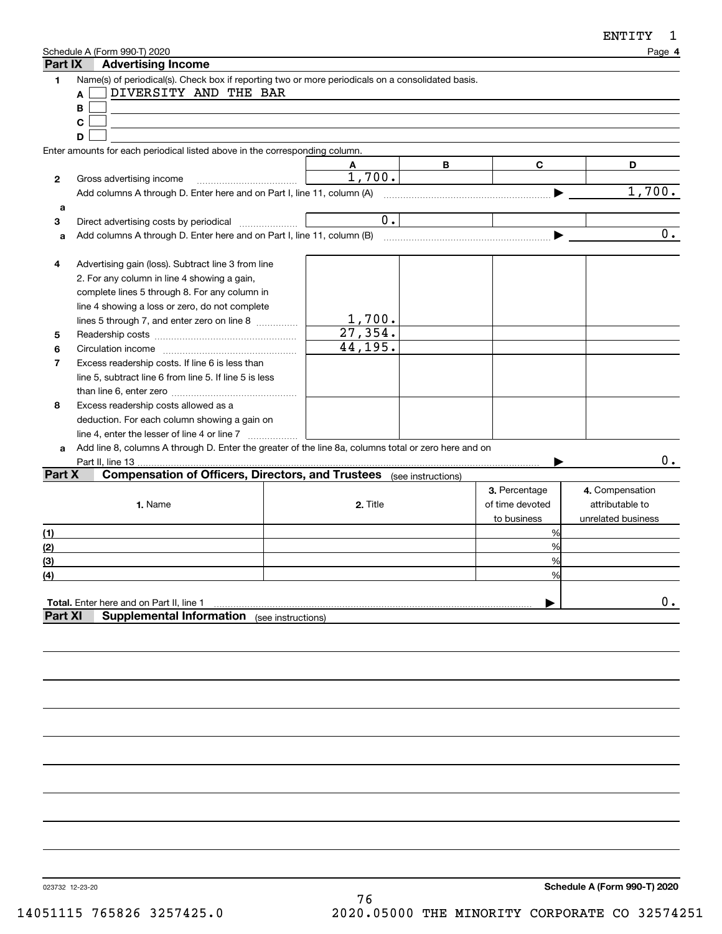| ENTITY |  |
|--------|--|
|--------|--|

| Part IX               | Schedule A (Form 990-T) 2020<br><b>Advertising Income</b>                                                                                                                                                                                                                                                                                                                                                |                                |   |                                                 | Page 4                                                   |
|-----------------------|----------------------------------------------------------------------------------------------------------------------------------------------------------------------------------------------------------------------------------------------------------------------------------------------------------------------------------------------------------------------------------------------------------|--------------------------------|---|-------------------------------------------------|----------------------------------------------------------|
| 1                     | Name(s) of periodical(s). Check box if reporting two or more periodicals on a consolidated basis.<br>DIVERSITY AND THE BAR<br>A<br>B                                                                                                                                                                                                                                                                     |                                |   |                                                 |                                                          |
|                       | C                                                                                                                                                                                                                                                                                                                                                                                                        |                                |   |                                                 |                                                          |
|                       | D                                                                                                                                                                                                                                                                                                                                                                                                        |                                |   |                                                 |                                                          |
|                       | Enter amounts for each periodical listed above in the corresponding column.                                                                                                                                                                                                                                                                                                                              |                                |   |                                                 |                                                          |
|                       |                                                                                                                                                                                                                                                                                                                                                                                                          | A<br>1,700.                    | В | C                                               | D                                                        |
| 2                     | Gross advertising income                                                                                                                                                                                                                                                                                                                                                                                 |                                |   | ▶                                               | 1,700.                                                   |
|                       | Add columns A through D. Enter here and on Part I, line 11, column (A)                                                                                                                                                                                                                                                                                                                                   |                                |   |                                                 |                                                          |
| a<br>3                |                                                                                                                                                                                                                                                                                                                                                                                                          | 0.                             |   |                                                 |                                                          |
| a                     | Direct advertising costs by periodical                                                                                                                                                                                                                                                                                                                                                                   |                                |   |                                                 | 0.                                                       |
|                       |                                                                                                                                                                                                                                                                                                                                                                                                          |                                |   |                                                 |                                                          |
| 4<br>5<br>6<br>7<br>8 | Advertising gain (loss). Subtract line 3 from line<br>2. For any column in line 4 showing a gain,<br>complete lines 5 through 8. For any column in<br>line 4 showing a loss or zero, do not complete<br>lines 5 through 7, and enter zero on line 8<br>Excess readership costs. If line 6 is less than<br>line 5, subtract line 6 from line 5. If line 5 is less<br>Excess readership costs allowed as a | 1,700.<br>27, 354.<br>44, 195. |   |                                                 |                                                          |
|                       | deduction. For each column showing a gain on                                                                                                                                                                                                                                                                                                                                                             |                                |   |                                                 |                                                          |
|                       | line 4, enter the lesser of line 4 or line 7                                                                                                                                                                                                                                                                                                                                                             |                                |   |                                                 |                                                          |
| a                     | Add line 8, columns A through D. Enter the greater of the line 8a, columns total or zero here and on                                                                                                                                                                                                                                                                                                     |                                |   |                                                 |                                                          |
|                       | Part II, line 13.                                                                                                                                                                                                                                                                                                                                                                                        |                                |   |                                                 | 0.                                                       |
| Part X                | <b>Compensation of Officers, Directors, and Trustees</b> (see instructions)<br>1. Name                                                                                                                                                                                                                                                                                                                   | 2. Title                       |   | 3. Percentage<br>of time devoted<br>to business | 4. Compensation<br>attributable to<br>unrelated business |
| (1)                   |                                                                                                                                                                                                                                                                                                                                                                                                          |                                |   | %                                               |                                                          |
| (2)                   |                                                                                                                                                                                                                                                                                                                                                                                                          |                                |   | %                                               |                                                          |
| $\overline{3}$        |                                                                                                                                                                                                                                                                                                                                                                                                          |                                |   | %                                               |                                                          |
| $\left( 4\right)$     |                                                                                                                                                                                                                                                                                                                                                                                                          |                                |   | $\frac{0}{0}$                                   |                                                          |
| <b>Part XI</b>        | Total. Enter here and on Part II, line 1<br><b>Supplemental Information</b> (see instructions)                                                                                                                                                                                                                                                                                                           |                                |   |                                                 | $0$ .                                                    |
|                       |                                                                                                                                                                                                                                                                                                                                                                                                          |                                |   |                                                 |                                                          |

023732 12-23-20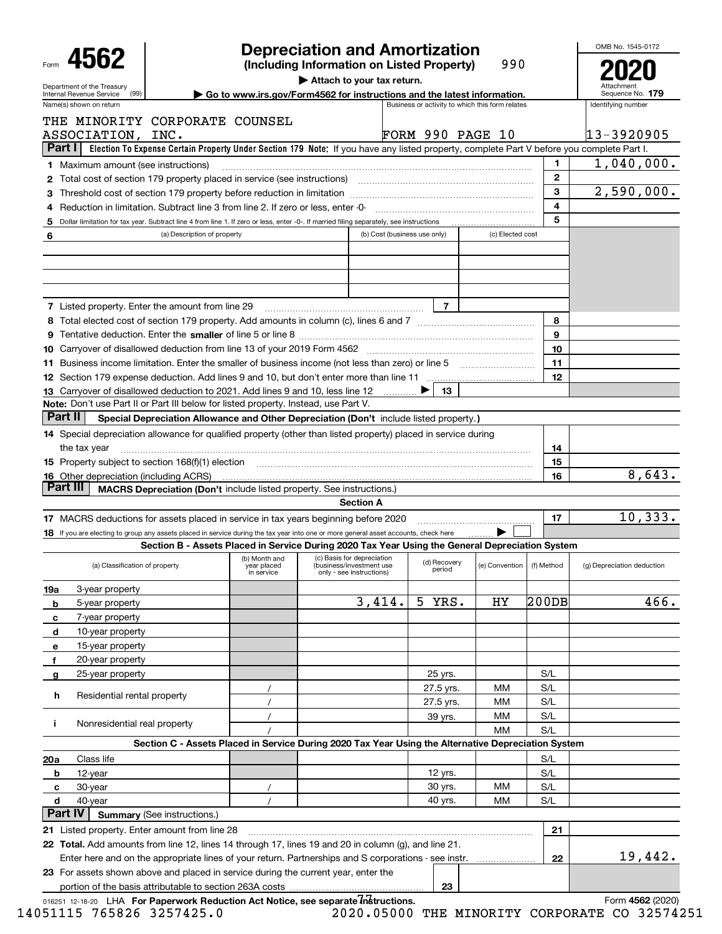|                                                                                                                                                                                                                                |                                                                                                                                           |                           | <b>Depreciation and Amortization</b>                 |        |                                                 |                             |              | OMB No. 1545-0172                      |  |  |  |
|--------------------------------------------------------------------------------------------------------------------------------------------------------------------------------------------------------------------------------|-------------------------------------------------------------------------------------------------------------------------------------------|---------------------------|------------------------------------------------------|--------|-------------------------------------------------|-----------------------------|--------------|----------------------------------------|--|--|--|
| 4562<br>Form                                                                                                                                                                                                                   |                                                                                                                                           |                           | (Including Information on Listed Property)           |        |                                                 | 990                         |              |                                        |  |  |  |
| Attach to your tax return.<br>Department of the Treasury<br>Go to www.irs.gov/Form4562 for instructions and the latest information.<br>(99)<br>Internal Revenue Service                                                        |                                                                                                                                           |                           |                                                      |        |                                                 |                             |              |                                        |  |  |  |
| Name(s) shown on return                                                                                                                                                                                                        |                                                                                                                                           |                           |                                                      |        | Business or activity to which this form relates |                             |              | Sequence No. 179<br>Identifying number |  |  |  |
| THE MINORITY CORPORATE COUNSEL                                                                                                                                                                                                 |                                                                                                                                           |                           |                                                      |        |                                                 |                             |              |                                        |  |  |  |
| ASSOCIATION,                                                                                                                                                                                                                   | INC.                                                                                                                                      |                           |                                                      |        | <b>FORM 990 PAGE 10</b>                         |                             |              | 13-3920905                             |  |  |  |
| <b>Part I</b>                                                                                                                                                                                                                  | Election To Expense Certain Property Under Section 179 Note: If you have any listed property, complete Part V before you complete Part I. |                           |                                                      |        |                                                 |                             |              |                                        |  |  |  |
| <b>1</b> Maximum amount (see instructions)                                                                                                                                                                                     |                                                                                                                                           |                           |                                                      |        |                                                 |                             | 1.           | 1,040,000.                             |  |  |  |
| <b>2</b> Total cost of section 179 property placed in service (see instructions)                                                                                                                                               |                                                                                                                                           |                           |                                                      |        |                                                 |                             | $\mathbf{2}$ |                                        |  |  |  |
|                                                                                                                                                                                                                                |                                                                                                                                           |                           |                                                      |        |                                                 |                             | 3            | 2,590,000.                             |  |  |  |
| Reduction in limitation. Subtract line 3 from line 2. If zero or less, enter -0-<br>4                                                                                                                                          |                                                                                                                                           |                           |                                                      |        |                                                 |                             | 4            |                                        |  |  |  |
| 5 Dollar limitation for tax year. Subtract line 4 from line 1. If zero or less, enter -0-. If married filing separately, see instructions                                                                                      |                                                                                                                                           |                           |                                                      |        |                                                 |                             | 5            |                                        |  |  |  |
| 6                                                                                                                                                                                                                              | (a) Description of property                                                                                                               |                           |                                                      |        | (b) Cost (business use only)                    | (c) Elected cost            |              |                                        |  |  |  |
|                                                                                                                                                                                                                                |                                                                                                                                           |                           |                                                      |        |                                                 |                             |              |                                        |  |  |  |
|                                                                                                                                                                                                                                |                                                                                                                                           |                           |                                                      |        |                                                 |                             |              |                                        |  |  |  |
|                                                                                                                                                                                                                                |                                                                                                                                           |                           |                                                      |        |                                                 |                             |              |                                        |  |  |  |
| <b>7</b> Listed property. Enter the amount from line 29                                                                                                                                                                        |                                                                                                                                           |                           |                                                      |        | 7                                               |                             |              |                                        |  |  |  |
|                                                                                                                                                                                                                                |                                                                                                                                           |                           |                                                      |        |                                                 |                             | 8            |                                        |  |  |  |
|                                                                                                                                                                                                                                |                                                                                                                                           |                           |                                                      |        |                                                 |                             | 9            |                                        |  |  |  |
|                                                                                                                                                                                                                                |                                                                                                                                           |                           |                                                      |        |                                                 |                             | 10           |                                        |  |  |  |
|                                                                                                                                                                                                                                |                                                                                                                                           |                           |                                                      |        |                                                 |                             | 11           |                                        |  |  |  |
|                                                                                                                                                                                                                                |                                                                                                                                           |                           |                                                      |        |                                                 |                             | 12           |                                        |  |  |  |
| 13 Carryover of disallowed deduction to 2021. Add lines 9 and 10, less line 12                                                                                                                                                 |                                                                                                                                           |                           |                                                      |        | 13                                              |                             |              |                                        |  |  |  |
| <b>Note:</b> Don't use Part II or Part III below for listed property. Instead, use Part V.                                                                                                                                     |                                                                                                                                           |                           |                                                      |        |                                                 |                             |              |                                        |  |  |  |
| Part II                                                                                                                                                                                                                        | Special Depreciation Allowance and Other Depreciation (Don't include listed property.)                                                    |                           |                                                      |        |                                                 |                             |              |                                        |  |  |  |
| 14 Special depreciation allowance for qualified property (other than listed property) placed in service during                                                                                                                 |                                                                                                                                           |                           |                                                      |        |                                                 |                             |              |                                        |  |  |  |
| the tax year                                                                                                                                                                                                                   |                                                                                                                                           |                           |                                                      |        |                                                 |                             | 14           |                                        |  |  |  |
| 15 Property subject to section 168(f)(1) election manufactured content to the content of the content of the content of the content of the content of the content of the content of the content of the content of the content o |                                                                                                                                           |                           |                                                      |        |                                                 |                             | 15           |                                        |  |  |  |
| <b>16</b> Other depreciation (including ACRS)                                                                                                                                                                                  |                                                                                                                                           |                           |                                                      |        |                                                 |                             | 16           | 8,643.                                 |  |  |  |
| Part III                                                                                                                                                                                                                       | <b>MACRS Depreciation (Don't include listed property. See instructions.)</b>                                                              |                           |                                                      |        |                                                 |                             |              |                                        |  |  |  |
|                                                                                                                                                                                                                                |                                                                                                                                           |                           | <b>Section A</b>                                     |        |                                                 |                             |              |                                        |  |  |  |
| 17 MACRS deductions for assets placed in service in tax years beginning before 2020                                                                                                                                            |                                                                                                                                           |                           |                                                      |        |                                                 |                             | 17           | 10,333.                                |  |  |  |
| 18 If you are electing to group any assets placed in service during the tax year into one or more general asset accounts, check here                                                                                           | Section B - Assets Placed in Service During 2020 Tax Year Using the General Depreciation System                                           |                           |                                                      |        |                                                 |                             |              |                                        |  |  |  |
|                                                                                                                                                                                                                                |                                                                                                                                           | (b) Month and             | (c) Basis for depreciation                           |        |                                                 |                             |              |                                        |  |  |  |
| (a) Classification of property                                                                                                                                                                                                 |                                                                                                                                           | year placed<br>in service | (business/investment use<br>only - see instructions) |        | (d) Recovery<br>period                          | (e) Convention   (f) Method |              | (g) Depreciation deduction             |  |  |  |
| 3-year property<br>19a                                                                                                                                                                                                         |                                                                                                                                           |                           |                                                      |        |                                                 |                             |              |                                        |  |  |  |
| 5-year property<br>b                                                                                                                                                                                                           |                                                                                                                                           |                           |                                                      | 3,414. | 5<br>YRS.                                       | НY                          | 200DB        | 466.                                   |  |  |  |
| 7-year property<br>с                                                                                                                                                                                                           |                                                                                                                                           |                           |                                                      |        |                                                 |                             |              |                                        |  |  |  |
| 10-year property<br>d                                                                                                                                                                                                          |                                                                                                                                           |                           |                                                      |        |                                                 |                             |              |                                        |  |  |  |
| 15-year property<br>е<br>20-year property                                                                                                                                                                                      |                                                                                                                                           |                           |                                                      |        |                                                 |                             |              |                                        |  |  |  |
| $\mathbf f$<br>25-year property                                                                                                                                                                                                |                                                                                                                                           |                           |                                                      |        | 25 yrs.                                         |                             | S/L          |                                        |  |  |  |
| $\mathbf{g}$                                                                                                                                                                                                                   |                                                                                                                                           |                           |                                                      |        | 27.5 yrs.                                       | мм                          | S/L          |                                        |  |  |  |
| h<br>Residential rental property                                                                                                                                                                                               |                                                                                                                                           |                           |                                                      |        | 27.5 yrs.                                       | мм                          | S/L          |                                        |  |  |  |
|                                                                                                                                                                                                                                |                                                                                                                                           |                           |                                                      |        | 39 yrs.                                         | мм                          | S/L          |                                        |  |  |  |
| Nonresidential real property<br>j.                                                                                                                                                                                             |                                                                                                                                           |                           |                                                      |        |                                                 | ΜМ                          | S/L          |                                        |  |  |  |
|                                                                                                                                                                                                                                | Section C - Assets Placed in Service During 2020 Tax Year Using the Alternative Depreciation System                                       |                           |                                                      |        |                                                 |                             |              |                                        |  |  |  |
| 20a<br>Class life                                                                                                                                                                                                              |                                                                                                                                           |                           |                                                      |        |                                                 |                             | S/L          |                                        |  |  |  |
| 12-year<br>b                                                                                                                                                                                                                   |                                                                                                                                           |                           |                                                      |        | 12 yrs.                                         |                             | S/L          |                                        |  |  |  |
| 30-year<br>c                                                                                                                                                                                                                   |                                                                                                                                           |                           |                                                      |        | 30 yrs.                                         | ΜМ                          | S/L          |                                        |  |  |  |
| d<br>40-year                                                                                                                                                                                                                   |                                                                                                                                           |                           |                                                      |        | 40 yrs.                                         | ΜМ                          | S/L          |                                        |  |  |  |
| Part IV                                                                                                                                                                                                                        | <b>Summary (See instructions.)</b>                                                                                                        |                           |                                                      |        |                                                 |                             |              |                                        |  |  |  |
| 21 Listed property. Enter amount from line 28                                                                                                                                                                                  |                                                                                                                                           |                           |                                                      |        |                                                 |                             | 21           |                                        |  |  |  |
| 22 Total. Add amounts from line 12, lines 14 through 17, lines 19 and 20 in column (g), and line 21.                                                                                                                           |                                                                                                                                           |                           |                                                      |        |                                                 |                             |              |                                        |  |  |  |
| Enter here and on the appropriate lines of your return. Partnerships and S corporations - see instr.                                                                                                                           |                                                                                                                                           |                           |                                                      |        |                                                 |                             | 22           | 19,442.                                |  |  |  |
| 23 For assets shown above and placed in service during the current year, enter the                                                                                                                                             |                                                                                                                                           |                           |                                                      |        |                                                 |                             |              |                                        |  |  |  |
| portion of the basis attributable to section 263A costs                                                                                                                                                                        |                                                                                                                                           |                           |                                                      |        | 23                                              |                             |              |                                        |  |  |  |
| 016251 12-18-20 LHA For Paperwork Reduction Act Notice, see separate Instructions.                                                                                                                                             |                                                                                                                                           |                           |                                                      |        |                                                 |                             |              | Form 4562 (2020)                       |  |  |  |

14051115 765826 3257425.0 14051115 765826 3257425.0 2020.05000 THE MINORITY CORPORATE CO 32574251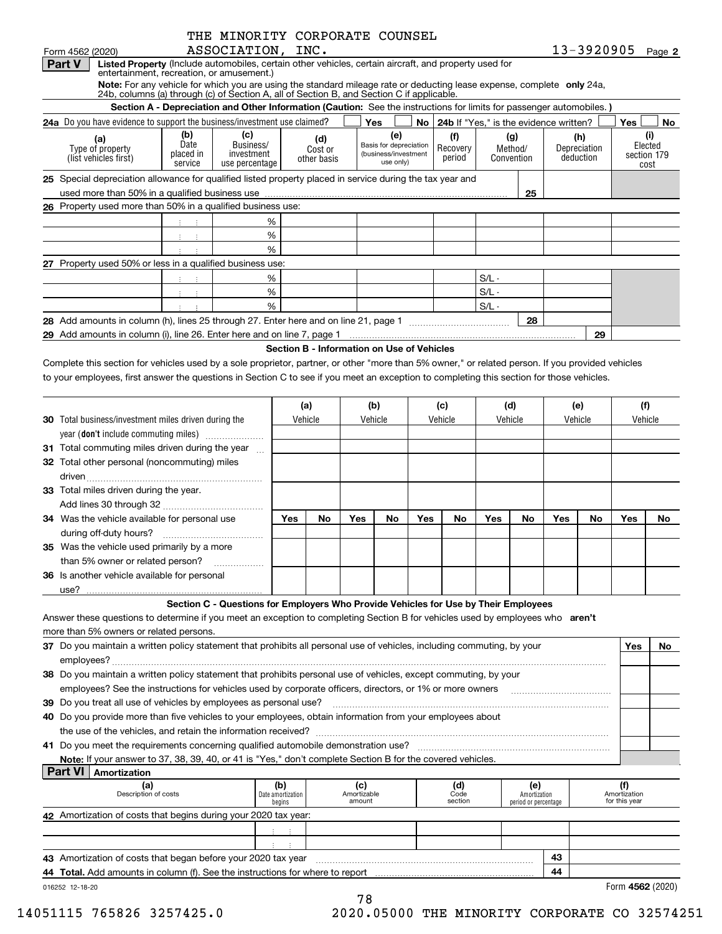| Form 4562 (2020)                                                                                                                                                                                                                                                                               |                                                                                                                      | THE MINORITY CORPORATE COUNSEL<br>ASSOCIATION, INC.                                 |     |         |                                            |     |         |                                                             |     |                                             |         |                       |     |                                  | 13-3920905 Page 2 |                                |
|------------------------------------------------------------------------------------------------------------------------------------------------------------------------------------------------------------------------------------------------------------------------------------------------|----------------------------------------------------------------------------------------------------------------------|-------------------------------------------------------------------------------------|-----|---------|--------------------------------------------|-----|---------|-------------------------------------------------------------|-----|---------------------------------------------|---------|-----------------------|-----|----------------------------------|-------------------|--------------------------------|
| Listed Property (Include automobiles, certain other vehicles, certain aircraft, and property used for<br><b>Part V</b><br>entertainment, recreation, or amusement.)<br>Note: For any vehicle for which you are using the standard mileage rate or deducting lease expense, complete only 24a,  |                                                                                                                      |                                                                                     |     |         |                                            |     |         |                                                             |     |                                             |         |                       |     |                                  |                   |                                |
| 24b, columns (a) through (c) of Section A, all of Section B, and Section C if applicable.                                                                                                                                                                                                      | Section A - Depreciation and Other Information (Caution: See the instructions for limits for passenger automobiles.) |                                                                                     |     |         |                                            |     |         |                                                             |     |                                             |         |                       |     |                                  |                   |                                |
| <b>24a</b> Do you have evidence to support the business/investment use claimed?                                                                                                                                                                                                                |                                                                                                                      |                                                                                     |     |         |                                            |     | Yes     |                                                             |     | No   24b If "Yes," is the evidence written? |         |                       |     |                                  | Yes               | No                             |
|                                                                                                                                                                                                                                                                                                | (b)                                                                                                                  | (c)                                                                                 |     |         |                                            |     |         | (e)                                                         |     | (f)                                         |         | (g)                   |     |                                  |                   | (i)                            |
| (a)<br>Type of property<br>(list vehicles first)                                                                                                                                                                                                                                               | Date<br>placed in<br>service                                                                                         | Business/<br>investment<br>use percentage                                           |     |         | (d)<br>Cost or<br>other basis              |     |         | Basis for depreciation<br>(business/investment<br>use only) |     | Recovery<br>period                          |         | Method/<br>Convention |     | (h)<br>Depreciation<br>deduction |                   | Elected<br>section 179<br>cost |
| 25 Special depreciation allowance for qualified listed property placed in service during the tax year and                                                                                                                                                                                      |                                                                                                                      |                                                                                     |     |         |                                            |     |         |                                                             |     |                                             |         |                       |     |                                  |                   |                                |
|                                                                                                                                                                                                                                                                                                |                                                                                                                      |                                                                                     |     |         |                                            |     |         |                                                             |     |                                             |         | 25                    |     |                                  |                   |                                |
| 26 Property used more than 50% in a qualified business use:                                                                                                                                                                                                                                    |                                                                                                                      |                                                                                     |     |         |                                            |     |         |                                                             |     |                                             |         |                       |     |                                  |                   |                                |
|                                                                                                                                                                                                                                                                                                |                                                                                                                      |                                                                                     | %   |         |                                            |     |         |                                                             |     |                                             |         |                       |     |                                  |                   |                                |
|                                                                                                                                                                                                                                                                                                |                                                                                                                      |                                                                                     | %   |         |                                            |     |         |                                                             |     |                                             |         |                       |     |                                  |                   |                                |
|                                                                                                                                                                                                                                                                                                |                                                                                                                      |                                                                                     | %   |         |                                            |     |         |                                                             |     |                                             |         |                       |     |                                  |                   |                                |
| 27 Property used 50% or less in a qualified business use:                                                                                                                                                                                                                                      |                                                                                                                      |                                                                                     |     |         |                                            |     |         |                                                             |     |                                             |         |                       |     |                                  |                   |                                |
|                                                                                                                                                                                                                                                                                                | 中间生                                                                                                                  |                                                                                     | %   |         |                                            |     |         |                                                             |     |                                             | $S/L -$ |                       |     |                                  |                   |                                |
|                                                                                                                                                                                                                                                                                                |                                                                                                                      |                                                                                     | %   |         |                                            |     |         |                                                             |     |                                             | $S/L -$ |                       |     |                                  |                   |                                |
|                                                                                                                                                                                                                                                                                                |                                                                                                                      |                                                                                     | %   |         |                                            |     |         |                                                             |     |                                             | $S/L -$ |                       |     |                                  |                   |                                |
|                                                                                                                                                                                                                                                                                                |                                                                                                                      |                                                                                     |     |         |                                            |     |         |                                                             |     |                                             |         | 28                    |     |                                  |                   |                                |
| 29 Add amounts in column (i), line 26. Enter here and on line 7, page 1 [20] Manusetter and online in the column (i), line 26. Enter here and on line 7, page 1                                                                                                                                |                                                                                                                      |                                                                                     |     |         |                                            |     |         |                                                             |     |                                             |         |                       |     | 29                               |                   |                                |
|                                                                                                                                                                                                                                                                                                |                                                                                                                      |                                                                                     |     |         | Section B - Information on Use of Vehicles |     |         |                                                             |     |                                             |         |                       |     |                                  |                   |                                |
| Complete this section for vehicles used by a sole proprietor, partner, or other "more than 5% owner," or related person. If you provided vehicles<br>to your employees, first answer the questions in Section C to see if you meet an exception to completing this section for those vehicles. |                                                                                                                      |                                                                                     |     |         |                                            |     |         |                                                             |     |                                             |         |                       |     |                                  |                   |                                |
|                                                                                                                                                                                                                                                                                                |                                                                                                                      |                                                                                     |     | (a)     |                                            |     | (b)     |                                                             |     | (c)                                         |         | (d)                   |     | (e)                              | (f)               |                                |
| <b>30</b> Total business/investment miles driven during the                                                                                                                                                                                                                                    |                                                                                                                      |                                                                                     |     | Vehicle |                                            |     | Vehicle |                                                             |     | Vehicle                                     |         | Vehicle               |     | Vehicle                          | Vehicle           |                                |
| year (don't include commuting miles)                                                                                                                                                                                                                                                           |                                                                                                                      |                                                                                     |     |         |                                            |     |         |                                                             |     |                                             |         |                       |     |                                  |                   |                                |
| 31 Total commuting miles driven during the year                                                                                                                                                                                                                                                |                                                                                                                      |                                                                                     |     |         |                                            |     |         |                                                             |     |                                             |         |                       |     |                                  |                   |                                |
| 32 Total other personal (noncommuting) miles                                                                                                                                                                                                                                                   |                                                                                                                      |                                                                                     |     |         |                                            |     |         |                                                             |     |                                             |         |                       |     |                                  |                   |                                |
|                                                                                                                                                                                                                                                                                                |                                                                                                                      |                                                                                     |     |         |                                            |     |         |                                                             |     |                                             |         |                       |     |                                  |                   |                                |
| 33 Total miles driven during the year.                                                                                                                                                                                                                                                         |                                                                                                                      |                                                                                     |     |         |                                            |     |         |                                                             |     |                                             |         |                       |     |                                  |                   |                                |
|                                                                                                                                                                                                                                                                                                |                                                                                                                      |                                                                                     |     |         |                                            |     |         |                                                             |     |                                             |         |                       |     |                                  |                   |                                |
| 34 Was the vehicle available for personal use                                                                                                                                                                                                                                                  |                                                                                                                      |                                                                                     |     | Yes     | No                                         | Yes |         | No                                                          | Yes | No                                          | Yes     | No                    | Yes | No                               | Yes               | No                             |
|                                                                                                                                                                                                                                                                                                |                                                                                                                      |                                                                                     |     |         |                                            |     |         |                                                             |     |                                             |         |                       |     |                                  |                   |                                |
| 35 Was the vehicle used primarily by a more                                                                                                                                                                                                                                                    |                                                                                                                      |                                                                                     |     |         |                                            |     |         |                                                             |     |                                             |         |                       |     |                                  |                   |                                |
| than 5% owner or related person?                                                                                                                                                                                                                                                               |                                                                                                                      |                                                                                     |     |         |                                            |     |         |                                                             |     |                                             |         |                       |     |                                  |                   |                                |
| 36 Is another vehicle available for personal                                                                                                                                                                                                                                                   |                                                                                                                      |                                                                                     |     |         |                                            |     |         |                                                             |     |                                             |         |                       |     |                                  |                   |                                |
| use?                                                                                                                                                                                                                                                                                           |                                                                                                                      |                                                                                     |     |         |                                            |     |         |                                                             |     |                                             |         |                       |     |                                  |                   |                                |
|                                                                                                                                                                                                                                                                                                |                                                                                                                      | Section C - Questions for Employers Who Provide Vehicles for Use by Their Employees |     |         |                                            |     |         |                                                             |     |                                             |         |                       |     |                                  |                   |                                |
| Answer these questions to determine if you meet an exception to completing Section B for vehicles used by employees who aren't                                                                                                                                                                 |                                                                                                                      |                                                                                     |     |         |                                            |     |         |                                                             |     |                                             |         |                       |     |                                  |                   |                                |
| more than 5% owners or related persons.                                                                                                                                                                                                                                                        |                                                                                                                      |                                                                                     |     |         |                                            |     |         |                                                             |     |                                             |         |                       |     |                                  |                   |                                |
| 37 Do you maintain a written policy statement that prohibits all personal use of vehicles, including commuting, by your                                                                                                                                                                        |                                                                                                                      |                                                                                     |     |         |                                            |     |         |                                                             |     |                                             |         |                       |     |                                  | Yes               | No                             |
|                                                                                                                                                                                                                                                                                                |                                                                                                                      |                                                                                     |     |         |                                            |     |         |                                                             |     |                                             |         |                       |     |                                  |                   |                                |
| 38 Do you maintain a written policy statement that prohibits personal use of vehicles, except commuting, by your                                                                                                                                                                               |                                                                                                                      |                                                                                     |     |         |                                            |     |         |                                                             |     |                                             |         |                       |     |                                  |                   |                                |
| employees? See the instructions for vehicles used by corporate officers, directors, or 1% or more owners <i>manumumumum</i>                                                                                                                                                                    |                                                                                                                      |                                                                                     |     |         |                                            |     |         |                                                             |     |                                             |         |                       |     |                                  |                   |                                |
|                                                                                                                                                                                                                                                                                                |                                                                                                                      |                                                                                     |     |         |                                            |     |         |                                                             |     |                                             |         |                       |     |                                  |                   |                                |
| 39 Do you treat all use of vehicles by employees as personal use?                                                                                                                                                                                                                              |                                                                                                                      |                                                                                     |     |         |                                            |     |         |                                                             |     |                                             |         |                       |     |                                  |                   |                                |
| 40 Do you provide more than five vehicles to your employees, obtain information from your employees about                                                                                                                                                                                      |                                                                                                                      |                                                                                     |     |         |                                            |     |         |                                                             |     |                                             |         |                       |     |                                  |                   |                                |
|                                                                                                                                                                                                                                                                                                |                                                                                                                      |                                                                                     |     |         |                                            |     |         |                                                             |     |                                             |         |                       |     |                                  |                   |                                |
|                                                                                                                                                                                                                                                                                                |                                                                                                                      |                                                                                     |     |         |                                            |     |         |                                                             |     |                                             |         |                       |     |                                  |                   |                                |
| Note: If your answer to 37, 38, 39, 40, or 41 is "Yes," don't complete Section B for the covered vehicles.                                                                                                                                                                                     |                                                                                                                      |                                                                                     |     |         |                                            |     |         |                                                             |     |                                             |         |                       |     |                                  |                   |                                |
| Part VI<br>Amortization                                                                                                                                                                                                                                                                        |                                                                                                                      |                                                                                     |     |         |                                            |     |         |                                                             |     |                                             |         |                       |     |                                  | (f)               |                                |
| (a)                                                                                                                                                                                                                                                                                            |                                                                                                                      |                                                                                     | (b) |         |                                            |     | (c)     |                                                             |     | (d)                                         |         | (e)                   |     |                                  |                   |                                |

| Description of costs                                                          | l Date amortization <b>l</b><br>begins | Amortizable<br>amount | Code<br>section | Amortization<br>period or percentage |  | Amortization<br>for this year |
|-------------------------------------------------------------------------------|----------------------------------------|-----------------------|-----------------|--------------------------------------|--|-------------------------------|
| 42 Amortization of costs that begins during your 2020 tax year:               |                                        |                       |                 |                                      |  |                               |
|                                                                               |                                        |                       |                 |                                      |  |                               |
|                                                                               |                                        |                       |                 |                                      |  |                               |
| 43 Amortization of costs that began before your 2020 tax year                 |                                        | 43                    |                 |                                      |  |                               |
| 44 Total. Add amounts in column (f). See the instructions for where to report |                                        | 44                    |                 |                                      |  |                               |
| 016252 12-18-20                                                               |                                        |                       |                 |                                      |  | Form 4562 (2020)              |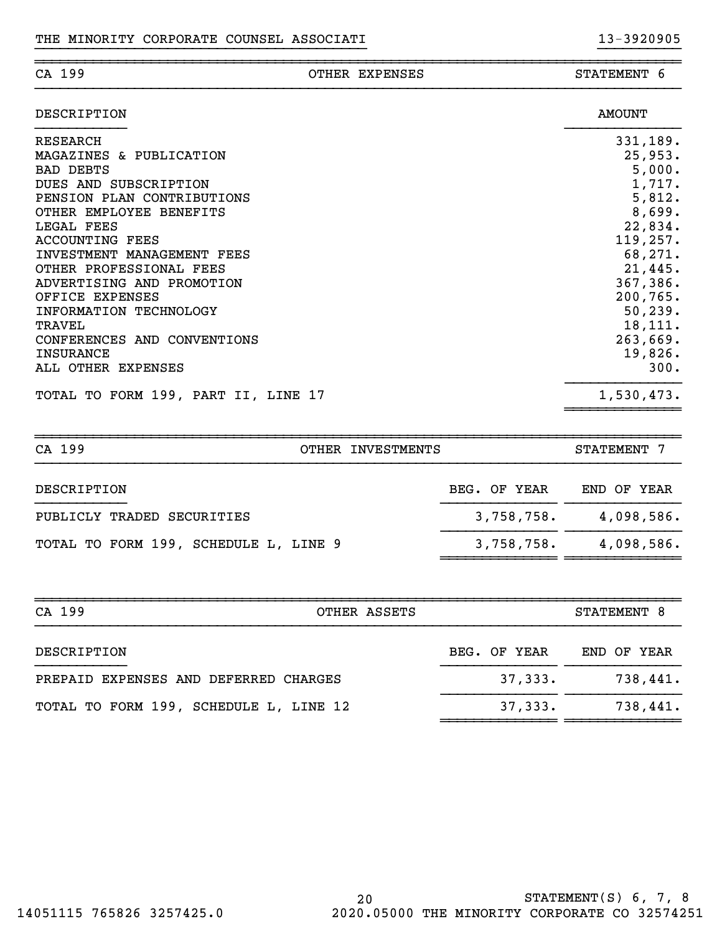|  | oο |
|--|----|
|  |    |

### ~~~~~~~~~~~~~~~~~~~~~~~~~~~~~~~~~~~~~~~~~~~~~~~~~~~~~~~~~~~~~~~~~~~~~~~~~~~~~~OTHER EXPENSES STATEMENT 6

}}}}}}}}}}}}}}}}}}}}}}}}}}}}}}}}}}}}}}}} }}}}}}}}}}

| DESCRIPTION                         | <b>AMOUNT</b> |
|-------------------------------------|---------------|
| RESEARCH                            | 331,189.      |
| MAGAZINES & PUBLICATION             | 25,953.       |
| <b>BAD DEBTS</b>                    | 5,000.        |
| DUES AND SUBSCRIPTION               | 1,717.        |
| PENSION PLAN CONTRIBUTIONS          | 5,812.        |
| OTHER EMPLOYEE BENEFITS             | 8,699.        |
| LEGAL FEES                          | 22,834.       |
| <b>ACCOUNTING FEES</b>              | 119, 257.     |
| INVESTMENT MANAGEMENT FEES          | 68,271.       |
| OTHER PROFESSIONAL FEES             | 21,445.       |
| ADVERTISING AND PROMOTION           | 367,386.      |
| OFFICE EXPENSES                     | 200, 765.     |
| INFORMATION TECHNOLOGY              | 50, 239.      |
| TRAVEL                              | 18, 111.      |
| CONFERENCES AND CONVENTIONS         | 263,669.      |
| <b>INSURANCE</b>                    | 19,826.       |
| ALL OTHER EXPENSES                  | 300.          |
| TOTAL TO FORM 199, PART II, LINE 17 | 1,530,473.    |

| CA 199<br>OTHER INVESTMENTS           |              | STATEMENT 7   |
|---------------------------------------|--------------|---------------|
| DESCRIPTION                           | BEG. OF YEAR | END OF YEAR   |
| PUBLICLY TRADED SECURITIES            | 3,758,758.   | $4,098,586$ . |
| TOTAL TO FORM 199, SCHEDULE L, LINE 9 | 3,758,758.   | 4,098,586.    |

| CA 199<br>OTHER ASSETS                 |              | STATEMENT 8 |
|----------------------------------------|--------------|-------------|
| DESCRIPTION                            | BEG. OF YEAR | END OF YEAR |
| PREPAID EXPENSES AND DEFERRED CHARGES  | 37,333.      | 738,441.    |
| TOTAL TO FORM 199, SCHEDULE L, LINE 12 | 37,333.      | 738,441.    |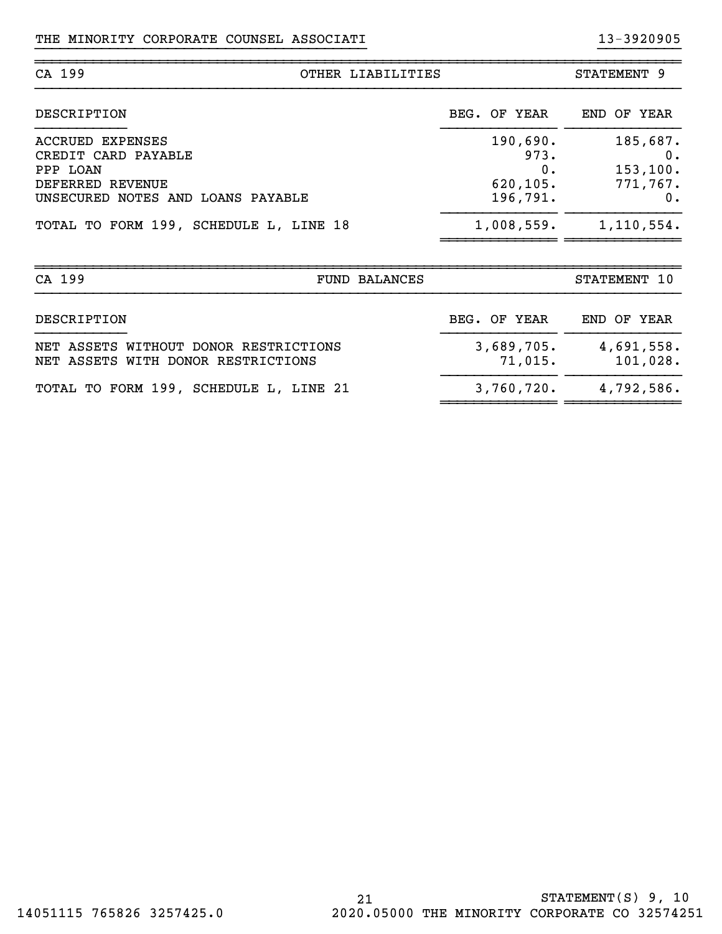| CA 199                                                                                                       | OTHER LIABILITIES                               | STATEMENT 9                                      |
|--------------------------------------------------------------------------------------------------------------|-------------------------------------------------|--------------------------------------------------|
| DESCRIPTION                                                                                                  | BEG. OF YEAR                                    | END OF YEAR                                      |
| ACCRUED EXPENSES<br>CREDIT CARD PAYABLE<br>PPP LOAN<br>DEFERRED REVENUE<br>UNSECURED NOTES AND LOANS PAYABLE | 190,690.<br>973.<br>0.<br>620, 105.<br>196,791. | 185,687.<br>0.<br>153, 100.<br>771,767.<br>$0$ . |
| TOTAL TO FORM 199, SCHEDULE L, LINE 18                                                                       | 1,008,559.                                      | 1,110,554.                                       |

}}}}}}}}}}}}}}}}}}}}}}}}}}}}}}}}}}}}}}}} }}}}}}}}}}

| CA 199<br><b>FUND BALANCES</b>                                              |                          | STATEMENT 10           |
|-----------------------------------------------------------------------------|--------------------------|------------------------|
| DESCRIPTION                                                                 | BEG. OF YEAR             | END OF YEAR            |
| NET ASSETS WITHOUT DONOR RESTRICTIONS<br>NET ASSETS WITH DONOR RESTRICTIONS | 3,689,705.<br>$71,015$ . | 4,691,558.<br>101,028. |
| TOTAL TO FORM 199, SCHEDULE L, LINE 21                                      | 3,760,720.               | 4,792,586.             |

~~~~~~~~~~~~~~ ~~~~~~~~~~~~~~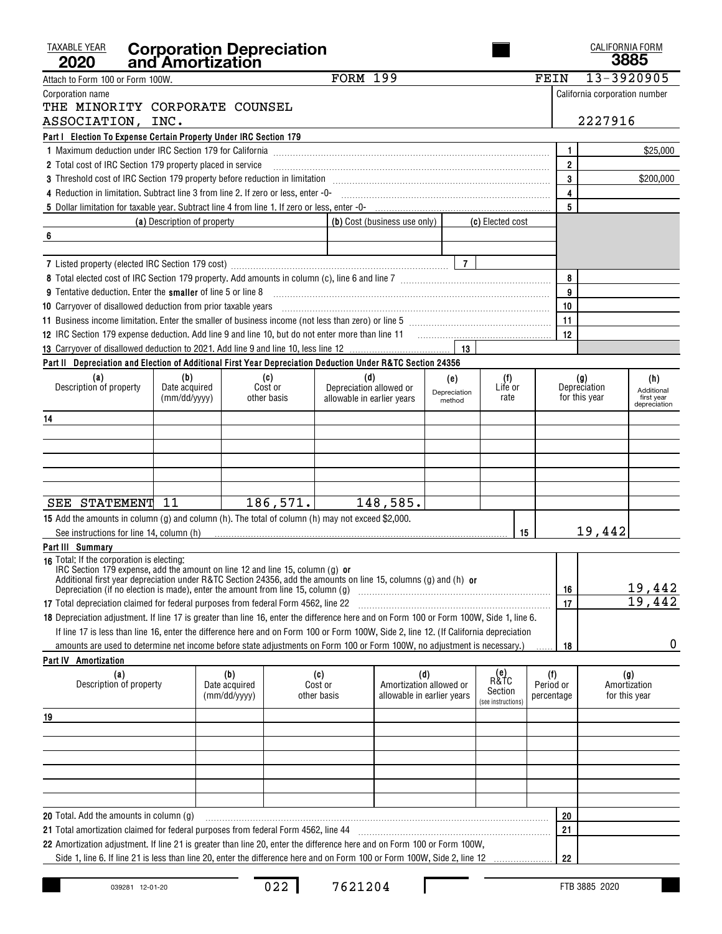| <b>TAXABLE YEAR</b><br>2020                                                                                                                                                                                                                   |                             | <b>Corporation Depreciation<br/>and Amortization</b> |             |                            |                                                              |              |                                              |    |                                | CALIFORNIA FORM                      | 3885                       |
|-----------------------------------------------------------------------------------------------------------------------------------------------------------------------------------------------------------------------------------------------|-----------------------------|------------------------------------------------------|-------------|----------------------------|--------------------------------------------------------------|--------------|----------------------------------------------|----|--------------------------------|--------------------------------------|----------------------------|
| Attach to Form 100 or Form 100W.                                                                                                                                                                                                              |                             |                                                      |             | <b>FORM 199</b>            |                                                              |              |                                              |    | FEIN                           | 13-3920905                           |                            |
| Corporation name                                                                                                                                                                                                                              |                             |                                                      |             |                            |                                                              |              |                                              |    |                                | California corporation number        |                            |
| THE MINORITY CORPORATE COUNSEL                                                                                                                                                                                                                |                             |                                                      |             |                            |                                                              |              |                                              |    |                                |                                      |                            |
| ASSOCIATION, INC.                                                                                                                                                                                                                             |                             |                                                      |             |                            |                                                              |              |                                              |    |                                | 2227916                              |                            |
| Part I Election To Expense Certain Property Under IRC Section 179                                                                                                                                                                             |                             |                                                      |             |                            |                                                              |              |                                              |    |                                |                                      |                            |
|                                                                                                                                                                                                                                               |                             |                                                      |             |                            |                                                              |              |                                              |    | 1                              |                                      | \$25,000                   |
| 2 Total cost of IRC Section 179 property placed in service                                                                                                                                                                                    |                             |                                                      |             |                            |                                                              |              |                                              |    | $\overline{2}$                 |                                      |                            |
| 3 Threshold cost of IRC Section 179 property before reduction in limitation [11] [12] Threshold cost of IRC Section 179 property before reduction in limitation                                                                               |                             |                                                      |             |                            |                                                              |              |                                              |    | 3                              |                                      | \$200,000                  |
|                                                                                                                                                                                                                                               |                             |                                                      |             |                            |                                                              |              |                                              |    | $\overline{\mathbf{4}}$        |                                      |                            |
|                                                                                                                                                                                                                                               |                             |                                                      |             |                            |                                                              |              |                                              |    | 5                              |                                      |                            |
|                                                                                                                                                                                                                                               | (a) Description of property |                                                      |             |                            | (b) Cost (business use only) $\vert$                         |              | (c) Elected cost                             |    |                                |                                      |                            |
| 6                                                                                                                                                                                                                                             |                             |                                                      |             |                            |                                                              |              |                                              |    |                                |                                      |                            |
|                                                                                                                                                                                                                                               |                             |                                                      |             |                            |                                                              |              |                                              |    |                                |                                      |                            |
|                                                                                                                                                                                                                                               |                             |                                                      |             |                            |                                                              | $\vert$ 7    |                                              |    | 8                              |                                      |                            |
| <b>9</b> Tentative deduction. Enter the <b>smaller</b> of line 5 or line 8                                                                                                                                                                    |                             |                                                      |             |                            |                                                              |              |                                              |    | 9                              |                                      |                            |
| 10 Carryover of disallowed deduction from prior taxable years [11] match match match match and the disalt match match match match of the Carryover of disallowed deduction from prior taxable years [10] $\sim$ 0.000 match matc              |                             |                                                      |             |                            |                                                              |              |                                              |    | 10                             |                                      |                            |
|                                                                                                                                                                                                                                               |                             |                                                      |             |                            |                                                              |              |                                              |    | 11                             |                                      |                            |
|                                                                                                                                                                                                                                               |                             |                                                      |             |                            |                                                              |              |                                              |    | 12                             |                                      |                            |
|                                                                                                                                                                                                                                               |                             |                                                      |             |                            |                                                              |              |                                              |    |                                |                                      |                            |
| Part II Depreciation and Election of Additional First Year Depreciation Deduction Under R&TC Section 24356                                                                                                                                    |                             |                                                      |             |                            |                                                              |              |                                              |    |                                |                                      |                            |
| (a)                                                                                                                                                                                                                                           | (b)                         |                                                      | (c)         | (d)                        |                                                              | (e)          | (f)                                          |    |                                |                                      | (h)                        |
| Description of property                                                                                                                                                                                                                       | Date acquired               |                                                      | Cost or     | Depreciation allowed or    |                                                              | Depreciation | Life or                                      |    |                                | (g)<br>Depreciation                  | Additional                 |
|                                                                                                                                                                                                                                               | (mm/dd/yyyy)                |                                                      | other basis | allowable in earlier years |                                                              | method       | rate                                         |    |                                | for this year                        | first year<br>depreciation |
| 14                                                                                                                                                                                                                                            |                             |                                                      |             |                            |                                                              |              |                                              |    |                                |                                      |                            |
|                                                                                                                                                                                                                                               |                             |                                                      |             |                            |                                                              |              |                                              |    |                                |                                      |                            |
|                                                                                                                                                                                                                                               |                             |                                                      |             |                            |                                                              |              |                                              |    |                                |                                      |                            |
|                                                                                                                                                                                                                                               |                             |                                                      |             |                            |                                                              |              |                                              |    |                                |                                      |                            |
|                                                                                                                                                                                                                                               |                             |                                                      |             |                            |                                                              |              |                                              |    |                                |                                      |                            |
|                                                                                                                                                                                                                                               |                             |                                                      |             |                            |                                                              |              |                                              |    |                                |                                      |                            |
| SEE STATEMENT 11                                                                                                                                                                                                                              |                             |                                                      | 186, 571.   |                            | 148,585.                                                     |              |                                              |    |                                |                                      |                            |
| 15 Add the amounts in column (g) and column (h). The total of column (h) may not exceed \$2,000.                                                                                                                                              |                             |                                                      |             |                            |                                                              |              |                                              |    |                                |                                      |                            |
| See instructions for line 14, column (h)                                                                                                                                                                                                      |                             |                                                      |             |                            |                                                              |              |                                              | 15 |                                | 19,442                               |                            |
| Part III Summary                                                                                                                                                                                                                              |                             |                                                      |             |                            |                                                              |              |                                              |    |                                |                                      |                            |
| 16 Total: If the corporation is electing:<br>IRC Section 179 expense, add the amount on line 12 and line 15, column (g) or<br>Additional first year depreciation under R&TC Section 24356, add the amounts on line 15, columns (g) and (h) or |                             |                                                      |             |                            |                                                              |              |                                              |    | 16                             |                                      | 19,442                     |
| 17 Total depreciation claimed for federal purposes from federal Form 4562, line 22 [11] Total depreciation claimed for federal purposes from federal Form 4562, line 22                                                                       |                             |                                                      |             |                            |                                                              |              |                                              |    | 17                             |                                      | 19,442                     |
| 18 Depreciation adjustment. If line 17 is greater than line 16, enter the difference here and on Form 100 or Form 100W, Side 1, line 6.                                                                                                       |                             |                                                      |             |                            |                                                              |              |                                              |    |                                |                                      |                            |
| If line 17 is less than line 16, enter the difference here and on Form 100 or Form 100W, Side 2, line 12. (If California depreciation                                                                                                         |                             |                                                      |             |                            |                                                              |              |                                              |    |                                |                                      |                            |
| amounts are used to determine net income before state adiustments on Form 100 or Form 100W, no adiustment is necessary.)                                                                                                                      |                             |                                                      |             |                            |                                                              |              |                                              |    | 18                             |                                      | 0                          |
| <b>Part IV Amortization</b>                                                                                                                                                                                                                   |                             |                                                      |             |                            |                                                              |              |                                              |    |                                |                                      |                            |
| (a)<br>Description of property                                                                                                                                                                                                                |                             | (b)<br>Date acquired<br>(mm/dd/yyyy)                 | other basis | (c)<br>Cost or             | (d)<br>Amortization allowed or<br>allowable in earlier years |              | (e)<br>R&TC<br>Section<br>(see instructions) |    | (f)<br>Period or<br>percentage | (g)<br>Amortization<br>for this year |                            |
| 19                                                                                                                                                                                                                                            |                             |                                                      |             |                            |                                                              |              |                                              |    |                                |                                      |                            |
|                                                                                                                                                                                                                                               |                             |                                                      |             |                            |                                                              |              |                                              |    |                                |                                      |                            |
|                                                                                                                                                                                                                                               |                             |                                                      |             |                            |                                                              |              |                                              |    |                                |                                      |                            |
|                                                                                                                                                                                                                                               |                             |                                                      |             |                            |                                                              |              |                                              |    |                                |                                      |                            |
|                                                                                                                                                                                                                                               |                             |                                                      |             |                            |                                                              |              |                                              |    |                                |                                      |                            |
|                                                                                                                                                                                                                                               |                             |                                                      |             |                            |                                                              |              |                                              |    |                                |                                      |                            |
|                                                                                                                                                                                                                                               |                             |                                                      |             |                            |                                                              |              |                                              |    |                                |                                      |                            |
| <b>20</b> Total. Add the amounts in column (g)                                                                                                                                                                                                |                             |                                                      |             |                            |                                                              |              |                                              |    | 20                             |                                      |                            |
| 21 Total amortization claimed for federal purposes from federal Form 4562, line 44                                                                                                                                                            |                             |                                                      |             |                            |                                                              |              |                                              |    | 21                             |                                      |                            |
| 22 Amortization adjustment. If line 21 is greater than line 20, enter the difference here and on Form 100 or Form 100W,                                                                                                                       |                             |                                                      |             |                            |                                                              |              |                                              |    |                                |                                      |                            |
| Side 1, line 6. If line 21 is less than line 20, enter the difference here and on Form 100 or Form 100W, Side 2, line 12                                                                                                                      |                             |                                                      |             |                            |                                                              |              |                                              |    | 22                             |                                      |                            |

022 7621204

 $\mathsf I$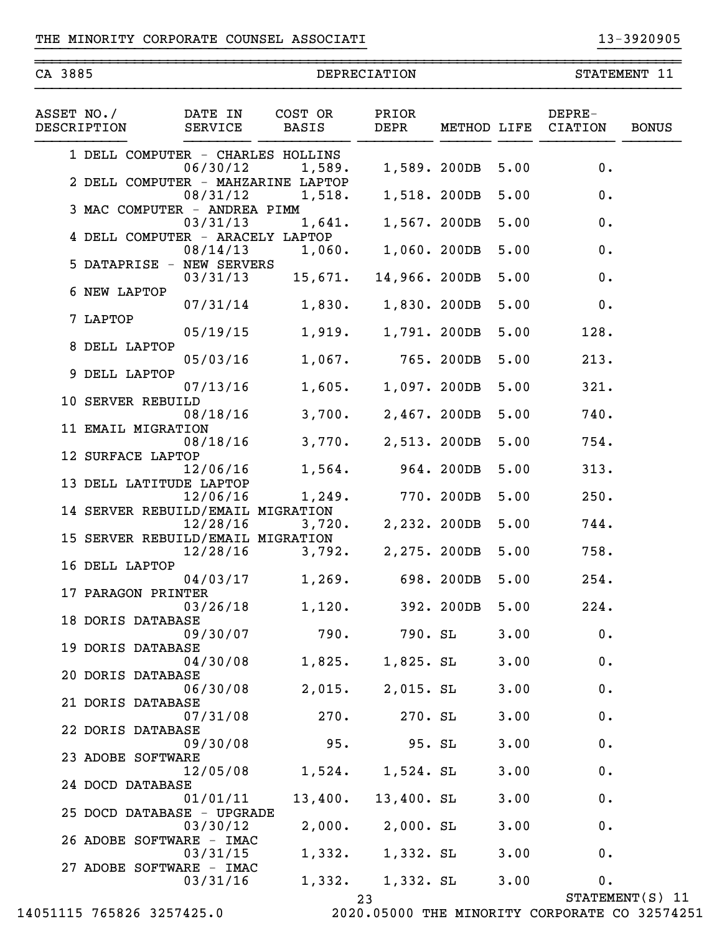~~~~~~~~~~~~~~~~~~~~~~~~~~~~~~~~~~~~~~~~~~~~~~~~~~~~~~~~~~~~~~~~~~~~~~~~~~~~~~

| CA 3885                   |                                                | DEPRECIATION     | STATEMENT 11         |              |      |                   |              |
|---------------------------|------------------------------------------------|------------------|----------------------|--------------|------|-------------------|--------------|
| ASSET NO./<br>DESCRIPTION | DATE IN<br>SERVICE                             | COST OR<br>BASIS | PRIOR<br>DEPR        | METHOD LIFE  |      | DEPRE-<br>CIATION | <b>BONUS</b> |
|                           | 1 DELL COMPUTER - CHARLES HOLLINS<br>06/30/12  | 1,589.           |                      | 1,589. 200DB | 5.00 | 0.                |              |
|                           | 2 DELL COMPUTER - MAHZARINE LAPTOP<br>08/31/12 | 1,518.           |                      | 1,518. 200DB | 5.00 | 0.                |              |
|                           | 3 MAC COMPUTER - ANDREA PIMM<br>03/31/13       | 1,641.           | 1,567. 200DB         |              | 5.00 | 0.                |              |
|                           | 4 DELL COMPUTER - ARACELY LAPTOP               |                  |                      |              |      |                   |              |
|                           | 08/14/13<br>5 DATAPRISE - NEW SERVERS          | 1,060.           | 1,060. 200DB         |              | 5.00 | 0.                |              |
|                           | 03/31/13<br>6 NEW LAPTOP                       | 15,671.          | 14,966. 200DB        |              | 5.00 | 0.                |              |
| 7 LAPTOP                  | 07/31/14                                       |                  | 1,830. 1,830. 200DB  |              | 5.00 | 0.                |              |
|                           | 05/19/15<br>8 DELL LAPTOP                      | 1,919.           | 1,791. 200DB         |              | 5.00 | 128.              |              |
|                           | 05/03/16                                       | 1,067.           |                      | 765. 200DB   | 5.00 | 213.              |              |
|                           | 9 DELL LAPTOP<br>07/13/16                      | 1,605.           | 1,097. 200DB         |              | 5.00 | 321.              |              |
|                           | 10 SERVER REBUILD<br>08/18/16                  | 3,700.           | 2,467. 200DB         |              | 5.00 | 740.              |              |
|                           | 11 EMAIL MIGRATION<br>08/18/16                 | 3,770.           | 2,513. 200DB         |              | 5.00 | 754.              |              |
|                           | 12 SURFACE LAPTOP<br>12/06/16                  | 1,564.           |                      | 964. 200DB   | 5.00 | 313.              |              |
|                           | 13 DELL LATITUDE LAPTOP<br>12/06/16            |                  | 1,249. 770. 200DB    |              | 5.00 | 250.              |              |
|                           | 14 SERVER REBUILD/EMAIL MIGRATION<br>12/28/16  |                  | $3,720.$ 2,232.200DB |              | 5.00 | 744.              |              |
|                           | 15 SERVER REBUILD/EMAIL MIGRATION              |                  |                      |              |      |                   |              |
|                           | 12/28/16<br>16 DELL LAPTOP                     |                  | 3,792. 2,275. 200DB  |              | 5.00 | 758.              |              |
|                           | 04/03/17<br>17 PARAGON PRINTER                 | 1,269.           | 698.200DB            |              | 5.00 | 254.              |              |
|                           | 03/26/18<br>18 DORIS DATABASE                  | 1,120.           |                      | 392. 200DB   | 5.00 | 224.              |              |
|                           | 09/30/07<br>19 DORIS DATABASE                  | 790.             | 790. SL              |              | 3.00 | 0.                |              |
|                           | 04/30/08<br>20 DORIS DATABASE                  | 1,825.           | $1,825.$ SL          |              | 3.00 | 0.                |              |
|                           | 06/30/08                                       | 2,015.           | $2,015.$ SL          |              | 3.00 | 0.                |              |
|                           | 21 DORIS DATABASE<br>07/31/08                  | 270.             | 270. SL              |              | 3.00 | 0.                |              |
|                           | 22 DORIS DATABASE<br>09/30/08                  | 95.              | 95. SL               |              | 3.00 | 0.                |              |
|                           | 23 ADOBE SOFTWARE<br>12/05/08                  | 1,524.           | $1,524.$ SL          |              | 3.00 | 0.                |              |
|                           | 24 DOCD DATABASE<br>01/01/11                   | 13,400.          | 13,400. SL           |              | 3.00 | 0.                |              |
|                           | 25 DOCD DATABASE - UPGRADE<br>03/30/12         | 2,000.           | $2,000.$ SL          |              | 3.00 | 0.                |              |
|                           | 26 ADOBE SOFTWARE - IMAC                       |                  |                      |              |      |                   |              |
|                           | 03/31/15<br>27 ADOBE SOFTWARE - IMAC           | 1,332.           | 1,332. SL            |              | 3.00 | 0.                |              |
|                           | 03/31/16                                       | 1,332.           | $1,332.$ SL          |              | 3.00 | 0.                |              |

}}}}}}}}}}}}}}}}}}}}}}}}}}}}}}}}}}}}}}}} }}}}}}}}}}

14051115 765826 3257425.0 2020.05000 THE MINORITY CORPORATE CO 32574251

<sup>23</sup> STATEMENT(S) 11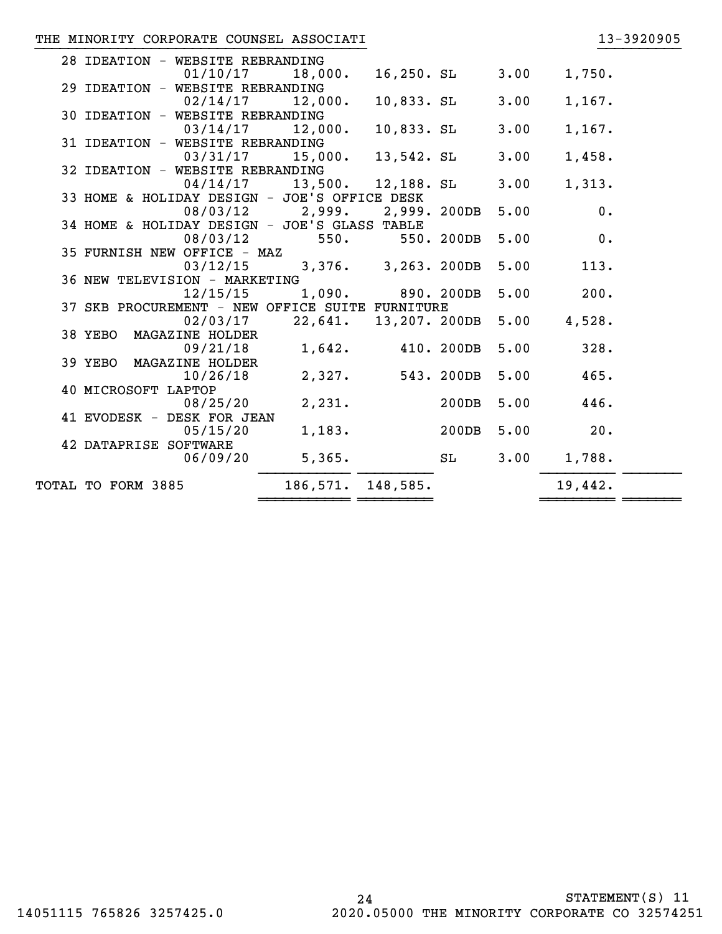# THE MINORITY CORPORATE COUNSEL ASSOCIATI

|  |  |  | 13-3920905 |  |
|--|--|--|------------|--|
|  |  |  |            |  |

| TOTAL TO FORM 3885                                          | 186,571.                     | 148,585.              |               | 19,442. |  |
|-------------------------------------------------------------|------------------------------|-----------------------|---------------|---------|--|
| 06/09/20                                                    | 5,365.                       | SL                    | 3.00          | 1,788.  |  |
| 05/15/20<br>42 DATAPRISE SOFTWARE                           | 1,183.                       |                       | 200DB<br>5.00 | 20.     |  |
| 41 EVODESK - DESK FOR JEAN                                  |                              |                       |               |         |  |
| 40 MICROSOFT LAPTOP<br>08/25/20                             | 2,231.                       |                       | 200DB<br>5.00 | 446.    |  |
| 10/26/18                                                    | 2,327.                       | 543. 200DB            | 5.00          | 465.    |  |
| 09/21/18<br>39 YEBO<br>MAGAZINE HOLDER                      | 1,642.                       | 410. 200DB            | 5.00          | 328.    |  |
| 38 YEBO MAGAZINE HOLDER                                     |                              |                       |               |         |  |
| 02/03/17                                                    |                              | 22,641. 13,207. 200DB | 5.00          | 4,528.  |  |
| 12/15/15<br>37 SKB PROCUREMENT - NEW OFFICE SUITE FURNITURE | 1,090.                       | 890. 200DB            | 5.00          | 200.    |  |
| 36 NEW TELEVISION - MARKETING                               |                              |                       |               |         |  |
| 35 FURNISH NEW OFFICE - MAZ<br>03/12/15                     |                              | 3,376. 3,263. 200DB   | 5.00          | 113.    |  |
| 08/03/12                                                    | 550.                         | 550. 200DB            | 5.00          | 0.      |  |
| 34 HOME & HOLIDAY DESIGN - JOE'S GLASS TABLE                |                              |                       |               |         |  |
|                                                             | 08/03/12 2,999. 2,999. 200DB |                       | 5.00          | 0.      |  |
| 04/14/17<br>33 HOME & HOLIDAY DESIGN - JOE'S OFFICE DESK    | 13,500.                      | 12,188. SL            | 3.00          | 1,313.  |  |
| 32 IDEATION - WEBSITE REBRANDING                            |                              |                       |               |         |  |
| 31 IDEATION - WEBSITE REBRANDING<br>03/31/17                | 15,000.                      | 13,542. SL            | 3.00          | 1,458.  |  |
| 03/14/17                                                    | 12,000.                      | 10,833. SL            | 3.00          | 1,167.  |  |
| 30 IDEATION - WEBSITE REBRANDING                            |                              |                       |               |         |  |
| 29 IDEATION - WEBSITE REBRANDING<br>02/14/17                | 12,000.                      | $10,833.$ SL          | 3.00          | 1,167.  |  |
| 01/10/17                                                    | 18,000.                      | 16,250. SL            | 3.00          | 1,750.  |  |
| 28 IDEATION - WEBSITE REBRANDING                            |                              |                       |               |         |  |

}}}}}}}}}}}}}}}}}}}}}}}}}}}}}}}}}}}}}}}} }}}}}}}}}}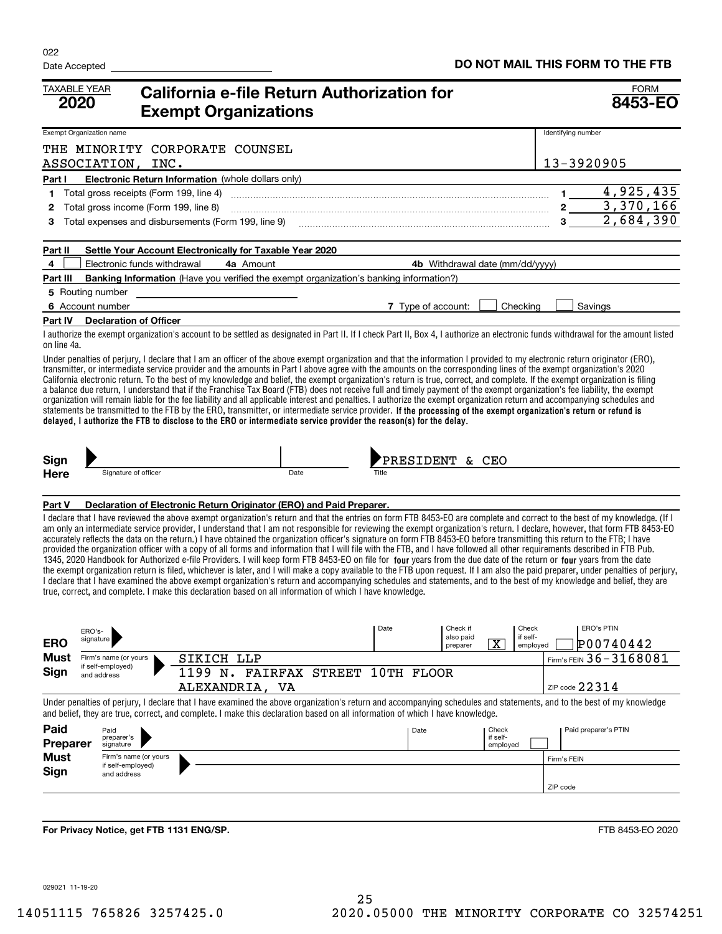| <b>TAXABLE YEAR</b><br>2020     |                                                                                                                                                                                                                                                                                                                                                                                                                                                                                                                                                                                                                                                                                                                                                                                                                                                                                                                                                                                                                                                                                                                                                                                                                                                                                                                                                                                                                                               |                                         | California e-file Return Authorization for<br><b>Exempt Organizations</b>                                                                                                                                                                                                                              |      |  |       |                    |                                   |                               |                               | <b>FORM</b><br>8453-EO |                                                                                                                                                                                   |  |  |
|---------------------------------|-----------------------------------------------------------------------------------------------------------------------------------------------------------------------------------------------------------------------------------------------------------------------------------------------------------------------------------------------------------------------------------------------------------------------------------------------------------------------------------------------------------------------------------------------------------------------------------------------------------------------------------------------------------------------------------------------------------------------------------------------------------------------------------------------------------------------------------------------------------------------------------------------------------------------------------------------------------------------------------------------------------------------------------------------------------------------------------------------------------------------------------------------------------------------------------------------------------------------------------------------------------------------------------------------------------------------------------------------------------------------------------------------------------------------------------------------|-----------------------------------------|--------------------------------------------------------------------------------------------------------------------------------------------------------------------------------------------------------------------------------------------------------------------------------------------------------|------|--|-------|--------------------|-----------------------------------|-------------------------------|-------------------------------|------------------------|-----------------------------------------------------------------------------------------------------------------------------------------------------------------------------------|--|--|
| <b>Exempt Organization name</b> |                                                                                                                                                                                                                                                                                                                                                                                                                                                                                                                                                                                                                                                                                                                                                                                                                                                                                                                                                                                                                                                                                                                                                                                                                                                                                                                                                                                                                                               |                                         |                                                                                                                                                                                                                                                                                                        |      |  |       |                    |                                   |                               |                               | Identifying number     |                                                                                                                                                                                   |  |  |
|                                 |                                                                                                                                                                                                                                                                                                                                                                                                                                                                                                                                                                                                                                                                                                                                                                                                                                                                                                                                                                                                                                                                                                                                                                                                                                                                                                                                                                                                                                               | ASSOCIATION, INC.                       | THE MINORITY CORPORATE COUNSEL                                                                                                                                                                                                                                                                         |      |  |       |                    |                                   |                               |                               | 13-3920905             |                                                                                                                                                                                   |  |  |
| Part I                          |                                                                                                                                                                                                                                                                                                                                                                                                                                                                                                                                                                                                                                                                                                                                                                                                                                                                                                                                                                                                                                                                                                                                                                                                                                                                                                                                                                                                                                               |                                         | Electronic Return Information (whole dollars only)                                                                                                                                                                                                                                                     |      |  |       |                    |                                   |                               |                               |                        |                                                                                                                                                                                   |  |  |
| 1                               |                                                                                                                                                                                                                                                                                                                                                                                                                                                                                                                                                                                                                                                                                                                                                                                                                                                                                                                                                                                                                                                                                                                                                                                                                                                                                                                                                                                                                                               | Total gross receipts (Form 199, line 4) |                                                                                                                                                                                                                                                                                                        |      |  |       |                    |                                   |                               |                               | $1 \qquad \qquad$      | 4,925,435                                                                                                                                                                         |  |  |
| 2                               |                                                                                                                                                                                                                                                                                                                                                                                                                                                                                                                                                                                                                                                                                                                                                                                                                                                                                                                                                                                                                                                                                                                                                                                                                                                                                                                                                                                                                                               | Total gross income (Form 199, line 8)   |                                                                                                                                                                                                                                                                                                        |      |  |       |                    |                                   |                               |                               |                        | $2 \overline{3,370,166}$                                                                                                                                                          |  |  |
| 3                               |                                                                                                                                                                                                                                                                                                                                                                                                                                                                                                                                                                                                                                                                                                                                                                                                                                                                                                                                                                                                                                                                                                                                                                                                                                                                                                                                                                                                                                               |                                         | Total expenses and disbursements (Form 199, line 9)                                                                                                                                                                                                                                                    |      |  |       |                    |                                   |                               |                               |                        | 2,684,390                                                                                                                                                                         |  |  |
| Part II                         |                                                                                                                                                                                                                                                                                                                                                                                                                                                                                                                                                                                                                                                                                                                                                                                                                                                                                                                                                                                                                                                                                                                                                                                                                                                                                                                                                                                                                                               |                                         | Settle Your Account Electronically for Taxable Year 2020                                                                                                                                                                                                                                               |      |  |       |                    |                                   |                               |                               |                        |                                                                                                                                                                                   |  |  |
| 4                               |                                                                                                                                                                                                                                                                                                                                                                                                                                                                                                                                                                                                                                                                                                                                                                                                                                                                                                                                                                                                                                                                                                                                                                                                                                                                                                                                                                                                                                               | Electronic funds withdrawal             | 4a Amount                                                                                                                                                                                                                                                                                              |      |  |       |                    | 4b Withdrawal date (mm/dd/yyyy)   |                               |                               |                        |                                                                                                                                                                                   |  |  |
| Part III                        |                                                                                                                                                                                                                                                                                                                                                                                                                                                                                                                                                                                                                                                                                                                                                                                                                                                                                                                                                                                                                                                                                                                                                                                                                                                                                                                                                                                                                                               |                                         | <b>Banking Information</b> (Have you verified the exempt organization's banking information?)                                                                                                                                                                                                          |      |  |       |                    |                                   |                               |                               |                        |                                                                                                                                                                                   |  |  |
| 5 Routing number                |                                                                                                                                                                                                                                                                                                                                                                                                                                                                                                                                                                                                                                                                                                                                                                                                                                                                                                                                                                                                                                                                                                                                                                                                                                                                                                                                                                                                                                               |                                         |                                                                                                                                                                                                                                                                                                        |      |  |       |                    |                                   |                               |                               |                        |                                                                                                                                                                                   |  |  |
| 6 Account number                |                                                                                                                                                                                                                                                                                                                                                                                                                                                                                                                                                                                                                                                                                                                                                                                                                                                                                                                                                                                                                                                                                                                                                                                                                                                                                                                                                                                                                                               |                                         |                                                                                                                                                                                                                                                                                                        |      |  |       | 7 Type of account: |                                   |                               | Checking                      |                        | Savings                                                                                                                                                                           |  |  |
| Part IV                         |                                                                                                                                                                                                                                                                                                                                                                                                                                                                                                                                                                                                                                                                                                                                                                                                                                                                                                                                                                                                                                                                                                                                                                                                                                                                                                                                                                                                                                               | <b>Declaration of Officer</b>           |                                                                                                                                                                                                                                                                                                        |      |  |       |                    |                                   |                               |                               |                        |                                                                                                                                                                                   |  |  |
| on line 4a.                     |                                                                                                                                                                                                                                                                                                                                                                                                                                                                                                                                                                                                                                                                                                                                                                                                                                                                                                                                                                                                                                                                                                                                                                                                                                                                                                                                                                                                                                               |                                         |                                                                                                                                                                                                                                                                                                        |      |  |       |                    |                                   |                               |                               |                        | I authorize the exempt organization's account to be settled as designated in Part II. If I check Part II, Box 4, I authorize an electronic funds withdrawal for the amount listed |  |  |
| Sign<br>Here                    | a balance due return, I understand that if the Franchise Tax Board (FTB) does not receive full and timely payment of the exempt organization's fee liability, the exempt<br>organization will remain liable for the fee liability and all applicable interest and penalties. I authorize the exempt organization return and accompanying schedules and<br>statements be transmitted to the FTB by the ERO, transmitter, or intermediate service provider. If the processing of the exempt organization's return or refund is<br>delayed, I authorize the FTB to disclose to the ERO or intermediate service provider the reason(s) for the delay.<br>PRESIDENT & CEO                                                                                                                                                                                                                                                                                                                                                                                                                                                                                                                                                                                                                                                                                                                                                                          |                                         |                                                                                                                                                                                                                                                                                                        |      |  |       |                    |                                   |                               |                               |                        |                                                                                                                                                                                   |  |  |
|                                 |                                                                                                                                                                                                                                                                                                                                                                                                                                                                                                                                                                                                                                                                                                                                                                                                                                                                                                                                                                                                                                                                                                                                                                                                                                                                                                                                                                                                                                               | Signature of officer                    |                                                                                                                                                                                                                                                                                                        | Date |  | Title |                    |                                   |                               |                               |                        |                                                                                                                                                                                   |  |  |
| Part V                          |                                                                                                                                                                                                                                                                                                                                                                                                                                                                                                                                                                                                                                                                                                                                                                                                                                                                                                                                                                                                                                                                                                                                                                                                                                                                                                                                                                                                                                               |                                         |                                                                                                                                                                                                                                                                                                        |      |  |       |                    |                                   |                               |                               |                        |                                                                                                                                                                                   |  |  |
|                                 | Declaration of Electronic Return Originator (ERO) and Paid Preparer.<br>I declare that I have reviewed the above exempt organization's return and that the entries on form FTB 8453-EO are complete and correct to the best of my knowledge. (If I<br>am only an intermediate service provider, I understand that I am not responsible for reviewing the exempt organization's return. I declare, however, that form FTB 8453-EO<br>accurately reflects the data on the return.) I have obtained the organization officer's signature on form FTB 8453-EO before transmitting this return to the FTB; I have<br>provided the organization officer with a copy of all forms and information that I will file with the FTB, and I have followed all other requirements described in FTB Pub.<br>1345, 2020 Handbook for Authorized e-file Providers. I will keep form FTB 8453-EO on file for four years from the due date of the return or four years from the date<br>the exempt organization return is filed, whichever is later, and I will make a copy available to the FTB upon request. If I am also the paid preparer, under penalties of perjury,<br>I declare that I have examined the above exempt organization's return and accompanying schedules and statements, and to the best of my knowledge and belief, they are<br>true, correct, and complete. I make this declaration based on all information of which I have knowledge. |                                         |                                                                                                                                                                                                                                                                                                        |      |  |       |                    |                                   |                               |                               |                        |                                                                                                                                                                                   |  |  |
| <b>ERO</b>                      | ERO's-<br>signature                                                                                                                                                                                                                                                                                                                                                                                                                                                                                                                                                                                                                                                                                                                                                                                                                                                                                                                                                                                                                                                                                                                                                                                                                                                                                                                                                                                                                           |                                         |                                                                                                                                                                                                                                                                                                        |      |  | Date  |                    | Check if<br>also paid<br>preparer | $\overline{\textbf{x}}$       | Check<br>if self-<br>employed |                        | <b>ERO's PTIN</b><br>P00740442                                                                                                                                                    |  |  |
| <b>Must</b>                     |                                                                                                                                                                                                                                                                                                                                                                                                                                                                                                                                                                                                                                                                                                                                                                                                                                                                                                                                                                                                                                                                                                                                                                                                                                                                                                                                                                                                                                               | Firm's name (or yours                   | SIKICH LLP                                                                                                                                                                                                                                                                                             |      |  |       |                    |                                   |                               |                               |                        | Firm's FEIN 36-3168081                                                                                                                                                            |  |  |
| Sign                            | and address                                                                                                                                                                                                                                                                                                                                                                                                                                                                                                                                                                                                                                                                                                                                                                                                                                                                                                                                                                                                                                                                                                                                                                                                                                                                                                                                                                                                                                   | if self-employed)                       | 1199 N. FAIRFAX STREET 10TH FLOOR                                                                                                                                                                                                                                                                      |      |  |       |                    |                                   |                               |                               |                        |                                                                                                                                                                                   |  |  |
|                                 |                                                                                                                                                                                                                                                                                                                                                                                                                                                                                                                                                                                                                                                                                                                                                                                                                                                                                                                                                                                                                                                                                                                                                                                                                                                                                                                                                                                                                                               |                                         | ALEXANDRIA, VA                                                                                                                                                                                                                                                                                         |      |  |       |                    |                                   |                               |                               | ZIP code $22314$       |                                                                                                                                                                                   |  |  |
|                                 |                                                                                                                                                                                                                                                                                                                                                                                                                                                                                                                                                                                                                                                                                                                                                                                                                                                                                                                                                                                                                                                                                                                                                                                                                                                                                                                                                                                                                                               |                                         | Under penalties of perjury, I declare that I have examined the above organization's return and accompanying schedules and statements, and to the best of my knowledge<br>and belief, they are true, correct, and complete. I make this declaration based on all information of which I have knowledge. |      |  |       |                    |                                   |                               |                               |                        |                                                                                                                                                                                   |  |  |
| Paid<br>Preparer                |                                                                                                                                                                                                                                                                                                                                                                                                                                                                                                                                                                                                                                                                                                                                                                                                                                                                                                                                                                                                                                                                                                                                                                                                                                                                                                                                                                                                                                               | Paid<br>preparer's<br>signature         |                                                                                                                                                                                                                                                                                                        |      |  |       | Date               |                                   | Check<br>if self-<br>employed |                               |                        | Paid preparer's PTIN                                                                                                                                                              |  |  |
| <b>Must</b>                     |                                                                                                                                                                                                                                                                                                                                                                                                                                                                                                                                                                                                                                                                                                                                                                                                                                                                                                                                                                                                                                                                                                                                                                                                                                                                                                                                                                                                                                               | Firm's name (or yours                   |                                                                                                                                                                                                                                                                                                        |      |  |       |                    |                                   |                               |                               | Firm's FEIN            |                                                                                                                                                                                   |  |  |
| Sign                            |                                                                                                                                                                                                                                                                                                                                                                                                                                                                                                                                                                                                                                                                                                                                                                                                                                                                                                                                                                                                                                                                                                                                                                                                                                                                                                                                                                                                                                               | if self-employed)<br>and address        |                                                                                                                                                                                                                                                                                                        |      |  |       |                    |                                   |                               |                               |                        |                                                                                                                                                                                   |  |  |

ZIP code

**For Privacy Notice, get FTB 1131 ENG/SP.**

FTB 8453-EO 2020

029021 11-19-20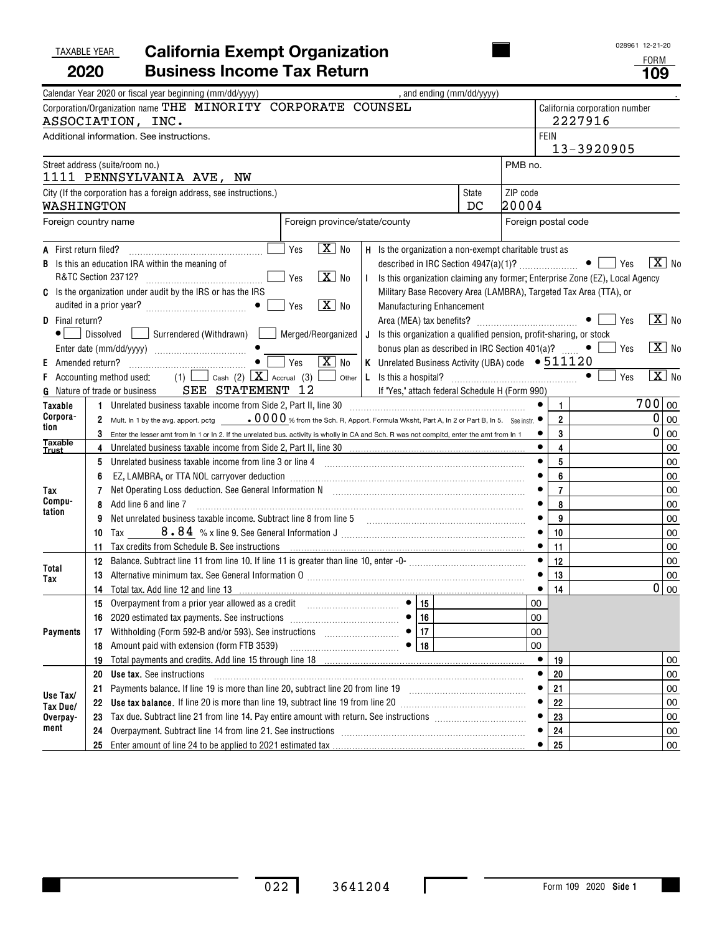### TAXABLE YEAR **California Exempt Organization 2020Business Income Tax Return 109**

| : )RM |
|-------|
|       |

|                                                    | Calendar Year 2020 or fiscal year beginning (mm/dd/yyyy)                                                                                                                                                                                                                                                                                                                                                                                                                                                                                          | , and ending (mm/dd/yyyy)                                                                                                                                  |                                                                                                                                    |                                                                                         |
|----------------------------------------------------|---------------------------------------------------------------------------------------------------------------------------------------------------------------------------------------------------------------------------------------------------------------------------------------------------------------------------------------------------------------------------------------------------------------------------------------------------------------------------------------------------------------------------------------------------|------------------------------------------------------------------------------------------------------------------------------------------------------------|------------------------------------------------------------------------------------------------------------------------------------|-----------------------------------------------------------------------------------------|
|                                                    | Corporation/Organization name THE MINORITY CORPORATE COUNSEL<br>ASSOCIATION, INC.                                                                                                                                                                                                                                                                                                                                                                                                                                                                 |                                                                                                                                                            |                                                                                                                                    | California corporation number<br>2227916                                                |
|                                                    | Additional information. See instructions.                                                                                                                                                                                                                                                                                                                                                                                                                                                                                                         |                                                                                                                                                            | <b>FEIN</b>                                                                                                                        | 13-3920905                                                                              |
|                                                    | Street address (suite/room no.)<br>1111 PENNSYLVANIA AVE, NW                                                                                                                                                                                                                                                                                                                                                                                                                                                                                      |                                                                                                                                                            | PMB no.                                                                                                                            |                                                                                         |
| WASHINGTON                                         | City (If the corporation has a foreign address, see instructions.)                                                                                                                                                                                                                                                                                                                                                                                                                                                                                | <b>State</b><br>DC                                                                                                                                         | ZIP code<br>20004                                                                                                                  |                                                                                         |
|                                                    | Foreign country name                                                                                                                                                                                                                                                                                                                                                                                                                                                                                                                              | Foreign province/state/county                                                                                                                              | Foreign postal code                                                                                                                |                                                                                         |
| A First return filed?                              | $\boxed{\mathbf{X}}$ No<br>Yes<br><b>B</b> Is this an education IRA within the meaning of<br>$X$ No<br>R&TC Section 23712?<br>Yes<br>C Is the organization under audit by the IRS or has the IRS<br>$\boxed{\mathbf{X}}$ No<br>Yes                                                                                                                                                                                                                                                                                                                | H Is the organization a non-exempt charitable trust as<br>Military Base Recovery Area (LAMBRA), Targeted Tax Area (TTA), or                                | $\boxed{\text{X}}$ No<br>$\bullet$   $\prime$ es<br>I Is this organization claiming any former; Enterprise Zone (EZ), Local Agency |                                                                                         |
| D Final return?<br>Amended return?<br>E.           | • Dissolved Surrendered (Withdrawn) Merged/Reorganized   J Is this organization a qualified pension, profit-sharing, or stock<br>$\bullet$ $\overline{\Box}$<br>$\boxed{\mathbf{X}}$ No<br>Yes                                                                                                                                                                                                                                                                                                                                                    | <b>Manufacturing Enhancement</b><br>bonus plan as described in IRC Section 401(a)? $\Box$ • [<br>K Unrelated Business Activity (UBA) code $\bullet$ 511120 |                                                                                                                                    | $\boxed{\text{X}}$ No<br>Yes<br>$\mathbf{X}$ No<br>Yes                                  |
| F.                                                 | Accounting method used:<br>SEE STATEMENT 12<br><b>G</b> Nature of trade or business                                                                                                                                                                                                                                                                                                                                                                                                                                                               | If "Yes," attach federal Schedule H (Form 990)                                                                                                             |                                                                                                                                    | $\overline{X}$ No<br>$\bullet$<br>Yes                                                   |
| Taxable<br>Corpora-<br>tion                        | 1 Unrelated business taxable income from Side 2, Part II, line 30 [11] [11] Unrelated business taxable income from Side 2, Part II, line 30<br>2 Mult. In 1 by the avg. apport. pctg $000\%$ from the Sch. R, Apport. Formula Wksht, Part A, In 2 or Part B, In 5. See instr.<br>3 Enter the lesser amt from In 1 or In 2. If the unrelated bus. activity is wholly in CA and Sch. R was not compltd, enter the amt from In 1                                                                                                                     |                                                                                                                                                            |                                                                                                                                    | 700 00<br>$\mathbf{1}$<br>$2^{\circ}$<br>0<br>00<br>0<br>3<br>00                        |
| Taxable<br><u>Trust</u><br>Tax<br>Compu-<br>tation | 5 Unrelated business taxable income from line 3 or line 4 [11] matter incontinuum matter is the state in the state of the state of the state of the state of the state of the state of the state of the state of the state of<br>6<br>7<br>Add line 6 and line 7<br>8<br>Net unrelated business taxable income. Subtract line 8 from line 5<br>9<br>10                                                                                                                                                                                            |                                                                                                                                                            | $\bullet$                                                                                                                          | 4<br>00<br>5<br>00<br>6<br>00<br>$\overline{7}$<br>00<br>8<br>00<br>9<br>00<br>10<br>00 |
| Total<br>Tax                                       | Tax credits from Schedule B. See instructions <b>constructions</b> and all the construction of the credits from Schedule B. See <u>instructions</u><br>11.<br>13 Alternative minimum tax. See General Information 0 [11] Martin Matterian Matterian Matterian Matterian Matterian Matterian Matterian Matterian Matterian Matterian Matterian Matterian Matterian Matterian Matterian Matter<br>14 Total tax. Add line 12 and line 13 <b>Constitution</b> 13 <b>Constitution</b> 14 <b>Total tax.</b> Add line 12 and line 13 <b>Constitution</b> |                                                                                                                                                            | 11                                                                                                                                 | 00<br>12<br>00<br>13<br>00<br>0 00<br>14                                                |
| <b>Payments</b>                                    | 16<br>Amount paid with extension (form FTB 3539)<br>18                                                                                                                                                                                                                                                                                                                                                                                                                                                                                            | 16<br>17<br>• 18                                                                                                                                           | 00<br>00<br>00<br>00                                                                                                               |                                                                                         |
| Use Tax/<br>Tax Due/                               | 19<br>20<br><b>Use tax.</b> See instructions<br>Payments balance. If line 19 is more than line 20, subtract line 20 from line 19 [11] [12] [13] Payments balance. If line 19 [13] $\ldots$<br>21<br>Use tax balance. If line 20 is more than line 19, subtract line 19 from line 20 [11] [11] Use tax balance. If line 20 [11] Use tax<br>22<br>23                                                                                                                                                                                                |                                                                                                                                                            | ٠<br>19<br>20<br>21<br>22                                                                                                          | 00<br>00<br>00<br>00<br>23<br>00                                                        |
| Overpay-<br>ment                                   | 24<br>25                                                                                                                                                                                                                                                                                                                                                                                                                                                                                                                                          |                                                                                                                                                            | 24<br>25                                                                                                                           | 00<br>$00\,$                                                                            |

 $\mathbf I$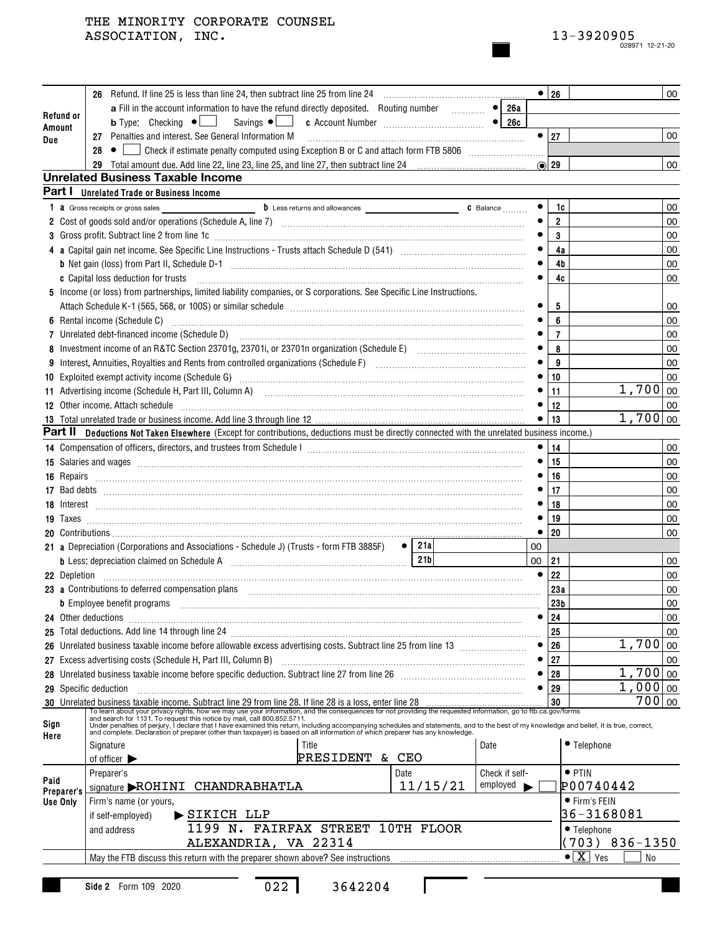|                       |    |                                                                                                                                                                                                                                          |                            |    | $\bullet$ 26   |                                    | 00   |
|-----------------------|----|------------------------------------------------------------------------------------------------------------------------------------------------------------------------------------------------------------------------------------------|----------------------------|----|----------------|------------------------------------|------|
|                       |    | a Fill in the account information to have the refund directly deposited. Routing number                                                                                                                                                  | $\overline{\bullet}$ 26a   |    |                |                                    |      |
| Refund or<br>Amount   |    | <b>b</b> Type: Checking $\bullet$   Savings $\bullet$   c Account Number <b>Configures</b> $\bullet$   26c                                                                                                                               |                            |    |                |                                    |      |
| Due                   |    |                                                                                                                                                                                                                                          |                            |    | $\bullet$   27 |                                    | 00   |
|                       | 28 |                                                                                                                                                                                                                                          |                            |    |                |                                    |      |
|                       |    |                                                                                                                                                                                                                                          |                            |    | $\odot$ 29     |                                    | 00   |
|                       |    | <b>Unrelated Business Taxable Income</b>                                                                                                                                                                                                 |                            |    |                |                                    |      |
| Part I                |    | <b>Unrelated Trade or Business Income</b>                                                                                                                                                                                                |                            |    |                |                                    |      |
|                       |    | 1 a Gross receipts or gross sales                                                                                                                                                                                                        |                            |    | 1c             |                                    | 00   |
|                       |    |                                                                                                                                                                                                                                          |                            |    | $\overline{2}$ |                                    | 00   |
|                       |    | 3 Gross profit. Subtract line 2 from line 1c [11] All and the content of the content of the content of the content of the content of the content of the content of the content of the content of the content of the content of           |                            |    | 3              |                                    | 00   |
|                       |    |                                                                                                                                                                                                                                          |                            |    | 4a             |                                    | 00   |
|                       |    |                                                                                                                                                                                                                                          |                            |    | 4b             |                                    | 00   |
|                       |    | c Capital loss deduction for trusts                                                                                                                                                                                                      |                            |    | 4c             |                                    | 00   |
|                       |    | 5 Income (or loss) from partnerships, limited liability companies, or S corporations. See Specific Line Instructions.                                                                                                                    |                            |    |                |                                    |      |
|                       |    |                                                                                                                                                                                                                                          |                            |    | 5              |                                    | 00   |
|                       |    |                                                                                                                                                                                                                                          |                            |    | 6              |                                    | 00   |
|                       |    |                                                                                                                                                                                                                                          |                            |    | $\overline{7}$ |                                    | 00   |
|                       |    |                                                                                                                                                                                                                                          |                            |    | 8              |                                    | 00   |
|                       |    |                                                                                                                                                                                                                                          |                            |    | 9              |                                    | 00   |
|                       |    | 10 Exploited exempt activity income (Schedule G) Material Accordination and Exploited exempt activity income (Schedule G)                                                                                                                |                            |    | 10<br>11       | $1,700 _{00}$                      | 00   |
|                       |    | 11 Advertising income (Schedule H, Part III, Column A) [11] Martin Martin Martin Martin Martin Martin Martin M                                                                                                                           |                            |    | 12             |                                    |      |
|                       |    | 12 Other income. Attach schedule encontractional contraction of the state of the schedule of the schedule entrarchildren and the state of the state of the state of the state of the state of the state of the state of the st           |                            |    | 13             | $1,700 _{00}$                      | 00   |
|                       |    | Part II Deductions Not Taken Elsewhere (Except for contributions, deductions must be directly connected with the unrelated business income.)                                                                                             |                            |    |                |                                    |      |
|                       |    |                                                                                                                                                                                                                                          |                            |    | 14             |                                    | 00   |
|                       |    |                                                                                                                                                                                                                                          |                            |    | 15             |                                    | 00   |
|                       |    | 16 Repairs <b>March 2016</b> Repairs <b>Constitution Constitution Constitution</b> Construction Constitution Constitution Constitution Constitution Constitution Constitution Constitution Constitution Constitution Constitution Consti |                            |    | 16             |                                    | 00   |
|                       |    |                                                                                                                                                                                                                                          |                            |    | 17             |                                    | 00   |
|                       |    |                                                                                                                                                                                                                                          |                            |    | 18             |                                    | 00   |
|                       |    |                                                                                                                                                                                                                                          |                            |    | 19             |                                    | 00   |
|                       |    |                                                                                                                                                                                                                                          |                            |    | 20             |                                    | 00   |
|                       |    | $\bullet$   21a<br>21 a Depreciation (Corporations and Associations - Schedule J) (Trusts - form FTB 3885F)                                                                                                                              |                            | 00 |                |                                    |      |
|                       |    | 21 <sub>b</sub><br>b Less: depreciation claimed on Schedule A [111] [12] Less: depreciation claimed on Schedule A [11] [12] Less:                                                                                                        |                            | 00 | 21             |                                    | 00   |
|                       |    |                                                                                                                                                                                                                                          |                            |    | 22             |                                    | 00   |
|                       |    | 23 a Contributions to deferred compensation plans entertainment contracts and contributions to deferred compensation plans                                                                                                               |                            |    | 23a            |                                    | 00   |
|                       |    | b Employee benefit programs informational contracts and contracts and contracts are the contract of the contracts of the contracts of the contracts of the contracts of the contracts of the contracts of the contracts of the           |                            |    | 23b            |                                    | 00   |
| 24 Other deductions   |    |                                                                                                                                                                                                                                          |                            |    | 24             |                                    | 00   |
|                       |    |                                                                                                                                                                                                                                          |                            |    | 25             |                                    | 00   |
|                       |    |                                                                                                                                                                                                                                          |                            |    | 26             | 1,700                              | 00   |
|                       |    | 27 Excess advertising costs (Schedule H, Part III, Column B)                                                                                                                                                                             |                            |    | 27             |                                    | 00   |
|                       |    |                                                                                                                                                                                                                                          |                            |    | 28             | 1,700                              | 00   |
| 29 Specific deduction |    |                                                                                                                                                                                                                                          |                            |    | 29             | 1,000                              | 00   |
|                       |    | 30 Unrelated business taxable income. Subtract line 29 from line 28. If line 28 is a loss, enter line 28                                                                                                                                 |                            |    | 30             | 700                                | l oo |
| Sign                  |    |                                                                                                                                                                                                                                          |                            |    |                |                                    |      |
| Here                  |    |                                                                                                                                                                                                                                          |                            |    |                |                                    |      |
|                       |    | Signature<br>Title                                                                                                                                                                                                                       | Date                       |    |                | • Telephone                        |      |
|                       |    | PRESIDENT & CEO<br>of officer $\blacktriangleright$                                                                                                                                                                                      |                            |    |                |                                    |      |
| Paid                  |    | Preparer's<br>Date                                                                                                                                                                                                                       | Check if self-<br>employed |    |                | $\bullet$ PTIN                     |      |
| Preparer's            |    | 11/15/21<br>signature ROHINI CHANDRABHATLA                                                                                                                                                                                               |                            |    |                | P00740442                          |      |
| Use Only              |    | Firm's name (or yours,                                                                                                                                                                                                                   |                            |    |                | ● Firm's FEIN<br>36-3168081        |      |
|                       |    | $\blacktriangleright$ SIKICH LLP<br>if self-employed)<br>1199 N. FAIRFAX STREET 10TH FLOOR                                                                                                                                               |                            |    |                |                                    |      |
|                       |    | and address<br>ALEXANDRIA, VA 22314                                                                                                                                                                                                      |                            |    |                | • Telephone<br>703) 836-1350       |      |
|                       |    | May the FTB discuss this return with the preparer shown above? See instructions                                                                                                                                                          |                            |    |                | $\bullet$ $\boxed{X}$<br>Yes<br>No |      |
|                       |    |                                                                                                                                                                                                                                          |                            |    |                |                                    |      |
|                       |    | 022<br>3642204<br>Side 2 Form 109 2020                                                                                                                                                                                                   |                            |    |                |                                    |      |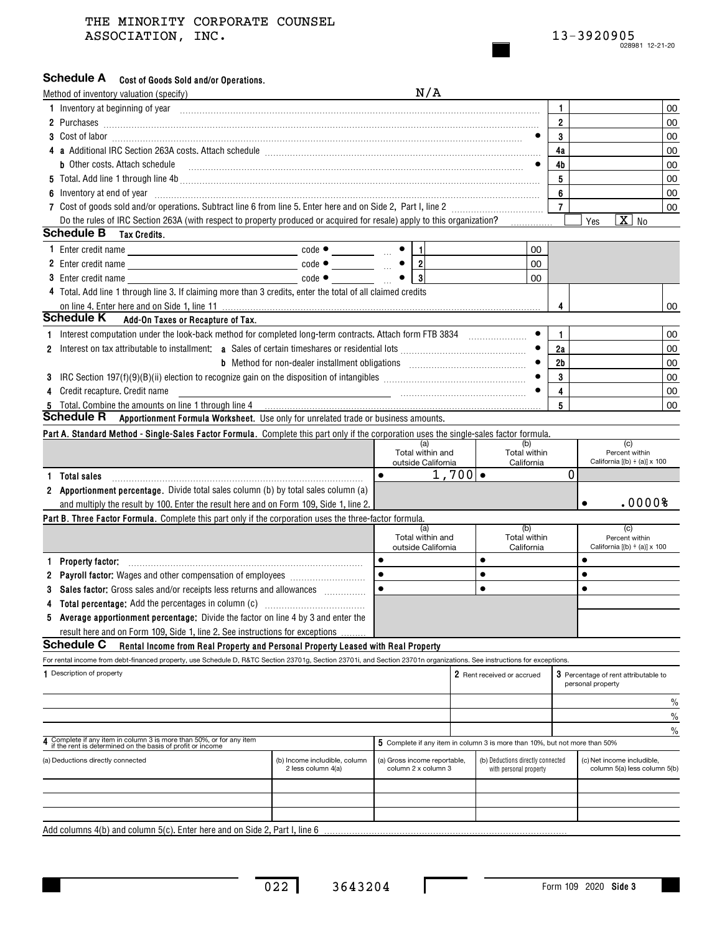## Schedule A cost of Goods Sold and/or Operations.

|   | Method of inventory valuation (specify)                                                                                                                                                                                                                                                     |                                                                                                   | N/A                                                 |                   |                                                                            |                |                                                            |        |
|---|---------------------------------------------------------------------------------------------------------------------------------------------------------------------------------------------------------------------------------------------------------------------------------------------|---------------------------------------------------------------------------------------------------|-----------------------------------------------------|-------------------|----------------------------------------------------------------------------|----------------|------------------------------------------------------------|--------|
|   | 1 Inventory at beginning of year encourance and contained and contained and contained and contained and contained and contained and contained and contained and contained and contained and contained and contained and contai                                                              |                                                                                                   |                                                     |                   |                                                                            | 1              |                                                            | 00     |
|   | 2 Purchases <b>Marchases 2</b> Purchases <b>2</b> Purchases <b>2</b> Purchases <b>2</b> Purchases <b>2</b> Purchases <b>2</b> Purchases <b>2</b> Purchases <b>2</b> Purchases <b>2</b> Purchases <b>2</b> Purchases <b>2</b> Purchases <b>2</b> Purchases <b>2 2</b> Purchase <b>2 2 2 </b> |                                                                                                   |                                                     |                   |                                                                            | $\overline{2}$ |                                                            | 00     |
|   |                                                                                                                                                                                                                                                                                             |                                                                                                   |                                                     |                   |                                                                            | 3              |                                                            | 00     |
|   |                                                                                                                                                                                                                                                                                             |                                                                                                   |                                                     |                   |                                                                            | 4a             |                                                            | 00     |
|   | <b>b</b> Other costs. Attach schedule                                                                                                                                                                                                                                                       |                                                                                                   |                                                     |                   |                                                                            | 4b             |                                                            | 00     |
|   |                                                                                                                                                                                                                                                                                             |                                                                                                   |                                                     |                   |                                                                            | 5              |                                                            | 00     |
|   | 6 Inventory at end of year manufactured and an extreme contract of the state of the state of the state of the state of the state of the state of the state of the state of the state of the state of the state of the state of                                                              |                                                                                                   |                                                     |                   |                                                                            | 6              |                                                            | 00     |
|   |                                                                                                                                                                                                                                                                                             |                                                                                                   |                                                     |                   |                                                                            | $\overline{7}$ |                                                            | 00     |
|   | Do the rules of IRC Section 263A (with respect to property produced or acquired for resale) apply to this organization?                                                                                                                                                                     |                                                                                                   |                                                     |                   |                                                                            |                | $\overline{X}$ No<br>Yes                                   |        |
|   | <b>Schedule B</b><br>Tax Credits.                                                                                                                                                                                                                                                           |                                                                                                   |                                                     |                   |                                                                            |                |                                                            |        |
|   |                                                                                                                                                                                                                                                                                             | $code \bullet \underline{\qquad \qquad \qquad \qquad \qquad } \bullet \underline{\qquad \qquad }$ |                                                     |                   | 00                                                                         |                |                                                            |        |
|   |                                                                                                                                                                                                                                                                                             | $code \bullet \underline{\qquad}$ $\qquad \bullet \underline{\qquad}$                             |                                                     |                   | 00                                                                         |                |                                                            |        |
|   | <b>3</b> Enter credit name                                                                                                                                                                                                                                                                  | $code \bullet$                                                                                    | $\bullet$   3                                       |                   | 00                                                                         |                |                                                            |        |
|   | 4 Total. Add line 1 through line 3. If claiming more than 3 credits, enter the total of all claimed credits                                                                                                                                                                                 |                                                                                                   |                                                     |                   |                                                                            |                |                                                            |        |
|   | on line 4. Enter here and on Side 1, line 11                                                                                                                                                                                                                                                |                                                                                                   |                                                     |                   |                                                                            | 4              |                                                            | 00     |
|   | Schedule K<br>Add-On Taxes or Recapture of Tax.                                                                                                                                                                                                                                             |                                                                                                   |                                                     |                   |                                                                            |                |                                                            |        |
| 1 | Interest computation under the look-back method for completed long-term contracts. Attach form FTB 3834                                                                                                                                                                                     |                                                                                                   |                                                     |                   |                                                                            | 1              |                                                            | 00     |
|   |                                                                                                                                                                                                                                                                                             |                                                                                                   |                                                     |                   |                                                                            | 2a             |                                                            | 00     |
|   |                                                                                                                                                                                                                                                                                             |                                                                                                   |                                                     |                   |                                                                            | 2 <sub>b</sub> |                                                            | 00     |
|   |                                                                                                                                                                                                                                                                                             |                                                                                                   |                                                     |                   |                                                                            | 3              |                                                            | 00     |
|   | Credit recapture. Credit name                                                                                                                                                                                                                                                               |                                                                                                   |                                                     |                   |                                                                            | 4              |                                                            | 00     |
|   | 5 Total. Combine the amounts on line 1 through line 4<br><b>Schedule R</b>                                                                                                                                                                                                                  |                                                                                                   |                                                     |                   |                                                                            | 5              |                                                            | 00     |
|   | Apportionment Formula Worksheet. Use only for unrelated trade or business amounts.                                                                                                                                                                                                          |                                                                                                   |                                                     |                   |                                                                            |                |                                                            |        |
|   | Part A. Standard Method - Single-Sales Factor Formula. Complete this part only if the corporation uses the single-sales factor formula.                                                                                                                                                     |                                                                                                   | (a)                                                 |                   | (b)                                                                        |                | (c)                                                        |        |
|   |                                                                                                                                                                                                                                                                                             |                                                                                                   | Total within and                                    |                   | Total within                                                               |                | Percent within                                             |        |
|   |                                                                                                                                                                                                                                                                                             |                                                                                                   | outside California<br>$\bullet$                     | $1,700$ $\bullet$ | California                                                                 | 0              | California $[(b) \div (a)] \times 100$                     |        |
|   | <b>Total sales</b>                                                                                                                                                                                                                                                                          |                                                                                                   |                                                     |                   |                                                                            |                |                                                            |        |
|   | 2 Apportionment percentage. Divide total sales column (b) by total sales column (a)                                                                                                                                                                                                         |                                                                                                   |                                                     |                   |                                                                            |                | $\bullet$                                                  | .00008 |
|   | and multiply the result by 100. Enter the result here and on Form 109, Side 1, line 2.                                                                                                                                                                                                      |                                                                                                   |                                                     |                   |                                                                            |                |                                                            |        |
|   | Part B. Three Factor Formula. Complete this part only if the corporation uses the three-factor formula.                                                                                                                                                                                     |                                                                                                   | (a)                                                 |                   | (b)                                                                        |                | (c)                                                        |        |
|   |                                                                                                                                                                                                                                                                                             |                                                                                                   | Total within and<br>outside California              |                   | Total within<br>California                                                 |                | Percent within<br>California $[(b) \div (a)] \times 100$   |        |
| 1 | <b>Property factor:</b>                                                                                                                                                                                                                                                                     |                                                                                                   | $\bullet$                                           |                   | $\bullet$                                                                  |                | $\bullet$                                                  |        |
| 2 |                                                                                                                                                                                                                                                                                             |                                                                                                   | $\bullet$                                           |                   | $\bullet$                                                                  |                | $\bullet$                                                  |        |
| 3 | Sales factor: Gross sales and/or receipts less returns and allowances                                                                                                                                                                                                                       |                                                                                                   |                                                     |                   | $\bullet$                                                                  |                | $\bullet$                                                  |        |
|   |                                                                                                                                                                                                                                                                                             |                                                                                                   |                                                     |                   |                                                                            |                |                                                            |        |
| 5 | Average apportionment percentage: Divide the factor on line 4 by 3 and enter the                                                                                                                                                                                                            |                                                                                                   |                                                     |                   |                                                                            |                |                                                            |        |
|   | result here and on Form 109, Side 1, line 2. See instructions for exceptions                                                                                                                                                                                                                |                                                                                                   |                                                     |                   |                                                                            |                |                                                            |        |
|   | <b>Schedule C</b><br>Rental Income from Real Property and Personal Property Leased with Real Property                                                                                                                                                                                       |                                                                                                   |                                                     |                   |                                                                            |                |                                                            |        |
|   | For rental income from debt-financed property, use Schedule D, R&TC Section 23701g, Section 23701i, and Section 23701n organizations. See instructions for exceptions.                                                                                                                      |                                                                                                   |                                                     |                   |                                                                            |                |                                                            |        |
|   | 1 Description of property                                                                                                                                                                                                                                                                   |                                                                                                   |                                                     |                   | 2 Rent received or accrued                                                 |                | 3 Percentage of rent attributable to                       |        |
|   |                                                                                                                                                                                                                                                                                             |                                                                                                   |                                                     |                   |                                                                            |                | personal property                                          |        |
|   |                                                                                                                                                                                                                                                                                             |                                                                                                   |                                                     |                   |                                                                            |                |                                                            | %      |
|   |                                                                                                                                                                                                                                                                                             |                                                                                                   |                                                     |                   |                                                                            |                |                                                            | %      |
|   |                                                                                                                                                                                                                                                                                             |                                                                                                   |                                                     |                   |                                                                            |                |                                                            | %      |
|   | Complete if any item in column 3 is more than 50%, or for any item<br>if the rent is determined on the basis of profit or income                                                                                                                                                            |                                                                                                   |                                                     |                   | 5 Complete if any item in column 3 is more than 10%, but not more than 50% |                |                                                            |        |
|   | (a) Deductions directly connected                                                                                                                                                                                                                                                           | (b) Income includible, column<br>2 less column 4(a)                                               | (a) Gross income reportable,<br>column 2 x column 3 |                   | (b) Deductions directly connected<br>with personal property                |                | (c) Net income includible,<br>column 5(a) less column 5(b) |        |
|   |                                                                                                                                                                                                                                                                                             |                                                                                                   |                                                     |                   |                                                                            |                |                                                            |        |
|   |                                                                                                                                                                                                                                                                                             |                                                                                                   |                                                     |                   |                                                                            |                |                                                            |        |
|   |                                                                                                                                                                                                                                                                                             |                                                                                                   |                                                     |                   |                                                                            |                |                                                            |        |
|   | Add columns 4(b) and column 5(c). Enter here and on Side 2, Part I, line 6                                                                                                                                                                                                                  |                                                                                                   |                                                     |                   |                                                                            |                |                                                            |        |

022 3643204

 $\mathbf I$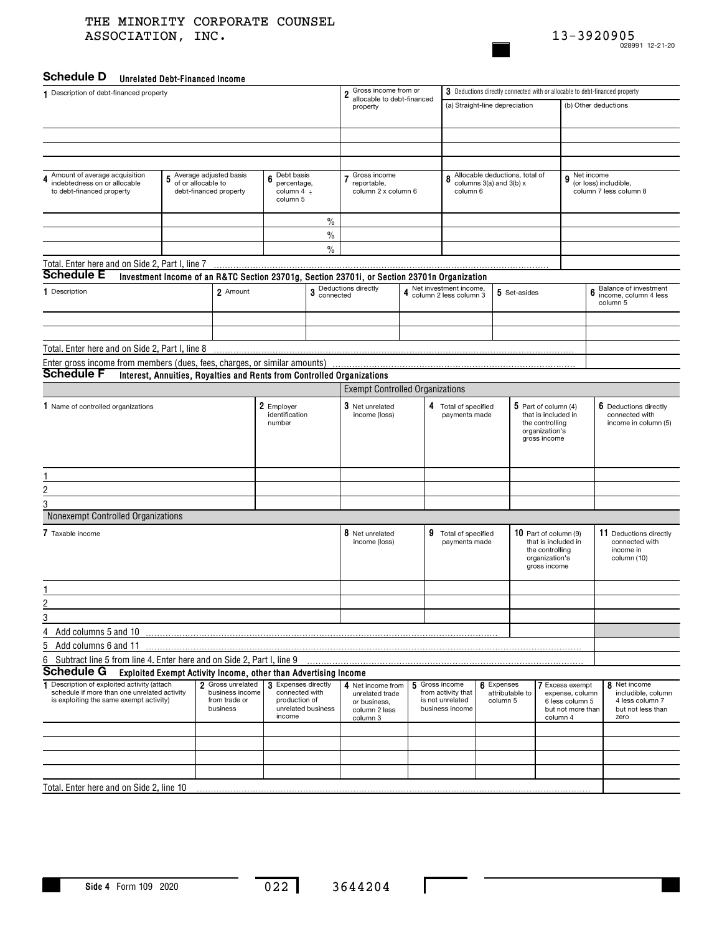

## **Unrelated Debt-Financed Income Schedule D**

| 0111014104 DODL 1 111411004 111001110<br>1 Description of debt-financed property               |                                                                 |                                  |                                 |                    | Gross income from or<br>$\overline{\mathbf{2}}$                                                                  | 3 Deductions directly connected with or allocable to debt-financed property |                                                    |                                |                 |                                               |                                    |                                                 |  |
|------------------------------------------------------------------------------------------------|-----------------------------------------------------------------|----------------------------------|---------------------------------|--------------------|------------------------------------------------------------------------------------------------------------------|-----------------------------------------------------------------------------|----------------------------------------------------|--------------------------------|-----------------|-----------------------------------------------|------------------------------------|-------------------------------------------------|--|
|                                                                                                |                                                                 |                                  |                                 |                    | allocable to debt-financed<br>property                                                                           |                                                                             |                                                    | (a) Straight-line depreciation |                 |                                               | (b) Other deductions               |                                                 |  |
|                                                                                                |                                                                 |                                  |                                 |                    |                                                                                                                  |                                                                             |                                                    |                                |                 |                                               |                                    |                                                 |  |
|                                                                                                |                                                                 |                                  |                                 |                    |                                                                                                                  |                                                                             |                                                    |                                |                 |                                               |                                    |                                                 |  |
|                                                                                                |                                                                 |                                  |                                 |                    |                                                                                                                  |                                                                             |                                                    |                                |                 |                                               |                                    |                                                 |  |
|                                                                                                |                                                                 |                                  |                                 |                    |                                                                                                                  |                                                                             |                                                    |                                |                 |                                               |                                    |                                                 |  |
| Amount of average acquisition                                                                  | Average adjusted basis<br>5                                     |                                  | Debt basis<br>6                 |                    | Gross income                                                                                                     |                                                                             | 8                                                  | Allocable deductions, total of |                 |                                               | Net income<br>9                    |                                                 |  |
| indebtedness on or allocable<br>to debt-financed property                                      | of or allocable to<br>debt-financed property                    |                                  | percentage,<br>column 4 ÷       |                    | reportable,<br>column 2 x column 6                                                                               |                                                                             | column 6                                           | columns 3(a) and 3(b) x        |                 |                                               |                                    | (or loss) includible,<br>column 7 less column 8 |  |
|                                                                                                |                                                                 |                                  | column 5                        |                    |                                                                                                                  |                                                                             |                                                    |                                |                 |                                               |                                    |                                                 |  |
|                                                                                                |                                                                 |                                  |                                 | $\frac{0}{0}$      |                                                                                                                  |                                                                             |                                                    |                                |                 |                                               |                                    |                                                 |  |
|                                                                                                |                                                                 |                                  |                                 | $\%$               |                                                                                                                  |                                                                             |                                                    |                                |                 |                                               |                                    |                                                 |  |
|                                                                                                |                                                                 |                                  |                                 | $\frac{0}{0}$      |                                                                                                                  |                                                                             |                                                    |                                |                 |                                               |                                    |                                                 |  |
| Total. Enter here and on Side 2, Part I, line 7                                                |                                                                 |                                  |                                 |                    |                                                                                                                  |                                                                             |                                                    |                                |                 |                                               |                                    |                                                 |  |
| <b>Schedule E</b>                                                                              |                                                                 |                                  |                                 |                    | Investment Income of an R&TC Section 23701g, Section 23701i, or Section 23701n Organization                      |                                                                             |                                                    |                                |                 |                                               |                                    |                                                 |  |
| 1 Description                                                                                  |                                                                 | 2 Amount                         |                                 |                    | 3 Deductions directly<br>connected                                                                               |                                                                             | Net investment income,<br>4 Column 2 less column 3 |                                | 5 Set-asides    |                                               | 6                                  | Balance of investment                           |  |
|                                                                                                |                                                                 |                                  |                                 |                    |                                                                                                                  |                                                                             |                                                    |                                |                 |                                               |                                    | income, column 4 less<br>column 5               |  |
|                                                                                                |                                                                 |                                  |                                 |                    |                                                                                                                  |                                                                             |                                                    |                                |                 |                                               |                                    |                                                 |  |
|                                                                                                |                                                                 |                                  |                                 |                    |                                                                                                                  |                                                                             |                                                    |                                |                 |                                               |                                    |                                                 |  |
| Total. Enter here and on Side 2, Part I, line 8                                                |                                                                 |                                  |                                 |                    |                                                                                                                  |                                                                             |                                                    |                                |                 |                                               |                                    |                                                 |  |
| Enter gross income from members (dues, fees, charges, or similar amounts)<br><b>Schedule F</b> |                                                                 |                                  |                                 |                    |                                                                                                                  |                                                                             |                                                    |                                |                 |                                               |                                    |                                                 |  |
|                                                                                                |                                                                 |                                  |                                 |                    | Interest, Annuities, Royalties and Rents from Controlled Organizations<br><b>Exempt Controlled Organizations</b> |                                                                             |                                                    |                                |                 |                                               |                                    |                                                 |  |
|                                                                                                |                                                                 |                                  |                                 |                    |                                                                                                                  |                                                                             |                                                    |                                |                 |                                               |                                    |                                                 |  |
| 1 Name of controlled organizations                                                             |                                                                 |                                  | 2 Employer<br>identification    |                    | 3 Net unrelated<br>income (loss)                                                                                 |                                                                             | 4 Total of specified<br>payments made              |                                |                 | $5$ Part of column (4)<br>that is included in |                                    | 6 Deductions directly<br>connected with         |  |
|                                                                                                |                                                                 | number                           |                                 |                    |                                                                                                                  |                                                                             |                                                    |                                |                 | the controlling<br>organization's             |                                    | income in column (5)                            |  |
|                                                                                                |                                                                 |                                  |                                 |                    |                                                                                                                  |                                                                             |                                                    |                                |                 | gross income                                  |                                    |                                                 |  |
|                                                                                                |                                                                 |                                  |                                 |                    |                                                                                                                  |                                                                             |                                                    |                                |                 |                                               |                                    |                                                 |  |
|                                                                                                |                                                                 |                                  |                                 |                    |                                                                                                                  |                                                                             |                                                    |                                |                 |                                               |                                    |                                                 |  |
| $\overline{\mathbf{c}}$                                                                        |                                                                 |                                  |                                 |                    |                                                                                                                  |                                                                             |                                                    |                                |                 |                                               |                                    |                                                 |  |
| 3                                                                                              |                                                                 |                                  |                                 |                    |                                                                                                                  |                                                                             |                                                    |                                |                 |                                               |                                    |                                                 |  |
| Nonexempt Controlled Organizations                                                             |                                                                 |                                  |                                 |                    |                                                                                                                  |                                                                             |                                                    |                                |                 |                                               |                                    |                                                 |  |
| 7 Taxable income                                                                               |                                                                 |                                  |                                 |                    | 8 Net unrelated                                                                                                  | 9                                                                           |                                                    |                                |                 |                                               |                                    | 11 Deductions directly                          |  |
|                                                                                                |                                                                 |                                  |                                 |                    | income (loss)                                                                                                    |                                                                             | Total of specified<br>payments made                |                                |                 | 10 Part of column (9)<br>that is included in  |                                    | connected with                                  |  |
|                                                                                                |                                                                 |                                  |                                 |                    |                                                                                                                  |                                                                             |                                                    |                                |                 | the controlling<br>organization's             |                                    | income in<br>column (10)                        |  |
|                                                                                                |                                                                 |                                  |                                 |                    |                                                                                                                  |                                                                             |                                                    |                                |                 | gross income                                  |                                    |                                                 |  |
|                                                                                                |                                                                 |                                  |                                 |                    |                                                                                                                  |                                                                             |                                                    |                                |                 |                                               |                                    |                                                 |  |
| $\overline{\mathbf{c}}$                                                                        |                                                                 |                                  |                                 |                    |                                                                                                                  |                                                                             |                                                    |                                |                 |                                               |                                    |                                                 |  |
| $\overline{3}$                                                                                 |                                                                 |                                  |                                 |                    |                                                                                                                  |                                                                             |                                                    |                                |                 |                                               |                                    |                                                 |  |
| 4<br>Add columns 5 and 10                                                                      |                                                                 |                                  |                                 |                    |                                                                                                                  |                                                                             |                                                    |                                |                 |                                               |                                    |                                                 |  |
| 5<br>Add columns 6 and 11                                                                      |                                                                 |                                  |                                 |                    |                                                                                                                  |                                                                             |                                                    |                                |                 |                                               |                                    |                                                 |  |
| 6<br>Subtract line 5 from line 4. Enter here and on Side 2, Part I, line 9                     |                                                                 |                                  |                                 |                    |                                                                                                                  |                                                                             |                                                    |                                |                 |                                               |                                    |                                                 |  |
| <b>Schedule G</b>                                                                              | Exploited Exempt Activity Income, other than Advertising Income |                                  |                                 |                    |                                                                                                                  |                                                                             |                                                    |                                |                 |                                               |                                    |                                                 |  |
| Description of exploited activity (attach<br>1                                                 |                                                                 | 2 Gross unrelated                | 3 Expenses directly             |                    | 4 Net income from                                                                                                | 5                                                                           | Gross income                                       | 6 Expenses                     |                 |                                               | 7 Excess exempt                    | 8 Net income                                    |  |
| schedule if more than one unrelated activity<br>is exploiting the same exempt activity)        |                                                                 | business income<br>from trade or | connected with<br>production of |                    | unrelated trade<br>or business,                                                                                  |                                                                             | from activity that<br>is not unrelated             | column 5                       | attributable to |                                               | expense, column<br>6 less column 5 | includible, column<br>4 less column 7           |  |
|                                                                                                |                                                                 | business                         | income                          | unrelated business | column 2 less<br>column 3                                                                                        |                                                                             | business income                                    |                                |                 | column 4                                      | but not more than                  | but not less than<br>zero                       |  |
|                                                                                                |                                                                 |                                  |                                 |                    |                                                                                                                  |                                                                             |                                                    |                                |                 |                                               |                                    |                                                 |  |
|                                                                                                |                                                                 |                                  |                                 |                    |                                                                                                                  |                                                                             |                                                    |                                |                 |                                               |                                    |                                                 |  |
|                                                                                                |                                                                 |                                  |                                 |                    |                                                                                                                  |                                                                             |                                                    |                                |                 |                                               |                                    |                                                 |  |
|                                                                                                |                                                                 |                                  |                                 |                    |                                                                                                                  |                                                                             |                                                    |                                |                 |                                               |                                    |                                                 |  |
| Total. Enter here and on Side 2, line 10                                                       |                                                                 |                                  |                                 |                    |                                                                                                                  |                                                                             |                                                    |                                |                 |                                               |                                    |                                                 |  |

 $\mathbf{I}$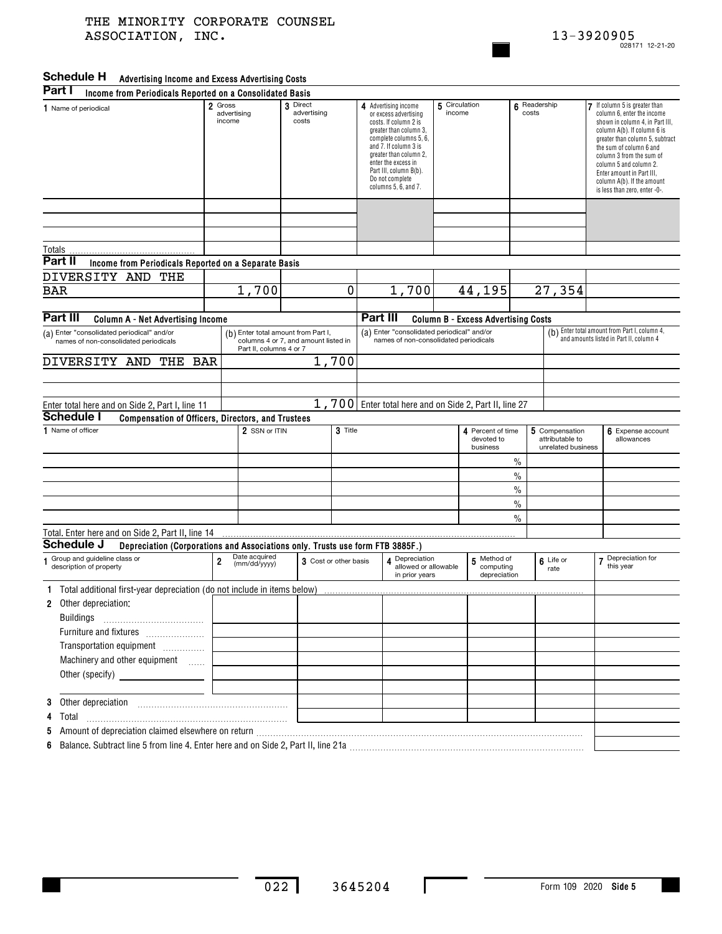### **Advertising Income and Excess Advertising Costs Schedule H Part I**

| Part I<br>Income from Periodicals Reported on a Consolidated Basis                                                                               |                                                  |                                                                                                        |                                  |   |                                                                                                                                                                                                                                                                                |                                                          |                         |                                                          |                       |                                                         |                                                                                                                                                                                                                                                                                                                                             |                                 |
|--------------------------------------------------------------------------------------------------------------------------------------------------|--------------------------------------------------|--------------------------------------------------------------------------------------------------------|----------------------------------|---|--------------------------------------------------------------------------------------------------------------------------------------------------------------------------------------------------------------------------------------------------------------------------------|----------------------------------------------------------|-------------------------|----------------------------------------------------------|-----------------------|---------------------------------------------------------|---------------------------------------------------------------------------------------------------------------------------------------------------------------------------------------------------------------------------------------------------------------------------------------------------------------------------------------------|---------------------------------|
| 1 Name of periodical                                                                                                                             | Gross<br>$\overline{2}$<br>advertising<br>income |                                                                                                        | 3 Direct<br>advertising<br>costs |   | 4 Advertising income<br>or excess advertising<br>costs. If column 2 is<br>greater than column 3,<br>complete columns 5, 6,<br>and 7. If column 3 is<br>greater than column 2,<br>enter the excess in<br>Part III, column B(b).<br>Do not complete<br>columns $5, 6$ , and $7.$ |                                                          | 5 Circulation<br>income |                                                          | 6 Readership<br>costs |                                                         | If column 5 is greater than<br>column 6, enter the income<br>shown in column 4, in Part III,<br>column A(b). If column 6 is<br>greater than column 5, subtract<br>the sum of column 6 and<br>column 3 from the sum of<br>column 5 and column 2.<br>Enter amount in Part III,<br>column A(b). If the amount<br>is less than zero, enter -0-. |                                 |
|                                                                                                                                                  |                                                  |                                                                                                        |                                  |   |                                                                                                                                                                                                                                                                                |                                                          |                         |                                                          |                       |                                                         |                                                                                                                                                                                                                                                                                                                                             |                                 |
|                                                                                                                                                  |                                                  |                                                                                                        |                                  |   |                                                                                                                                                                                                                                                                                |                                                          |                         |                                                          |                       |                                                         |                                                                                                                                                                                                                                                                                                                                             |                                 |
| Totals<br>Part II                                                                                                                                |                                                  |                                                                                                        |                                  |   |                                                                                                                                                                                                                                                                                |                                                          |                         |                                                          |                       |                                                         |                                                                                                                                                                                                                                                                                                                                             |                                 |
| Income from Periodicals Reported on a Separate Basis<br>DIVERSITY AND<br>THE                                                                     |                                                  |                                                                                                        |                                  |   |                                                                                                                                                                                                                                                                                |                                                          |                         |                                                          |                       |                                                         |                                                                                                                                                                                                                                                                                                                                             |                                 |
| <b>BAR</b>                                                                                                                                       | $\overline{1}$ , 700                             |                                                                                                        |                                  | 0 |                                                                                                                                                                                                                                                                                | 1,700                                                    |                         | 44,195                                                   |                       | 27,354                                                  |                                                                                                                                                                                                                                                                                                                                             |                                 |
|                                                                                                                                                  |                                                  |                                                                                                        |                                  |   |                                                                                                                                                                                                                                                                                |                                                          |                         |                                                          |                       |                                                         |                                                                                                                                                                                                                                                                                                                                             |                                 |
| Part III<br><b>Column A - Net Advertising Income</b>                                                                                             |                                                  |                                                                                                        |                                  |   | Part III<br><b>Column B - Excess Advertising Costs</b>                                                                                                                                                                                                                         |                                                          |                         |                                                          |                       |                                                         |                                                                                                                                                                                                                                                                                                                                             |                                 |
| (a) Enter "consolidated periodical" and/or<br>names of non-consolidated periodicals                                                              |                                                  | (b) Enter total amount from Part I,<br>columns 4 or 7, and amount listed in<br>Part II, columns 4 or 7 |                                  |   | (a) Enter "consolidated periodical" and/or<br>names of non-consolidated periodicals                                                                                                                                                                                            |                                                          |                         |                                                          |                       |                                                         | (b) Enter total amount from Part I, column 4,<br>and amounts listed in Part II, column 4                                                                                                                                                                                                                                                    |                                 |
| DIVERSITY AND<br>THE<br><b>BAR</b>                                                                                                               |                                                  | 1,700                                                                                                  |                                  |   |                                                                                                                                                                                                                                                                                |                                                          |                         |                                                          |                       |                                                         |                                                                                                                                                                                                                                                                                                                                             |                                 |
|                                                                                                                                                  |                                                  |                                                                                                        |                                  |   |                                                                                                                                                                                                                                                                                |                                                          |                         |                                                          |                       |                                                         |                                                                                                                                                                                                                                                                                                                                             |                                 |
|                                                                                                                                                  |                                                  |                                                                                                        |                                  |   |                                                                                                                                                                                                                                                                                |                                                          |                         |                                                          |                       |                                                         |                                                                                                                                                                                                                                                                                                                                             |                                 |
| Enter total here and on Side 2, Part I, line 11<br><b>Schedule I</b>                                                                             |                                                  |                                                                                                        |                                  |   |                                                                                                                                                                                                                                                                                |                                                          |                         | 1,700   Enter total here and on Side 2, Part II, line 27 |                       |                                                         |                                                                                                                                                                                                                                                                                                                                             |                                 |
| Compensation of Officers, Directors, and Trustees<br>1 Name of officer<br>2 SSN or ITIN                                                          |                                                  |                                                                                                        | 3 Title                          |   |                                                                                                                                                                                                                                                                                |                                                          |                         | Percent of time<br>4<br>devoted to<br>business           |                       | 5 Compensation<br>attributable to<br>unrelated business |                                                                                                                                                                                                                                                                                                                                             | 6 Expense account<br>allowances |
|                                                                                                                                                  |                                                  |                                                                                                        |                                  |   |                                                                                                                                                                                                                                                                                |                                                          |                         |                                                          | $\%$                  |                                                         |                                                                                                                                                                                                                                                                                                                                             |                                 |
|                                                                                                                                                  |                                                  |                                                                                                        |                                  |   |                                                                                                                                                                                                                                                                                |                                                          |                         |                                                          | $\%$                  |                                                         |                                                                                                                                                                                                                                                                                                                                             |                                 |
|                                                                                                                                                  |                                                  |                                                                                                        |                                  |   |                                                                                                                                                                                                                                                                                |                                                          |                         |                                                          | $\%$                  |                                                         |                                                                                                                                                                                                                                                                                                                                             |                                 |
|                                                                                                                                                  |                                                  |                                                                                                        |                                  |   |                                                                                                                                                                                                                                                                                |                                                          |                         |                                                          | $\frac{0}{0}$         |                                                         |                                                                                                                                                                                                                                                                                                                                             |                                 |
|                                                                                                                                                  |                                                  |                                                                                                        |                                  |   |                                                                                                                                                                                                                                                                                |                                                          |                         |                                                          | $\%$                  |                                                         |                                                                                                                                                                                                                                                                                                                                             |                                 |
| Total. Enter here and on Side 2, Part II, line 14<br>Schedule J<br>Depreciation (Corporations and Associations only. Trusts use form FTB 3885F.) |                                                  |                                                                                                        |                                  |   |                                                                                                                                                                                                                                                                                |                                                          |                         |                                                          |                       |                                                         |                                                                                                                                                                                                                                                                                                                                             |                                 |
| 1 Group and guideline class or<br>description of property                                                                                        | Date acquired<br>2<br>(mm/dd/yyyy)               |                                                                                                        | 3 Cost or other basis            |   |                                                                                                                                                                                                                                                                                | 4 Depreciation<br>allowed or allowable<br>in prior years |                         | 5 Method of<br>computing<br>depreciation                 |                       | 6 Life or<br>rate                                       |                                                                                                                                                                                                                                                                                                                                             | 7 Depreciation for<br>this year |
| 1 Total additional first-year depreciation (do not include in items below)                                                                       |                                                  |                                                                                                        |                                  |   |                                                                                                                                                                                                                                                                                |                                                          |                         |                                                          |                       |                                                         |                                                                                                                                                                                                                                                                                                                                             |                                 |
| Other depreciation:<br>$\mathbf{2}$                                                                                                              |                                                  |                                                                                                        |                                  |   |                                                                                                                                                                                                                                                                                |                                                          |                         |                                                          |                       |                                                         |                                                                                                                                                                                                                                                                                                                                             |                                 |
| <b>Buildings</b>                                                                                                                                 |                                                  |                                                                                                        |                                  |   |                                                                                                                                                                                                                                                                                |                                                          |                         |                                                          |                       |                                                         |                                                                                                                                                                                                                                                                                                                                             |                                 |
| Furniture and fixtures                                                                                                                           |                                                  |                                                                                                        |                                  |   |                                                                                                                                                                                                                                                                                |                                                          |                         |                                                          |                       |                                                         |                                                                                                                                                                                                                                                                                                                                             |                                 |
| Transportation equipment                                                                                                                         |                                                  |                                                                                                        |                                  |   |                                                                                                                                                                                                                                                                                |                                                          |                         |                                                          |                       |                                                         |                                                                                                                                                                                                                                                                                                                                             |                                 |
| Machinery and other equipment                                                                                                                    |                                                  |                                                                                                        |                                  |   |                                                                                                                                                                                                                                                                                |                                                          |                         |                                                          |                       |                                                         |                                                                                                                                                                                                                                                                                                                                             |                                 |
| Other (specify) ____________________                                                                                                             |                                                  |                                                                                                        |                                  |   |                                                                                                                                                                                                                                                                                |                                                          |                         |                                                          |                       |                                                         |                                                                                                                                                                                                                                                                                                                                             |                                 |
|                                                                                                                                                  |                                                  |                                                                                                        |                                  |   |                                                                                                                                                                                                                                                                                |                                                          |                         |                                                          |                       |                                                         |                                                                                                                                                                                                                                                                                                                                             |                                 |
|                                                                                                                                                  |                                                  |                                                                                                        |                                  |   |                                                                                                                                                                                                                                                                                |                                                          |                         |                                                          |                       |                                                         |                                                                                                                                                                                                                                                                                                                                             |                                 |
|                                                                                                                                                  |                                                  |                                                                                                        |                                  |   |                                                                                                                                                                                                                                                                                |                                                          |                         |                                                          |                       |                                                         |                                                                                                                                                                                                                                                                                                                                             |                                 |
| 6 Balance. Subtract line 5 from line 4. Enter here and on Side 2, Part II, line 21a                                                              |                                                  |                                                                                                        |                                  |   |                                                                                                                                                                                                                                                                                |                                                          |                         |                                                          |                       |                                                         |                                                                                                                                                                                                                                                                                                                                             |                                 |

**6**Balance. Subtract line 5 from line 4. Enter here and on Side 2, Part II, line 21a …………………………………………………………………………

 $\mathbf I$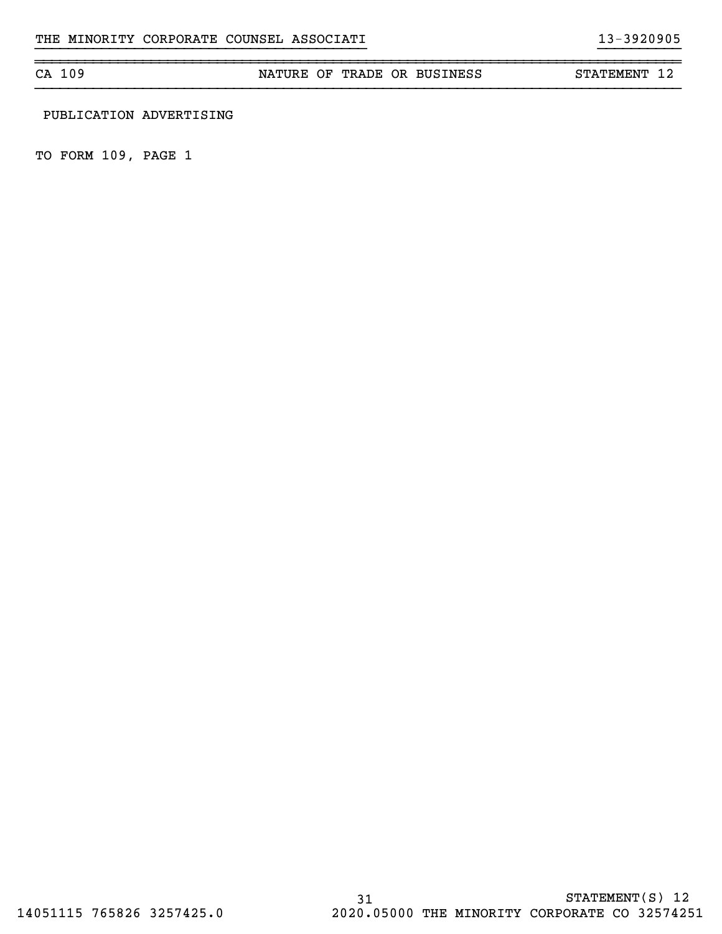CA 109 NATURE OF TRADE OR BUSINESS STATEMENT 12

}}}}}}}}}}}}}}}}}}}}}}}}}}}}}}}}}}}}}}}} }}}}}}}}}}

## PUBLICATION ADVERTISING

TO FORM 109, PAGE 1